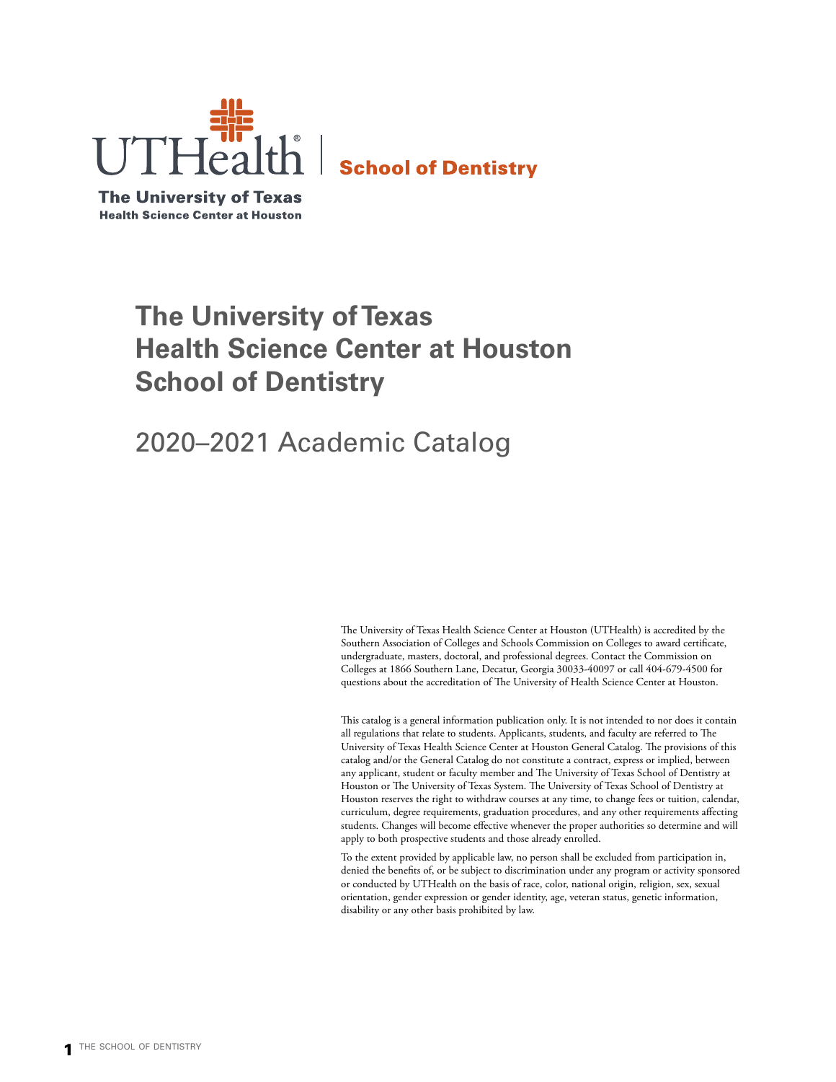

**The University of Texas Health Science Center at Houston** 

# **The University of Texas Health Science Center at Houston School of Dentistry**

# 2020–2021 Academic Catalog

The University of Texas Health Science Center at Houston (UTHealth) is accredited by the Southern Association of Colleges and Schools Commission on Colleges to award certificate, undergraduate, masters, doctoral, and professional degrees. Contact the Commission on Colleges at 1866 Southern Lane, Decatur, Georgia 30033-40097 or call 404-679-4500 for questions about the accreditation of The University of Health Science Center at Houston.

This catalog is a general information publication only. It is not intended to nor does it contain all regulations that relate to students. Applicants, students, and faculty are referred to The University of Texas Health Science Center at Houston General Catalog. The provisions of this catalog and/or the General Catalog do not constitute a contract, express or implied, between any applicant, student or faculty member and The University of Texas School of Dentistry at Houston or The University of Texas System. The University of Texas School of Dentistry at Houston reserves the right to withdraw courses at any time, to change fees or tuition, calendar, curriculum, degree requirements, graduation procedures, and any other requirements affecting students. Changes will become effective whenever the proper authorities so determine and will apply to both prospective students and those already enrolled.

To the extent provided by applicable law, no person shall be excluded from participation in, denied the benefits of, or be subject to discrimination under any program or activity sponsored or conducted by UTHealth on the basis of race, color, national origin, religion, sex, sexual orientation, gender expression or gender identity, age, veteran status, genetic information, disability or any other basis prohibited by law.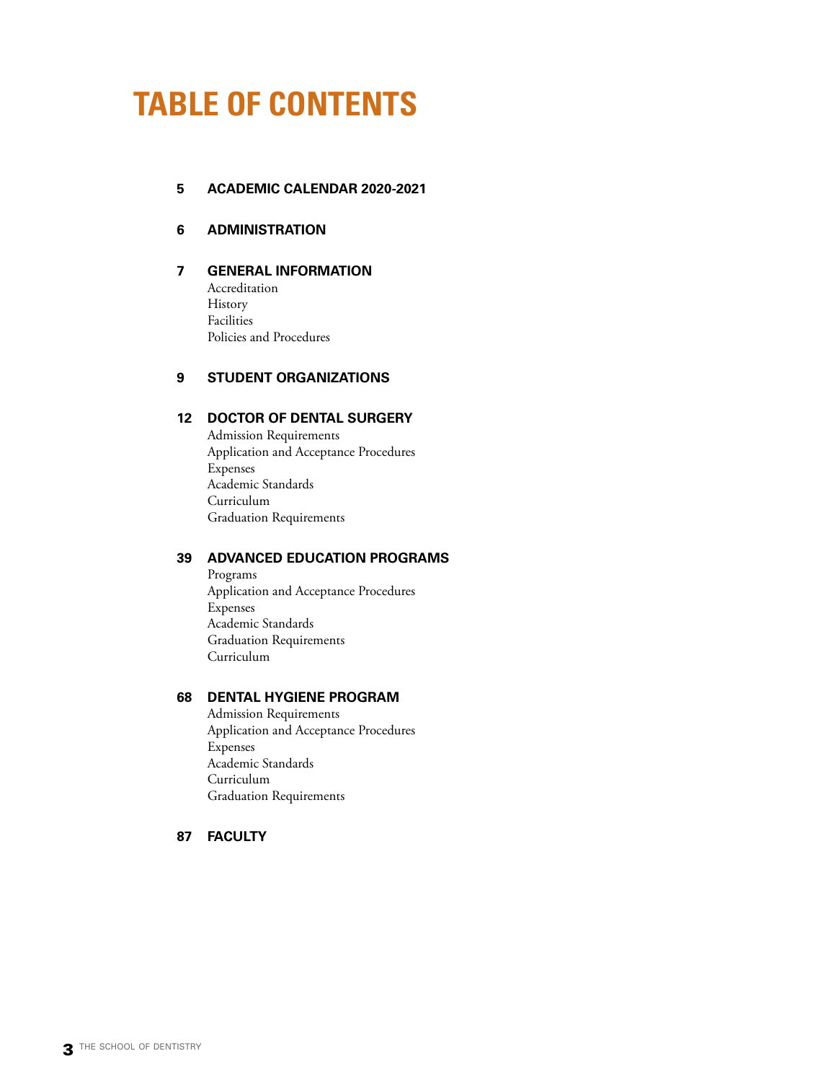# <span id="page-2-0"></span>**TABLE OF CONTENTS**

## **5 [ACADEMIC CALENDAR 2020-2021](#page-4-0)**

## **6 [ADMINISTRATION](#page-5-0)**

**7 [GENERAL INFORMATION](#page-6-0)** Accreditation History Facilities Policies and Procedures

## **9 [STUDENT ORGANIZATIONS](#page-8-0)**

## **12 [DOCTOR OF DENTAL SURGERY](#page-11-0)**

Admission Requirements Application and Acceptance Procedures Expenses Academic Standards Curriculum Graduation Requirements

## **39 [ADVANCED EDUCATION PROGRAMS](#page-38-0)**

Programs Application and Acceptance Procedures Expenses Academic Standards Graduation Requirements Curriculum

## **68 [DENTAL HYGIENE PROGRAM](#page-67-0)**

Admission Requirements Application and Acceptance Procedures Expenses Academic Standards Curriculum Graduation Requirements

## **87 [FACULTY](#page-86-0)**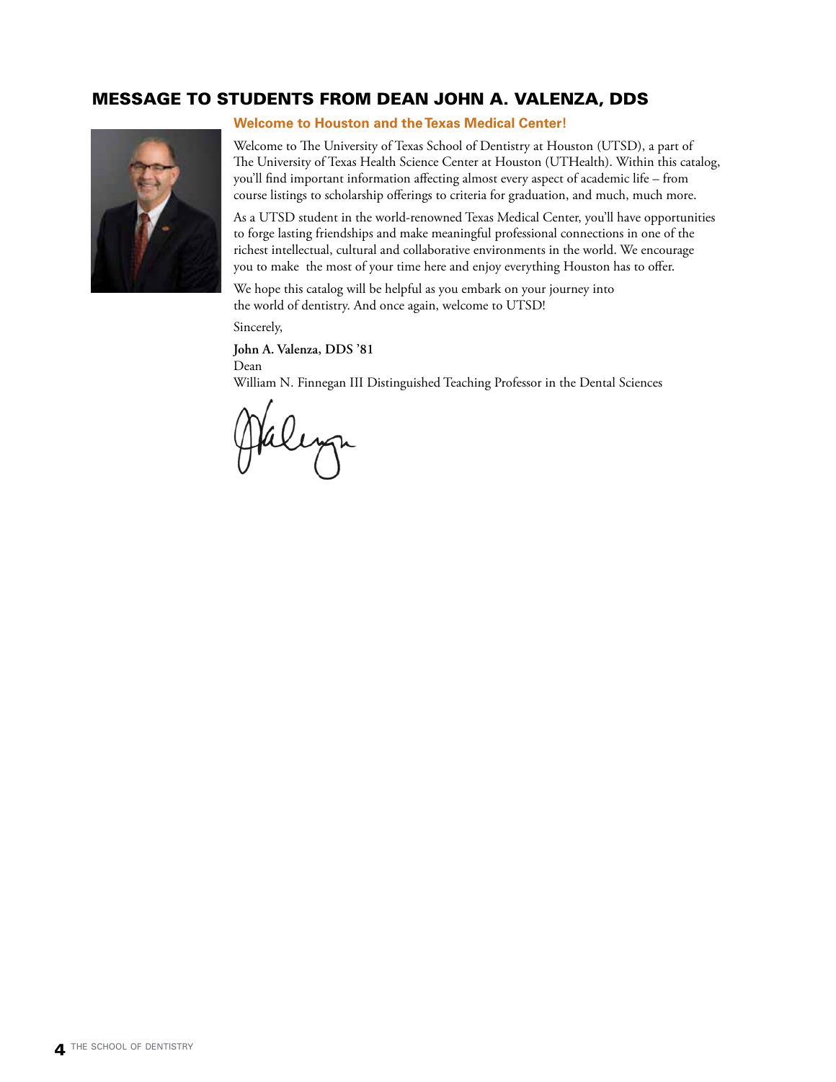## MESSAGE TO STUDENTS FROM DEAN JOHN A. VALENZA, DDS



**Welcome to Houston and the Texas Medical Center!**

Welcome to The University of Texas School of Dentistry at Houston (UTSD), a part of The University of Texas Health Science Center at Houston (UTHealth). Within this catalog, you'll find important information affecting almost every aspect of academic life – from course listings to scholarship offerings to criteria for graduation, and much, much more.

As a UTSD student in the world-renowned Texas Medical Center, you'll have opportunities to forge lasting friendships and make meaningful professional connections in one of the richest intellectual, cultural and collaborative environments in the world. We encourage you to make the most of your time here and enjoy everything Houston has to offer.

We hope this catalog will be helpful as you embark on your journey into the world of dentistry. And once again, welcome to UTSD!

Sincerely,

**John A. Valenza, DDS '81**

Dean

William N. Finnegan III Distinguished Teaching Professor in the Dental Sciences

Paleya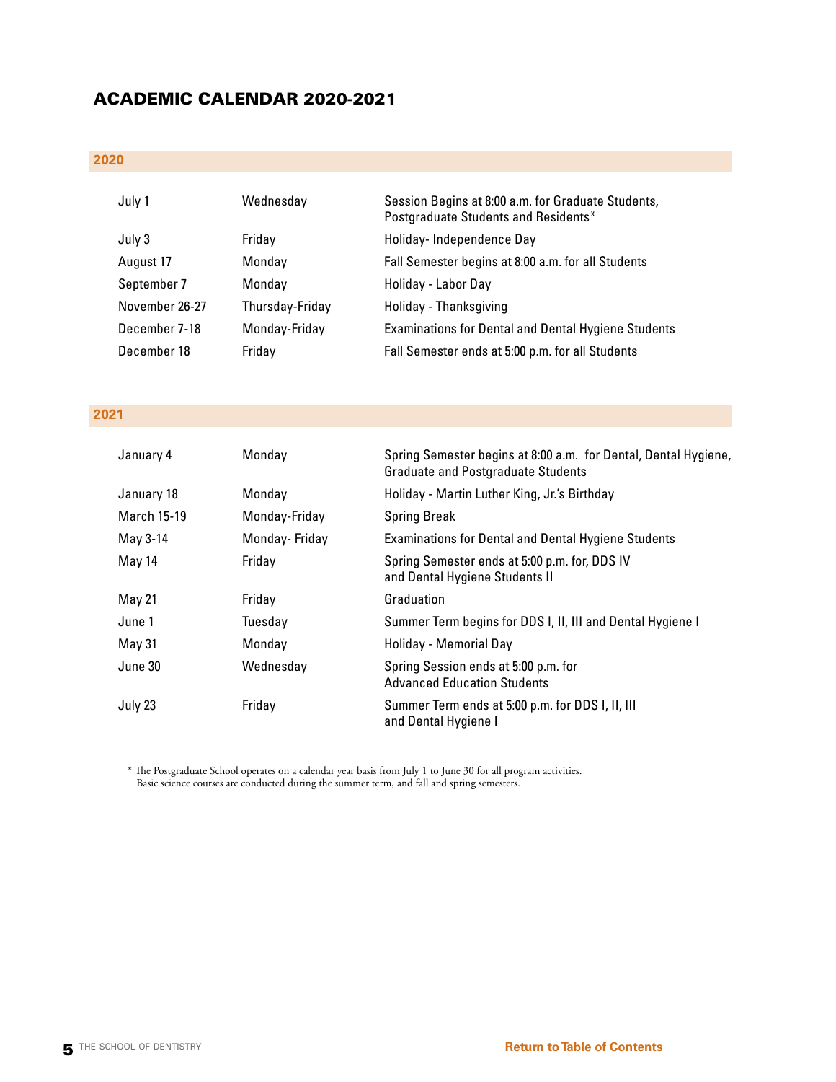## <span id="page-4-0"></span>ACADEMIC CALENDAR 2020-2021

## **2020**

| July 1         | Wednesday       | Session Begins at 8:00 a.m. for Graduate Students,<br>Postgraduate Students and Residents* |
|----------------|-----------------|--------------------------------------------------------------------------------------------|
| July 3         | Friday          | Holiday-Independence Day                                                                   |
| August 17      | Monday          | Fall Semester begins at 8:00 a.m. for all Students                                         |
| September 7    | Monday          | Holiday - Labor Day                                                                        |
| November 26-27 | Thursday-Friday | Holiday - Thanksgiving                                                                     |
| December 7-18  | Monday-Friday   | <b>Examinations for Dental and Dental Hygiene Students</b>                                 |
| December 18    | Fridav          | Fall Semester ends at 5:00 p.m. for all Students                                           |

## **2021**

| January 4          | Monday        | Spring Semester begins at 8:00 a.m. for Dental, Dental Hygiene,<br><b>Graduate and Postgraduate Students</b> |
|--------------------|---------------|--------------------------------------------------------------------------------------------------------------|
| January 18         | Monday        | Holiday - Martin Luther King, Jr.'s Birthday                                                                 |
| <b>March 15-19</b> | Monday-Friday | <b>Spring Break</b>                                                                                          |
| May 3-14           | Monday-Friday | <b>Examinations for Dental and Dental Hygiene Students</b>                                                   |
| May 14             | Friday        | Spring Semester ends at 5:00 p.m. for, DDS IV<br>and Dental Hygiene Students II                              |
| May 21             | Friday        | Graduation                                                                                                   |
| June 1             | Tuesday       | Summer Term begins for DDS I, II, III and Dental Hygiene I                                                   |
| May 31             | Monday        | Holiday - Memorial Day                                                                                       |
| June 30            | Wednesday     | Spring Session ends at 5:00 p.m. for<br><b>Advanced Education Students</b>                                   |
| July 23            | Friday        | Summer Term ends at 5:00 p.m. for DDS I, II, III<br>and Dental Hygiene I                                     |

\* The Postgraduate School operates on a calendar year basis from July 1 to June 30 for all program activities. Basic science courses are conducted during the summer term, and fall and spring semesters.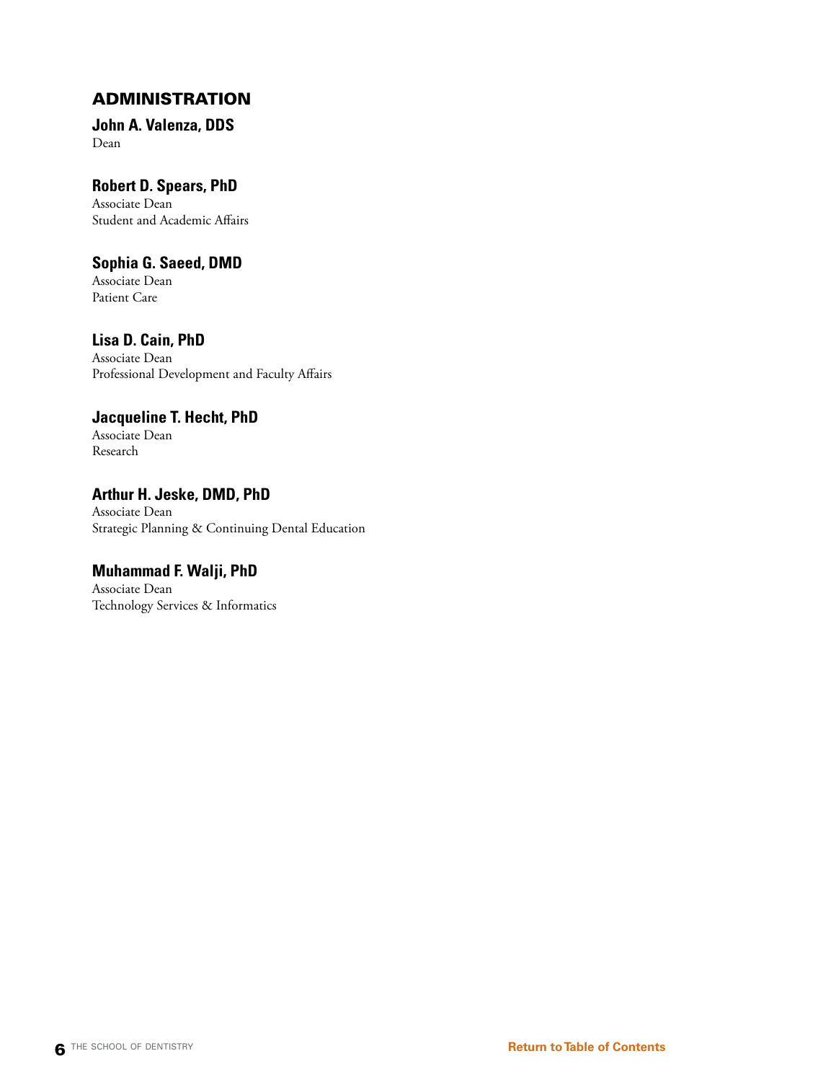## <span id="page-5-0"></span>ADMINISTRATION

**John A. Valenza, DDS** Dean

## **Robert D. Spears, PhD**

Associate Dean Student and Academic Affairs

## **Sophia G. Saeed, DMD**

Associate Dean Patient Care

## **Lisa D. Cain, PhD**

Associate Dean Professional Development and Faculty Affairs

## **Jacqueline T. Hecht, PhD**

Associate Dean Research

## **Arthur H. Jeske, DMD, PhD** Associate Dean Strategic Planning & Continuing Dental Education

## **Muhammad F. Walji, PhD**

Associate Dean Technology Services & Informatics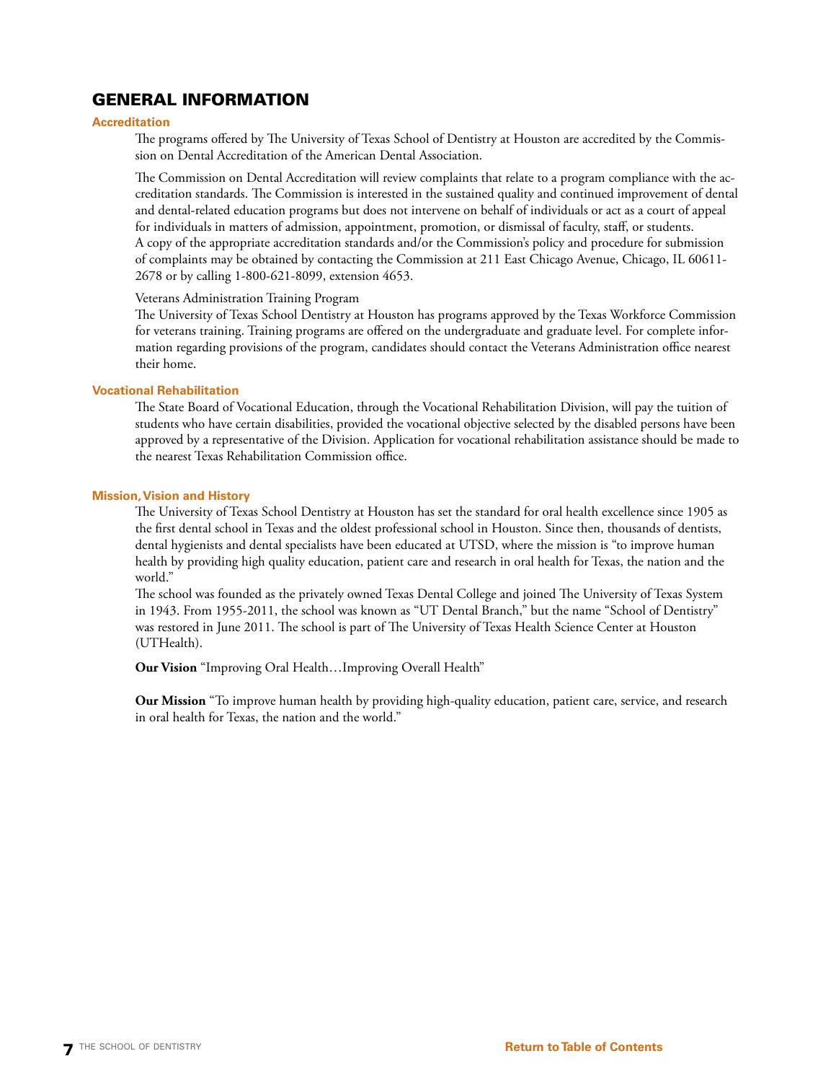## <span id="page-6-0"></span>GENERAL INFORMATION

### **Accreditation**

The programs offered by The University of Texas School of Dentistry at Houston are accredited by the Commission on Dental Accreditation of the American Dental Association.

The Commission on Dental Accreditation will review complaints that relate to a program compliance with the accreditation standards. The Commission is interested in the sustained quality and continued improvement of dental and dental-related education programs but does not intervene on behalf of individuals or act as a court of appeal for individuals in matters of admission, appointment, promotion, or dismissal of faculty, staff, or students. A copy of the appropriate accreditation standards and/or the Commission's policy and procedure for submission of complaints may be obtained by contacting the Commission at 211 East Chicago Avenue, Chicago, IL 60611- 2678 or by calling 1-800-621-8099, extension 4653.

### Veterans Administration Training Program

The University of Texas School Dentistry at Houston has programs approved by the Texas Workforce Commission for veterans training. Training programs are offered on the undergraduate and graduate level. For complete information regarding provisions of the program, candidates should contact the Veterans Administration office nearest their home.

### **Vocational Rehabilitation**

The State Board of Vocational Education, through the Vocational Rehabilitation Division, will pay the tuition of students who have certain disabilities, provided the vocational objective selected by the disabled persons have been approved by a representative of the Division. Application for vocational rehabilitation assistance should be made to the nearest Texas Rehabilitation Commission office.

### **Mission, Vision and History**

The University of Texas School Dentistry at Houston has set the standard for oral health excellence since 1905 as the first dental school in Texas and the oldest professional school in Houston. Since then, thousands of dentists, dental hygienists and dental specialists have been educated at UTSD, where the mission is "to improve human health by providing high quality education, patient care and research in oral health for Texas, the nation and the world."

The school was founded as the privately owned Texas Dental College and joined The University of Texas System in 1943. From 1955-2011, the school was known as "UT Dental Branch," but the name "School of Dentistry" was restored in June 2011. The school is part of The University of Texas Health Science Center at Houston (UTHealth).

**Our Vision** "Improving Oral Health…Improving Overall Health"

**Our Mission** "To improve human health by providing high-quality education, patient care, service, and research in oral health for Texas, the nation and the world."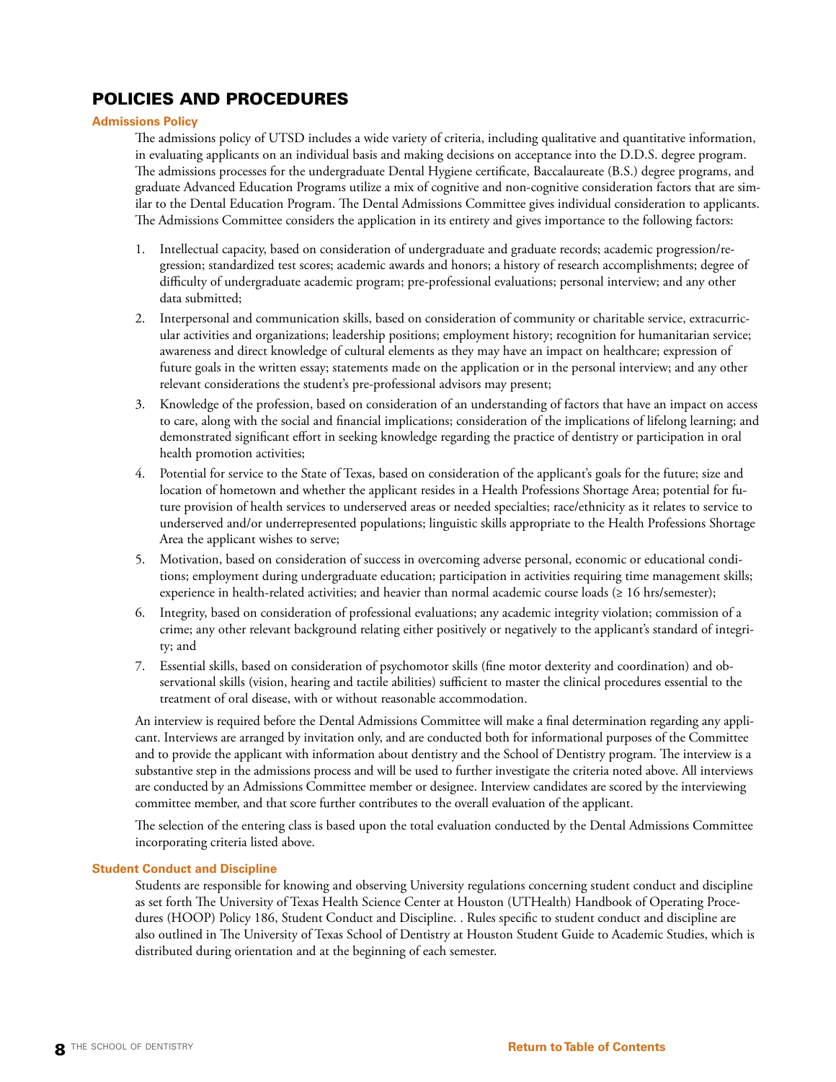## POLICIES AND PROCEDURES

### **Admissions Policy**

The admissions policy of UTSD includes a wide variety of criteria, including qualitative and quantitative information, in evaluating applicants on an individual basis and making decisions on acceptance into the D.D.S. degree program. The admissions processes for the undergraduate Dental Hygiene certificate, Baccalaureate (B.S.) degree programs, and graduate Advanced Education Programs utilize a mix of cognitive and non-cognitive consideration factors that are similar to the Dental Education Program. The Dental Admissions Committee gives individual consideration to applicants. The Admissions Committee considers the application in its entirety and gives importance to the following factors:

- 1. Intellectual capacity, based on consideration of undergraduate and graduate records; academic progression/regression; standardized test scores; academic awards and honors; a history of research accomplishments; degree of difficulty of undergraduate academic program; pre-professional evaluations; personal interview; and any other data submitted;
- 2. Interpersonal and communication skills, based on consideration of community or charitable service, extracurricular activities and organizations; leadership positions; employment history; recognition for humanitarian service; awareness and direct knowledge of cultural elements as they may have an impact on healthcare; expression of future goals in the written essay; statements made on the application or in the personal interview; and any other relevant considerations the student's pre-professional advisors may present;
- 3. Knowledge of the profession, based on consideration of an understanding of factors that have an impact on access to care, along with the social and financial implications; consideration of the implications of lifelong learning; and demonstrated significant effort in seeking knowledge regarding the practice of dentistry or participation in oral health promotion activities;
- 4. Potential for service to the State of Texas, based on consideration of the applicant's goals for the future; size and location of hometown and whether the applicant resides in a Health Professions Shortage Area; potential for future provision of health services to underserved areas or needed specialties; race/ethnicity as it relates to service to underserved and/or underrepresented populations; linguistic skills appropriate to the Health Professions Shortage Area the applicant wishes to serve;
- 5. Motivation, based on consideration of success in overcoming adverse personal, economic or educational conditions; employment during undergraduate education; participation in activities requiring time management skills; experience in health-related activities; and heavier than normal academic course loads (≥ 16 hrs/semester);
- 6. Integrity, based on consideration of professional evaluations; any academic integrity violation; commission of a crime; any other relevant background relating either positively or negatively to the applicant's standard of integrity; and
- 7. Essential skills, based on consideration of psychomotor skills (fine motor dexterity and coordination) and observational skills (vision, hearing and tactile abilities) sufficient to master the clinical procedures essential to the treatment of oral disease, with or without reasonable accommodation.

An interview is required before the Dental Admissions Committee will make a final determination regarding any applicant. Interviews are arranged by invitation only, and are conducted both for informational purposes of the Committee and to provide the applicant with information about dentistry and the School of Dentistry program. The interview is a substantive step in the admissions process and will be used to further investigate the criteria noted above. All interviews are conducted by an Admissions Committee member or designee. Interview candidates are scored by the interviewing committee member, and that score further contributes to the overall evaluation of the applicant.

The selection of the entering class is based upon the total evaluation conducted by the Dental Admissions Committee incorporating criteria listed above.

### **Student Conduct and Discipline**

Students are responsible for knowing and observing University regulations concerning student conduct and discipline as set forth The University of Texas Health Science Center at Houston (UTHealth) Handbook of Operating Procedures (HOOP) Policy 186, Student Conduct and Discipline. . Rules specific to student conduct and discipline are also outlined in The University of Texas School of Dentistry at Houston Student Guide to Academic Studies, which is distributed during orientation and at the beginning of each semester.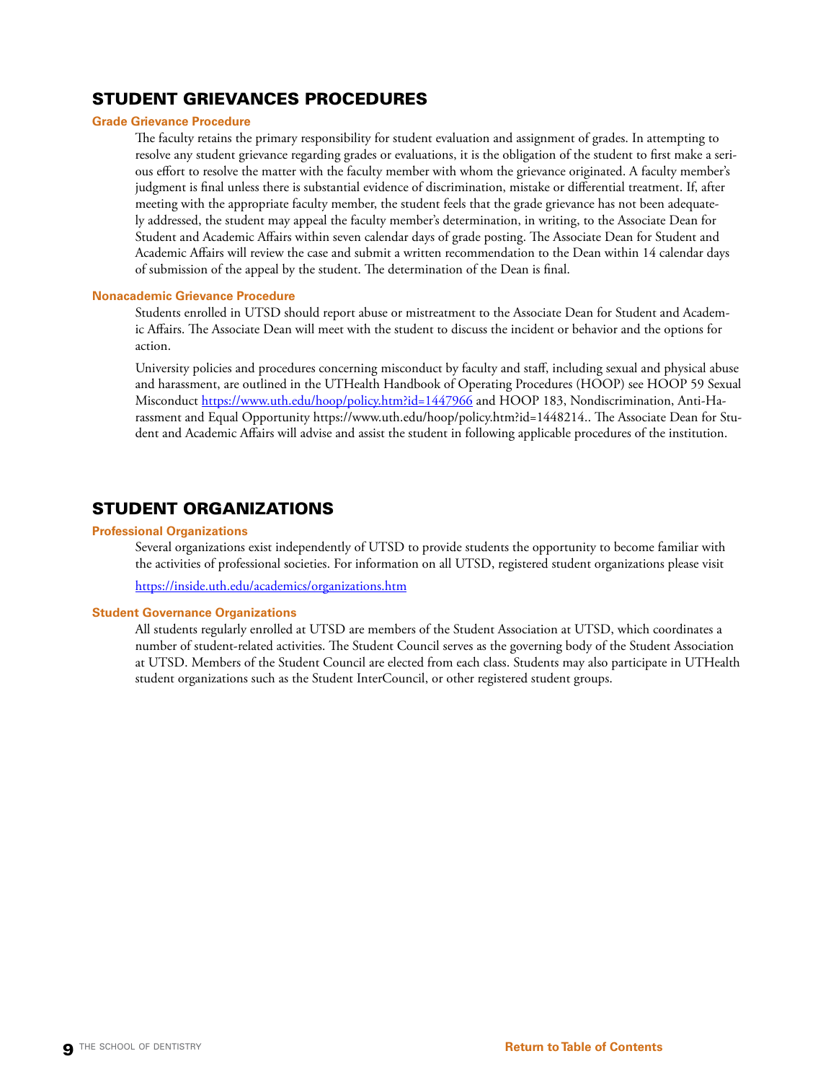## <span id="page-8-0"></span>STUDENT GRIEVANCES PROCEDURES

### **Grade Grievance Procedure**

The faculty retains the primary responsibility for student evaluation and assignment of grades. In attempting to resolve any student grievance regarding grades or evaluations, it is the obligation of the student to first make a serious effort to resolve the matter with the faculty member with whom the grievance originated. A faculty member's judgment is final unless there is substantial evidence of discrimination, mistake or differential treatment. If, after meeting with the appropriate faculty member, the student feels that the grade grievance has not been adequately addressed, the student may appeal the faculty member's determination, in writing, to the Associate Dean for Student and Academic Affairs within seven calendar days of grade posting. The Associate Dean for Student and Academic Affairs will review the case and submit a written recommendation to the Dean within 14 calendar days of submission of the appeal by the student. The determination of the Dean is final.

### **Nonacademic Grievance Procedure**

Students enrolled in UTSD should report abuse or mistreatment to the Associate Dean for Student and Academic Affairs. The Associate Dean will meet with the student to discuss the incident or behavior and the options for action.

University policies and procedures concerning misconduct by faculty and staff, including sexual and physical abuse and harassment, are outlined in the UTHealth Handbook of Operating Procedures (HOOP) see HOOP 59 Sexual Misconduct <https://www.uth.edu/hoop/policy.htm?id=1447966> and HOOP 183, Nondiscrimination, Anti-Harassment and Equal Opportunity https://www.uth.edu/hoop/policy.htm?id=1448214.. The Associate Dean for Student and Academic Affairs will advise and assist the student in following applicable procedures of the institution.

## STUDENT ORGANIZATIONS

### **Professional Organizations**

Several organizations exist independently of UTSD to provide students the opportunity to become familiar with the activities of professional societies. For information on all UTSD, registered student organizations please visit

<https://inside.uth.edu/academics/organizations.htm>

### **Student Governance Organizations**

All students regularly enrolled at UTSD are members of the Student Association at UTSD, which coordinates a number of student-related activities. The Student Council serves as the governing body of the Student Association at UTSD. Members of the Student Council are elected from each class. Students may also participate in UTHealth student organizations such as the Student InterCouncil, or other registered student groups.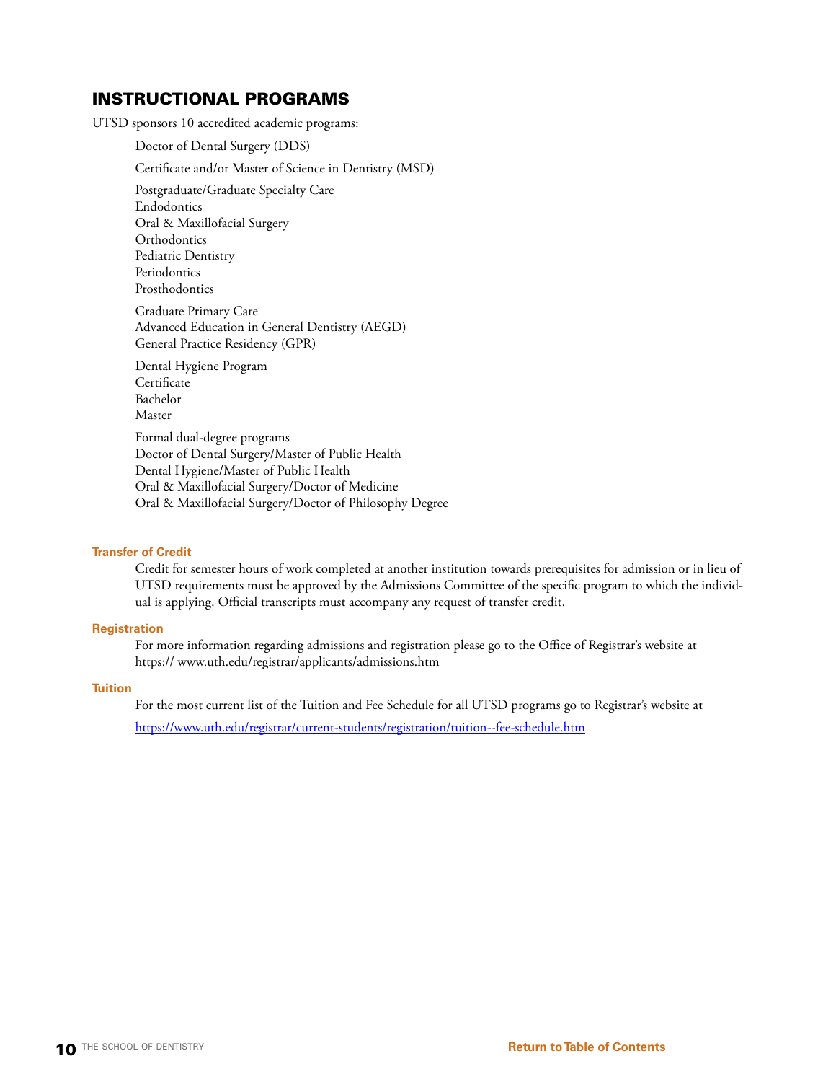## INSTRUCTIONAL PROGRAMS

UTSD sponsors 10 accredited academic programs:

Doctor of Dental Surgery (DDS)

Certificate and/or Master of Science in Dentistry (MSD)

Postgraduate/Graduate Specialty Care Endodontics Oral & Maxillofacial Surgery **Orthodontics** Pediatric Dentistry Periodontics Prosthodontics

Graduate Primary Care Advanced Education in General Dentistry (AEGD) General Practice Residency (GPR)

Dental Hygiene Program **Certificate** Bachelor Master

Formal dual-degree programs Doctor of Dental Surgery/Master of Public Health Dental Hygiene/Master of Public Health Oral & Maxillofacial Surgery/Doctor of Medicine Oral & Maxillofacial Surgery/Doctor of Philosophy Degree

### **Transfer of Credit**

Credit for semester hours of work completed at another institution towards prerequisites for admission or in lieu of UTSD requirements must be approved by the Admissions Committee of the specific program to which the individual is applying. Official transcripts must accompany any request of transfer credit.

### **Registration**

For more information regarding admissions and registration please go to the Office of Registrar's website at [https:// www.uth.edu/registrar/applicants/admissions.htm](https://www.uth.edu/registrar/applicants/admissions.htm)

### **Tuition**

For the most current list of the Tuition and Fee Schedule for all UTSD programs go to Registrar's website at <https://www.uth.edu/registrar/current-students/registration/tuition--fee-schedule.htm>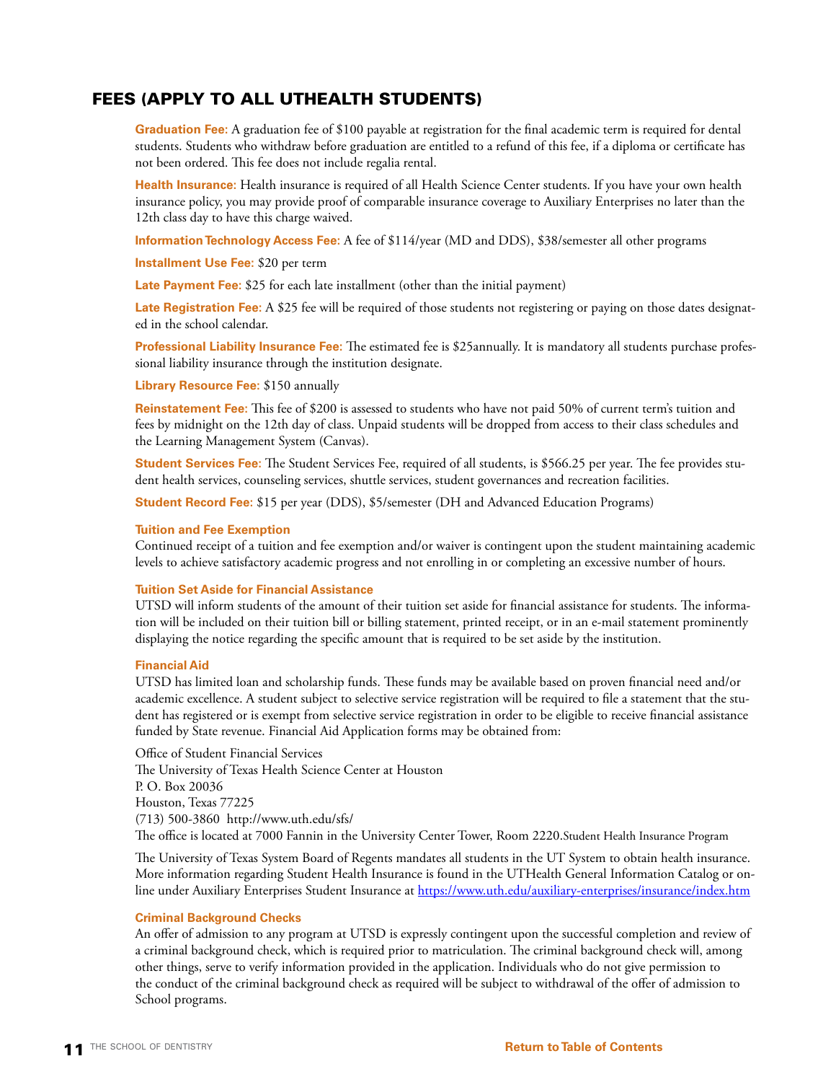## FEES (APPLY TO ALL UTHEALTH STUDENTS)

**Graduation Fee:** A graduation fee of \$100 payable at registration for the final academic term is required for dental students. Students who withdraw before graduation are entitled to a refund of this fee, if a diploma or certificate has not been ordered. This fee does not include regalia rental.

**Health Insurance:** Health insurance is required of all Health Science Center students. If you have your own health insurance policy, you may provide proof of comparable insurance coverage to Auxiliary Enterprises no later than the 12th class day to have this charge waived.

**Information Technology Access Fee:** A fee of \$114/year (MD and DDS), \$38/semester all other programs

**Installment Use Fee:** \$20 per term

**Late Payment Fee:** \$25 for each late installment (other than the initial payment)

**Late Registration Fee:** A \$25 fee will be required of those students not registering or paying on those dates designated in the school calendar.

**Professional Liability Insurance Fee:** The estimated fee is \$25annually. It is mandatory all students purchase professional liability insurance through the institution designate.

**Library Resource Fee:** \$150 annually

**Reinstatement Fee:** This fee of \$200 is assessed to students who have not paid 50% of current term's tuition and fees by midnight on the 12th day of class. Unpaid students will be dropped from access to their class schedules and the Learning Management System (Canvas).

**Student Services Fee:** The Student Services Fee, required of all students, is \$566.25 per year. The fee provides student health services, counseling services, shuttle services, student governances and recreation facilities.

**Student Record Fee:** \$15 per year (DDS), \$5/semester (DH and Advanced Education Programs)

### **Tuition and Fee Exemption**

Continued receipt of a tuition and fee exemption and/or waiver is contingent upon the student maintaining academic levels to achieve satisfactory academic progress and not enrolling in or completing an excessive number of hours.

### **Tuition Set Aside for Financial Assistance**

UTSD will inform students of the amount of their tuition set aside for financial assistance for students. The information will be included on their tuition bill or billing statement, printed receipt, or in an e-mail statement prominently displaying the notice regarding the specific amount that is required to be set aside by the institution.

### **Financial Aid**

UTSD has limited loan and scholarship funds. These funds may be available based on proven financial need and/or academic excellence. A student subject to selective service registration will be required to file a statement that the student has registered or is exempt from selective service registration in order to be eligible to receive financial assistance funded by State revenue. Financial Aid Application forms may be obtained from:

Office of Student Financial Services The University of Texas Health Science Center at Houston P. O. Box 20036 Houston, Texas 77225 (713) 500-3860 <http://www.uth.edu/sfs/> The office is located at 7000 Fannin in the University Center Tower, Room 2220.Student Health Insurance Program

The University of Texas System Board of Regents mandates all students in the UT System to obtain health insurance. More information regarding Student Health Insurance is found in the UTHealth General Information Catalog or online under Auxiliary Enterprises Student Insurance at<https://www.uth.edu/auxiliary-enterprises/insurance/index.htm>

### **Criminal Background Checks**

An offer of admission to any program at UTSD is expressly contingent upon the successful completion and review of a criminal background check, which is required prior to matriculation. The criminal background check will, among other things, serve to verify information provided in the application. Individuals who do not give permission to the conduct of the criminal background check as required will be subject to withdrawal of the offer of admission to School programs.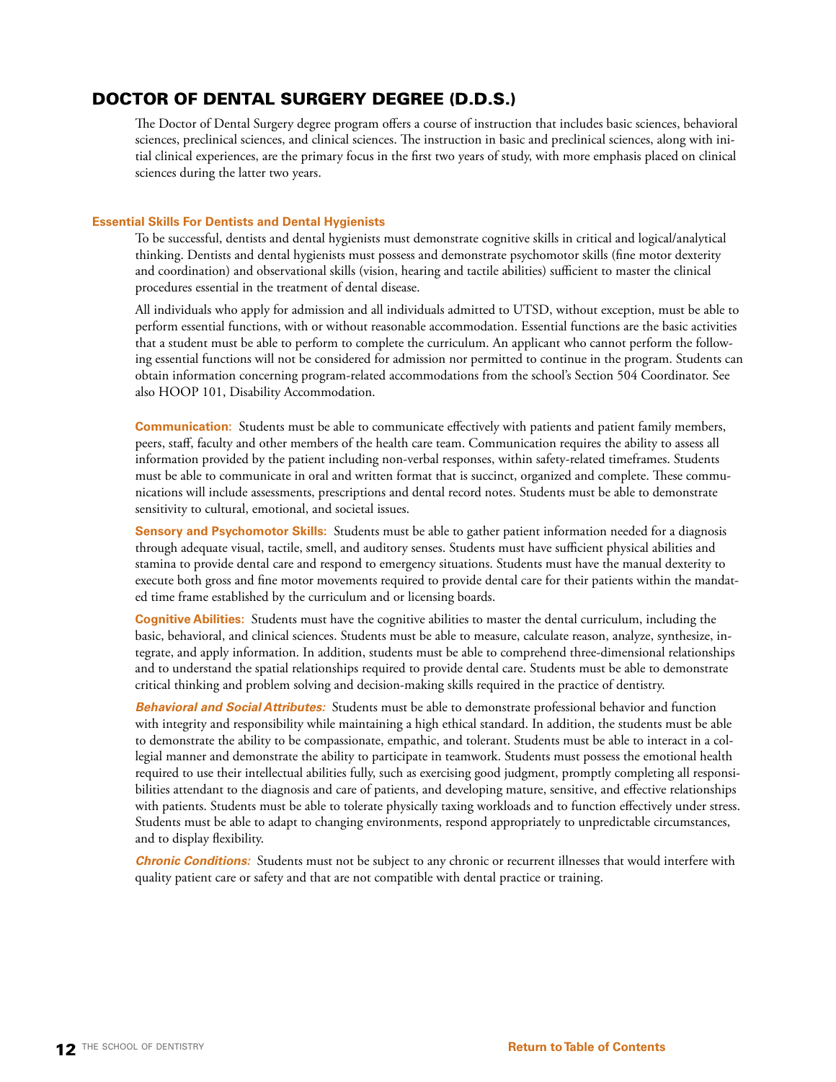## <span id="page-11-0"></span>DOCTOR OF DENTAL SURGERY DEGREE (D.D.S.)

The Doctor of Dental Surgery degree program offers a course of instruction that includes basic sciences, behavioral sciences, preclinical sciences, and clinical sciences. The instruction in basic and preclinical sciences, along with initial clinical experiences, are the primary focus in the first two years of study, with more emphasis placed on clinical sciences during the latter two years.

### **Essential Skills For Dentists and Dental Hygienists**

To be successful, dentists and dental hygienists must demonstrate cognitive skills in critical and logical/analytical thinking. Dentists and dental hygienists must possess and demonstrate psychomotor skills (fine motor dexterity and coordination) and observational skills (vision, hearing and tactile abilities) sufficient to master the clinical procedures essential in the treatment of dental disease.

All individuals who apply for admission and all individuals admitted to UTSD, without exception, must be able to perform essential functions, with or without reasonable accommodation. Essential functions are the basic activities that a student must be able to perform to complete the curriculum. An applicant who cannot perform the following essential functions will not be considered for admission nor permitted to continue in the program. Students can obtain information concerning program-related accommodations from the school's Section 504 Coordinator. See also HOOP 101, Disability Accommodation.

**Communication:** Students must be able to communicate effectively with patients and patient family members, peers, staff, faculty and other members of the health care team. Communication requires the ability to assess all information provided by the patient including non-verbal responses, within safety-related timeframes. Students must be able to communicate in oral and written format that is succinct, organized and complete. These communications will include assessments, prescriptions and dental record notes. Students must be able to demonstrate sensitivity to cultural, emotional, and societal issues.

**Sensory and Psychomotor Skills:** Students must be able to gather patient information needed for a diagnosis through adequate visual, tactile, smell, and auditory senses. Students must have sufficient physical abilities and stamina to provide dental care and respond to emergency situations. Students must have the manual dexterity to execute both gross and fine motor movements required to provide dental care for their patients within the mandated time frame established by the curriculum and or licensing boards.

**Cognitive Abilities:** Students must have the cognitive abilities to master the dental curriculum, including the basic, behavioral, and clinical sciences. Students must be able to measure, calculate reason, analyze, synthesize, integrate, and apply information. In addition, students must be able to comprehend three-dimensional relationships and to understand the spatial relationships required to provide dental care. Students must be able to demonstrate critical thinking and problem solving and decision-making skills required in the practice of dentistry.

*Behavioral and Social Attributes:* Students must be able to demonstrate professional behavior and function with integrity and responsibility while maintaining a high ethical standard. In addition, the students must be able to demonstrate the ability to be compassionate, empathic, and tolerant. Students must be able to interact in a collegial manner and demonstrate the ability to participate in teamwork. Students must possess the emotional health required to use their intellectual abilities fully, such as exercising good judgment, promptly completing all responsibilities attendant to the diagnosis and care of patients, and developing mature, sensitive, and effective relationships with patients. Students must be able to tolerate physically taxing workloads and to function effectively under stress. Students must be able to adapt to changing environments, respond appropriately to unpredictable circumstances, and to display flexibility.

*Chronic Conditions:* Students must not be subject to any chronic or recurrent illnesses that would interfere with quality patient care or safety and that are not compatible with dental practice or training.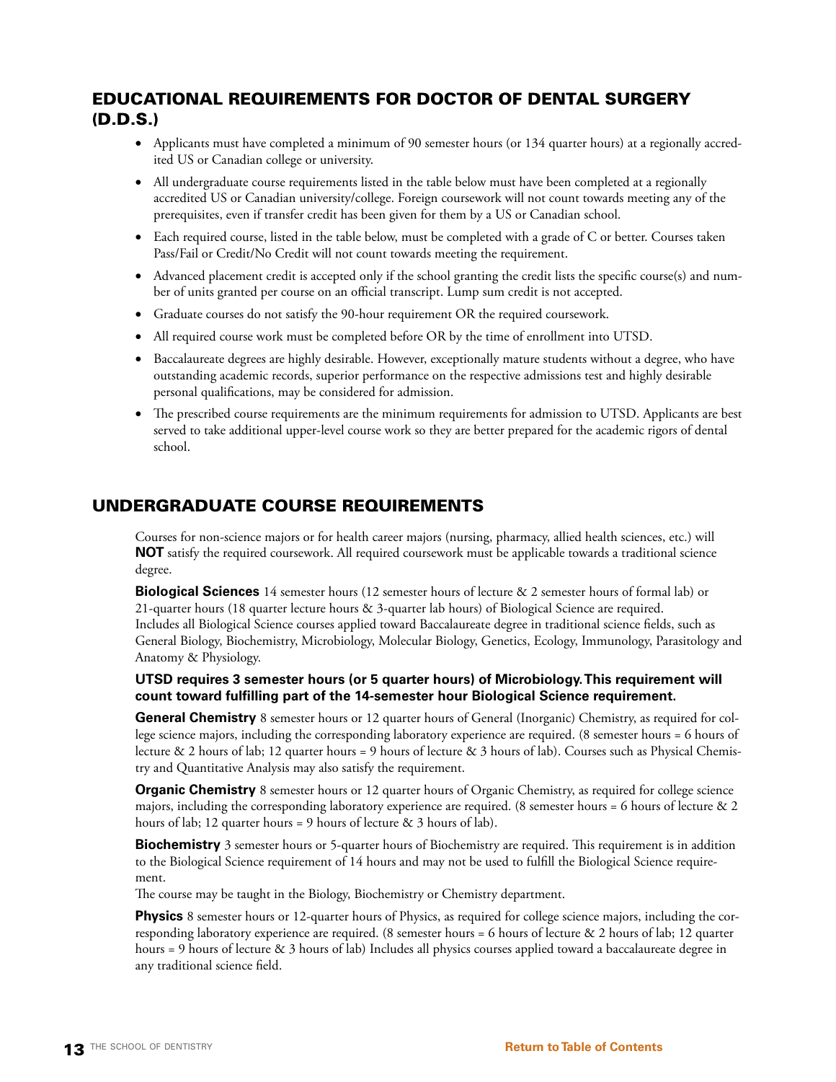## EDUCATIONAL REQUIREMENTS FOR DOCTOR OF DENTAL SURGERY (D.D.S.)

- • Applicants must have completed a minimum of 90 semester hours (or 134 quarter hours) at a [regionally accred](https://www.chea.org/about-accreditation#what)[ited](https://www.chea.org/about-accreditation#what) US or Canadian college or university.
- All undergraduate course requirements listed in the table below must have been completed at a regionally accredited US or Canadian university/college. Foreign coursework will not count towards meeting any of the prerequisites, even if transfer credit has been given for them by a US or Canadian school.
- Each required course, listed in the table below, must be completed with a grade of C or better. Courses taken Pass/Fail or Credit/No Credit will not count towards meeting the requirement.
- • Advanced placement credit is accepted only if the school granting the credit lists the specific course(s) and number of units granted per course on an official transcript. Lump sum credit is not accepted.
- • Graduate courses do not satisfy the 90-hour requirement OR the required coursework.
- • All required course work must be completed before OR by the time of enrollment into UTSD.
- • Baccalaureate degrees are highly desirable. However, exceptionally mature students without a degree, who have outstanding academic records, superior performance on the respective admissions test and highly desirable personal qualifications, may be considered for admission.
- • The prescribed course requirements are the minimum requirements for admission to UTSD. Applicants are best served to take additional upper-level course work so they are better prepared for the academic rigors of dental school.

## UNDERGRADUATE COURSE REQUIREMENTS

Courses for non-science majors or for health career majors (nursing, pharmacy, allied health sciences, etc.) will **NOT** satisfy the required coursework. All required coursework must be applicable towards a traditional science degree.

**Biological Sciences** 14 semester hours (12 semester hours of lecture & 2 semester hours of formal lab) or 21-quarter hours (18 quarter lecture hours & 3-quarter lab hours) of Biological Science are required. Includes all Biological Science courses applied toward Baccalaureate degree in traditional science fields, such as General Biology, Biochemistry, Microbiology, Molecular Biology, Genetics, Ecology, Immunology, Parasitology and Anatomy & Physiology.

## **UTSD requires 3 semester hours (or 5 quarter hours) of Microbiology. This requirement will count toward fulfilling part of the 14-semester hour Biological Science requirement.**

**General Chemistry** 8 semester hours or 12 quarter hours of General (Inorganic) Chemistry, as required for college science majors, including the corresponding laboratory experience are required. (8 semester hours = 6 hours of lecture & 2 hours of lab; 12 quarter hours = 9 hours of lecture & 3 hours of lab). Courses such as Physical Chemistry and Quantitative Analysis may also satisfy the requirement.

**Organic Chemistry** 8 semester hours or 12 quarter hours of Organic Chemistry, as required for college science majors, including the corresponding laboratory experience are required. (8 semester hours = 6 hours of lecture  $\&$  2 hours of lab; 12 quarter hours = 9 hours of lecture & 3 hours of lab).

**Biochemistry** 3 semester hours or 5-quarter hours of Biochemistry are required. This requirement is in addition to the Biological Science requirement of 14 hours and may not be used to fulfill the Biological Science requirement.

The course may be taught in the Biology, Biochemistry or Chemistry department.

**Physics** 8 semester hours or 12-quarter hours of Physics, as required for college science majors, including the corresponding laboratory experience are required. (8 semester hours = 6 hours of lecture & 2 hours of lab; 12 quarter hours = 9 hours of lecture & 3 hours of lab) Includes all physics courses applied toward a baccalaureate degree in any traditional science field.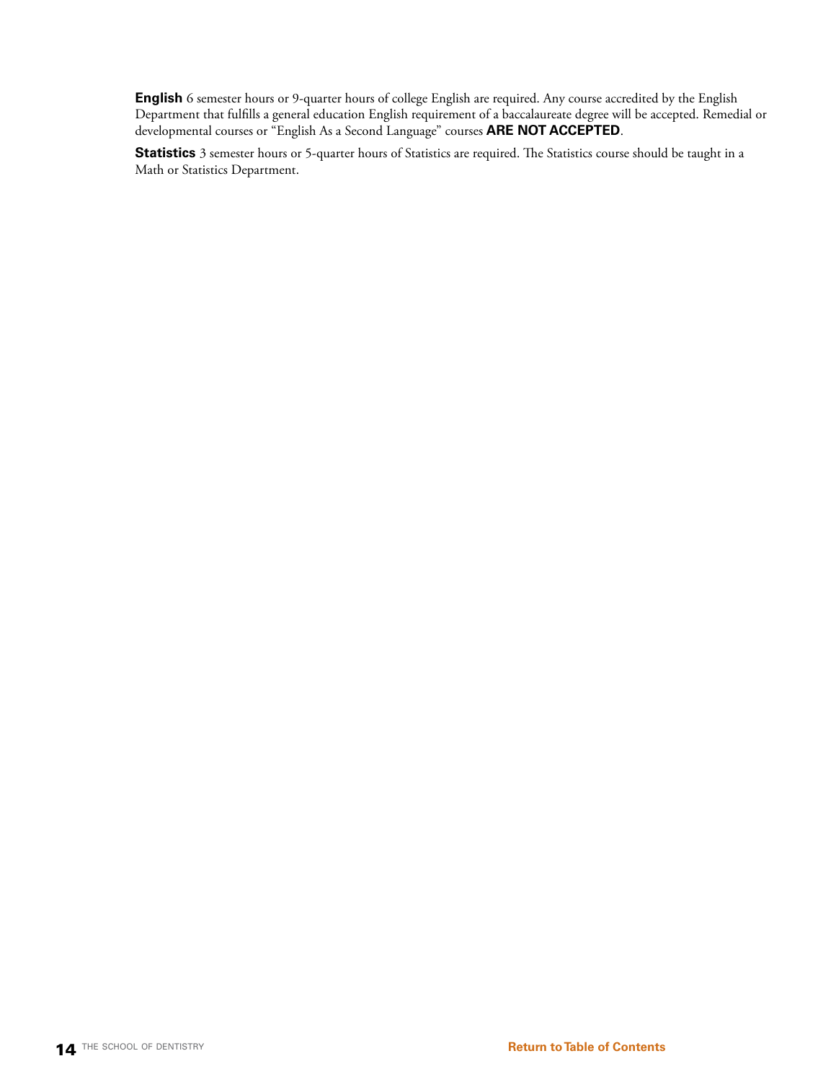**English** 6 semester hours or 9-quarter hours of college English are required. Any course accredited by the English Department that fulfills a general education English requirement of a baccalaureate degree will be accepted. Remedial or developmental courses or "English As a Second Language" courses **ARE NOT ACCEPTED**.

**Statistics** 3 semester hours or 5-quarter hours of Statistics are required. The Statistics course should be taught in a Math or Statistics Department.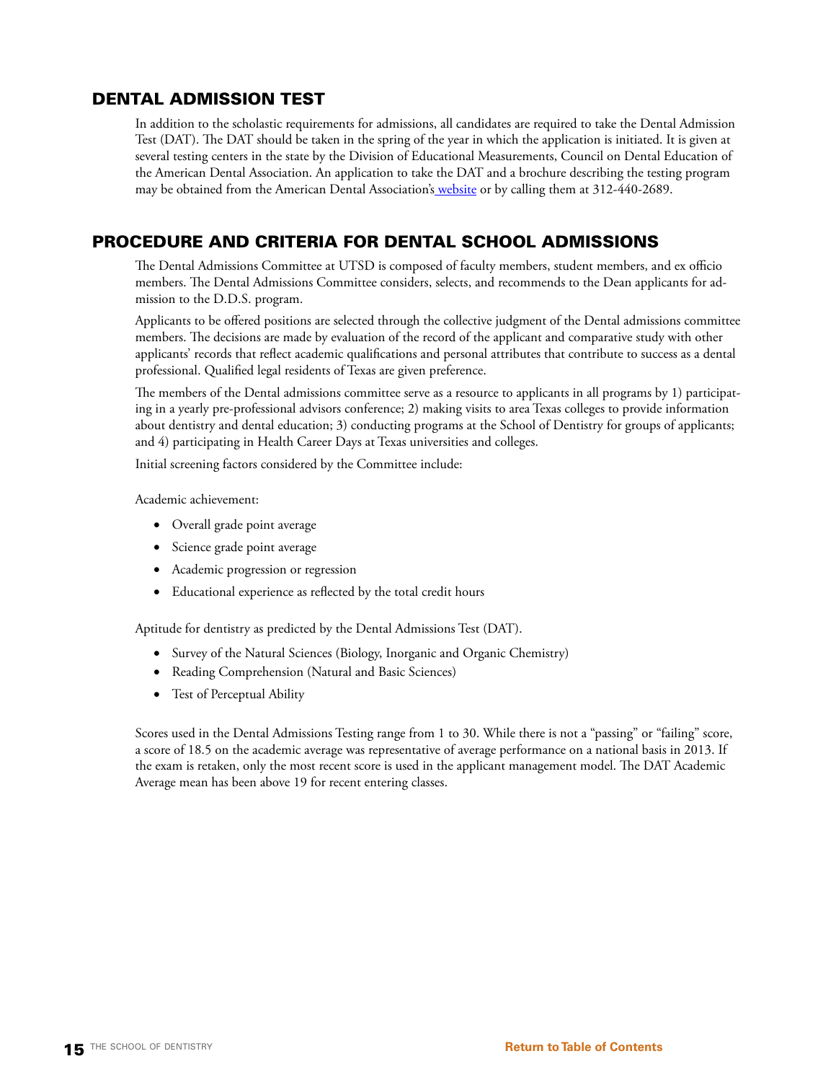## DENTAL ADMISSION TEST

In addition to the scholastic requirements for admissions, all candidates are required to take the Dental Admission Test (DAT). The DAT should be taken in the spring of the year in which the application is initiated. It is given at several testing centers in the state by the Division of Educational Measurements, Council on Dental Education of the American Dental Association. An application to take the DAT and a brochure describing the testing program may be obtained from the American Dental Association'[s website](http://ada.org/dat.aspx) or by calling them at 312-440-2689.

## PROCEDURE AND CRITERIA FOR DENTAL SCHOOL ADMISSIONS

The Dental Admissions Committee at UTSD is composed of faculty members, student members, and ex officio members. The Dental Admissions Committee considers, selects, and recommends to the Dean applicants for admission to the D.D.S. program.

Applicants to be offered positions are selected through the collective judgment of the Dental admissions committee members. The decisions are made by evaluation of the record of the applicant and comparative study with other applicants' records that reflect academic qualifications and personal attributes that contribute to success as a dental professional. Qualified legal residents of Texas are given preference.

The members of the Dental admissions committee serve as a resource to applicants in all programs by 1) participating in a yearly pre-professional advisors conference; 2) making visits to area Texas colleges to provide information about dentistry and dental education; 3) conducting programs at the School of Dentistry for groups of applicants; and 4) participating in Health Career Days at Texas universities and colleges.

Initial screening factors considered by the Committee include:

Academic achievement:

- • Overall grade point average
- • Science grade point average
- • Academic progression or regression
- • Educational experience as reflected by the total credit hours

Aptitude for dentistry as predicted by the Dental Admissions Test (DAT).

- • Survey of the Natural Sciences (Biology, Inorganic and Organic Chemistry)
- • Reading Comprehension (Natural and Basic Sciences)
- Test of Perceptual Ability

Scores used in the Dental Admissions Testing range from 1 to 30. While there is not a "passing" or "failing" score, a score of 18.5 on the academic average was representative of average performance on a national basis in 2013. If the exam is retaken, only the most recent score is used in the applicant management model. The DAT Academic Average mean has been above 19 for recent entering classes.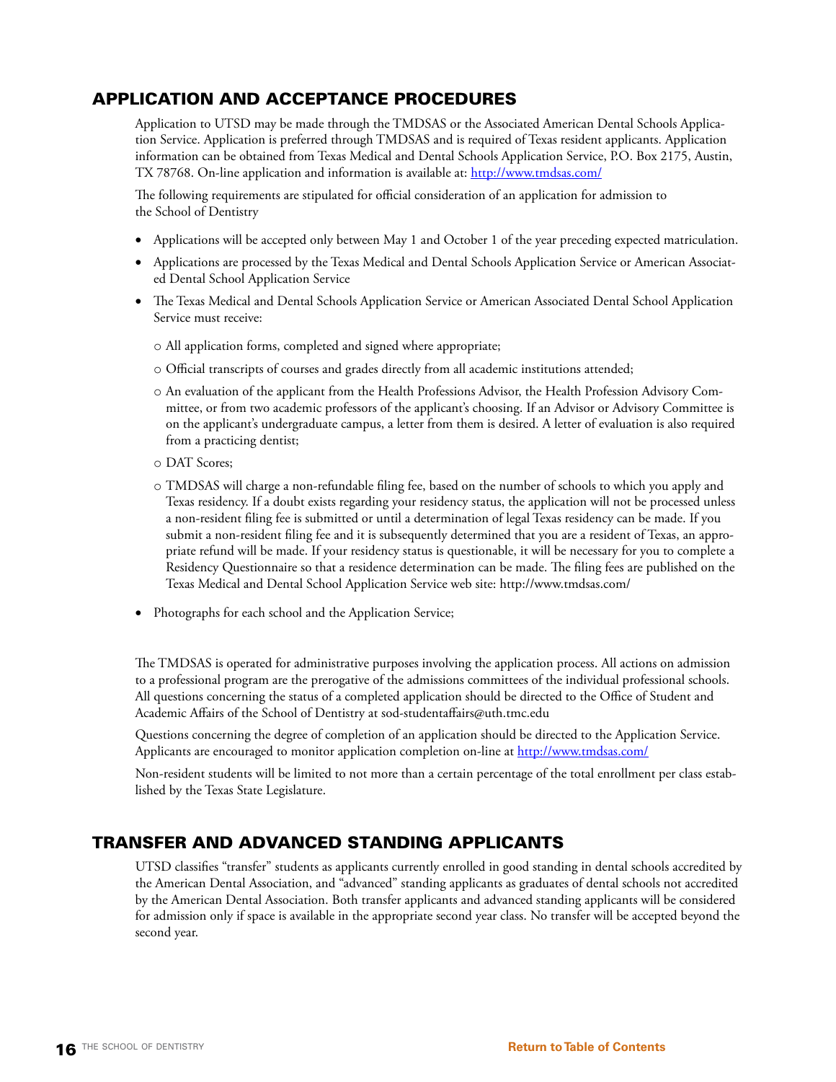## APPLICATION AND ACCEPTANCE PROCEDURES

Application to UTSD may be made through the TMDSAS or the Associated American Dental Schools Application Service. Application is preferred through TMDSAS and is required of Texas resident applicants. Application information can be obtained from Texas Medical and Dental Schools Application Service, P.O. Box 2175, Austin, TX 78768. On-line application and information is available at:<http://www.tmdsas.com/>

The following requirements are stipulated for official consideration of an application for admission to the School of Dentistry

- • Applications will be accepted only between May 1 and October 1 of the year preceding expected matriculation.
- • Applications are processed by the Texas Medical and Dental Schools Application Service or American Associated Dental School Application Service
- • The Texas Medical and Dental Schools Application Service or American Associated Dental School Application Service must receive:
	- o All application forms, completed and signed where appropriate;
	- o Official transcripts of courses and grades directly from all academic institutions attended;
	- o An evaluation of the applicant from the Health Professions Advisor, the Health Profession Advisory Committee, or from two academic professors of the applicant's choosing. If an Advisor or Advisory Committee is on the applicant's undergraduate campus, a letter from them is desired. A letter of evaluation is also required from a practicing dentist;
	- o DAT Scores;
	- o TMDSAS will charge a non-refundable filing fee, based on the number of schools to which you apply and Texas residency. If a doubt exists regarding your residency status, the application will not be processed unless a non-resident filing fee is submitted or until a determination of legal Texas residency can be made. If you submit a non-resident filing fee and it is subsequently determined that you are a resident of Texas, an appropriate refund will be made. If your residency status is questionable, it will be necessary for you to complete a Residency Questionnaire so that a residence determination can be made. The filing fees are published on the Texas Medical and Dental School Application Service web site:<http://www.tmdsas.com/>
- Photographs for each school and the Application Service;

The TMDSAS is operated for administrative purposes involving the application process. All actions on admission to a professional program are the prerogative of the admissions committees of the individual professional schools. All questions concerning the status of a completed application should be directed to the Office of Student and Academic Affairs of the School of Dentistry at sod-studentaffairs@uth.tmc.edu

Questions concerning the degree of completion of an application should be directed to the Application Service. Applicants are encouraged to monitor application completion on-line at<http://www.tmdsas.com/>

Non-resident students will be limited to not more than a certain percentage of the total enrollment per class established by the Texas State Legislature.

## TRANSFER AND ADVANCED STANDING APPLICANTS

UTSD classifies "transfer" students as applicants currently enrolled in good standing in dental schools accredited by the American Dental Association, and "advanced" standing applicants as graduates of dental schools not accredited by the American Dental Association. Both transfer applicants and advanced standing applicants will be considered for admission only if space is available in the appropriate second year class. No transfer will be accepted beyond the second year.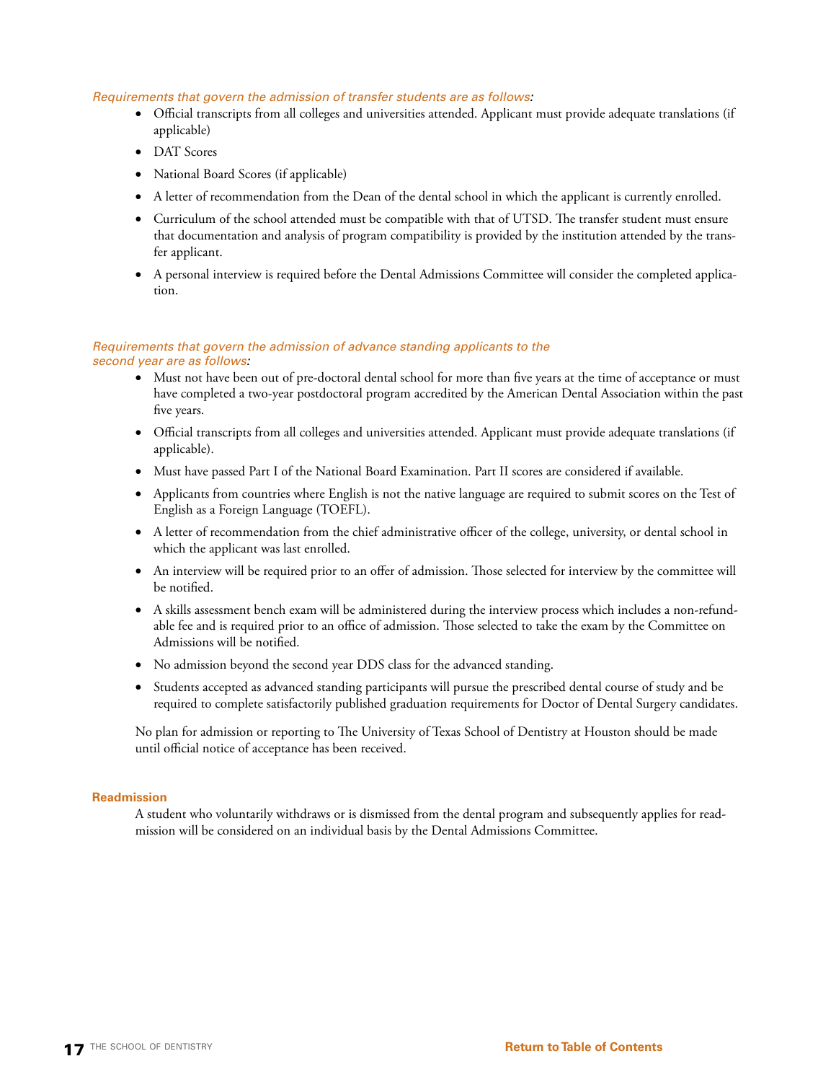### *Requirements that govern the admission of transfer students are as follows:*

- • Official transcripts from all colleges and universities attended. Applicant must provide adequate translations (if applicable)
- • DAT Scores
- • National Board Scores (if applicable)
- • A letter of recommendation from the Dean of the dental school in which the applicant is currently enrolled.
- • Curriculum of the school attended must be compatible with that of UTSD. The transfer student must ensure that documentation and analysis of program compatibility is provided by the institution attended by the transfer applicant.
- • A personal interview is required before the Dental Admissions Committee will consider the completed application.

### *Requirements that govern the admission of advance standing applicants to the second year are as follows:*

- Must not have been out of pre-doctoral dental school for more than five years at the time of acceptance or must have completed a two-year postdoctoral program accredited by the American Dental Association within the past five years.
- • Official transcripts from all colleges and universities attended. Applicant must provide adequate translations (if applicable).
- • Must have passed Part I of the National Board Examination. Part II scores are considered if available.
- • Applicants from countries where English is not the native language are required to submit scores on the Test of English as a Foreign Language (TOEFL).
- • A letter of recommendation from the chief administrative officer of the college, university, or dental school in which the applicant was last enrolled.
- • An interview will be required prior to an offer of admission. Those selected for interview by the committee will be notified.
- • A skills assessment bench exam will be administered during the interview process which includes a non-refundable fee and is required prior to an office of admission. Those selected to take the exam by the Committee on Admissions will be notified.
- No admission beyond the second year DDS class for the advanced standing.
- • Students accepted as advanced standing participants will pursue the prescribed dental course of study and be required to complete satisfactorily published graduation requirements for Doctor of Dental Surgery candidates.

No plan for admission or reporting to The University of Texas School of Dentistry at Houston should be made until official notice of acceptance has been received.

### **Readmission**

A student who voluntarily withdraws or is dismissed from the dental program and subsequently applies for readmission will be considered on an individual basis by the Dental Admissions Committee.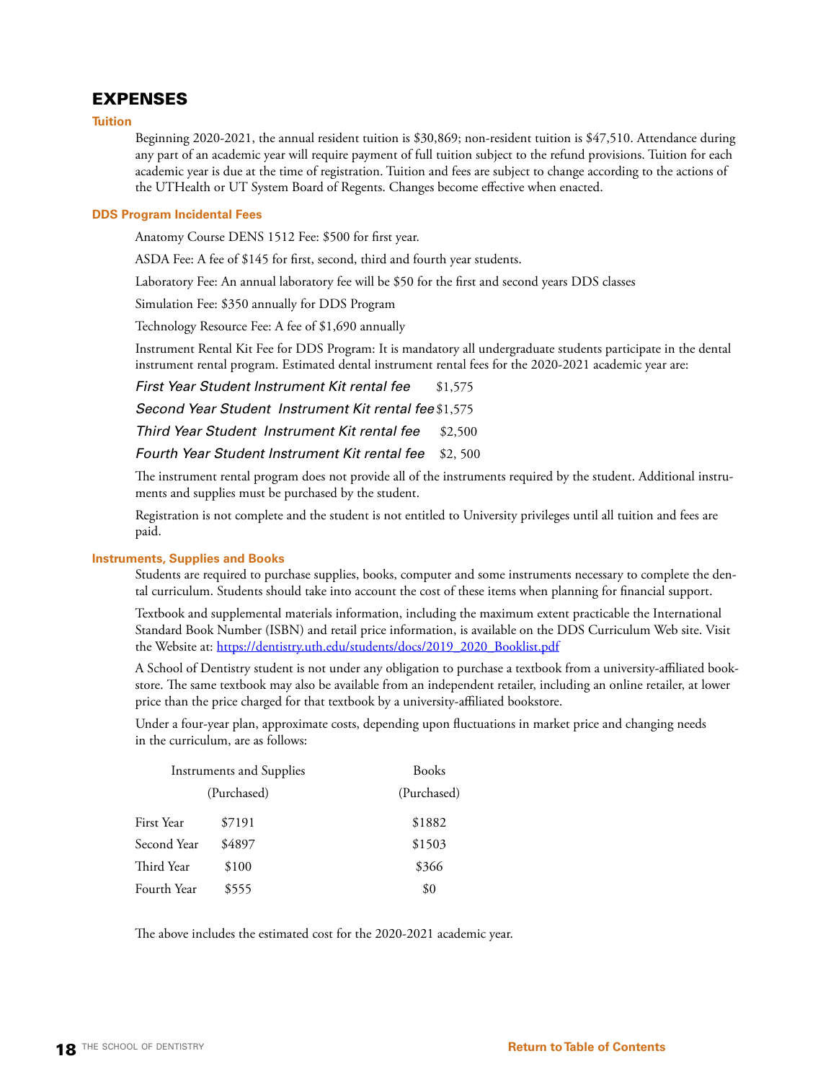## EXPENSES

**Tuition**

Beginning 2020-2021, the annual resident tuition is \$30,869; non-resident tuition is \$47,510. Attendance during any part of an academic year will require payment of full tuition subject to the refund provisions. Tuition for each academic year is due at the time of registration. Tuition and fees are subject to change according to the actions of the UTHealth or UT System Board of Regents. Changes become effective when enacted.

### **DDS Program Incidental Fees**

Anatomy Course DENS 1512 Fee: \$500 for first year.

ASDA Fee: A fee of \$145 for first, second, third and fourth year students.

Laboratory Fee: An annual laboratory fee will be \$50 for the first and second years DDS classes

Simulation Fee: \$350 annually for DDS Program

Technology Resource Fee: A fee of \$1,690 annually

Instrument Rental Kit Fee for DDS Program: It is mandatory all undergraduate students participate in the dental instrument rental program. Estimated dental instrument rental fees for the 2020-2021 academic year are:

**First Year Student Instrument Kit rental fee** \$1,575

*Second Year Student Instrument Kit rental fee* \$1,575

*Third Year Student Instrument Kit rental fee* \$2,500

*Fourth Year Student Instrument Kit rental fee* \$2, 500

The instrument rental program does not provide all of the instruments required by the student. Additional instruments and supplies must be purchased by the student.

Registration is not complete and the student is not entitled to University privileges until all tuition and fees are paid.

### **Instruments, Supplies and Books**

Students are required to purchase supplies, books, computer and some instruments necessary to complete the dental curriculum. Students should take into account the cost of these items when planning for financial support.

Textbook and supplemental materials information, including the maximum extent practicable the International Standard Book Number (ISBN) and retail price information, is available on the DDS Curriculum Web site. Visit the Website at: [https://dentistry.uth.edu/students/docs/2019\\_2020\\_Booklist.pdf](https://dentistry.uth.edu/students/docs/2019_2020_Booklist.pdf)

A School of Dentistry student is not under any obligation to purchase a textbook from a university-affiliated bookstore. The same textbook may also be available from an independent retailer, including an online retailer, at lower price than the price charged for that textbook by a university-affiliated bookstore.

Under a four-year plan, approximate costs, depending upon fluctuations in market price and changing needs in the curriculum, are as follows:

| <b>Instruments and Supplies</b> |             | <b>Books</b> |  |
|---------------------------------|-------------|--------------|--|
|                                 | (Purchased) | (Purchased)  |  |
| First Year                      | \$7191      | \$1882       |  |
| Second Year                     | \$4897      | \$1503       |  |
| Third Year                      | \$100       | \$366        |  |
| Fourth Year                     | \$555       | \$0          |  |

The above includes the estimated cost for the 2020-2021 academic year.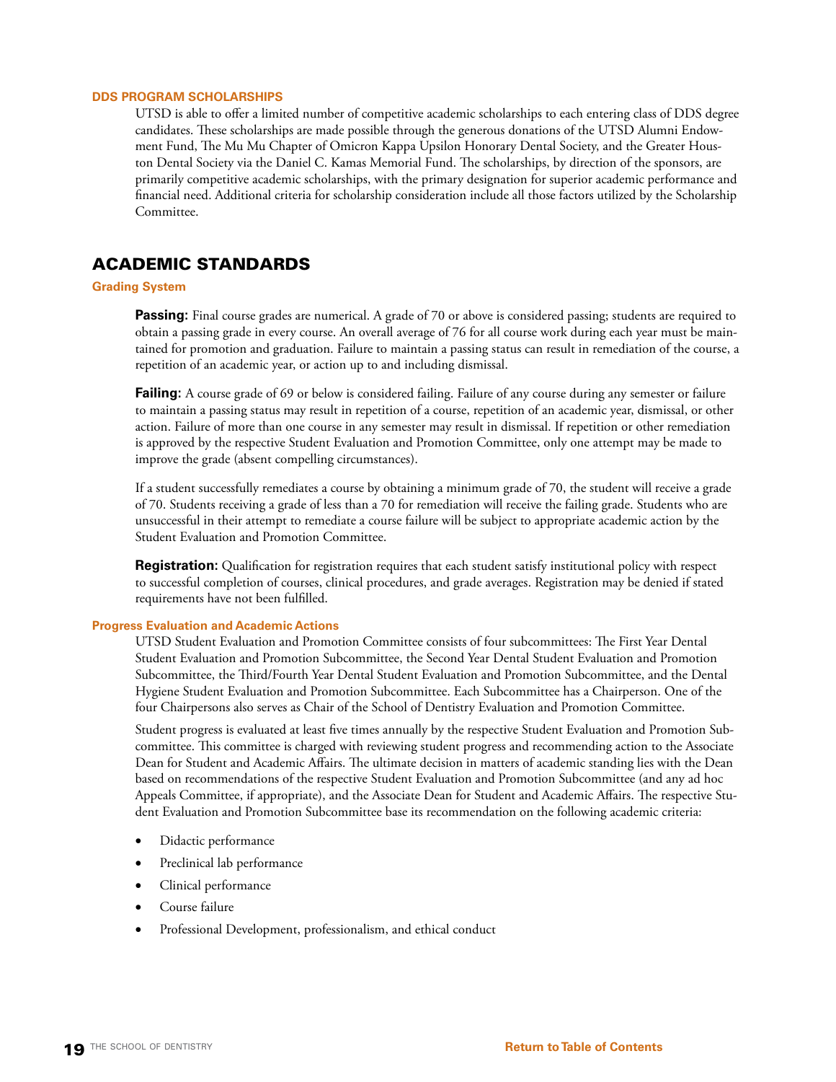### **DDS PROGRAM SCHOLARSHIPS**

UTSD is able to offer a limited number of competitive academic scholarships to each entering class of DDS degree candidates. These scholarships are made possible through the generous donations of the UTSD Alumni Endowment Fund, The Mu Mu Chapter of Omicron Kappa Upsilon Honorary Dental Society, and the Greater Houston Dental Society via the Daniel C. Kamas Memorial Fund. The scholarships, by direction of the sponsors, are primarily competitive academic scholarships, with the primary designation for superior academic performance and financial need. Additional criteria for scholarship consideration include all those factors utilized by the Scholarship Committee.

## ACADEMIC STANDARDS

### **Grading System**

**Passing:** Final course grades are numerical. A grade of 70 or above is considered passing; students are required to obtain a passing grade in every course. An overall average of 76 for all course work during each year must be maintained for promotion and graduation. Failure to maintain a passing status can result in remediation of the course, a repetition of an academic year, or action up to and including dismissal.

**Failing:** A course grade of 69 or below is considered failing. Failure of any course during any semester or failure to maintain a passing status may result in repetition of a course, repetition of an academic year, dismissal, or other action. Failure of more than one course in any semester may result in dismissal. If repetition or other remediation is approved by the respective Student Evaluation and Promotion Committee, only one attempt may be made to improve the grade (absent compelling circumstances).

If a student successfully remediates a course by obtaining a minimum grade of 70, the student will receive a grade of 70. Students receiving a grade of less than a 70 for remediation will receive the failing grade. Students who are unsuccessful in their attempt to remediate a course failure will be subject to appropriate academic action by the Student Evaluation and Promotion Committee.

**Registration:** Qualification for registration requires that each student satisfy institutional policy with respect to successful completion of courses, clinical procedures, and grade averages. Registration may be denied if stated requirements have not been fulfilled.

### **Progress Evaluation and Academic Actions**

UTSD Student Evaluation and Promotion Committee consists of four subcommittees: The First Year Dental Student Evaluation and Promotion Subcommittee, the Second Year Dental Student Evaluation and Promotion Subcommittee, the Third/Fourth Year Dental Student Evaluation and Promotion Subcommittee, and the Dental Hygiene Student Evaluation and Promotion Subcommittee. Each Subcommittee has a Chairperson. One of the four Chairpersons also serves as Chair of the School of Dentistry Evaluation and Promotion Committee.

Student progress is evaluated at least five times annually by the respective Student Evaluation and Promotion Subcommittee. This committee is charged with reviewing student progress and recommending action to the Associate Dean for Student and Academic Affairs. The ultimate decision in matters of academic standing lies with the Dean based on recommendations of the respective Student Evaluation and Promotion Subcommittee (and any ad hoc Appeals Committee, if appropriate), and the Associate Dean for Student and Academic Affairs. The respective Student Evaluation and Promotion Subcommittee base its recommendation on the following academic criteria:

- Didactic performance
- Preclinical lab performance
- Clinical performance
- Course failure
- Professional Development, professionalism, and ethical conduct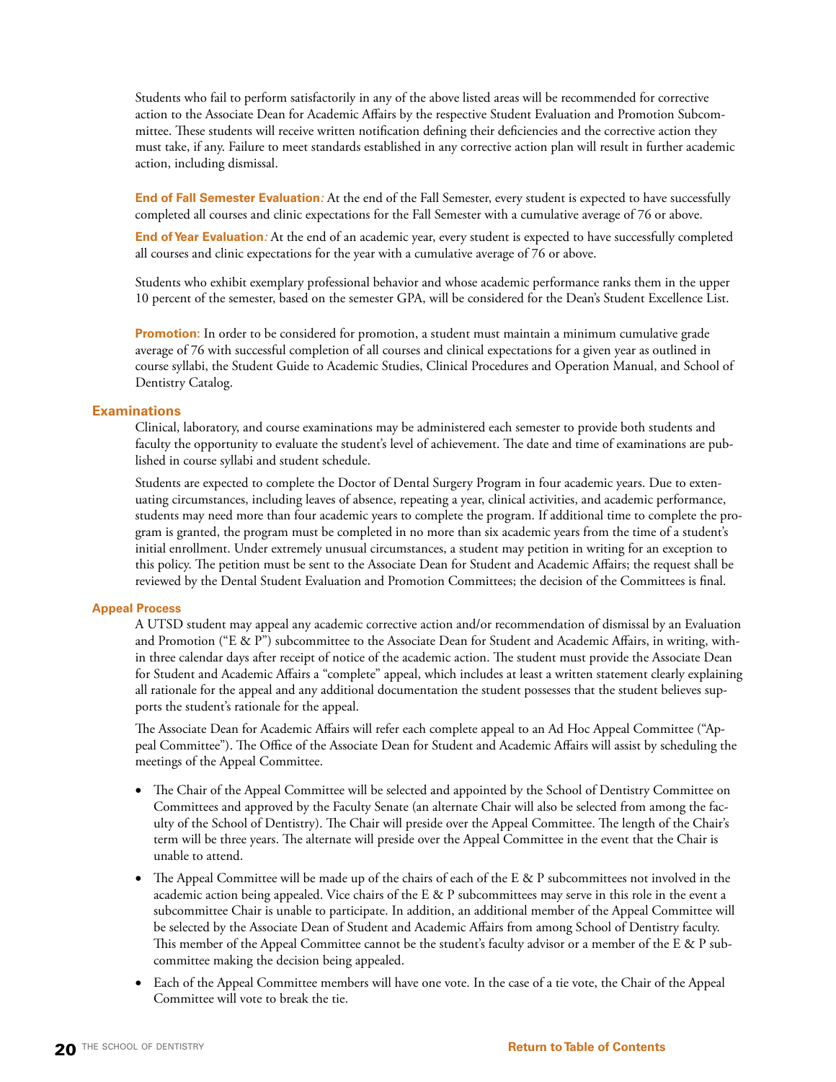Students who fail to perform satisfactorily in any of the above listed areas will be recommended for corrective action to the Associate Dean for Academic Affairs by the respective Student Evaluation and Promotion Subcommittee. These students will receive written notification defining their deficiencies and the corrective action they must take, if any. Failure to meet standards established in any corrective action plan will result in further academic action, including dismissal.

**End of Fall Semester Evaluation***:* At the end of the Fall Semester, every student is expected to have successfully completed all courses and clinic expectations for the Fall Semester with a cumulative average of 76 or above.

**End of Year Evaluation***:* At the end of an academic year, every student is expected to have successfully completed all courses and clinic expectations for the year with a cumulative average of 76 or above.

Students who exhibit exemplary professional behavior and whose academic performance ranks them in the upper 10 percent of the semester, based on the semester GPA, will be considered for the Dean's Student Excellence List.

**Promotion:** In order to be considered for promotion, a student must maintain a minimum cumulative grade average of 76 with successful completion of all courses and clinical expectations for a given year as outlined in course syllabi, the Student Guide to Academic Studies, Clinical Procedures and Operation Manual, and School of Dentistry Catalog.

### **Examinations**

Clinical, laboratory, and course examinations may be administered each semester to provide both students and faculty the opportunity to evaluate the student's level of achievement. The date and time of examinations are published in course syllabi and student schedule.

Students are expected to complete the Doctor of Dental Surgery Program in four academic years. Due to extenuating circumstances, including leaves of absence, repeating a year, clinical activities, and academic performance, students may need more than four academic years to complete the program. If additional time to complete the program is granted, the program must be completed in no more than six academic years from the time of a student's initial enrollment. Under extremely unusual circumstances, a student may petition in writing for an exception to this policy. The petition must be sent to the Associate Dean for Student and Academic Affairs; the request shall be reviewed by the Dental Student Evaluation and Promotion Committees; the decision of the Committees is final.

### **Appeal Process**

A UTSD student may appeal any academic corrective action and/or recommendation of dismissal by an Evaluation and Promotion ("E & P") subcommittee to the Associate Dean for Student and Academic Affairs, in writing, within three calendar days after receipt of notice of the academic action. The student must provide the Associate Dean for Student and Academic Affairs a "complete" appeal, which includes at least a written statement clearly explaining all rationale for the appeal and any additional documentation the student possesses that the student believes supports the student's rationale for the appeal.

The Associate Dean for Academic Affairs will refer each complete appeal to an Ad Hoc Appeal Committee ("Appeal Committee"). The Office of the Associate Dean for Student and Academic Affairs will assist by scheduling the meetings of the Appeal Committee.

- • The Chair of the Appeal Committee will be selected and appointed by the School of Dentistry Committee on Committees and approved by the Faculty Senate (an alternate Chair will also be selected from among the faculty of the School of Dentistry). The Chair will preside over the Appeal Committee. The length of the Chair's term will be three years. The alternate will preside over the Appeal Committee in the event that the Chair is unable to attend.
- • The Appeal Committee will be made up of the chairs of each of the E & P subcommittees not involved in the academic action being appealed. Vice chairs of the E & P subcommittees may serve in this role in the event a subcommittee Chair is unable to participate. In addition, an additional member of the Appeal Committee will be selected by the Associate Dean of Student and Academic Affairs from among School of Dentistry faculty. This member of the Appeal Committee cannot be the student's faculty advisor or a member of the E & P subcommittee making the decision being appealed.
- Each of the Appeal Committee members will have one vote. In the case of a tie vote, the Chair of the Appeal Committee will vote to break the tie.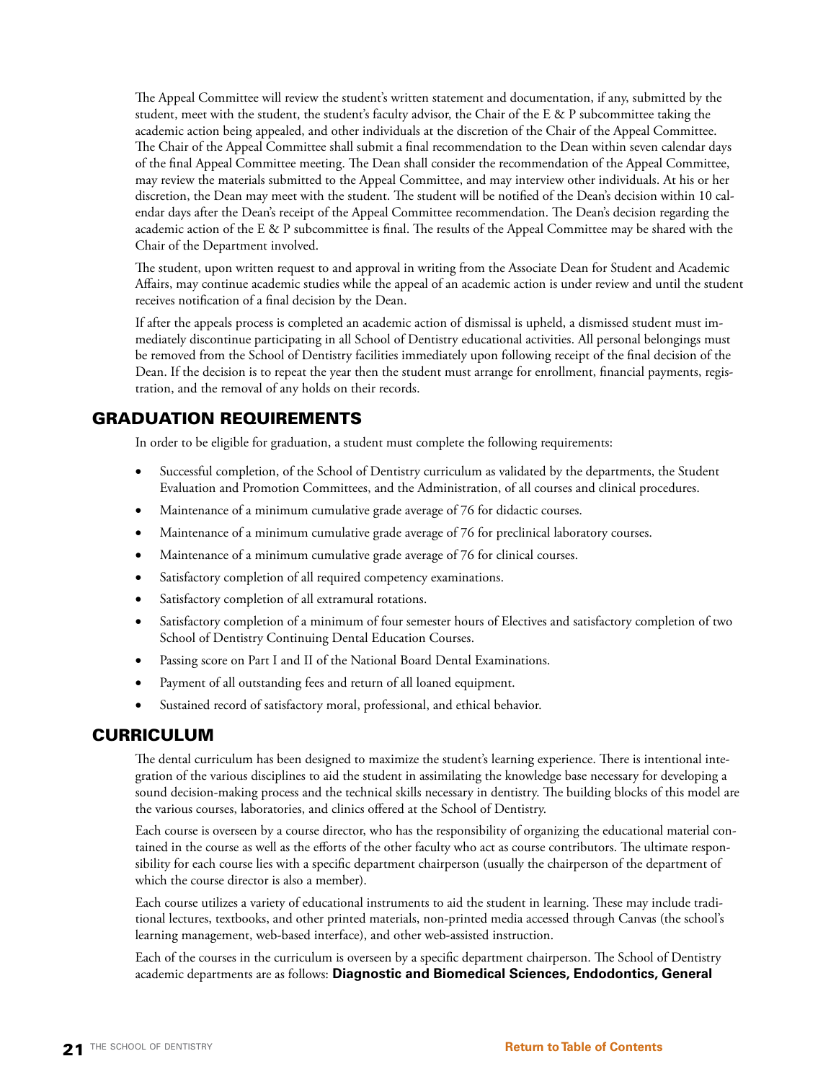The Appeal Committee will review the student's written statement and documentation, if any, submitted by the student, meet with the student, the student's faculty advisor, the Chair of the E & P subcommittee taking the academic action being appealed, and other individuals at the discretion of the Chair of the Appeal Committee. The Chair of the Appeal Committee shall submit a final recommendation to the Dean within seven calendar days of the final Appeal Committee meeting. The Dean shall consider the recommendation of the Appeal Committee, may review the materials submitted to the Appeal Committee, and may interview other individuals. At his or her discretion, the Dean may meet with the student. The student will be notified of the Dean's decision within 10 calendar days after the Dean's receipt of the Appeal Committee recommendation. The Dean's decision regarding the academic action of the E & P subcommittee is final. The results of the Appeal Committee may be shared with the Chair of the Department involved.

The student, upon written request to and approval in writing from the Associate Dean for Student and Academic Affairs, may continue academic studies while the appeal of an academic action is under review and until the student receives notification of a final decision by the Dean.

If after the appeals process is completed an academic action of dismissal is upheld, a dismissed student must immediately discontinue participating in all School of Dentistry educational activities. All personal belongings must be removed from the School of Dentistry facilities immediately upon following receipt of the final decision of the Dean. If the decision is to repeat the year then the student must arrange for enrollment, financial payments, registration, and the removal of any holds on their records.

## GRADUATION REQUIREMENTS

In order to be eligible for graduation, a student must complete the following requirements:

- Successful completion, of the School of Dentistry curriculum as validated by the departments, the Student Evaluation and Promotion Committees, and the Administration, of all courses and clinical procedures.
- Maintenance of a minimum cumulative grade average of 76 for didactic courses.
- Maintenance of a minimum cumulative grade average of 76 for preclinical laboratory courses.
- Maintenance of a minimum cumulative grade average of 76 for clinical courses.
- Satisfactory completion of all required competency examinations.
- Satisfactory completion of all extramural rotations.
- Satisfactory completion of a minimum of four semester hours of Electives and satisfactory completion of two School of Dentistry Continuing Dental Education Courses.
- Passing score on Part I and II of the National Board Dental Examinations.
- Payment of all outstanding fees and return of all loaned equipment.
- Sustained record of satisfactory moral, professional, and ethical behavior.

## CURRICULUM

The dental curriculum has been designed to maximize the student's learning experience. There is intentional integration of the various disciplines to aid the student in assimilating the knowledge base necessary for developing a sound decision-making process and the technical skills necessary in dentistry. The building blocks of this model are the various courses, laboratories, and clinics offered at the School of Dentistry.

Each course is overseen by a course director, who has the responsibility of organizing the educational material contained in the course as well as the efforts of the other faculty who act as course contributors. The ultimate responsibility for each course lies with a specific department chairperson (usually the chairperson of the department of which the course director is also a member).

Each course utilizes a variety of educational instruments to aid the student in learning. These may include traditional lectures, textbooks, and other printed materials, non-printed media accessed through Canvas (the school's learning management, web-based interface), and other web-assisted instruction.

Each of the courses in the curriculum is overseen by a specific department chairperson. The School of Dentistry academic departments are as follows: **Diagnostic and Biomedical Sciences, Endodontics, General**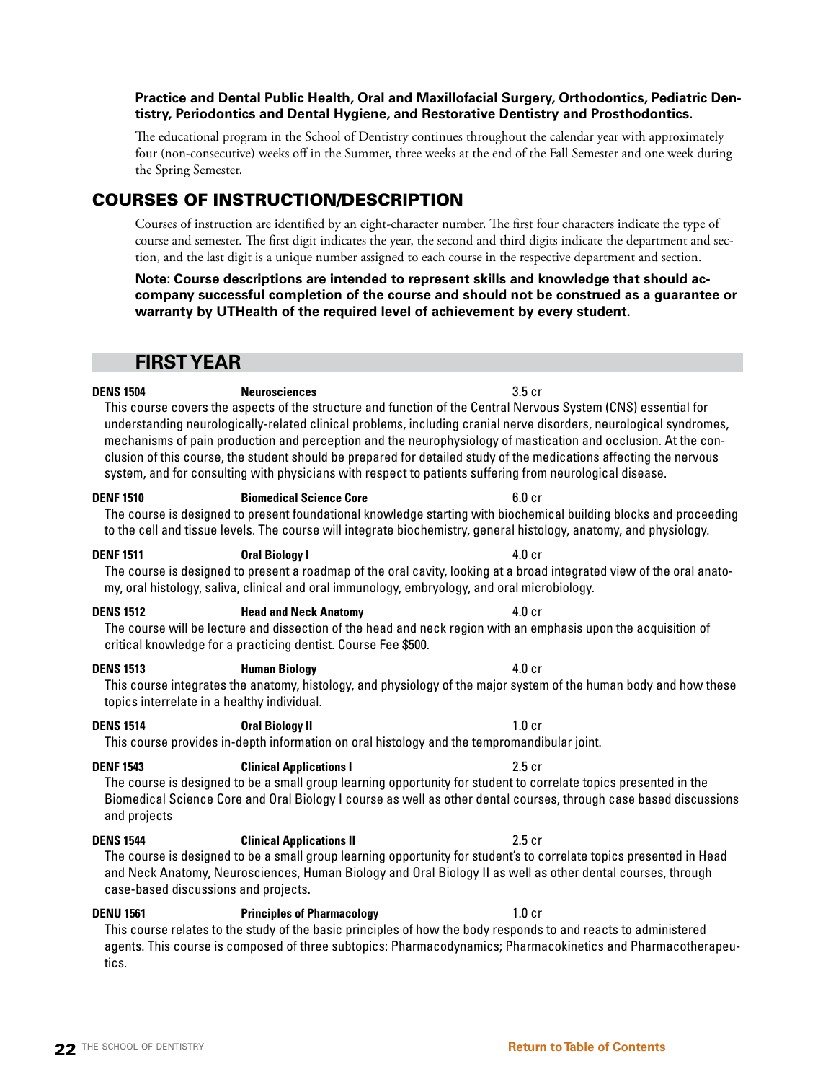## **Practice and Dental Public Health, Oral and Maxillofacial Surgery, Orthodontics, Pediatric Dentistry, Periodontics and Dental Hygiene, and Restorative Dentistry and Prosthodontics.**

The educational program in the School of Dentistry continues throughout the calendar year with approximately four (non-consecutive) weeks off in the Summer, three weeks at the end of the Fall Semester and one week during the Spring Semester.

## COURSES OF INSTRUCTION/DESCRIPTION

Courses of instruction are identified by an eight-character number. The first four characters indicate the type of course and semester. The first digit indicates the year, the second and third digits indicate the department and section, and the last digit is a unique number assigned to each course in the respective department and section.

**Note: Course descriptions are intended to represent skills and knowledge that should accompany successful completion of the course and should not be construed as a guarantee or warranty by UTHealth of the required level of achievement by every student.**

## **FIRST YEAR**

## **DENS 1504 Neurosciences** 3.5 cr

This course covers the aspects of the structure and function of the Central Nervous System (CNS) essential for understanding neurologically-related clinical problems, including cranial nerve disorders, neurological syndromes, mechanisms of pain production and perception and the neurophysiology of mastication and occlusion. At the conclusion of this course, the student should be prepared for detailed study of the medications affecting the nervous system, and for consulting with physicians with respect to patients suffering from neurological disease.

## **DENF 1510 Biomedical Science Core** 6.0 cr

The course is designed to present foundational knowledge starting with biochemical building blocks and proceeding to the cell and tissue levels. The course will integrate biochemistry, general histology, anatomy, and physiology.

### **DENF 1511 Oral Biology I** 4.0 cr

The course is designed to present a roadmap of the oral cavity, looking at a broad integrated view of the oral anatomy, oral histology, saliva, clinical and oral immunology, embryology, and oral microbiology.

### **DENS 1512 Head and Neck Anatomy** 4.0 cr

The course will be lecture and dissection of the head and neck region with an emphasis upon the acquisition of critical knowledge for a practicing dentist. Course Fee \$500.

### **DENS 1513 Human Biology** 4.0 cr

This course integrates the anatomy, histology, and physiology of the major system of the human body and how these topics interrelate in a healthy individual.

### **DENS 1514 Oral Biology II 1.0 cr**

This course provides in-depth information on oral histology and the tempromandibular joint.

### **DENF 1543 Clinical Applications I 2.5 cr**

The course is designed to be a small group learning opportunity for student to correlate topics presented in the Biomedical Science Core and Oral Biology I course as well as other dental courses, through case based discussions and projects

### **DENS 1544 Clinical Applications II** 2.5 cr

The course is designed to be a small group learning opportunity for student's to correlate topics presented in Head and Neck Anatomy, Neurosciences, Human Biology and Oral Biology II as well as other dental courses, through case-based discussions and projects.

**DENU 1561 Principles of Pharmacology** 1.0 cr

This course relates to the study of the basic principles of how the body responds to and reacts to administered agents. This course is composed of three subtopics: Pharmacodynamics; Pharmacokinetics and Pharmacotherapeutics.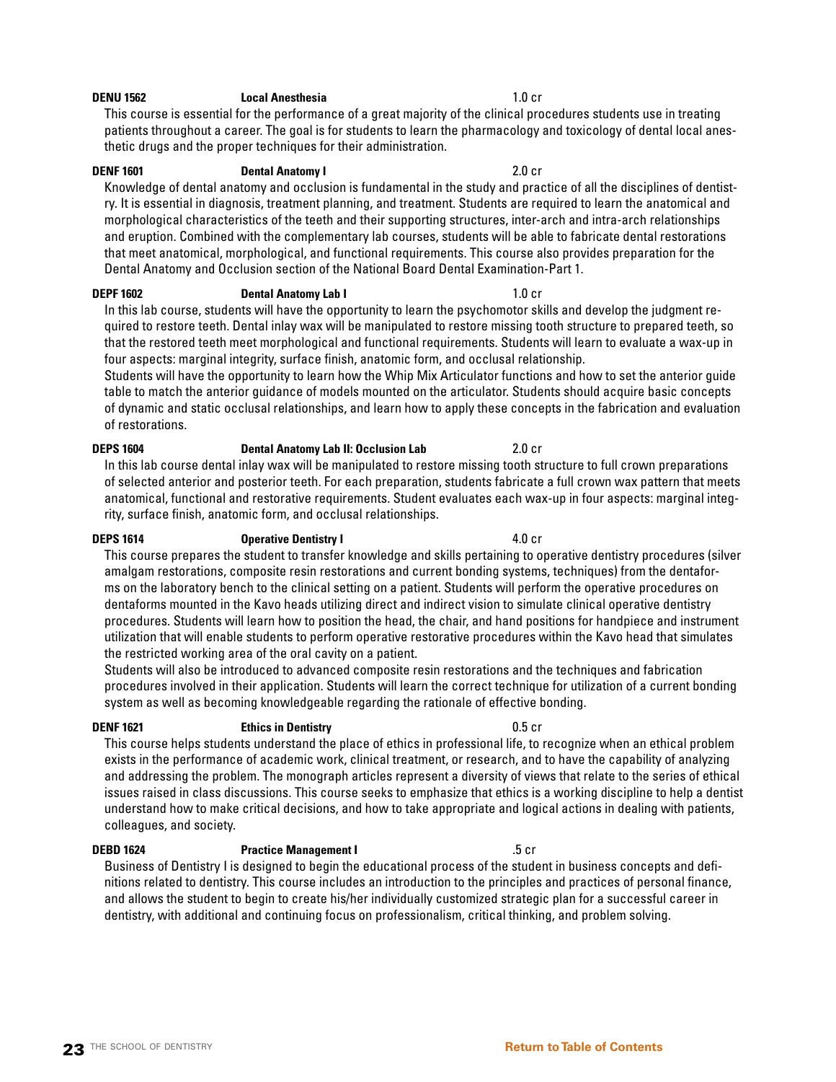### **DENU 1562 Local Anesthesia** 1.0 cr

This course is essential for the performance of a great majority of the clinical procedures students use in treating patients throughout a career. The goal is for students to learn the pharmacology and toxicology of dental local anesthetic drugs and the proper techniques for their administration.

## **DENF 1601 Dental Anatomy I** 2.0 cr

Knowledge of dental anatomy and occlusion is fundamental in the study and practice of all the disciplines of dentistry. It is essential in diagnosis, treatment planning, and treatment. Students are required to learn the anatomical and morphological characteristics of the teeth and their supporting structures, inter-arch and intra-arch relationships and eruption. Combined with the complementary lab courses, students will be able to fabricate dental restorations that meet anatomical, morphological, and functional requirements. This course also provides preparation for the Dental Anatomy and Occlusion section of the National Board Dental Examination-Part 1.

## **DEPF 1602 Dental Anatomy Lab I** 1.0 cr

In this lab course, students will have the opportunity to learn the psychomotor skills and develop the judgment required to restore teeth. Dental inlay wax will be manipulated to restore missing tooth structure to prepared teeth, so that the restored teeth meet morphological and functional requirements. Students will learn to evaluate a wax-up in four aspects: marginal integrity, surface finish, anatomic form, and occlusal relationship.

Students will have the opportunity to learn how the Whip Mix Articulator functions and how to set the anterior guide table to match the anterior guidance of models mounted on the articulator. Students should acquire basic concepts of dynamic and static occlusal relationships, and learn how to apply these concepts in the fabrication and evaluation of restorations.

## **DEPS 1604 Dental Anatomy Lab II: Occlusion Lab** 2.0 cr

In this lab course dental inlay wax will be manipulated to restore missing tooth structure to full crown preparations of selected anterior and posterior teeth. For each preparation, students fabricate a full crown wax pattern that meets anatomical, functional and restorative requirements. Student evaluates each wax-up in four aspects: marginal integrity, surface finish, anatomic form, and occlusal relationships.

**DEPS 1614 CDEPS 1614 Operative Dentistry I 1.0 cr** This course prepares the student to transfer knowledge and skills pertaining to operative dentistry procedures (silver amalgam restorations, composite resin restorations and current bonding systems, techniques) from the dentaforms on the laboratory bench to the clinical setting on a patient. Students will perform the operative procedures on dentaforms mounted in the Kavo heads utilizing direct and indirect vision to simulate clinical operative dentistry procedures. Students will learn how to position the head, the chair, and hand positions for handpiece and instrument utilization that will enable students to perform operative restorative procedures within the Kavo head that simulates the restricted working area of the oral cavity on a patient.

Students will also be introduced to advanced composite resin restorations and the techniques and fabrication procedures involved in their application. Students will learn the correct technique for utilization of a current bonding system as well as becoming knowledgeable regarding the rationale of effective bonding.

### **DENF 1621 Ethics in Dentistry Example 2.5 cm**

This course helps students understand the place of ethics in professional life, to recognize when an ethical problem exists in the performance of academic work, clinical treatment, or research, and to have the capability of analyzing and addressing the problem. The monograph articles represent a diversity of views that relate to the series of ethical issues raised in class discussions. This course seeks to emphasize that ethics is a working discipline to help a dentist understand how to make critical decisions, and how to take appropriate and logical actions in dealing with patients, colleagues, and society.

### **DEBD 1624 Practice Management I** .5 cr

## Business of Dentistry I is designed to begin the educational process of the student in business concepts and definitions related to dentistry. This course includes an introduction to the principles and practices of personal finance, and allows the student to begin to create his/her individually customized strategic plan for a successful career in dentistry, with additional and continuing focus on professionalism, critical thinking, and problem solving.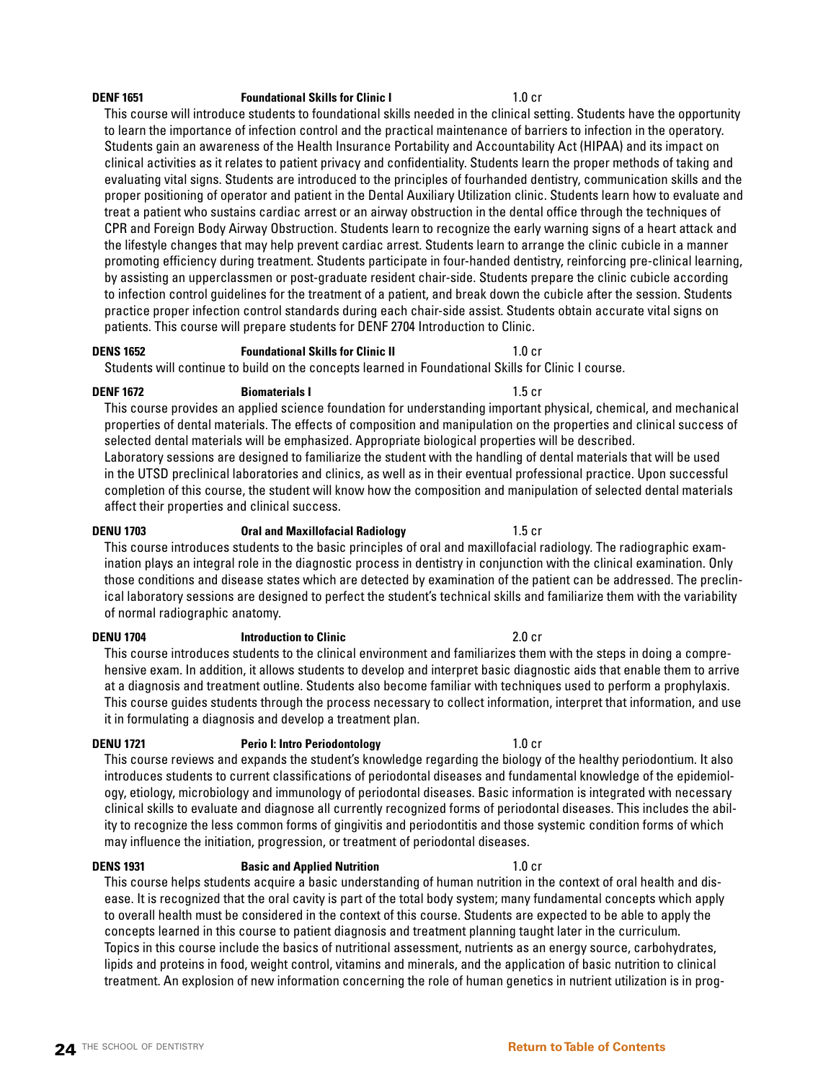## **DENF 1651 Foundational Skills for Clinic I** 1.0 cr

This course will introduce students to foundational skills needed in the clinical setting. Students have the opportunity to learn the importance of infection control and the practical maintenance of barriers to infection in the operatory. Students gain an awareness of the Health Insurance Portability and Accountability Act (HIPAA) and its impact on clinical activities as it relates to patient privacy and confidentiality. Students learn the proper methods of taking and evaluating vital signs. Students are introduced to the principles of fourhanded dentistry, communication skills and the proper positioning of operator and patient in the Dental Auxiliary Utilization clinic. Students learn how to evaluate and treat a patient who sustains cardiac arrest or an airway obstruction in the dental office through the techniques of CPR and Foreign Body Airway Obstruction. Students learn to recognize the early warning signs of a heart attack and the lifestyle changes that may help prevent cardiac arrest. Students learn to arrange the clinic cubicle in a manner promoting efficiency during treatment. Students participate in four-handed dentistry, reinforcing pre-clinical learning, by assisting an upperclassmen or post-graduate resident chair-side. Students prepare the clinic cubicle according to infection control guidelines for the treatment of a patient, and break down the cubicle after the session. Students practice proper infection control standards during each chair-side assist. Students obtain accurate vital signs on patients. This course will prepare students for DENF 2704 Introduction to Clinic.

## **DENS 1652 Foundational Skills for Clinic II 1.0 cr**

Students will continue to build on the concepts learned in Foundational Skills for Clinic I course.

**DENF 1672 Biomaterials I Biomaterials I 1.5 cr** 

This course provides an applied science foundation for understanding important physical, chemical, and mechanical properties of dental materials. The effects of composition and manipulation on the properties and clinical success of selected dental materials will be emphasized. Appropriate biological properties will be described. Laboratory sessions are designed to familiarize the student with the handling of dental materials that will be used in the UTSD preclinical laboratories and clinics, as well as in their eventual professional practice. Upon successful completion of this course, the student will know how the composition and manipulation of selected dental materials affect their properties and clinical success.

**DENU 1703 Oral and Maxillofacial Radiology** 1.5 cr This course introduces students to the basic principles of oral and maxillofacial radiology. The radiographic examination plays an integral role in the diagnostic process in dentistry in conjunction with the clinical examination. Only those conditions and disease states which are detected by examination of the patient can be addressed. The preclinical laboratory sessions are designed to perfect the student's technical skills and familiarize them with the variability of normal radiographic anatomy.

**DENU 1704 Introduction to Clinic** 2.0 cr This course introduces students to the clinical environment and familiarizes them with the steps in doing a comprehensive exam. In addition, it allows students to develop and interpret basic diagnostic aids that enable them to arrive at a diagnosis and treatment outline. Students also become familiar with techniques used to perform a prophylaxis. This course guides students through the process necessary to collect information, interpret that information, and use it in formulating a diagnosis and develop a treatment plan.

**DENU 1721 Perio I: Intro Periodontology** 1.0 cr

This course reviews and expands the student's knowledge regarding the biology of the healthy periodontium. It also introduces students to current classifications of periodontal diseases and fundamental knowledge of the epidemiology, etiology, microbiology and immunology of periodontal diseases. Basic information is integrated with necessary clinical skills to evaluate and diagnose all currently recognized forms of periodontal diseases. This includes the ability to recognize the less common forms of gingivitis and periodontitis and those systemic condition forms of which may influence the initiation, progression, or treatment of periodontal diseases.

**DENS 1931 Basic and Applied Nutrition** 1.0 cr

This course helps students acquire a basic understanding of human nutrition in the context of oral health and disease. It is recognized that the oral cavity is part of the total body system; many fundamental concepts which apply to overall health must be considered in the context of this course. Students are expected to be able to apply the concepts learned in this course to patient diagnosis and treatment planning taught later in the curriculum. Topics in this course include the basics of nutritional assessment, nutrients as an energy source, carbohydrates, lipids and proteins in food, weight control, vitamins and minerals, and the application of basic nutrition to clinical treatment. An explosion of new information concerning the role of human genetics in nutrient utilization is in prog-

## **24** THE SCHOOL OF DENTISTRY **[Return to Table of Contents](#page-2-0)**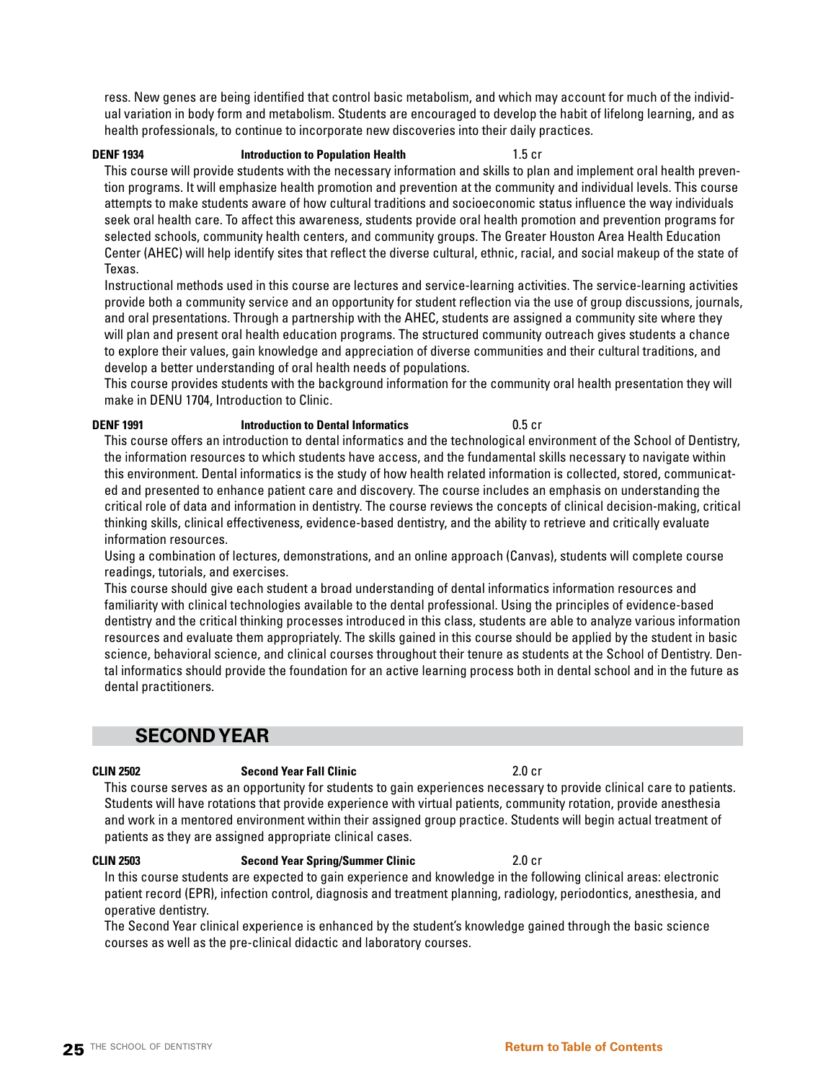**25** THE SCHOOL OF DENTISTRY **[Return to Table of Contents](#page-2-0)** 

ress. New genes are being identified that control basic metabolism, and which may account for much of the individual variation in body form and metabolism. Students are encouraged to develop the habit of lifelong learning, and as health professionals, to continue to incorporate new discoveries into their daily practices.

**DENF 1934 Introduction to Population Health** 1.5 cr

This course will provide students with the necessary information and skills to plan and implement oral health prevention programs. It will emphasize health promotion and prevention at the community and individual levels. This course attempts to make students aware of how cultural traditions and socioeconomic status influence the way individuals seek oral health care. To affect this awareness, students provide oral health promotion and prevention programs for selected schools, community health centers, and community groups. The Greater Houston Area Health Education Center (AHEC) will help identify sites that reflect the diverse cultural, ethnic, racial, and social makeup of the state of Texas.

Instructional methods used in this course are lectures and service-learning activities. The service-learning activities provide both a community service and an opportunity for student reflection via the use of group discussions, journals, and oral presentations. Through a partnership with the AHEC, students are assigned a community site where they will plan and present oral health education programs. The structured community outreach gives students a chance to explore their values, gain knowledge and appreciation of diverse communities and their cultural traditions, and develop a better understanding of oral health needs of populations.

This course provides students with the background information for the community oral health presentation they will make in DENU 1704, Introduction to Clinic.

## **DENF 1991 Introduction to Dental Informatics** 0.5 cr

This course offers an introduction to dental informatics and the technological environment of the School of Dentistry, the information resources to which students have access, and the fundamental skills necessary to navigate within this environment. Dental informatics is the study of how health related information is collected, stored, communicated and presented to enhance patient care and discovery. The course includes an emphasis on understanding the critical role of data and information in dentistry. The course reviews the concepts of clinical decision-making, critical thinking skills, clinical effectiveness, evidence-based dentistry, and the ability to retrieve and critically evaluate information resources.

Using a combination of lectures, demonstrations, and an online approach (Canvas), students will complete course readings, tutorials, and exercises.

This course should give each student a broad understanding of dental informatics information resources and familiarity with clinical technologies available to the dental professional. Using the principles of evidence-based dentistry and the critical thinking processes introduced in this class, students are able to analyze various information resources and evaluate them appropriately. The skills gained in this course should be applied by the student in basic science, behavioral science, and clinical courses throughout their tenure as students at the School of Dentistry. Dental informatics should provide the foundation for an active learning process both in dental school and in the future as dental practitioners.

## **SECOND YEAR**

This course serves as an opportunity for students to gain experiences necessary to provide clinical care to patients. Students will have rotations that provide experience with virtual patients, community rotation, provide anesthesia and work in a mentored environment within their assigned group practice. Students will begin actual treatment of patients as they are assigned appropriate clinical cases.

**CLIN 2503 Second Year Spring/Summer Clinic** 2.0 cr In this course students are expected to gain experience and knowledge in the following clinical areas: electronic patient record (EPR), infection control, diagnosis and treatment planning, radiology, periodontics, anesthesia, and operative dentistry.

The Second Year clinical experience is enhanced by the student's knowledge gained through the basic science courses as well as the pre-clinical didactic and laboratory courses.

### **CLIN 2502 Second Year Fall Clinic** 2.0 cr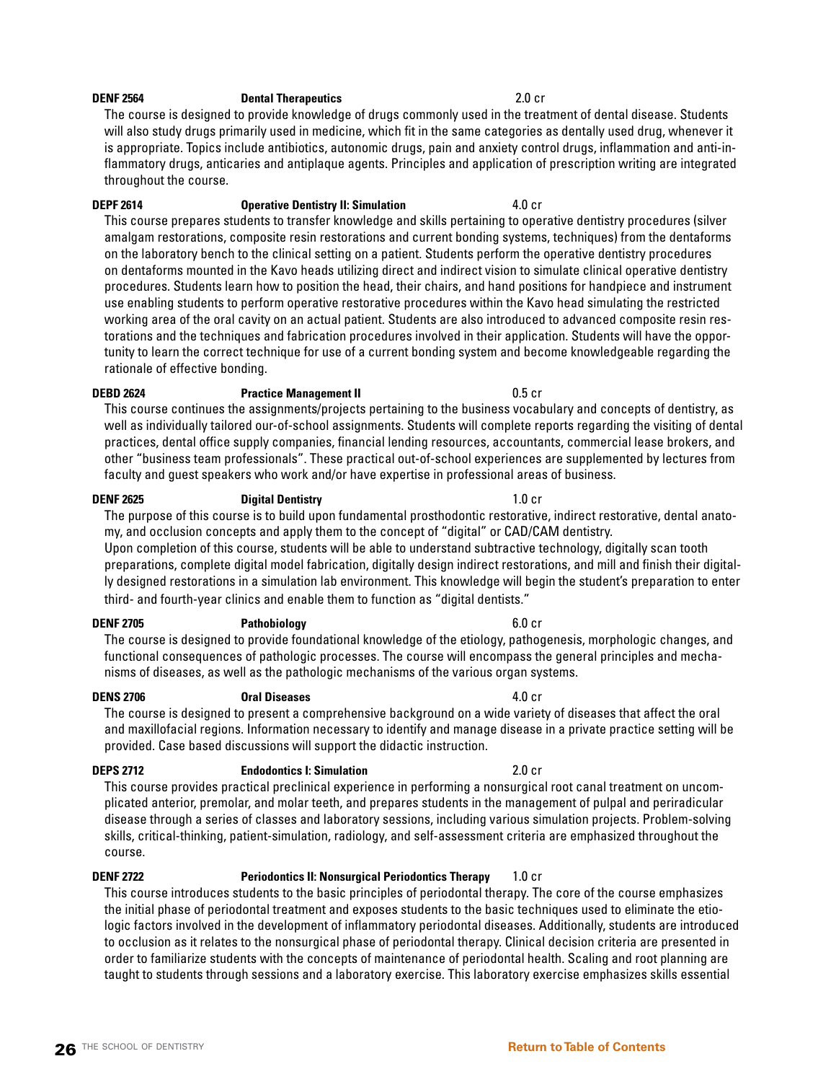## **DENF 2564 Dental Therapeutics** 2.0 cr

The course is designed to provide knowledge of drugs commonly used in the treatment of dental disease. Students will also study drugs primarily used in medicine, which fit in the same categories as dentally used drug, whenever it is appropriate. Topics include antibiotics, autonomic drugs, pain and anxiety control drugs, inflammation and anti-inflammatory drugs, anticaries and antiplaque agents. Principles and application of prescription writing are integrated throughout the course.

## **DEPF 2614 CONFIDERED CONFIDERED ALL OCCUPATION CONFIDERED ALL OCCUPATION CONFIDERATION ALL OCCUPATION**

This course prepares students to transfer knowledge and skills pertaining to operative dentistry procedures (silver amalgam restorations, composite resin restorations and current bonding systems, techniques) from the dentaforms on the laboratory bench to the clinical setting on a patient. Students perform the operative dentistry procedures on dentaforms mounted in the Kavo heads utilizing direct and indirect vision to simulate clinical operative dentistry procedures. Students learn how to position the head, their chairs, and hand positions for handpiece and instrument use enabling students to perform operative restorative procedures within the Kavo head simulating the restricted working area of the oral cavity on an actual patient. Students are also introduced to advanced composite resin restorations and the techniques and fabrication procedures involved in their application. Students will have the opportunity to learn the correct technique for use of a current bonding system and become knowledgeable regarding the rationale of effective bonding.

### **DEBD 2624 Practice Management II** 0.5 cr

This course continues the assignments/projects pertaining to the business vocabulary and concepts of dentistry, as well as individually tailored our-of-school assignments. Students will complete reports regarding the visiting of dental practices, dental office supply companies, financial lending resources, accountants, commercial lease brokers, and other "business team professionals". These practical out-of-school experiences are supplemented by lectures from faculty and guest speakers who work and/or have expertise in professional areas of business.

### **DENF 2625 Digital Dentistry** 1.0 cr

The purpose of this course is to build upon fundamental prosthodontic restorative, indirect restorative, dental anatomy, and occlusion concepts and apply them to the concept of "digital" or CAD/CAM dentistry.

Upon completion of this course, students will be able to understand subtractive technology, digitally scan tooth preparations, complete digital model fabrication, digitally design indirect restorations, and mill and finish their digitally designed restorations in a simulation lab environment. This knowledge will begin the student's preparation to enter third- and fourth-year clinics and enable them to function as "digital dentists."

### **DENF 2705 Pathobiology** 6.0 cr

The course is designed to provide foundational knowledge of the etiology, pathogenesis, morphologic changes, and functional consequences of pathologic processes. The course will encompass the general principles and mechanisms of diseases, as well as the pathologic mechanisms of the various organ systems.

### **DENS 2706 Oral Diseases** 4.0 cr

The course is designed to present a comprehensive background on a wide variety of diseases that affect the oral and maxillofacial regions. Information necessary to identify and manage disease in a private practice setting will be provided. Case based discussions will support the didactic instruction.

## **DEPS 2712 Endodontics I: Simulation** 2.0 cr

This course provides practical preclinical experience in performing a nonsurgical root canal treatment on uncomplicated anterior, premolar, and molar teeth, and prepares students in the management of pulpal and periradicular disease through a series of classes and laboratory sessions, including various simulation projects. Problem-solving skills, critical-thinking, patient-simulation, radiology, and self-assessment criteria are emphasized throughout the course.

## **DENF 2722 Periodontics II: Nonsurgical Periodontics Therapy** 1.0 cr

This course introduces students to the basic principles of periodontal therapy. The core of the course emphasizes the initial phase of periodontal treatment and exposes students to the basic techniques used to eliminate the etiologic factors involved in the development of inflammatory periodontal diseases. Additionally, students are introduced to occlusion as it relates to the nonsurgical phase of periodontal therapy. Clinical decision criteria are presented in order to familiarize students with the concepts of maintenance of periodontal health. Scaling and root planning are taught to students through sessions and a laboratory exercise. This laboratory exercise emphasizes skills essential

## **26** THE SCHOOL OF DENTISTRY **[Return to Table of Contents](#page-2-0)**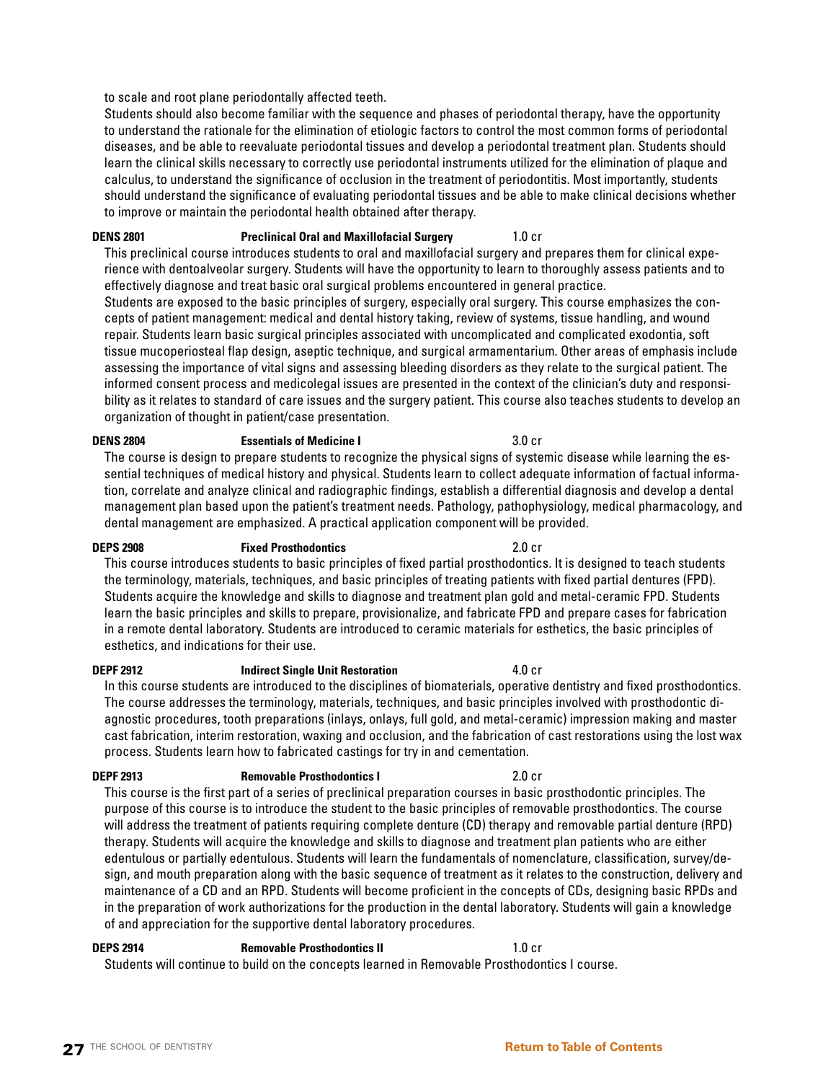## to scale and root plane periodontally affected teeth.

Students should also become familiar with the sequence and phases of periodontal therapy, have the opportunity to understand the rationale for the elimination of etiologic factors to control the most common forms of periodontal diseases, and be able to reevaluate periodontal tissues and develop a periodontal treatment plan. Students should learn the clinical skills necessary to correctly use periodontal instruments utilized for the elimination of plaque and calculus, to understand the significance of occlusion in the treatment of periodontitis. Most importantly, students should understand the significance of evaluating periodontal tissues and be able to make clinical decisions whether to improve or maintain the periodontal health obtained after therapy.

## **DENS 2801 Preclinical Oral and Maxillofacial Surgery** 1.0 cr

This preclinical course introduces students to oral and maxillofacial surgery and prepares them for clinical experience with dentoalveolar surgery. Students will have the opportunity to learn to thoroughly assess patients and to effectively diagnose and treat basic oral surgical problems encountered in general practice.

Students are exposed to the basic principles of surgery, especially oral surgery. This course emphasizes the concepts of patient management: medical and dental history taking, review of systems, tissue handling, and wound repair. Students learn basic surgical principles associated with uncomplicated and complicated exodontia, soft tissue mucoperiosteal flap design, aseptic technique, and surgical armamentarium. Other areas of emphasis include assessing the importance of vital signs and assessing bleeding disorders as they relate to the surgical patient. The informed consent process and medicolegal issues are presented in the context of the clinician's duty and responsibility as it relates to standard of care issues and the surgery patient. This course also teaches students to develop an organization of thought in patient/case presentation.

## **DENS 2804 Essentials of Medicine I** 3.0 cr

The course is design to prepare students to recognize the physical signs of systemic disease while learning the essential techniques of medical history and physical. Students learn to collect adequate information of factual information, correlate and analyze clinical and radiographic findings, establish a differential diagnosis and develop a dental management plan based upon the patient's treatment needs. Pathology, pathophysiology, medical pharmacology, and dental management are emphasized. A practical application component will be provided.

## **DEPS 2908 Fixed Prosthodontics** 2.0 cr

This course introduces students to basic principles of fixed partial prosthodontics. It is designed to teach students the terminology, materials, techniques, and basic principles of treating patients with fixed partial dentures (FPD). Students acquire the knowledge and skills to diagnose and treatment plan gold and metal-ceramic FPD. Students learn the basic principles and skills to prepare, provisionalize, and fabricate FPD and prepare cases for fabrication in a remote dental laboratory. Students are introduced to ceramic materials for esthetics, the basic principles of esthetics, and indications for their use.

## **DEPF 2912** Indirect Single Unit Restoration 4.0 cr

In this course students are introduced to the disciplines of biomaterials, operative dentistry and fixed prosthodontics. The course addresses the terminology, materials, techniques, and basic principles involved with prosthodontic diagnostic procedures, tooth preparations (inlays, onlays, full gold, and metal-ceramic) impression making and master cast fabrication, interim restoration, waxing and occlusion, and the fabrication of cast restorations using the lost wax process. Students learn how to fabricated castings for try in and cementation.

## **DEPF 2913 Removable Prosthodontics I** 2.0 cr

This course is the first part of a series of preclinical preparation courses in basic prosthodontic principles. The purpose of this course is to introduce the student to the basic principles of removable prosthodontics. The course will address the treatment of patients requiring complete denture (CD) therapy and removable partial denture (RPD) therapy. Students will acquire the knowledge and skills to diagnose and treatment plan patients who are either edentulous or partially edentulous. Students will learn the fundamentals of nomenclature, classification, survey/design, and mouth preparation along with the basic sequence of treatment as it relates to the construction, delivery and maintenance of a CD and an RPD. Students will become proficient in the concepts of CDs, designing basic RPDs and in the preparation of work authorizations for the production in the dental laboratory. Students will gain a knowledge of and appreciation for the supportive dental laboratory procedures.

## **DEPS 2914 Removable Prosthodontics II** 1.0 cr

Students will continue to build on the concepts learned in Removable Prosthodontics I course.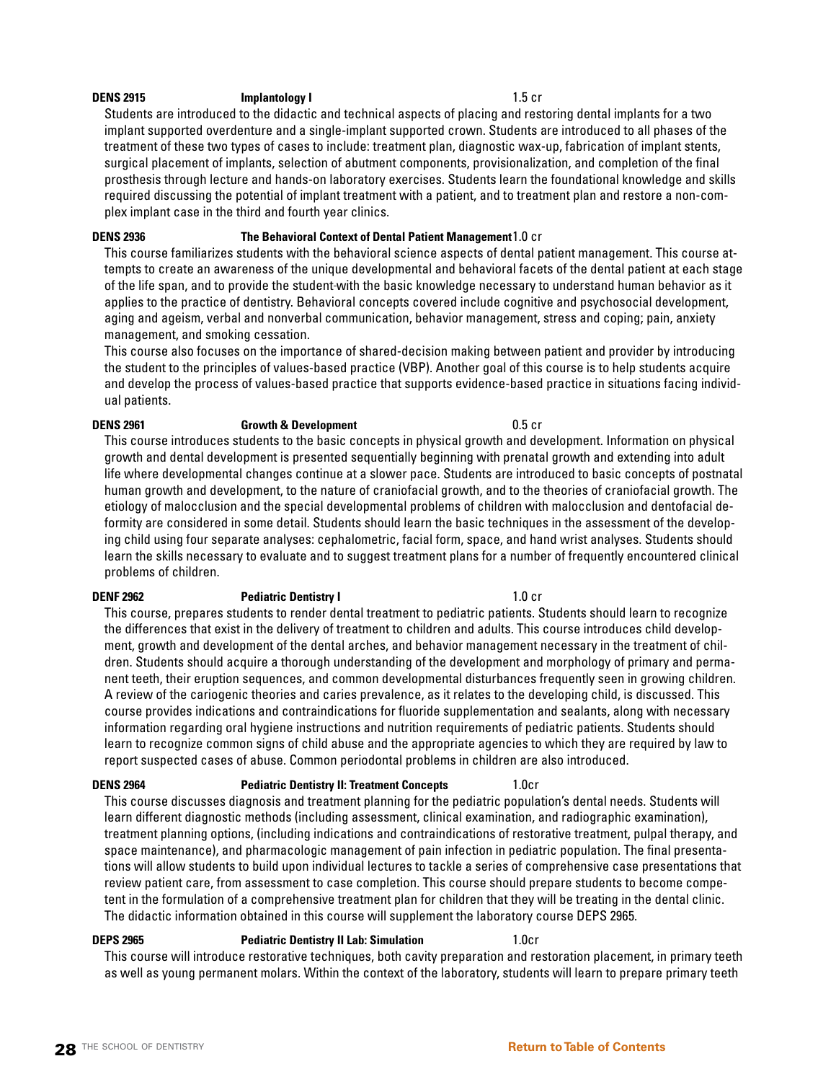## **DENS 2915 Implantology I 1.5 cr**

Students are introduced to the didactic and technical aspects of placing and restoring dental implants for a two implant supported overdenture and a single-implant supported crown. Students are introduced to all phases of the treatment of these two types of cases to include: treatment plan, diagnostic wax-up, fabrication of implant stents, surgical placement of implants, selection of abutment components, provisionalization, and completion of the final prosthesis through lecture and hands-on laboratory exercises. Students learn the foundational knowledge and skills required discussing the potential of implant treatment with a patient, and to treatment plan and restore a non-complex implant case in the third and fourth year clinics.

## **DENS 2936 The Behavioral Context of Dental Patient Management**1.0 cr

This course familiarizes students with the behavioral science aspects of dental patient management. This course attempts to create an awareness of the unique developmental and behavioral facets of the dental patient at each stage of the life span, and to provide the student with the basic knowledge necessary to understand human behavior as it applies to the practice of dentistry. Behavioral concepts covered include cognitive and psychosocial development, aging and ageism, verbal and nonverbal communication, behavior management, stress and coping; pain, anxiety management, and smoking cessation.

This course also focuses on the importance of shared-decision making between patient and provider by introducing the student to the principles of values-based practice (VBP). Another goal of this course is to help students acquire and develop the process of values-based practice that supports evidence-based practice in situations facing individual patients.

## **DENS 2961 Growth & Development** 0.5 cr

This course introduces students to the basic concepts in physical growth and development. Information on physical growth and dental development is presented sequentially beginning with prenatal growth and extending into adult life where developmental changes continue at a slower pace. Students are introduced to basic concepts of postnatal human growth and development, to the nature of craniofacial growth, and to the theories of craniofacial growth. The etiology of malocclusion and the special developmental problems of children with malocclusion and dentofacial deformity are considered in some detail. Students should learn the basic techniques in the assessment of the developing child using four separate analyses: cephalometric, facial form, space, and hand wrist analyses. Students should learn the skills necessary to evaluate and to suggest treatment plans for a number of frequently encountered clinical problems of children.

## **DENF 2962 Pediatric Dentistry I 1.0 cr**

This course, prepares students to render dental treatment to pediatric patients. Students should learn to recognize the differences that exist in the delivery of treatment to children and adults. This course introduces child development, growth and development of the dental arches, and behavior management necessary in the treatment of children. Students should acquire a thorough understanding of the development and morphology of primary and permanent teeth, their eruption sequences, and common developmental disturbances frequently seen in growing children. A review of the cariogenic theories and caries prevalence, as it relates to the developing child, is discussed. This course provides indications and contraindications for fluoride supplementation and sealants, along with necessary information regarding oral hygiene instructions and nutrition requirements of pediatric patients. Students should learn to recognize common signs of child abuse and the appropriate agencies to which they are required by law to report suspected cases of abuse. Common periodontal problems in children are also introduced.

## **DENS 2964 Pediatric Dentistry II: Treatment Concepts** 1.0cr

This course discusses diagnosis and treatment planning for the pediatric population's dental needs. Students will learn different diagnostic methods (including assessment, clinical examination, and radiographic examination), treatment planning options, (including indications and contraindications of restorative treatment, pulpal therapy, and space maintenance), and pharmacologic management of pain infection in pediatric population. The final presentations will allow students to build upon individual lectures to tackle a series of comprehensive case presentations that review patient care, from assessment to case completion. This course should prepare students to become competent in the formulation of a comprehensive treatment plan for children that they will be treating in the dental clinic. The didactic information obtained in this course will supplement the laboratory course DEPS 2965.

## **DEPS 2965 Pediatric Dentistry II Lab: Simulation** 1.0cr

This course will introduce restorative techniques, both cavity preparation and restoration placement, in primary teeth as well as young permanent molars. Within the context of the laboratory, students will learn to prepare primary teeth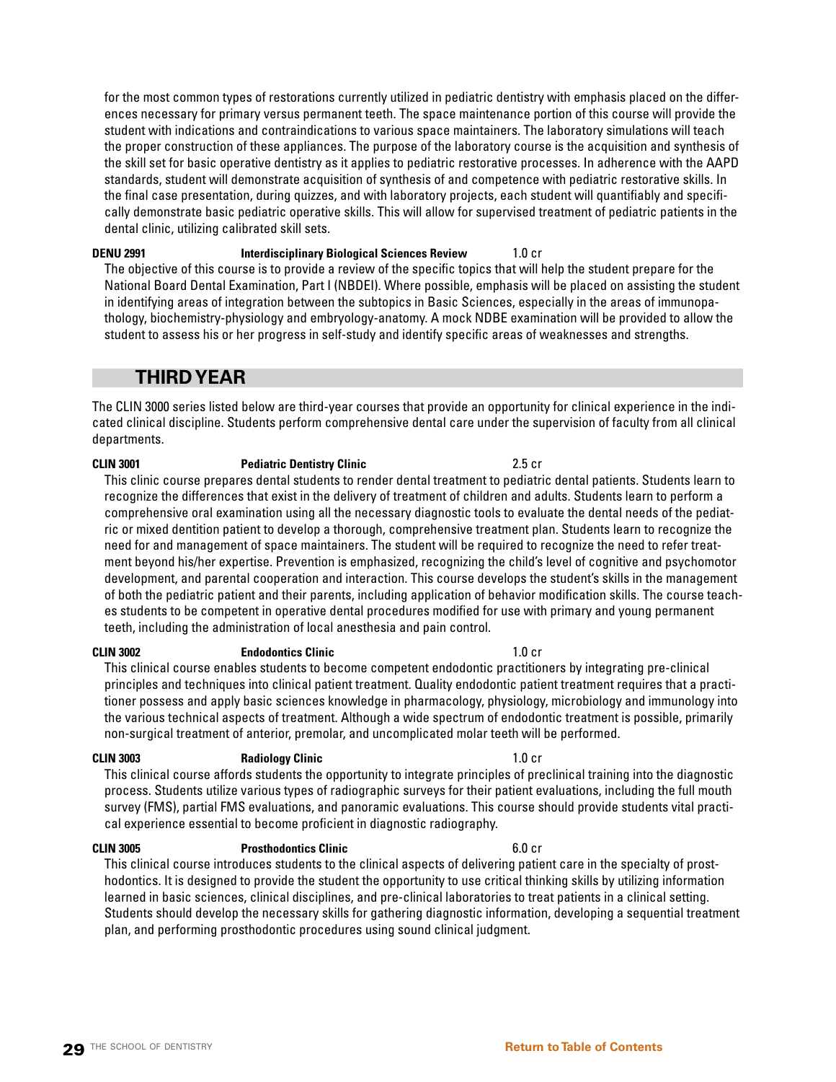**29** THE SCHOOL OF DENTISTRY **[Return to Table of Contents](#page-2-0)** 

ences necessary for primary versus permanent teeth. The space maintenance portion of this course will provide the student with indications and contraindications to various space maintainers. The laboratory simulations will teach the proper construction of these appliances. The purpose of the laboratory course is the acquisition and synthesis of the skill set for basic operative dentistry as it applies to pediatric restorative processes. In adherence with the AAPD standards, student will demonstrate acquisition of synthesis of and competence with pediatric restorative skills. In the final case presentation, during quizzes, and with laboratory projects, each student will quantifiably and specifically demonstrate basic pediatric operative skills. This will allow for supervised treatment of pediatric patients in the dental clinic, utilizing calibrated skill sets.

for the most common types of restorations currently utilized in pediatric dentistry with emphasis placed on the differ-

**DENU 2991 Interdisciplinary Biological Sciences Review** 1.0 cr The objective of this course is to provide a review of the specific topics that will help the student prepare for the National Board Dental Examination, Part I (NBDEI). Where possible, emphasis will be placed on assisting the student in identifying areas of integration between the subtopics in Basic Sciences, especially in the areas of immunopathology, biochemistry-physiology and embryology-anatomy. A mock NDBE examination will be provided to allow the student to assess his or her progress in self-study and identify specific areas of weaknesses and strengths.

## **THIRD YEAR**

The CLIN 3000 series listed below are third-year courses that provide an opportunity for clinical experience in the indicated clinical discipline. Students perform comprehensive dental care under the supervision of faculty from all clinical departments.

## **CLIN 3001 Pediatric Dentistry Clinic** 2.5 cr

This clinic course prepares dental students to render dental treatment to pediatric dental patients. Students learn to recognize the differences that exist in the delivery of treatment of children and adults. Students learn to perform a comprehensive oral examination using all the necessary diagnostic tools to evaluate the dental needs of the pediatric or mixed dentition patient to develop a thorough, comprehensive treatment plan. Students learn to recognize the need for and management of space maintainers. The student will be required to recognize the need to refer treatment beyond his/her expertise. Prevention is emphasized, recognizing the child's level of cognitive and psychomotor development, and parental cooperation and interaction. This course develops the student's skills in the management of both the pediatric patient and their parents, including application of behavior modification skills. The course teaches students to be competent in operative dental procedures modified for use with primary and young permanent teeth, including the administration of local anesthesia and pain control.

## **CLIN 3002 Endodontics Clinic** 1.0 cr

This clinical course enables students to become competent endodontic practitioners by integrating pre-clinical principles and techniques into clinical patient treatment. Quality endodontic patient treatment requires that a practitioner possess and apply basic sciences knowledge in pharmacology, physiology, microbiology and immunology into the various technical aspects of treatment. Although a wide spectrum of endodontic treatment is possible, primarily non-surgical treatment of anterior, premolar, and uncomplicated molar teeth will be performed.

## **CLIN 3003 Radiology Clinic** 1.0 cr

This clinical course affords students the opportunity to integrate principles of preclinical training into the diagnostic process. Students utilize various types of radiographic surveys for their patient evaluations, including the full mouth survey (FMS), partial FMS evaluations, and panoramic evaluations. This course should provide students vital practical experience essential to become proficient in diagnostic radiography.

**CLIN 3005 Prosthodontics Clinic** 6.0 cr

This clinical course introduces students to the clinical aspects of delivering patient care in the specialty of prosthodontics. It is designed to provide the student the opportunity to use critical thinking skills by utilizing information learned in basic sciences, clinical disciplines, and pre-clinical laboratories to treat patients in a clinical setting. Students should develop the necessary skills for gathering diagnostic information, developing a sequential treatment plan, and performing prosthodontic procedures using sound clinical judgment.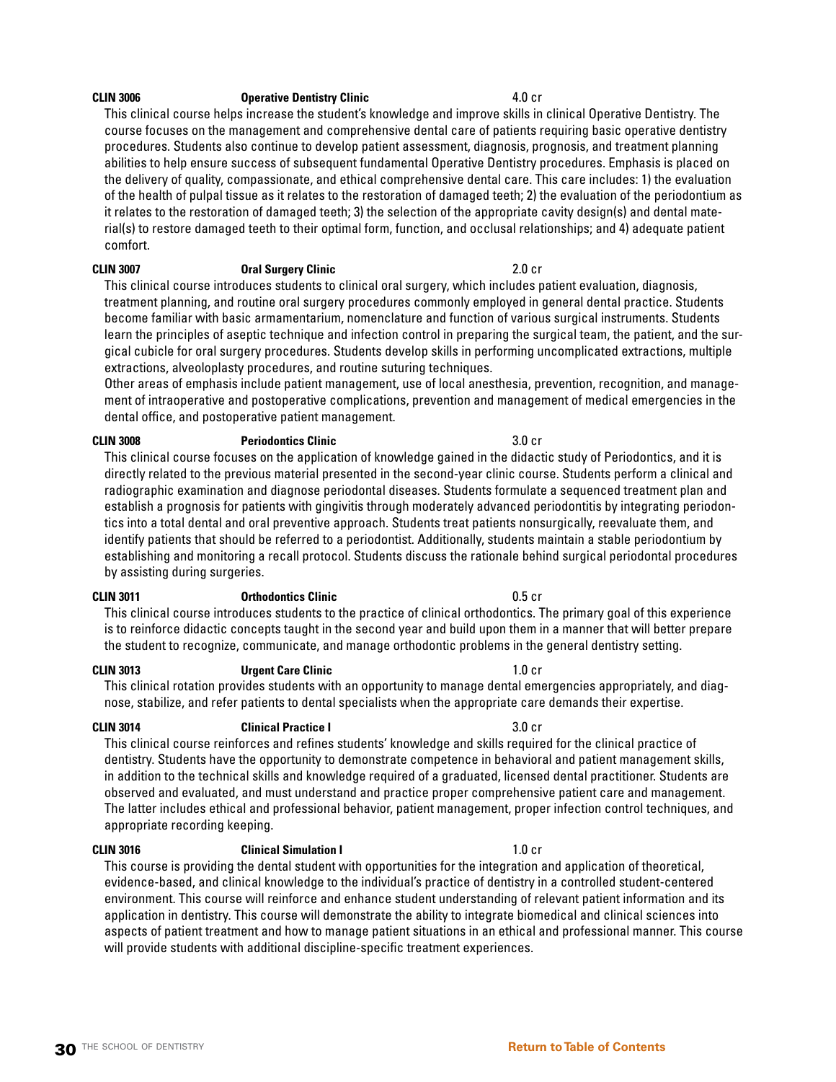### **CLIN 3006 Operative Dentistry Clinic** 4.0 cr

This clinical course helps increase the student's knowledge and improve skills in clinical Operative Dentistry. The course focuses on the management and comprehensive dental care of patients requiring basic operative dentistry procedures. Students also continue to develop patient assessment, diagnosis, prognosis, and treatment planning abilities to help ensure success of subsequent fundamental Operative Dentistry procedures. Emphasis is placed on the delivery of quality, compassionate, and ethical comprehensive dental care. This care includes: 1) the evaluation of the health of pulpal tissue as it relates to the restoration of damaged teeth; 2) the evaluation of the periodontium as it relates to the restoration of damaged teeth; 3) the selection of the appropriate cavity design(s) and dental material(s) to restore damaged teeth to their optimal form, function, and occlusal relationships; and 4) adequate patient comfort.

### **CLIN 3007 Oral Surgery Clinic** 2.0 cr

This clinical course introduces students to clinical oral surgery, which includes patient evaluation, diagnosis, treatment planning, and routine oral surgery procedures commonly employed in general dental practice. Students become familiar with basic armamentarium, nomenclature and function of various surgical instruments. Students learn the principles of aseptic technique and infection control in preparing the surgical team, the patient, and the surgical cubicle for oral surgery procedures. Students develop skills in performing uncomplicated extractions, multiple extractions, alveoloplasty procedures, and routine suturing techniques.

Other areas of emphasis include patient management, use of local anesthesia, prevention, recognition, and management of intraoperative and postoperative complications, prevention and management of medical emergencies in the dental office, and postoperative patient management.

## **CLIN 3008 Periodontics Clinic** 3.0 cr

This clinical course focuses on the application of knowledge gained in the didactic study of Periodontics, and it is directly related to the previous material presented in the second-year clinic course. Students perform a clinical and radiographic examination and diagnose periodontal diseases. Students formulate a sequenced treatment plan and establish a prognosis for patients with gingivitis through moderately advanced periodontitis by integrating periodontics into a total dental and oral preventive approach. Students treat patients nonsurgically, reevaluate them, and identify patients that should be referred to a periodontist. Additionally, students maintain a stable periodontium by establishing and monitoring a recall protocol. Students discuss the rationale behind surgical periodontal procedures by assisting during surgeries.

## **CLIN 3011 Orthodontics Clinic** 0.5 cr

This clinical course introduces students to the practice of clinical orthodontics. The primary goal of this experience is to reinforce didactic concepts taught in the second year and build upon them in a manner that will better prepare the student to recognize, communicate, and manage orthodontic problems in the general dentistry setting.

## **CLIN 3013** Urgent Care Clinic **CLIN 3013** 1.0 cr

This clinical rotation provides students with an opportunity to manage dental emergencies appropriately, and diagnose, stabilize, and refer patients to dental specialists when the appropriate care demands their expertise.

### **CLIN 3014 Clinical Practice I Clinical Practice I 3.0 cr**

This clinical course reinforces and refines students' knowledge and skills required for the clinical practice of dentistry. Students have the opportunity to demonstrate competence in behavioral and patient management skills, in addition to the technical skills and knowledge required of a graduated, licensed dental practitioner. Students are observed and evaluated, and must understand and practice proper comprehensive patient care and management. The latter includes ethical and professional behavior, patient management, proper infection control techniques, and appropriate recording keeping.

**CLIN 3016 Clinical Simulation I** 1.0 cr

This course is providing the dental student with opportunities for the integration and application of theoretical, evidence-based, and clinical knowledge to the individual's practice of dentistry in a controlled student-centered environment. This course will reinforce and enhance student understanding of relevant patient information and its application in dentistry. This course will demonstrate the ability to integrate biomedical and clinical sciences into aspects of patient treatment and how to manage patient situations in an ethical and professional manner. This course will provide students with additional discipline-specific treatment experiences.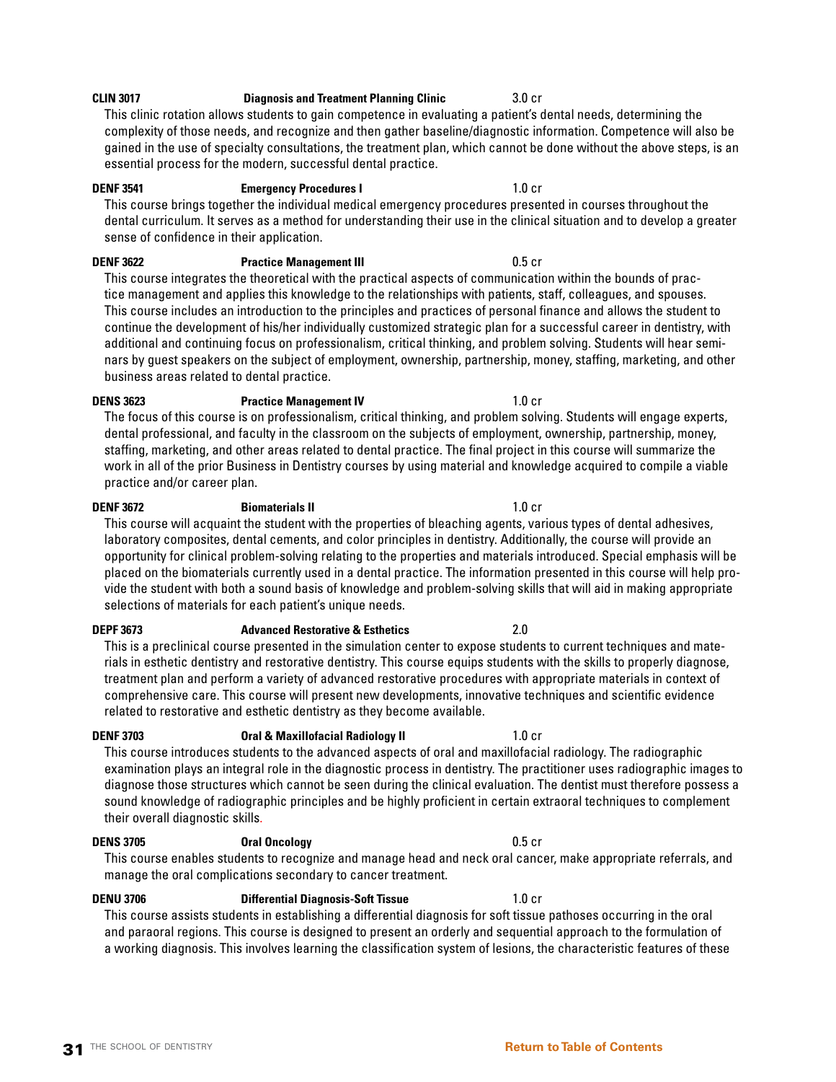## **CLIN 3017 Diagnosis and Treatment Planning Clinic** 3.0 cr

This clinic rotation allows students to gain competence in evaluating a patient's dental needs, determining the complexity of those needs, and recognize and then gather baseline/diagnostic information. Competence will also be gained in the use of specialty consultations, the treatment plan, which cannot be done without the above steps, is an essential process for the modern, successful dental practice.

## **DENF 3541 Emergency Procedures I** 1.0 cr

This course brings together the individual medical emergency procedures presented in courses throughout the dental curriculum. It serves as a method for understanding their use in the clinical situation and to develop a greater sense of confidence in their application.

# **DENF 3622 Practice Management III DENF 3622 DENF 3622**

This course integrates the theoretical with the practical aspects of communication within the bounds of practice management and applies this knowledge to the relationships with patients, staff, colleagues, and spouses. This course includes an introduction to the principles and practices of personal finance and allows the student to continue the development of his/her individually customized strategic plan for a successful career in dentistry, with additional and continuing focus on professionalism, critical thinking, and problem solving. Students will hear seminars by guest speakers on the subject of employment, ownership, partnership, money, staffing, marketing, and other business areas related to dental practice.

## **DENS 3623 Practice Management IV 1.0 cr** The focus of this course is on professionalism, critical thinking, and problem solving. Students will engage experts, dental professional, and faculty in the classroom on the subjects of employment, ownership, partnership, money, staffing, marketing, and other areas related to dental practice. The final project in this course will summarize the work in all of the prior Business in Dentistry courses by using material and knowledge acquired to compile a viable practice and/or career plan.

## **DENF 3672 Biomaterials II** 1.0 cr This course will acquaint the student with the properties of bleaching agents, various types of dental adhesives, laboratory composites, dental cements, and color principles in dentistry. Additionally, the course will provide an opportunity for clinical problem-solving relating to the properties and materials introduced. Special emphasis will be placed on the biomaterials currently used in a dental practice. The information presented in this course will help provide the student with both a sound basis of knowledge and problem-solving skills that will aid in making appropriate selections of materials for each patient's unique needs.

## **DEPF 3673 Advanced Restorative & Esthetics** 2.0

This is a preclinical course presented in the simulation center to expose students to current techniques and materials in esthetic dentistry and restorative dentistry. This course equips students with the skills to properly diagnose, treatment plan and perform a variety of advanced restorative procedures with appropriate materials in context of comprehensive care. This course will present new developments, innovative techniques and scientific evidence related to restorative and esthetic dentistry as they become available.

## **DENF 3703 Dral & Maxillofacial Radiology II 1.0 cr**

This course introduces students to the advanced aspects of oral and maxillofacial radiology. The radiographic examination plays an integral role in the diagnostic process in dentistry. The practitioner uses radiographic images to diagnose those structures which cannot be seen during the clinical evaluation. The dentist must therefore possess a sound knowledge of radiographic principles and be highly proficient in certain extraoral techniques to complement their overall diagnostic skills.

## **DENS 3705 Oral Oncology** 0.5 cr

This course enables students to recognize and manage head and neck oral cancer, make appropriate referrals, and manage the oral complications secondary to cancer treatment.

## **DENU 3706 Differential Diagnosis-Soft Tissue** 1.0 cr

This course assists students in establishing a differential diagnosis for soft tissue pathoses occurring in the oral and paraoral regions. This course is designed to present an orderly and sequential approach to the formulation of a working diagnosis. This involves learning the classification system of lesions, the characteristic features of these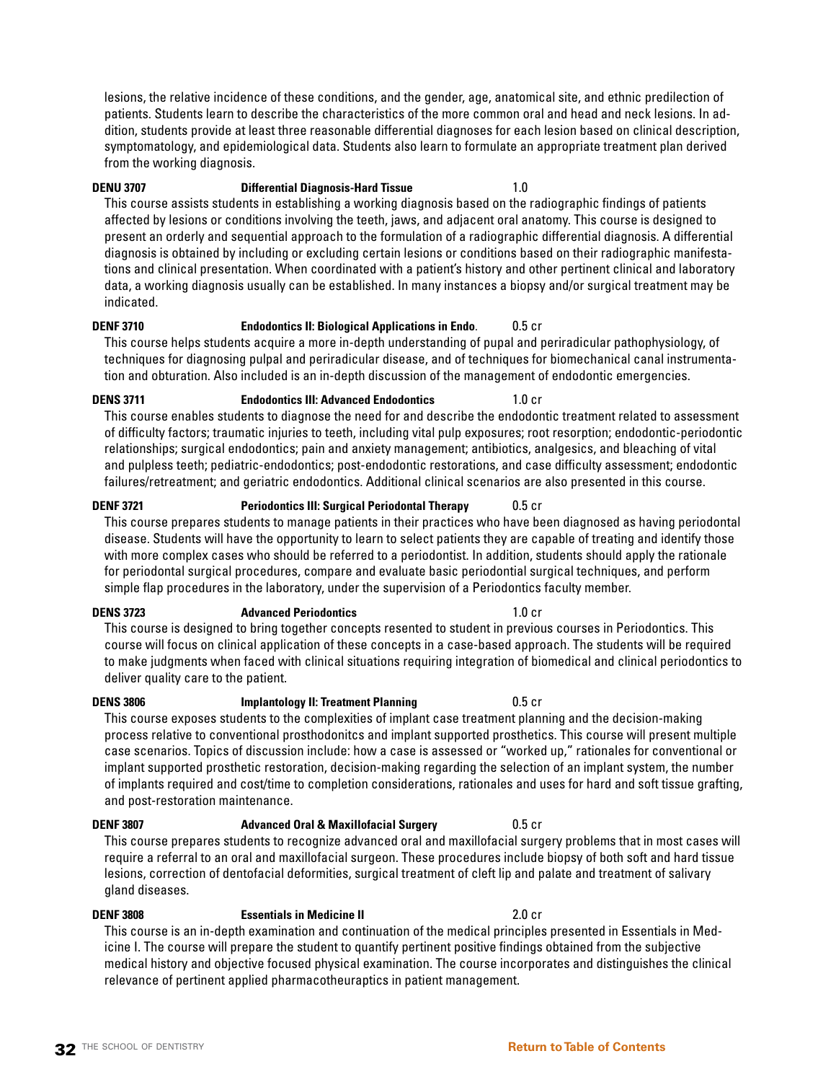lesions, the relative incidence of these conditions, and the gender, age, anatomical site, and ethnic predilection of patients. Students learn to describe the characteristics of the more common oral and head and neck lesions. In addition, students provide at least three reasonable differential diagnoses for each lesion based on clinical description, symptomatology, and epidemiological data. Students also learn to formulate an appropriate treatment plan derived from the working diagnosis.

## **DENU 3707 Differential Diagnosis-Hard Tissue** 1.0

This course assists students in establishing a working diagnosis based on the radiographic findings of patients affected by lesions or conditions involving the teeth, jaws, and adjacent oral anatomy. This course is designed to present an orderly and sequential approach to the formulation of a radiographic differential diagnosis. A differential diagnosis is obtained by including or excluding certain lesions or conditions based on their radiographic manifestations and clinical presentation. When coordinated with a patient's history and other pertinent clinical and laboratory data, a working diagnosis usually can be established. In many instances a biopsy and/or surgical treatment may be indicated.

## **DENF 3710 Endodontics II: Biological Applications in Endo**. 0.5 cr

This course helps students acquire a more in-depth understanding of pupal and periradicular pathophysiology, of techniques for diagnosing pulpal and periradicular disease, and of techniques for biomechanical canal instrumentation and obturation. Also included is an in-depth discussion of the management of endodontic emergencies.

## **DENS 3711 Endodontics III: Advanced Endodontics** 1.0 cr This course enables students to diagnose the need for and describe the endodontic treatment related to assessment of difficulty factors; traumatic injuries to teeth, including vital pulp exposures; root resorption; endodontic-periodontic relationships; surgical endodontics; pain and anxiety management; antibiotics, analgesics, and bleaching of vital and pulpless teeth; pediatric-endodontics; post-endodontic restorations, and case difficulty assessment; endodontic

## **DENF 3721 Periodontics III: Surgical Periodontal Therapy** 0.5 cr This course prepares students to manage patients in their practices who have been diagnosed as having periodontal disease. Students will have the opportunity to learn to select patients they are capable of treating and identify those with more complex cases who should be referred to a periodontist. In addition, students should apply the rationale for periodontal surgical procedures, compare and evaluate basic periodontial surgical techniques, and perform simple flap procedures in the laboratory, under the supervision of a Periodontics faculty member.

failures/retreatment; and geriatric endodontics. Additional clinical scenarios are also presented in this course.

**DENS 3723 Advanced Periodontics** 1.0 cr This course is designed to bring together concepts resented to student in previous courses in Periodontics. This course will focus on clinical application of these concepts in a case-based approach. The students will be required to make judgments when faced with clinical situations requiring integration of biomedical and clinical periodontics to deliver quality care to the patient.

This course exposes students to the complexities of implant case treatment planning and the decision-making process relative to conventional prosthodonitcs and implant supported prosthetics. This course will present multiple case scenarios. Topics of discussion include: how a case is assessed or "worked up," rationales for conventional or

implant supported prosthetic restoration, decision-making regarding the selection of an implant system, the number of implants required and cost/time to completion considerations, rationales and uses for hard and soft tissue grafting, and post-restoration maintenance.

**DENF 3807 Advanced Oral & Maxillofacial Surgery** 0.5 cr This course prepares students to recognize advanced oral and maxillofacial surgery problems that in most cases will require a referral to an oral and maxillofacial surgeon. These procedures include biopsy of both soft and hard tissue lesions, correction of dentofacial deformities, surgical treatment of cleft lip and palate and treatment of salivary gland diseases.

**DENF 3808 Essentials in Medicine II** 2.0 cr This course is an in-depth examination and continuation of the medical principles presented in Essentials in Medicine I. The course will prepare the student to quantify pertinent positive findings obtained from the subjective medical history and objective focused physical examination. The course incorporates and distinguishes the clinical relevance of pertinent applied pharmacotheuraptics in patient management.

## **32** THE SCHOOL OF DENTISTRY **[Return to Table of Contents](#page-2-0)**

## **DENS 3806 Implantology II: Treatment Planning COLOGY COLOGY**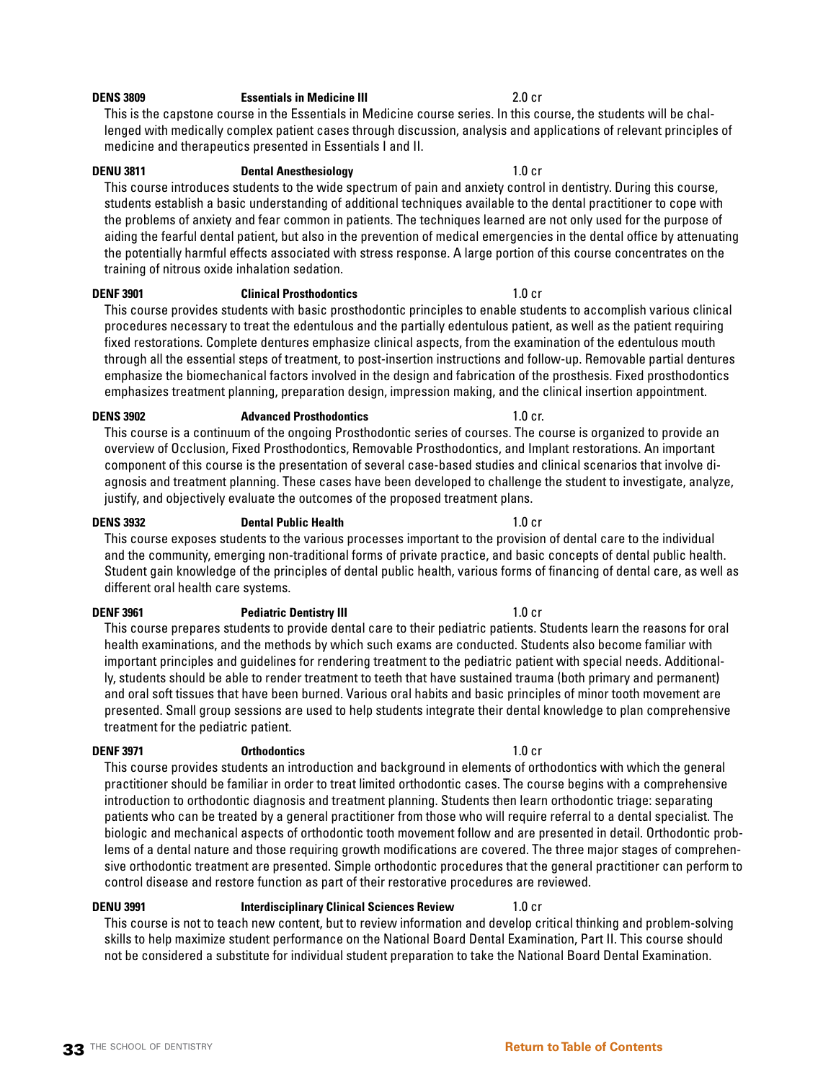## **DENS 3809 Essentials in Medicine III** 2.0 cr

This is the capstone course in the Essentials in Medicine course series. In this course, the students will be challenged with medically complex patient cases through discussion, analysis and applications of relevant principles of medicine and therapeutics presented in Essentials I and II.

## **DENU 3811 Dental Anesthesiology** 1.0 cr

This course introduces students to the wide spectrum of pain and anxiety control in dentistry. During this course, students establish a basic understanding of additional techniques available to the dental practitioner to cope with the problems of anxiety and fear common in patients. The techniques learned are not only used for the purpose of aiding the fearful dental patient, but also in the prevention of medical emergencies in the dental office by attenuating the potentially harmful effects associated with stress response. A large portion of this course concentrates on the training of nitrous oxide inhalation sedation.

## **DENF 3901 Clinical Prosthodontics** 1.0 cr

This course provides students with basic prosthodontic principles to enable students to accomplish various clinical procedures necessary to treat the edentulous and the partially edentulous patient, as well as the patient requiring fixed restorations. Complete dentures emphasize clinical aspects, from the examination of the edentulous mouth through all the essential steps of treatment, to post-insertion instructions and follow-up. Removable partial dentures emphasize the biomechanical factors involved in the design and fabrication of the prosthesis. Fixed prosthodontics emphasizes treatment planning, preparation design, impression making, and the clinical insertion appointment.

**DENS 3902 Advanced Prosthodontics 1.0 cr.** This course is a continuum of the ongoing Prosthodontic series of courses. The course is organized to provide an overview of Occlusion, Fixed Prosthodontics, Removable Prosthodontics, and Implant restorations. An important component of this course is the presentation of several case-based studies and clinical scenarios that involve diagnosis and treatment planning. These cases have been developed to challenge the student to investigate, analyze, justify, and objectively evaluate the outcomes of the proposed treatment plans.

## **DENS 3932 Dental Public Health** 1.0 cr

This course exposes students to the various processes important to the provision of dental care to the individual and the community, emerging non-traditional forms of private practice, and basic concepts of dental public health. Student gain knowledge of the principles of dental public health, various forms of financing of dental care, as well as different oral health care systems.

## **DENF 3961 Pediatric Dentistry III 1.0 cr**

This course prepares students to provide dental care to their pediatric patients. Students learn the reasons for oral health examinations, and the methods by which such exams are conducted. Students also become familiar with important principles and guidelines for rendering treatment to the pediatric patient with special needs. Additionally, students should be able to render treatment to teeth that have sustained trauma (both primary and permanent) and oral soft tissues that have been burned. Various oral habits and basic principles of minor tooth movement are presented. Small group sessions are used to help students integrate their dental knowledge to plan comprehensive treatment for the pediatric patient.

## **DENF 3971 Orthodontics** 1.0 cr

This course provides students an introduction and background in elements of orthodontics with which the general practitioner should be familiar in order to treat limited orthodontic cases. The course begins with a comprehensive introduction to orthodontic diagnosis and treatment planning. Students then learn orthodontic triage: separating patients who can be treated by a general practitioner from those who will require referral to a dental specialist. The biologic and mechanical aspects of orthodontic tooth movement follow and are presented in detail. Orthodontic problems of a dental nature and those requiring growth modifications are covered. The three major stages of comprehensive orthodontic treatment are presented. Simple orthodontic procedures that the general practitioner can perform to control disease and restore function as part of their restorative procedures are reviewed.

**DENU 3991 Interdisciplinary Clinical Sciences Review** 1.0 cr This course is not to teach new content, but to review information and develop critical thinking and problem-solving skills to help maximize student performance on the National Board Dental Examination, Part II. This course should not be considered a substitute for individual student preparation to take the National Board Dental Examination.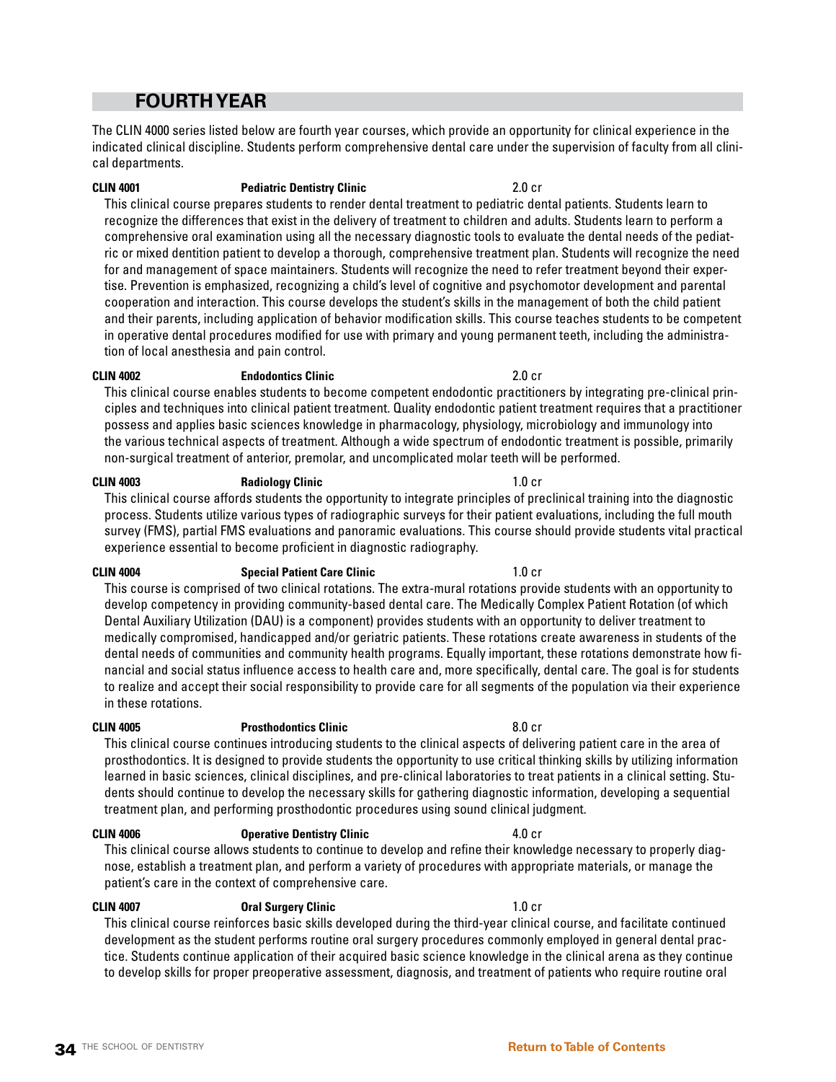## **FOURTH YEAR**

The CLIN 4000 series listed below are fourth year courses, which provide an opportunity for clinical experience in the indicated clinical discipline. Students perform comprehensive dental care under the supervision of faculty from all clinical departments.

## **CLIN 4001 Pediatric Dentistry Clinic** 2.0 cr

This clinical course prepares students to render dental treatment to pediatric dental patients. Students learn to recognize the differences that exist in the delivery of treatment to children and adults. Students learn to perform a comprehensive oral examination using all the necessary diagnostic tools to evaluate the dental needs of the pediatric or mixed dentition patient to develop a thorough, comprehensive treatment plan. Students will recognize the need for and management of space maintainers. Students will recognize the need to refer treatment beyond their expertise. Prevention is emphasized, recognizing a child's level of cognitive and psychomotor development and parental cooperation and interaction. This course develops the student's skills in the management of both the child patient and their parents, including application of behavior modification skills. This course teaches students to be competent in operative dental procedures modified for use with primary and young permanent teeth, including the administration of local anesthesia and pain control.

### **CLIN 4002 Endodontics Clinic** 2.0 cr

This clinical course enables students to become competent endodontic practitioners by integrating pre-clinical principles and techniques into clinical patient treatment. Quality endodontic patient treatment requires that a practitioner possess and applies basic sciences knowledge in pharmacology, physiology, microbiology and immunology into the various technical aspects of treatment. Although a wide spectrum of endodontic treatment is possible, primarily non-surgical treatment of anterior, premolar, and uncomplicated molar teeth will be performed.

## **CLIN 4003 Radiology Clinic CLIN 4003 1.0 cr**

This clinical course affords students the opportunity to integrate principles of preclinical training into the diagnostic process. Students utilize various types of radiographic surveys for their patient evaluations, including the full mouth survey (FMS), partial FMS evaluations and panoramic evaluations. This course should provide students vital practical experience essential to become proficient in diagnostic radiography.

## **CLIN 4004 Special Patient Care Clinic CLIN 4004 1.0 cr**

This course is comprised of two clinical rotations. The extra-mural rotations provide students with an opportunity to develop competency in providing community-based dental care. The Medically Complex Patient Rotation (of which Dental Auxiliary Utilization (DAU) is a component) provides students with an opportunity to deliver treatment to medically compromised, handicapped and/or geriatric patients. These rotations create awareness in students of the dental needs of communities and community health programs. Equally important, these rotations demonstrate how financial and social status influence access to health care and, more specifically, dental care. The goal is for students to realize and accept their social responsibility to provide care for all segments of the population via their experience in these rotations.

### **CLIN 4005 Prosthodontics Clinic** 8.0 cr

## This clinical course continues introducing students to the clinical aspects of delivering patient care in the area of prosthodontics. It is designed to provide students the opportunity to use critical thinking skills by utilizing information learned in basic sciences, clinical disciplines, and pre-clinical laboratories to treat patients in a clinical setting. Students should continue to develop the necessary skills for gathering diagnostic information, developing a sequential treatment plan, and performing prosthodontic procedures using sound clinical judgment.

## **CLIN 4006 Operative Dentistry Clinic** 4.0 cr This clinical course allows students to continue to develop and refine their knowledge necessary to properly diagnose, establish a treatment plan, and perform a variety of procedures with appropriate materials, or manage the patient's care in the context of comprehensive care.

## **CLIN 4007 Oral Surgery Clinic** 1.0 cr

This clinical course reinforces basic skills developed during the third-year clinical course, and facilitate continued development as the student performs routine oral surgery procedures commonly employed in general dental practice. Students continue application of their acquired basic science knowledge in the clinical arena as they continue to develop skills for proper preoperative assessment, diagnosis, and treatment of patients who require routine oral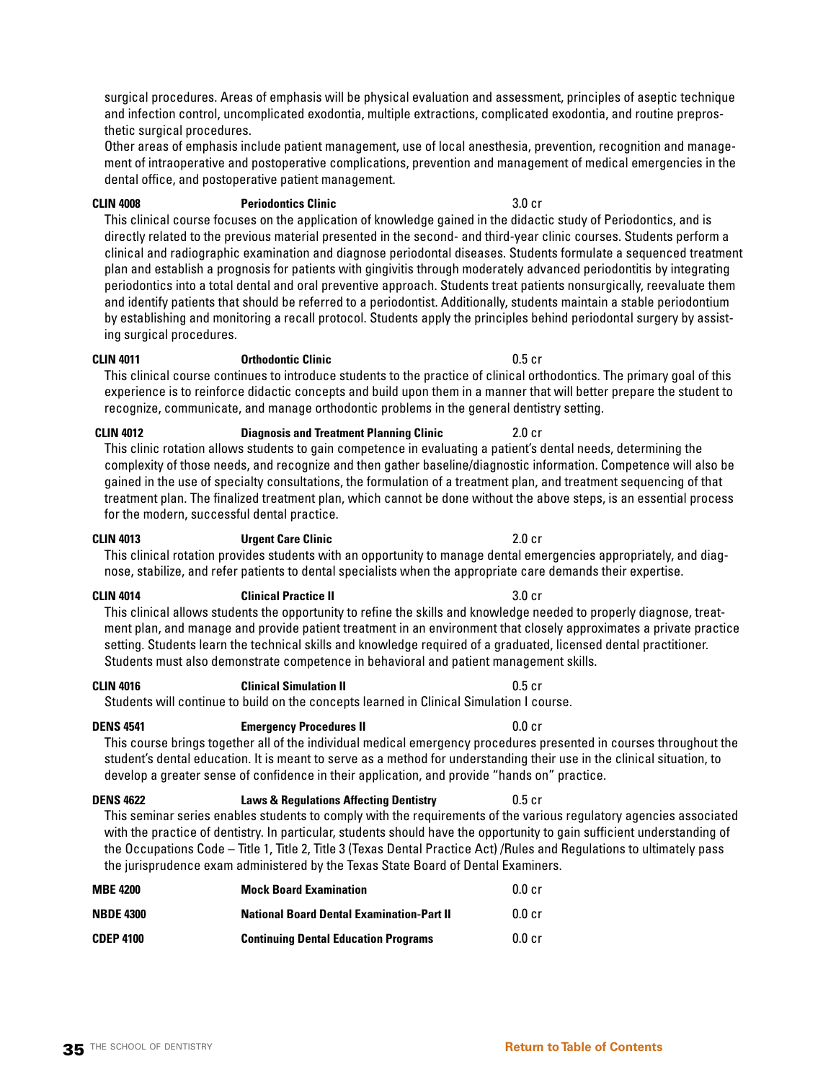surgical procedures. Areas of emphasis will be physical evaluation and assessment, principles of aseptic technique and infection control, uncomplicated exodontia, multiple extractions, complicated exodontia, and routine preprosthetic surgical procedures.

Other areas of emphasis include patient management, use of local anesthesia, prevention, recognition and management of intraoperative and postoperative complications, prevention and management of medical emergencies in the dental office, and postoperative patient management.

### **CLIN 4008 Periodontics Clinic** 3.0 cr

This clinical course focuses on the application of knowledge gained in the didactic study of Periodontics, and is directly related to the previous material presented in the second- and third-year clinic courses. Students perform a clinical and radiographic examination and diagnose periodontal diseases. Students formulate a sequenced treatment plan and establish a prognosis for patients with gingivitis through moderately advanced periodontitis by integrating periodontics into a total dental and oral preventive approach. Students treat patients nonsurgically, reevaluate them and identify patients that should be referred to a periodontist. Additionally, students maintain a stable periodontium by establishing and monitoring a recall protocol. Students apply the principles behind periodontal surgery by assisting surgical procedures.

### **CLIN 4011 Orthodontic Clinic** 0.5 cr

This clinical course continues to introduce students to the practice of clinical orthodontics. The primary goal of this experience is to reinforce didactic concepts and build upon them in a manner that will better prepare the student to recognize, communicate, and manage orthodontic problems in the general dentistry setting.

 **CLIN 4012 Diagnosis and Treatment Planning Clinic** 2.0 cr This clinic rotation allows students to gain competence in evaluating a patient's dental needs, determining the complexity of those needs, and recognize and then gather baseline/diagnostic information. Competence will also be gained in the use of specialty consultations, the formulation of a treatment plan, and treatment sequencing of that treatment plan. The finalized treatment plan, which cannot be done without the above steps, is an essential process for the modern, successful dental practice.

### **CLIN 4013 Urgent Care Clinic** 2.0 cr

This clinical rotation provides students with an opportunity to manage dental emergencies appropriately, and diagnose, stabilize, and refer patients to dental specialists when the appropriate care demands their expertise.

### **CLIN 4014 Clinical Practice II** 3.0 cr

This clinical allows students the opportunity to refine the skills and knowledge needed to properly diagnose, treatment plan, and manage and provide patient treatment in an environment that closely approximates a private practice setting. Students learn the technical skills and knowledge required of a graduated, licensed dental practitioner. Students must also demonstrate competence in behavioral and patient management skills.

### **CLIN 4016 Clinical Simulation II** 0.5 cr

Students will continue to build on the concepts learned in Clinical Simulation I course.

### **DENS 4541 Emergency Procedures II DENS 4541 0.0 cr**

This course brings together all of the individual medical emergency procedures presented in courses throughout the student's dental education. It is meant to serve as a method for understanding their use in the clinical situation, to develop a greater sense of confidence in their application, and provide "hands on" practice.

## **DENS 4622 Laws & Regulations Affecting Dentistry** 0.5 cr

This seminar series enables students to comply with the requirements of the various regulatory agencies associated with the practice of dentistry. In particular, students should have the opportunity to gain sufficient understanding of the Occupations Code – Title 1, Title 2, Title 3 (Texas Dental Practice Act) /Rules and Regulations to ultimately pass the jurisprudence exam administered by the Texas State Board of Dental Examiners.

| <b>MBE 4200</b>  | <b>Mock Board Examination</b>                    | 0.0 c <sub>r</sub> |
|------------------|--------------------------------------------------|--------------------|
| <b>NBDE 4300</b> | <b>National Board Dental Examination-Part II</b> | $0.0 c$ r          |
| <b>CDEP 4100</b> | <b>Continuing Dental Education Programs</b>      | $0.0 c$ r          |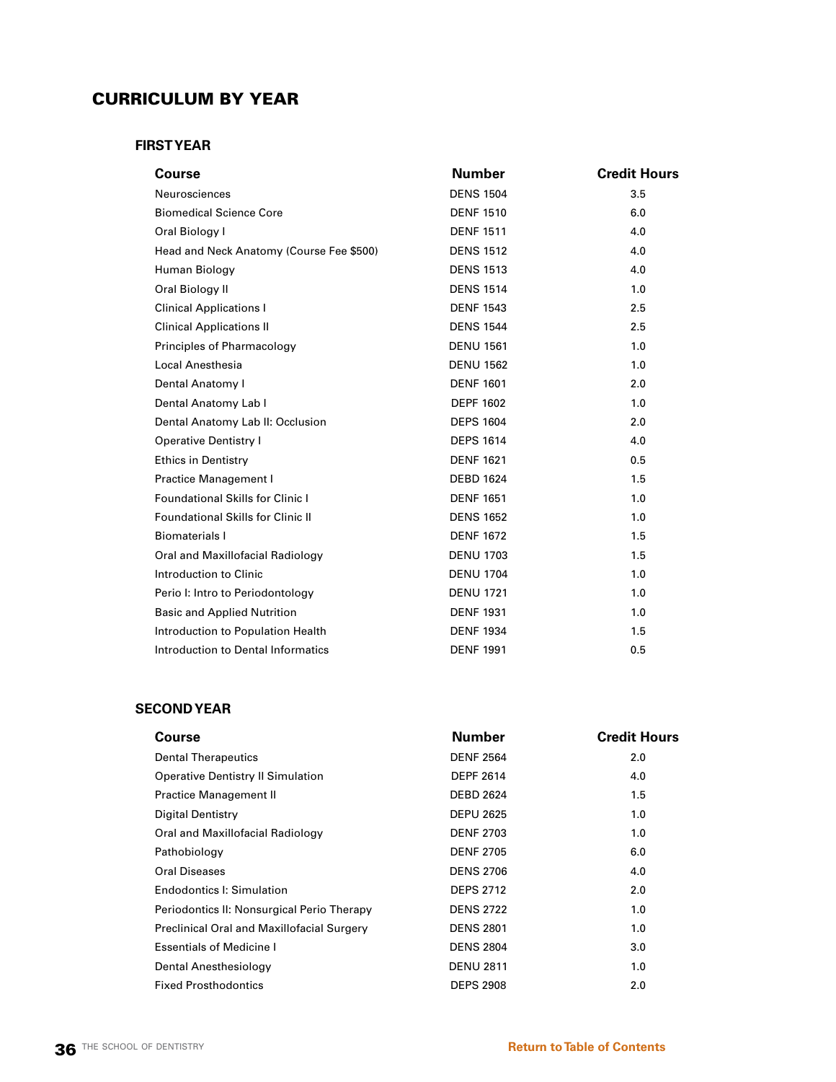## CURRICULUM BY YEAR

## **FIRST YEAR**

| Course                                   | <b>Number</b>    | <b>Credit Hours</b> |
|------------------------------------------|------------------|---------------------|
| Neurosciences                            | <b>DENS 1504</b> | 3.5                 |
| <b>Biomedical Science Core</b>           | <b>DENF 1510</b> | 6.0                 |
| Oral Biology I                           | <b>DENF 1511</b> | 4.0                 |
| Head and Neck Anatomy (Course Fee \$500) | <b>DENS 1512</b> | 4.0                 |
| Human Biology                            | <b>DENS 1513</b> | 4.0                 |
| Oral Biology II                          | <b>DENS 1514</b> | 1.0                 |
| <b>Clinical Applications I</b>           | <b>DENF 1543</b> | 2.5                 |
| <b>Clinical Applications II</b>          | <b>DENS 1544</b> | 2.5                 |
| Principles of Pharmacology               | <b>DENU 1561</b> | 1.0                 |
| Local Anesthesia                         | <b>DENU 1562</b> | 1.0                 |
| Dental Anatomy I                         | <b>DENF 1601</b> | 2.0                 |
| Dental Anatomy Lab I                     | <b>DEPF 1602</b> | 1.0                 |
| Dental Anatomy Lab II: Occlusion         | <b>DEPS 1604</b> | 2.0                 |
| <b>Operative Dentistry I</b>             | <b>DEPS 1614</b> | 4.0                 |
| <b>Ethics in Dentistry</b>               | <b>DENF 1621</b> | 0.5                 |
| Practice Management I                    | <b>DEBD 1624</b> | 1.5                 |
| Foundational Skills for Clinic I         | <b>DENF 1651</b> | 1.0                 |
| <b>Foundational Skills for Clinic II</b> | <b>DENS 1652</b> | 1.0                 |
| <b>Biomaterials I</b>                    | <b>DENF 1672</b> | 1.5                 |
| Oral and Maxillofacial Radiology         | <b>DENU 1703</b> | 1.5                 |
| Introduction to Clinic                   | <b>DENU 1704</b> | 1.0                 |
| Perio I: Intro to Periodontology         | <b>DENU 1721</b> | 1.0                 |
| <b>Basic and Applied Nutrition</b>       | <b>DENF 1931</b> | 1.0                 |
| Introduction to Population Health        | <b>DENF 1934</b> | 1.5                 |
| Introduction to Dental Informatics       | <b>DENF 1991</b> | 0.5                 |
|                                          |                  |                     |

## **SECOND YEAR**

| Course                                     | <b>Number</b>    | <b>Credit Hours</b> |
|--------------------------------------------|------------------|---------------------|
| <b>Dental Therapeutics</b>                 | <b>DENF 2564</b> | 2.0                 |
| <b>Operative Dentistry II Simulation</b>   | <b>DEPF 2614</b> | 4.0                 |
| Practice Management II                     | <b>DEBD 2624</b> | 1.5                 |
| Digital Dentistry                          | <b>DEPU 2625</b> | 1.0                 |
| Oral and Maxillofacial Radiology           | <b>DENF 2703</b> | 1.0                 |
| Pathobiology                               | <b>DENF 2705</b> | 6.0                 |
| Oral Diseases                              | <b>DENS 2706</b> | 4.0                 |
| Endodontics I: Simulation                  | <b>DEPS 2712</b> | 2.0                 |
| Periodontics II: Nonsurgical Perio Therapy | <b>DENS 2722</b> | 1.0                 |
| Preclinical Oral and Maxillofacial Surgery | <b>DENS 2801</b> | 1.0                 |
| <b>Essentials of Medicine I</b>            | <b>DENS 2804</b> | 3.0                 |
| Dental Anesthesiology                      | <b>DENU 2811</b> | 1.0                 |
| <b>Fixed Prosthodontics</b>                | <b>DEPS 2908</b> | 2.0                 |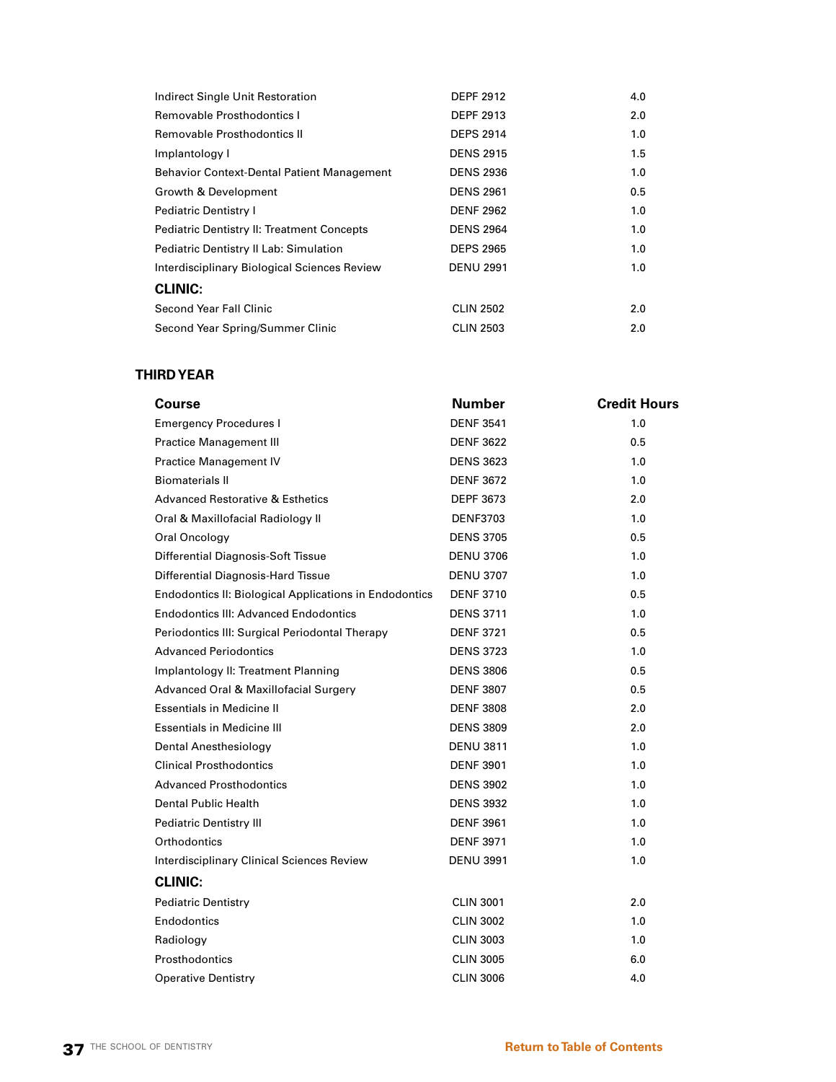| Indirect Single Unit Restoration                  | <b>DEPF 2912</b> | 4.0 |
|---------------------------------------------------|------------------|-----|
| <b>Removable Prosthodontics I</b>                 | <b>DEPF 2913</b> | 2.0 |
| Removable Prosthodontics II                       | <b>DEPS 2914</b> | 1.0 |
| Implantology I                                    | <b>DENS 2915</b> | 1.5 |
| <b>Behavior Context-Dental Patient Management</b> | <b>DENS 2936</b> | 1.0 |
| Growth & Development                              | <b>DENS 2961</b> | 0.5 |
| Pediatric Dentistry I                             | <b>DENF 2962</b> | 1.0 |
| <b>Pediatric Dentistry II: Treatment Concepts</b> | <b>DENS 2964</b> | 1.0 |
| Pediatric Dentistry II Lab: Simulation            | <b>DEPS 2965</b> | 1.0 |
| Interdisciplinary Biological Sciences Review      | <b>DENU 2991</b> | 1.0 |
| <b>CLINIC:</b>                                    |                  |     |
| Second Year Fall Clinic                           | <b>CLIN 2502</b> | 2.0 |
| Second Year Spring/Summer Clinic                  | <b>CLIN 2503</b> | 2.0 |

# **THIRD YEAR**

| Course                                                        | <b>Number</b>    | <b>Credit Hours</b> |
|---------------------------------------------------------------|------------------|---------------------|
| <b>Emergency Procedures I</b>                                 | <b>DENF 3541</b> | 1.0                 |
| <b>Practice Management III</b>                                | <b>DENF 3622</b> | 0.5                 |
| Practice Management IV                                        | <b>DENS 3623</b> | 1.0                 |
| <b>Biomaterials II</b>                                        | <b>DENF 3672</b> | 1.0                 |
| <b>Advanced Restorative &amp; Esthetics</b>                   | <b>DEPF 3673</b> | 2.0                 |
| Oral & Maxillofacial Radiology II                             | <b>DENF3703</b>  | 1.0                 |
| Oral Oncology                                                 | <b>DENS 3705</b> | 0.5                 |
| Differential Diagnosis-Soft Tissue                            | <b>DENU 3706</b> | 1.0                 |
| Differential Diagnosis-Hard Tissue                            | <b>DENU 3707</b> | 1.0                 |
| <b>Endodontics II: Biological Applications in Endodontics</b> | <b>DENF 3710</b> | 0.5                 |
| <b>Endodontics III: Advanced Endodontics</b>                  | <b>DENS 3711</b> | 1.0                 |
| Periodontics III: Surgical Periodontal Therapy                | <b>DENF 3721</b> | 0.5                 |
| <b>Advanced Periodontics</b>                                  | <b>DENS 3723</b> | 1.0                 |
| Implantology II: Treatment Planning                           | <b>DENS 3806</b> | 0.5                 |
| Advanced Oral & Maxillofacial Surgery                         | <b>DENF 3807</b> | 0.5                 |
| <b>Essentials in Medicine II</b>                              | <b>DENF 3808</b> | 2.0                 |
| <b>Essentials in Medicine III</b>                             | <b>DENS 3809</b> | 2.0                 |
| Dental Anesthesiology                                         | <b>DENU 3811</b> | 1.0                 |
| <b>Clinical Prosthodontics</b>                                | <b>DENF 3901</b> | 1.0                 |
| <b>Advanced Prosthodontics</b>                                | <b>DENS 3902</b> | 1.0                 |
| Dental Public Health                                          | <b>DENS 3932</b> | 1.0                 |
| <b>Pediatric Dentistry III</b>                                | <b>DENF 3961</b> | 1.0                 |
| Orthodontics                                                  | <b>DENF 3971</b> | 1.0                 |
| <b>Interdisciplinary Clinical Sciences Review</b>             | <b>DENU 3991</b> | 1.0                 |
| <b>CLINIC:</b>                                                |                  |                     |
| <b>Pediatric Dentistry</b>                                    | <b>CLIN 3001</b> | 2.0                 |
| <b>Endodontics</b>                                            | <b>CLIN 3002</b> | 1.0                 |
| Radiology                                                     | <b>CLIN 3003</b> | 1.0                 |
| <b>Prosthodontics</b>                                         | <b>CLIN 3005</b> | 6.0                 |
| <b>Operative Dentistry</b>                                    | <b>CLIN 3006</b> | 4.0                 |
|                                                               |                  |                     |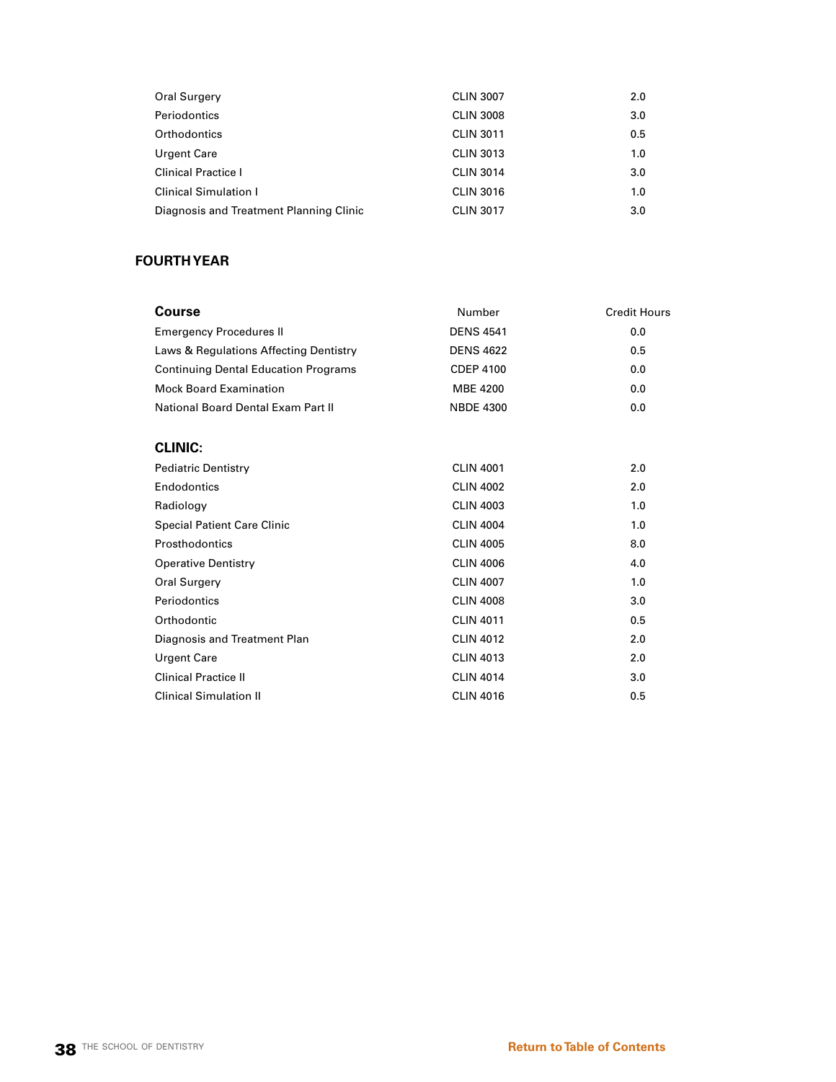| Oral Surgery                            | <b>CLIN 3007</b> | 2.0 |
|-----------------------------------------|------------------|-----|
| Periodontics                            | <b>CLIN 3008</b> | 3.0 |
| Orthodontics                            | <b>CLIN 3011</b> | 0.5 |
| Urgent Care                             | <b>CLIN 3013</b> | 1.0 |
| <b>Clinical Practice I</b>              | <b>CLIN 3014</b> | 3.0 |
| <b>Clinical Simulation I</b>            | <b>CLIN 3016</b> | 1.0 |
| Diagnosis and Treatment Planning Clinic | <b>CLIN 3017</b> | 3.0 |

# **FOURTH YEAR**

| Number           | <b>Credit Hours</b> |
|------------------|---------------------|
| <b>DENS 4541</b> | 0.0                 |
| <b>DENS 4622</b> | 0.5                 |
| <b>CDEP 4100</b> | 0.0                 |
| <b>MBE 4200</b>  | 0.0                 |
| <b>NBDE 4300</b> | 0.0                 |
|                  |                     |
| <b>CLIN 4001</b> | 2.0                 |
| <b>CLIN 4002</b> | 2.0                 |
| <b>CLIN 4003</b> | 1.0                 |
| <b>CLIN 4004</b> | 1.0                 |
| <b>CLIN 4005</b> | 8.0                 |
| <b>CLIN 4006</b> | 4.0                 |
| <b>CLIN 4007</b> | 1.0                 |
| <b>CLIN 4008</b> | 3.0                 |
| <b>CLIN 4011</b> | 0.5                 |
| <b>CLIN 4012</b> | 2.0                 |
| <b>CLIN 4013</b> | 2.0                 |
| <b>CLIN 4014</b> | 3.0                 |
| <b>CLIN 4016</b> | 0.5                 |
|                  |                     |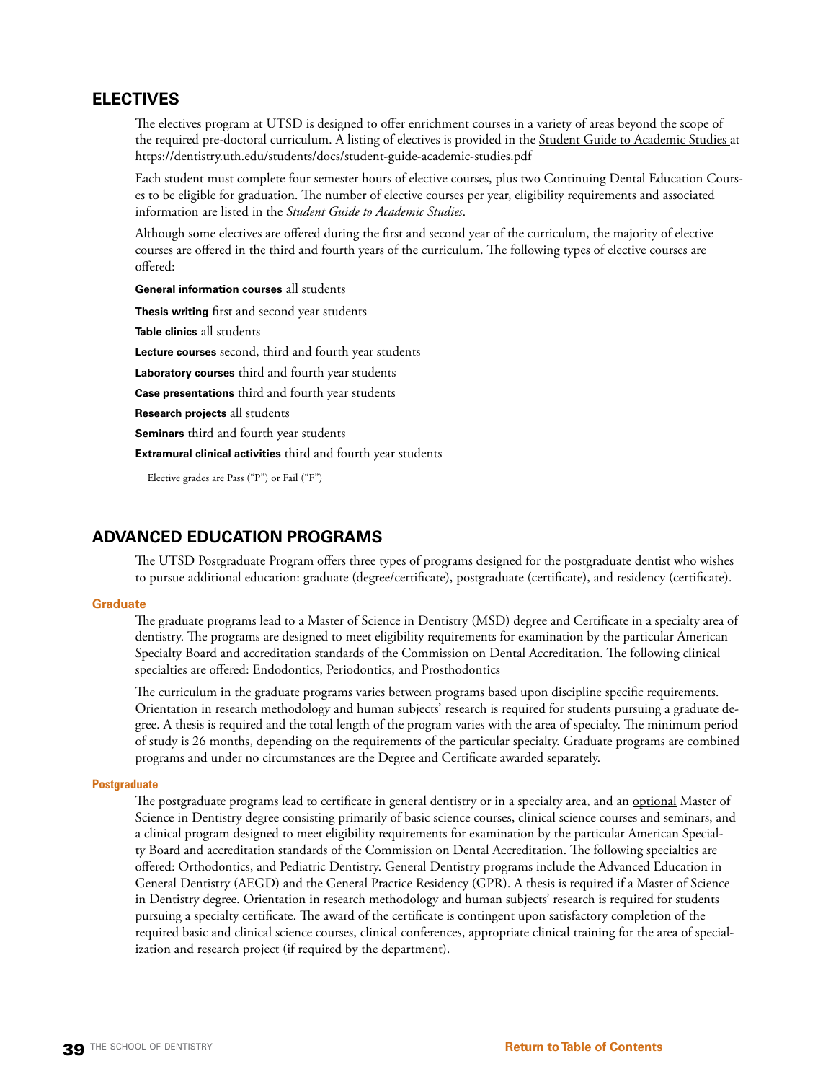# **ELECTIVES**

The electives program at UTSD is designed to offer enrichment courses in a variety of areas beyond the scope of the required pre-doctoral curriculum. A listing of electives is provided in the Student Guide to Academic Studies at https://dentistry.uth.edu/students/docs/student-guide-academic-studies.pdf

Each student must complete four semester hours of elective courses, plus two Continuing Dental Education Courses to be eligible for graduation. The number of elective courses per year, eligibility requirements and associated information are listed in the *Student Guide to Academic Studies*.

Although some electives are offered during the first and second year of the curriculum, the majority of elective courses are offered in the third and fourth years of the curriculum. The following types of elective courses are offered:

**General information courses** all students

**Thesis writing** first and second year students **Table clinics** all students **Lecture courses** second, third and fourth year students **Laboratory courses** third and fourth year students **Case presentations** third and fourth year students **Research projects** all students **Seminars** third and fourth year students **Extramural clinical activities** third and fourth year students

Elective grades are Pass ("P") or Fail ("F")

# **ADVANCED EDUCATION PROGRAMS**

The UTSD Postgraduate Program offers three types of programs designed for the postgraduate dentist who wishes to pursue additional education: graduate (degree/certificate), postgraduate (certificate), and residency (certificate).

#### **Graduate**

The graduate programs lead to a Master of Science in Dentistry (MSD) degree and Certificate in a specialty area of dentistry. The programs are designed to meet eligibility requirements for examination by the particular American Specialty Board and accreditation standards of the Commission on Dental Accreditation. The following clinical specialties are offered: Endodontics, Periodontics, and Prosthodontics

The curriculum in the graduate programs varies between programs based upon discipline specific requirements. Orientation in research methodology and human subjects' research is required for students pursuing a graduate degree. A thesis is required and the total length of the program varies with the area of specialty. The minimum period of study is 26 months, depending on the requirements of the particular specialty. Graduate programs are combined programs and under no circumstances are the Degree and Certificate awarded separately.

#### **Postgraduate**

The postgraduate programs lead to certificate in general dentistry or in a specialty area, and an optional Master of Science in Dentistry degree consisting primarily of basic science courses, clinical science courses and seminars, and a clinical program designed to meet eligibility requirements for examination by the particular American Specialty Board and accreditation standards of the Commission on Dental Accreditation. The following specialties are offered: Orthodontics, and Pediatric Dentistry. General Dentistry programs include the Advanced Education in General Dentistry (AEGD) and the General Practice Residency (GPR). A thesis is required if a Master of Science in Dentistry degree. Orientation in research methodology and human subjects' research is required for students pursuing a specialty certificate. The award of the certificate is contingent upon satisfactory completion of the required basic and clinical science courses, clinical conferences, appropriate clinical training for the area of specialization and research project (if required by the department).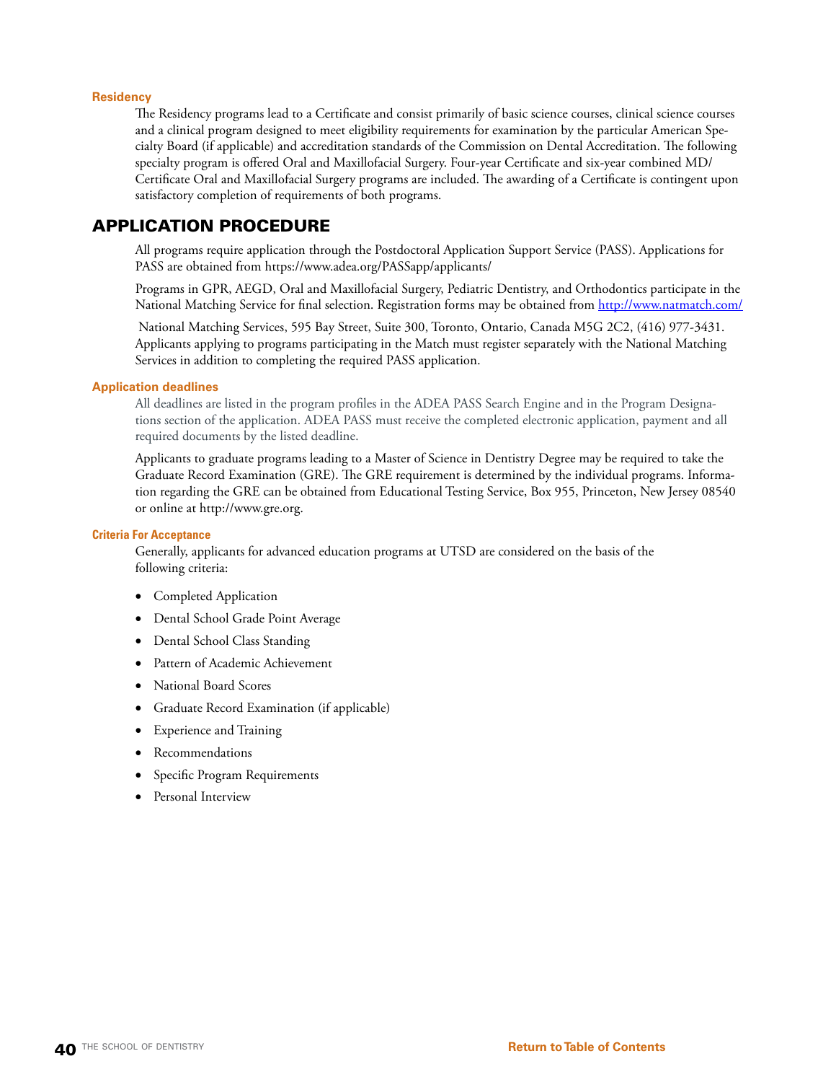# **Residency**

The Residency programs lead to a Certificate and consist primarily of basic science courses, clinical science courses and a clinical program designed to meet eligibility requirements for examination by the particular American Specialty Board (if applicable) and accreditation standards of the Commission on Dental Accreditation. The following specialty program is offered Oral and Maxillofacial Surgery. Four-year Certificate and six-year combined MD/ Certificate Oral and Maxillofacial Surgery programs are included. The awarding of a Certificate is contingent upon satisfactory completion of requirements of both programs.

# APPLICATION PROCEDURE

All programs require application through the Postdoctoral Application Support Service (PASS). Applications for PASS are obtained from https://www.adea.org/PASSapp/applicants/

Programs in GPR, AEGD, Oral and Maxillofacial Surgery, Pediatric Dentistry, and Orthodontics participate in the National Matching Service for final selection. Registration forms may be obtained from<http://www.natmatch.com/>

 National Matching Services, 595 Bay Street, Suite 300, Toronto, Ontario, Canada M5G 2C2, (416) 977-3431. Applicants applying to programs participating in the Match must register separately with the National Matching Services in addition to completing the required PASS application.

# **Application deadlines**

All deadlines are listed in the program profiles in the ADEA PASS Search Engine and in the Program Designations section of the application. ADEA PASS must receive the completed electronic application, payment and all required documents by the listed deadline.

Applicants to graduate programs leading to a Master of Science in Dentistry Degree may be required to take the Graduate Record Examination (GRE). The GRE requirement is determined by the individual programs. Information regarding the GRE can be obtained from Educational Testing Service, Box 955, Princeton, New Jersey 08540 or online at http://www.gre.org.

#### **Criteria For Acceptance**

Generally, applicants for advanced education programs at UTSD are considered on the basis of the following criteria:

- Completed Application
- Dental School Grade Point Average
- Dental School Class Standing
- Pattern of Academic Achievement
- • National Board Scores
- • Graduate Record Examination (if applicable)
- **Experience and Training**
- Recommendations
- Specific Program Requirements
- • Personal Interview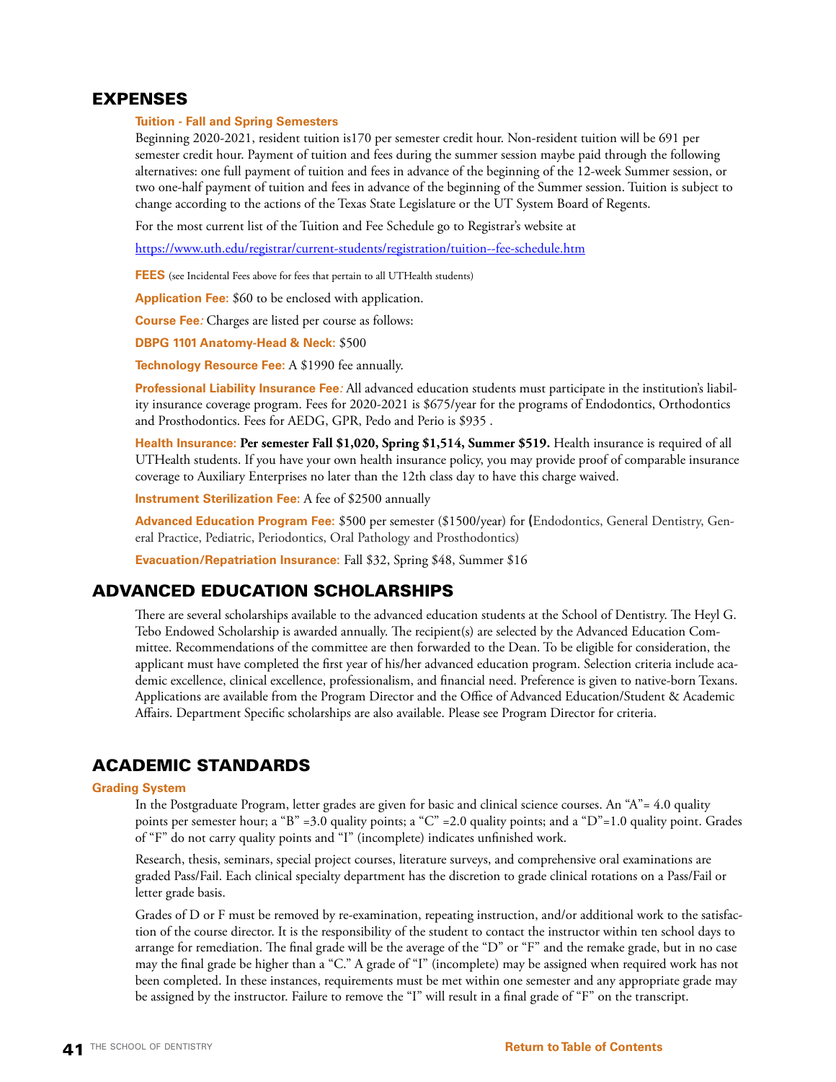# EXPENSES

### **Tuition - Fall and Spring Semesters**

Beginning 2020-2021, resident tuition is170 per semester credit hour. Non-resident tuition will be 691 per semester credit hour. Payment of tuition and fees during the summer session maybe paid through the following alternatives: one full payment of tuition and fees in advance of the beginning of the 12-week Summer session, or two one-half payment of tuition and fees in advance of the beginning of the Summer session. Tuition is subject to change according to the actions of the Texas State Legislature or the UT System Board of Regents.

For the most current list of the Tuition and Fee Schedule go to Registrar's website at

<https://www.uth.edu/registrar/current-students/registration/tuition--fee-schedule.htm>

**FEES** (see Incidental Fees above for fees that pertain to all UTHealth students)

**Application Fee:** \$60 to be enclosed with application.

**Course Fee***:* Charges are listed per course as follows:

**DBPG 1101 Anatomy-Head & Neck:** \$500

**Technology Resource Fee:** A \$1990 fee annually.

**Professional Liability Insurance Fee***:* All advanced education students must participate in the institution's liability insurance coverage program. Fees for 2020-2021 is \$675/year for the programs of Endodontics, Orthodontics and Prosthodontics. Fees for AEDG, GPR, Pedo and Perio is \$935 .

**Health Insurance: Per semester Fall \$1,020, Spring \$1,514, Summer \$519.** Health insurance is required of all UTHealth students. If you have your own health insurance policy, you may provide proof of comparable insurance coverage to Auxiliary Enterprises no later than the 12th class day to have this charge waived.

**Instrument Sterilization Fee:** A fee of \$2500 annually

**Advanced Education Program Fee:** \$500 per semester (\$1500/year) for **(**Endodontics, General Dentistry, General Practice, Pediatric, Periodontics, Oral Pathology and Prosthodontics)

**Evacuation/Repatriation Insurance:** Fall \$32, Spring \$48, Summer \$16

# ADVANCED EDUCATION SCHOLARSHIPS

There are several scholarships available to the advanced education students at the School of Dentistry. The Heyl G. Tebo Endowed Scholarship is awarded annually. The recipient(s) are selected by the Advanced Education Committee. Recommendations of the committee are then forwarded to the Dean. To be eligible for consideration, the applicant must have completed the first year of his/her advanced education program. Selection criteria include academic excellence, clinical excellence, professionalism, and financial need. Preference is given to native-born Texans. Applications are available from the Program Director and the Office of Advanced Education/Student & Academic Affairs. Department Specific scholarships are also available. Please see Program Director for criteria.

# ACADEMIC STANDARDS

#### **Grading System**

In the Postgraduate Program, letter grades are given for basic and clinical science courses. An "A"= 4.0 quality points per semester hour; a "B" =3.0 quality points; a "C" =2.0 quality points; and a "D"=1.0 quality point. Grades of "F" do not carry quality points and "I" (incomplete) indicates unfinished work.

Research, thesis, seminars, special project courses, literature surveys, and comprehensive oral examinations are graded Pass/Fail. Each clinical specialty department has the discretion to grade clinical rotations on a Pass/Fail or letter grade basis.

Grades of D or F must be removed by re-examination, repeating instruction, and/or additional work to the satisfaction of the course director. It is the responsibility of the student to contact the instructor within ten school days to arrange for remediation. The final grade will be the average of the "D" or "F" and the remake grade, but in no case may the final grade be higher than a "C." A grade of "I" (incomplete) may be assigned when required work has not been completed. In these instances, requirements must be met within one semester and any appropriate grade may be assigned by the instructor. Failure to remove the "I" will result in a final grade of "F" on the transcript.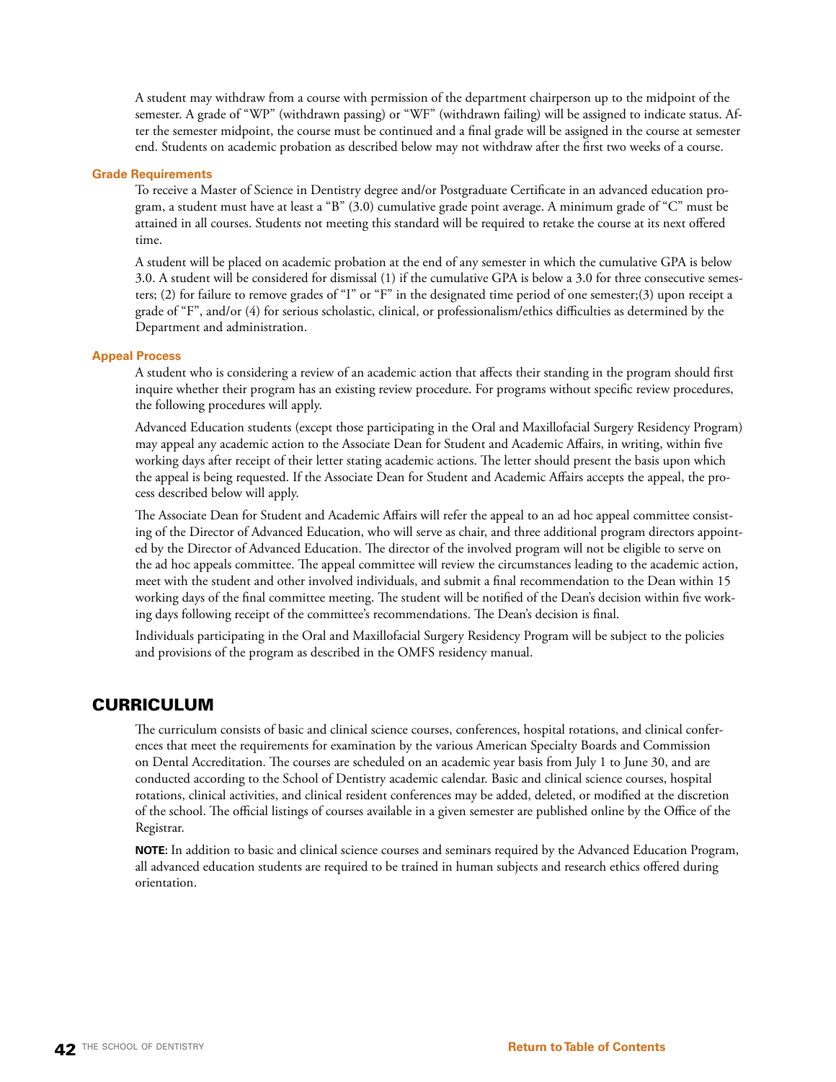A student may withdraw from a course with permission of the department chairperson up to the midpoint of the semester. A grade of "WP" (withdrawn passing) or "WF" (withdrawn failing) will be assigned to indicate status. After the semester midpoint, the course must be continued and a final grade will be assigned in the course at semester end. Students on academic probation as described below may not withdraw after the first two weeks of a course.

#### **Grade Requirements**

To receive a Master of Science in Dentistry degree and/or Postgraduate Certificate in an advanced education program, a student must have at least a "B" (3.0) cumulative grade point average. A minimum grade of "C" must be attained in all courses. Students not meeting this standard will be required to retake the course at its next offered time.

A student will be placed on academic probation at the end of any semester in which the cumulative GPA is below 3.0. A student will be considered for dismissal (1) if the cumulative GPA is below a 3.0 for three consecutive semesters; (2) for failure to remove grades of "I" or "F" in the designated time period of one semester;(3) upon receipt a grade of "F", and/or (4) for serious scholastic, clinical, or professionalism/ethics difficulties as determined by the Department and administration.

# **Appeal Process**

A student who is considering a review of an academic action that affects their standing in the program should first inquire whether their program has an existing review procedure. For programs without specific review procedures, the following procedures will apply.

Advanced Education students (except those participating in the Oral and Maxillofacial Surgery Residency Program) may appeal any academic action to the Associate Dean for Student and Academic Affairs, in writing, within five working days after receipt of their letter stating academic actions. The letter should present the basis upon which the appeal is being requested. If the Associate Dean for Student and Academic Affairs accepts the appeal, the process described below will apply.

The Associate Dean for Student and Academic Affairs will refer the appeal to an ad hoc appeal committee consisting of the Director of Advanced Education, who will serve as chair, and three additional program directors appointed by the Director of Advanced Education. The director of the involved program will not be eligible to serve on the ad hoc appeals committee. The appeal committee will review the circumstances leading to the academic action, meet with the student and other involved individuals, and submit a final recommendation to the Dean within 15 working days of the final committee meeting. The student will be notified of the Dean's decision within five working days following receipt of the committee's recommendations. The Dean's decision is final.

Individuals participating in the Oral and Maxillofacial Surgery Residency Program will be subject to the policies and provisions of the program as described in the OMFS residency manual.

# CURRICULUM

The curriculum consists of basic and clinical science courses, conferences, hospital rotations, and clinical conferences that meet the requirements for examination by the various American Specialty Boards and Commission on Dental Accreditation. The courses are scheduled on an academic year basis from July 1 to June 30, and are conducted according to the School of Dentistry academic calendar. Basic and clinical science courses, hospital rotations, clinical activities, and clinical resident conferences may be added, deleted, or modified at the discretion of the school. The official listings of courses available in a given semester are published online by the Office of the Registrar.

**NOTE:** In addition to basic and clinical science courses and seminars required by the Advanced Education Program, all advanced education students are required to be trained in human subjects and research ethics offered during orientation.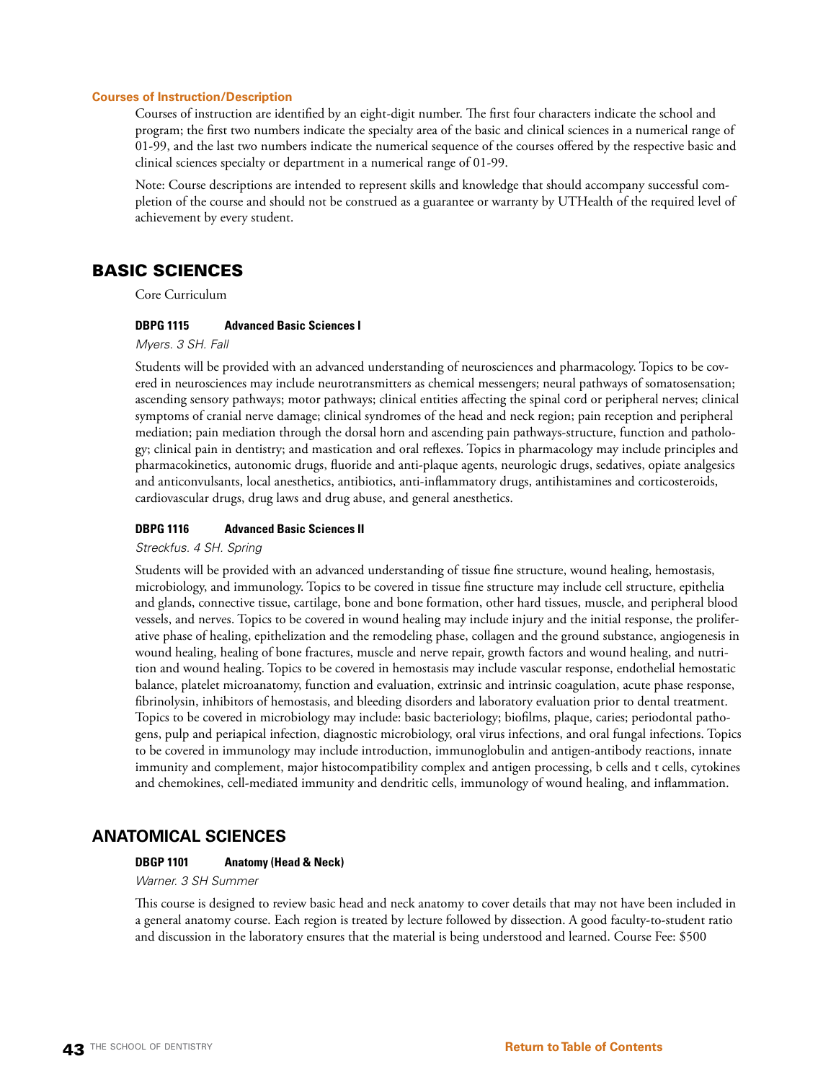#### **Courses of Instruction/Description**

Courses of instruction are identified by an eight-digit number. The first four characters indicate the school and program; the first two numbers indicate the specialty area of the basic and clinical sciences in a numerical range of 01-99, and the last two numbers indicate the numerical sequence of the courses offered by the respective basic and clinical sciences specialty or department in a numerical range of 01-99.

Note: Course descriptions are intended to represent skills and knowledge that should accompany successful completion of the course and should not be construed as a guarantee or warranty by UTHealth of the required level of achievement by every student.

# BASIC SCIENCES

Core Curriculum

# **DBPG 1115 Advanced Basic Sciences I**

*Myers. 3 SH. Fall*

Students will be provided with an advanced understanding of neurosciences and pharmacology. Topics to be covered in neurosciences may include neurotransmitters as chemical messengers; neural pathways of somatosensation; ascending sensory pathways; motor pathways; clinical entities affecting the spinal cord or peripheral nerves; clinical symptoms of cranial nerve damage; clinical syndromes of the head and neck region; pain reception and peripheral mediation; pain mediation through the dorsal horn and ascending pain pathways-structure, function and pathology; clinical pain in dentistry; and mastication and oral reflexes. Topics in pharmacology may include principles and pharmacokinetics, autonomic drugs, fluoride and anti-plaque agents, neurologic drugs, sedatives, opiate analgesics and anticonvulsants, local anesthetics, antibiotics, anti-inflammatory drugs, antihistamines and corticosteroids, cardiovascular drugs, drug laws and drug abuse, and general anesthetics.

# **DBPG 1116 Advanced Basic Sciences II**

# *Streckfus. 4 SH. Spring*

Students will be provided with an advanced understanding of tissue fine structure, wound healing, hemostasis, microbiology, and immunology. Topics to be covered in tissue fine structure may include cell structure, epithelia and glands, connective tissue, cartilage, bone and bone formation, other hard tissues, muscle, and peripheral blood vessels, and nerves. Topics to be covered in wound healing may include injury and the initial response, the proliferative phase of healing, epithelization and the remodeling phase, collagen and the ground substance, angiogenesis in wound healing, healing of bone fractures, muscle and nerve repair, growth factors and wound healing, and nutrition and wound healing. Topics to be covered in hemostasis may include vascular response, endothelial hemostatic balance, platelet microanatomy, function and evaluation, extrinsic and intrinsic coagulation, acute phase response, fibrinolysin, inhibitors of hemostasis, and bleeding disorders and laboratory evaluation prior to dental treatment. Topics to be covered in microbiology may include: basic bacteriology; biofilms, plaque, caries; periodontal pathogens, pulp and periapical infection, diagnostic microbiology, oral virus infections, and oral fungal infections. Topics to be covered in immunology may include introduction, immunoglobulin and antigen-antibody reactions, innate immunity and complement, major histocompatibility complex and antigen processing, b cells and t cells, cytokines and chemokines, cell-mediated immunity and dendritic cells, immunology of wound healing, and inflammation.

# **ANATOMICAL SCIENCES**

#### **DBGP 1101 Anatomy (Head & Neck)**

*Warner. 3 SH Summer*

This course is designed to review basic head and neck anatomy to cover details that may not have been included in a general anatomy course. Each region is treated by lecture followed by dissection. A good faculty-to-student ratio and discussion in the laboratory ensures that the material is being understood and learned. Course Fee: \$500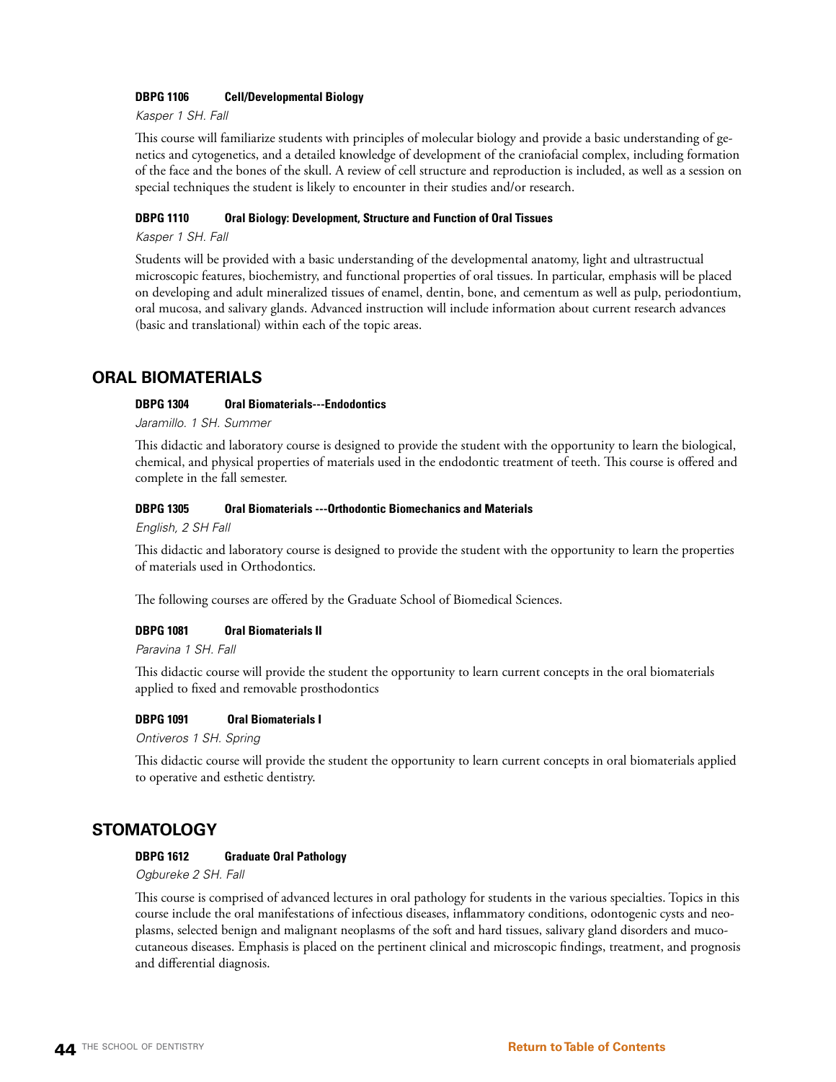# **DBPG 1106 Cell/Developmental Biology**

*Kasper 1 SH. Fall*

This course will familiarize students with principles of molecular biology and provide a basic understanding of genetics and cytogenetics, and a detailed knowledge of development of the craniofacial complex, including formation of the face and the bones of the skull. A review of cell structure and reproduction is included, as well as a session on special techniques the student is likely to encounter in their studies and/or research.

# **DBPG 1110 Oral Biology: Development, Structure and Function of Oral Tissues**

*Kasper 1 SH. Fall*

Students will be provided with a basic understanding of the developmental anatomy, light and ultrastructual microscopic features, biochemistry, and functional properties of oral tissues. In particular, emphasis will be placed on developing and adult mineralized tissues of enamel, dentin, bone, and cementum as well as pulp, periodontium, oral mucosa, and salivary glands. Advanced instruction will include information about current research advances (basic and translational) within each of the topic areas.

# **ORAL BIOMATERIALS**

# **DBPG 1304 Oral Biomaterials---Endodontics**

*Jaramillo. 1 SH. Summer*

This didactic and laboratory course is designed to provide the student with the opportunity to learn the biological, chemical, and physical properties of materials used in the endodontic treatment of teeth. This course is offered and complete in the fall semester.

#### **DBPG 1305 Oral Biomaterials ---Orthodontic Biomechanics and Materials**

*English, 2 SH Fall*

This didactic and laboratory course is designed to provide the student with the opportunity to learn the properties of materials used in Orthodontics.

The following courses are offered by the Graduate School of Biomedical Sciences.

# **DBPG 1081 Oral Biomaterials II**

*Paravina 1 SH. Fall*

This didactic course will provide the student the opportunity to learn current concepts in the oral biomaterials applied to fixed and removable prosthodontics

#### **DBPG 1091 Oral Biomaterials I**

*Ontiveros 1 SH. Spring*

This didactic course will provide the student the opportunity to learn current concepts in oral biomaterials applied to operative and esthetic dentistry.

# **STOMATOLOGY**

# **DBPG 1612 Graduate Oral Pathology**

*Ogbureke 2 SH. Fall*

This course is comprised of advanced lectures in oral pathology for students in the various specialties. Topics in this course include the oral manifestations of infectious diseases, inflammatory conditions, odontogenic cysts and neoplasms, selected benign and malignant neoplasms of the soft and hard tissues, salivary gland disorders and mucocutaneous diseases. Emphasis is placed on the pertinent clinical and microscopic findings, treatment, and prognosis and differential diagnosis.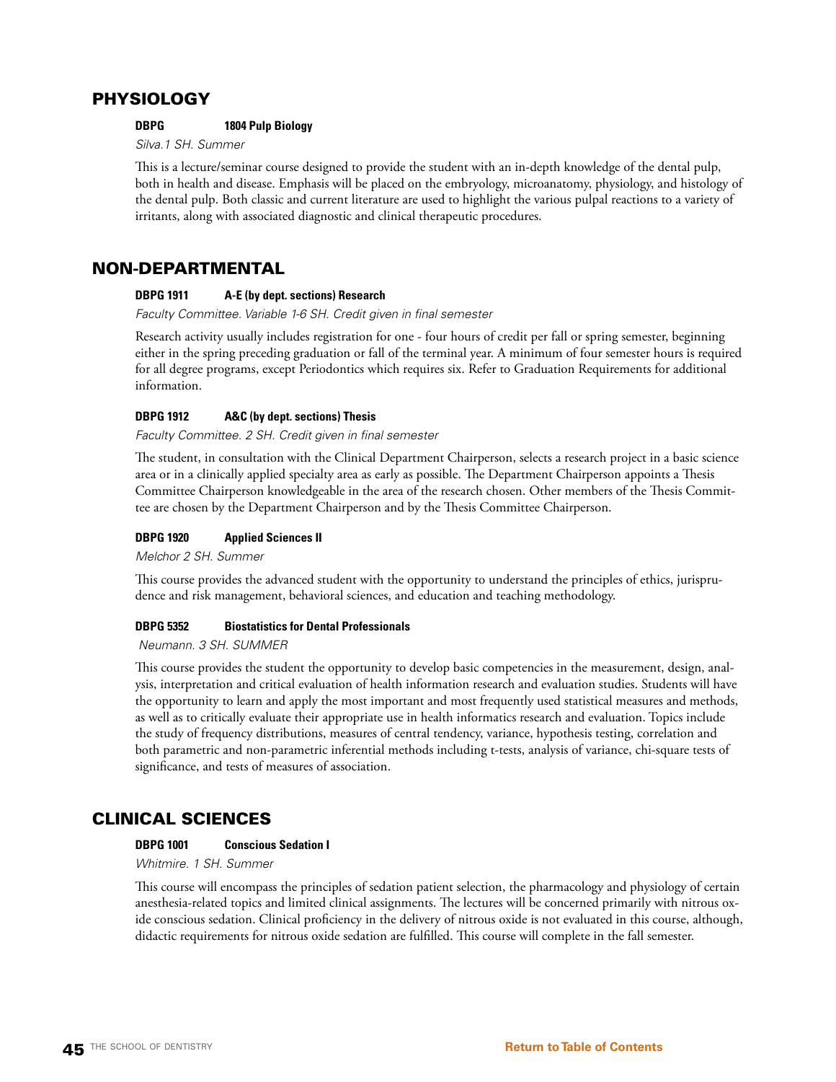# PHYSIOLOGY

# **DBPG 1804 Pulp Biology**

*Silva.1 SH. Summer*

This is a lecture/seminar course designed to provide the student with an in-depth knowledge of the dental pulp, both in health and disease. Emphasis will be placed on the embryology, microanatomy, physiology, and histology of the dental pulp. Both classic and current literature are used to highlight the various pulpal reactions to a variety of irritants, along with associated diagnostic and clinical therapeutic procedures.

# NON-DEPARTMENTAL

# **DBPG 1911 A-E (by dept. sections) Research**

*Faculty Committee. Variable 1-6 SH. Credit given in final semester*

Research activity usually includes registration for one - four hours of credit per fall or spring semester, beginning either in the spring preceding graduation or fall of the terminal year. A minimum of four semester hours is required for all degree programs, except Periodontics which requires six. Refer to Graduation Requirements for additional information.

# **DBPG 1912 A&C (by dept. sections) Thesis**

*Faculty Committee. 2 SH. Credit given in final semester*

The student, in consultation with the Clinical Department Chairperson, selects a research project in a basic science area or in a clinically applied specialty area as early as possible. The Department Chairperson appoints a Thesis Committee Chairperson knowledgeable in the area of the research chosen. Other members of the Thesis Committee are chosen by the Department Chairperson and by the Thesis Committee Chairperson.

# **DBPG 1920 Applied Sciences II**

*Melchor 2 SH. Summer*

This course provides the advanced student with the opportunity to understand the principles of ethics, jurisprudence and risk management, behavioral sciences, and education and teaching methodology.

# **DBPG 5352 Biostatistics for Dental Professionals**

 *Neumann. 3 SH. SUMMER* 

This course provides the student the opportunity to develop basic competencies in the measurement, design, analysis, interpretation and critical evaluation of health information research and evaluation studies. Students will have the opportunity to learn and apply the most important and most frequently used statistical measures and methods, as well as to critically evaluate their appropriate use in health informatics research and evaluation. Topics include the study of frequency distributions, measures of central tendency, variance, hypothesis testing, correlation and both parametric and non-parametric inferential methods including t-tests, analysis of variance, chi-square tests of significance, and tests of measures of association.

# CLINICAL SCIENCES

# **DBPG 1001 Conscious Sedation I**

*Whitmire. 1 SH. Summer*

This course will encompass the principles of sedation patient selection, the pharmacology and physiology of certain anesthesia-related topics and limited clinical assignments. The lectures will be concerned primarily with nitrous oxide conscious sedation. Clinical proficiency in the delivery of nitrous oxide is not evaluated in this course, although, didactic requirements for nitrous oxide sedation are fulfilled. This course will complete in the fall semester.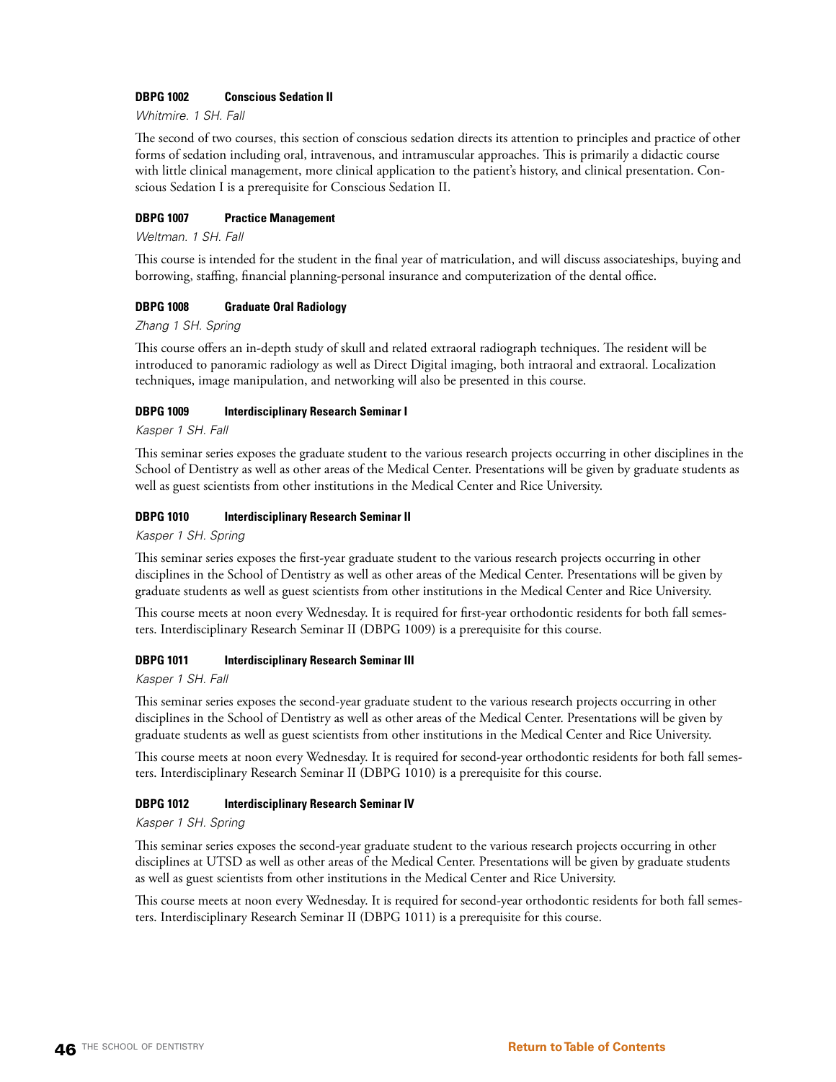# **DBPG 1002 Conscious Sedation II**

*Whitmire. 1 SH. Fall*

The second of two courses, this section of conscious sedation directs its attention to principles and practice of other forms of sedation including oral, intravenous, and intramuscular approaches. This is primarily a didactic course with little clinical management, more clinical application to the patient's history, and clinical presentation. Conscious Sedation I is a prerequisite for Conscious Sedation II.

# **DBPG 1007 Practice Management**

*Weltman. 1 SH. Fall*

This course is intended for the student in the final year of matriculation, and will discuss associateships, buying and borrowing, staffing, financial planning-personal insurance and computerization of the dental office.

# **DBPG 1008 Graduate Oral Radiology**

*Zhang 1 SH. Spring*

This course offers an in-depth study of skull and related extraoral radiograph techniques. The resident will be introduced to panoramic radiology as well as Direct Digital imaging, both intraoral and extraoral. Localization techniques, image manipulation, and networking will also be presented in this course.

# **DBPG 1009 Interdisciplinary Research Seminar I**

*Kasper 1 SH. Fall*

This seminar series exposes the graduate student to the various research projects occurring in other disciplines in the School of Dentistry as well as other areas of the Medical Center. Presentations will be given by graduate students as well as guest scientists from other institutions in the Medical Center and Rice University.

# **DBPG 1010 Interdisciplinary Research Seminar II**

*Kasper 1 SH. Spring*

This seminar series exposes the first-year graduate student to the various research projects occurring in other disciplines in the School of Dentistry as well as other areas of the Medical Center. Presentations will be given by graduate students as well as guest scientists from other institutions in the Medical Center and Rice University.

This course meets at noon every Wednesday. It is required for first-year orthodontic residents for both fall semesters. Interdisciplinary Research Seminar II (DBPG 1009) is a prerequisite for this course.

# **DBPG 1011 Interdisciplinary Research Seminar III**

*Kasper 1 SH. Fall*

This seminar series exposes the second-year graduate student to the various research projects occurring in other disciplines in the School of Dentistry as well as other areas of the Medical Center. Presentations will be given by graduate students as well as guest scientists from other institutions in the Medical Center and Rice University.

This course meets at noon every Wednesday. It is required for second-year orthodontic residents for both fall semesters. Interdisciplinary Research Seminar II (DBPG 1010) is a prerequisite for this course.

# **DBPG 1012 Interdisciplinary Research Seminar IV**

*Kasper 1 SH. Spring*

This seminar series exposes the second-year graduate student to the various research projects occurring in other disciplines at UTSD as well as other areas of the Medical Center. Presentations will be given by graduate students as well as guest scientists from other institutions in the Medical Center and Rice University.

This course meets at noon every Wednesday. It is required for second-year orthodontic residents for both fall semesters. Interdisciplinary Research Seminar II (DBPG 1011) is a prerequisite for this course.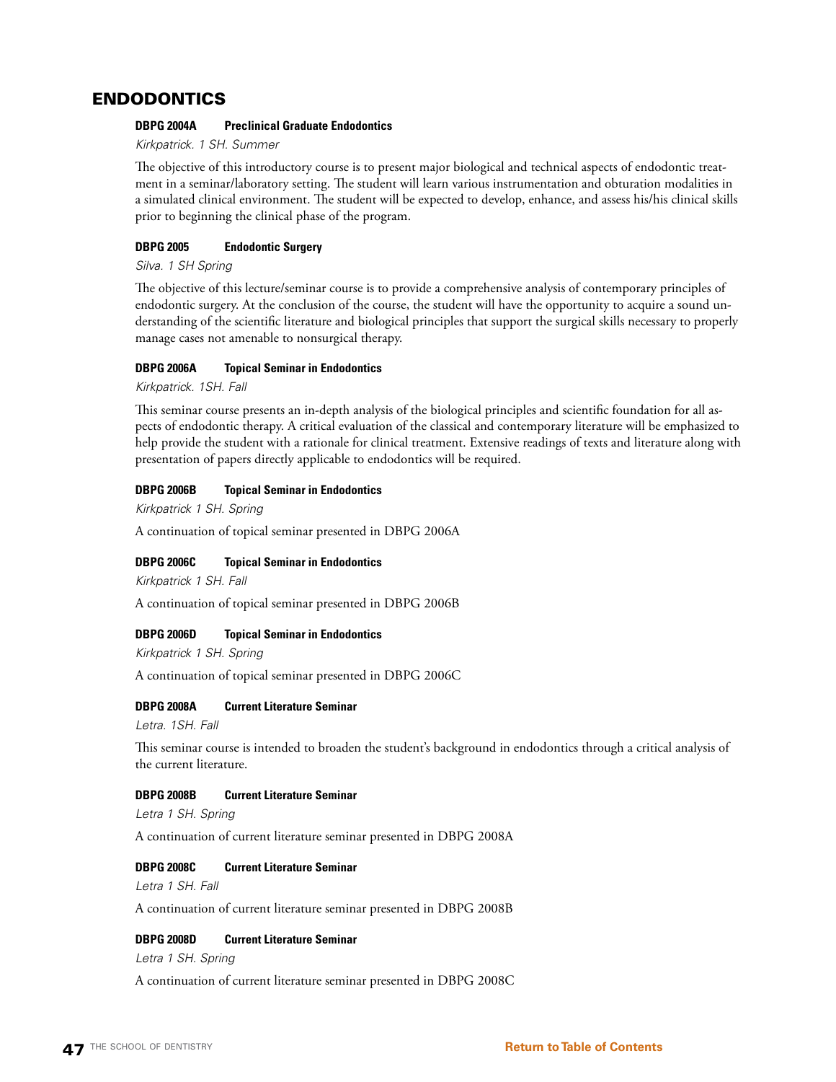# ENDODONTICS

# **DBPG 2004A Preclinical Graduate Endodontics**

*Kirkpatrick. 1 SH. Summer*

The objective of this introductory course is to present major biological and technical aspects of endodontic treatment in a seminar/laboratory setting. The student will learn various instrumentation and obturation modalities in a simulated clinical environment. The student will be expected to develop, enhance, and assess his/his clinical skills prior to beginning the clinical phase of the program.

# **DBPG 2005 Endodontic Surgery**

*Silva. 1 SH Spring*

The objective of this lecture/seminar course is to provide a comprehensive analysis of contemporary principles of endodontic surgery. At the conclusion of the course, the student will have the opportunity to acquire a sound understanding of the scientific literature and biological principles that support the surgical skills necessary to properly manage cases not amenable to nonsurgical therapy.

# **DBPG 2006A Topical Seminar in Endodontics**

*Kirkpatrick. 1SH. Fall* 

This seminar course presents an in-depth analysis of the biological principles and scientific foundation for all aspects of endodontic therapy. A critical evaluation of the classical and contemporary literature will be emphasized to help provide the student with a rationale for clinical treatment. Extensive readings of texts and literature along with presentation of papers directly applicable to endodontics will be required.

# **DBPG 2006B Topical Seminar in Endodontics**

*Kirkpatrick 1 SH. Spring*

A continuation of topical seminar presented in DBPG 2006A

# **DBPG 2006C Topical Seminar in Endodontics**

*Kirkpatrick 1 SH. Fall*

A continuation of topical seminar presented in DBPG 2006B

# **DBPG 2006D Topical Seminar in Endodontics**

*Kirkpatrick 1 SH. Spring*

A continuation of topical seminar presented in DBPG 2006C

# **DBPG 2008A Current Literature Seminar**

*Letra. 1SH. Fall* 

This seminar course is intended to broaden the student's background in endodontics through a critical analysis of the current literature.

# **DBPG 2008B Current Literature Seminar**

*Letra 1 SH. Spring*

A continuation of current literature seminar presented in DBPG 2008A

# **DBPG 2008C Current Literature Seminar**

*Letra 1 SH. Fall*

A continuation of current literature seminar presented in DBPG 2008B

# **DBPG 2008D Current Literature Seminar**

*Letra 1 SH. Spring*

A continuation of current literature seminar presented in DBPG 2008C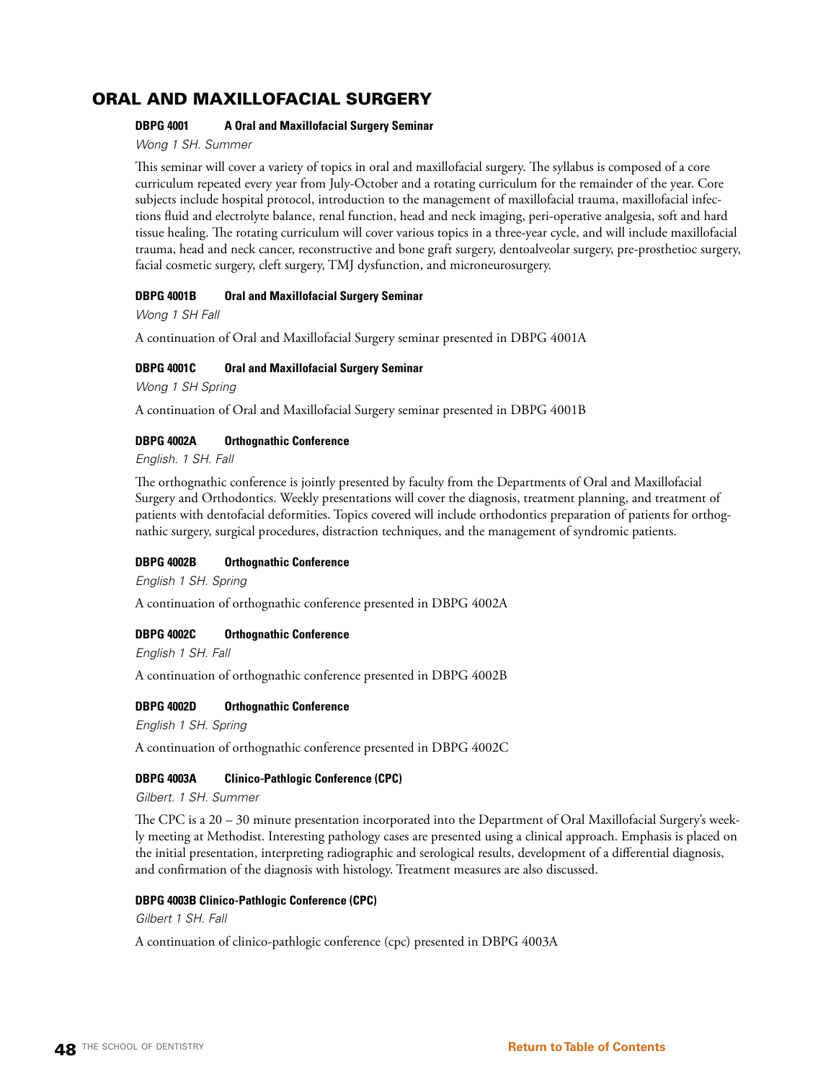# ORAL AND MAXILLOFACIAL SURGERY

# **DBPG 4001 A Oral and Maxillofacial Surgery Seminar**

*Wong 1 SH. Summer*

This seminar will cover a variety of topics in oral and maxillofacial surgery. The syllabus is composed of a core curriculum repeated every year from July-October and a rotating curriculum for the remainder of the year. Core subjects include hospital protocol, introduction to the management of maxillofacial trauma, maxillofacial infections fluid and electrolyte balance, renal function, head and neck imaging, peri-operative analgesia, soft and hard tissue healing. The rotating curriculum will cover various topics in a three-year cycle, and will include maxillofacial trauma, head and neck cancer, reconstructive and bone graft surgery, dentoalveolar surgery, pre-prosthetioc surgery, facial cosmetic surgery, cleft surgery, TMJ dysfunction, and microneurosurgery.

# **DBPG 4001B Oral and Maxillofacial Surgery Seminar**

*Wong 1 SH Fall*

A continuation of Oral and Maxillofacial Surgery seminar presented in DBPG 4001A

# **DBPG 4001C Oral and Maxillofacial Surgery Seminar**

*Wong 1 SH Spring*

A continuation of Oral and Maxillofacial Surgery seminar presented in DBPG 4001B

# **DBPG 4002A Orthognathic Conference**

*English. 1 SH. Fall* 

The orthognathic conference is jointly presented by faculty from the Departments of Oral and Maxillofacial Surgery and Orthodontics. Weekly presentations will cover the diagnosis, treatment planning, and treatment of patients with dentofacial deformities. Topics covered will include orthodontics preparation of patients for orthognathic surgery, surgical procedures, distraction techniques, and the management of syndromic patients.

# **DBPG 4002B Orthognathic Conference**

*English 1 SH. Spring*

A continuation of orthognathic conference presented in DBPG 4002A

# **DBPG 4002C Orthognathic Conference**

*English 1 SH. Fall*

A continuation of orthognathic conference presented in DBPG 4002B

# **DBPG 4002D Orthognathic Conference**

*English 1 SH. Spring*

A continuation of orthognathic conference presented in DBPG 4002C

# **DBPG 4003A Clinico-Pathlogic Conference (CPC)**

*Gilbert. 1 SH. Summer*

The CPC is a 20 – 30 minute presentation incorporated into the Department of Oral Maxillofacial Surgery's weekly meeting at Methodist. Interesting pathology cases are presented using a clinical approach. Emphasis is placed on the initial presentation, interpreting radiographic and serological results, development of a differential diagnosis, and confirmation of the diagnosis with histology. Treatment measures are also discussed.

# **DBPG 4003B Clinico-Pathlogic Conference (CPC)**

*Gilbert 1 SH. Fall*

A continuation of clinico-pathlogic conference (cpc) presented in DBPG 4003A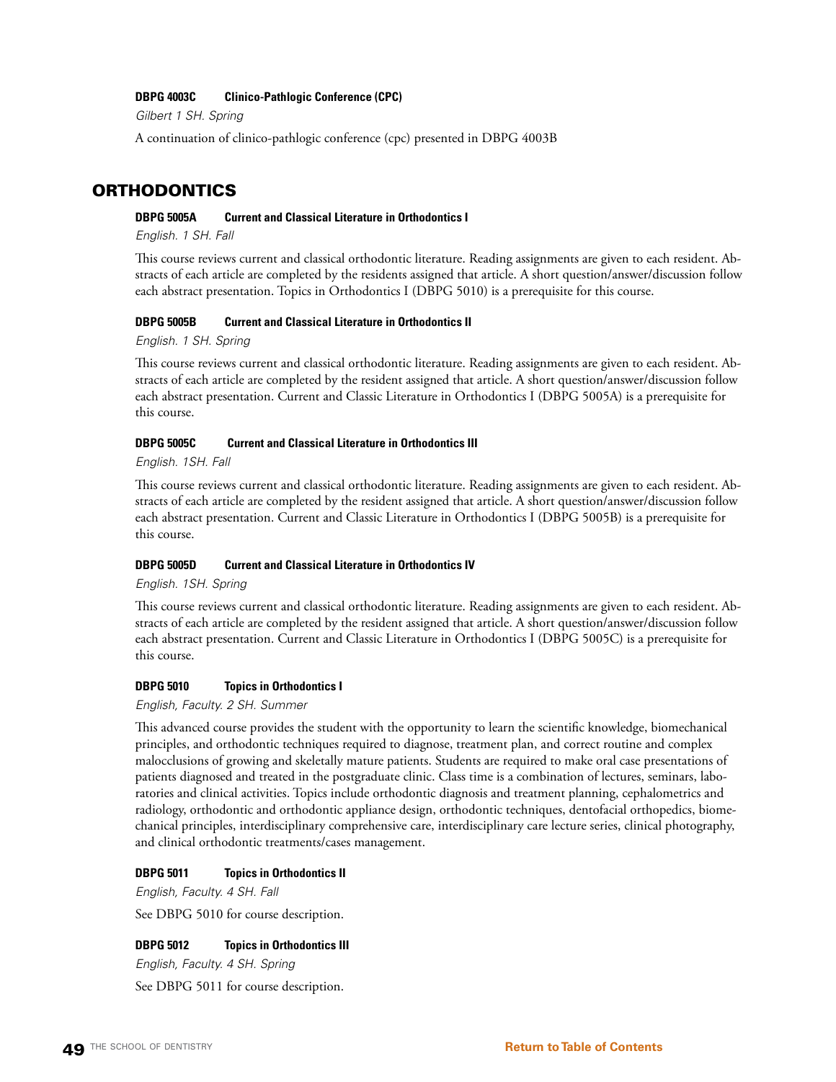### **DBPG 4003C Clinico-Pathlogic Conference (CPC)**

*Gilbert 1 SH. Spring*

A continuation of clinico-pathlogic conference (cpc) presented in DBPG 4003B

# ORTHODONTICS

# **DBPG 5005A Current and Classical Literature in Orthodontics I**

*English. 1 SH. Fall*

This course reviews current and classical orthodontic literature. Reading assignments are given to each resident. Abstracts of each article are completed by the residents assigned that article. A short question/answer/discussion follow each abstract presentation. Topics in Orthodontics I (DBPG 5010) is a prerequisite for this course.

# **DBPG 5005B Current and Classical Literature in Orthodontics II**

*English. 1 SH. Spring*

This course reviews current and classical orthodontic literature. Reading assignments are given to each resident. Abstracts of each article are completed by the resident assigned that article. A short question/answer/discussion follow each abstract presentation. Current and Classic Literature in Orthodontics I (DBPG 5005A) is a prerequisite for this course.

#### **DBPG 5005C Current and Classical Literature in Orthodontics III**

*English. 1SH. Fall*

This course reviews current and classical orthodontic literature. Reading assignments are given to each resident. Abstracts of each article are completed by the resident assigned that article. A short question/answer/discussion follow each abstract presentation. Current and Classic Literature in Orthodontics I (DBPG 5005B) is a prerequisite for this course.

# **DBPG 5005D Current and Classical Literature in Orthodontics IV**

*English. 1SH. Spring*

This course reviews current and classical orthodontic literature. Reading assignments are given to each resident. Abstracts of each article are completed by the resident assigned that article. A short question/answer/discussion follow each abstract presentation. Current and Classic Literature in Orthodontics I (DBPG 5005C) is a prerequisite for this course.

#### **DBPG 5010 Topics in Orthodontics I**

*English, Faculty. 2 SH. Summer*

This advanced course provides the student with the opportunity to learn the scientific knowledge, biomechanical principles, and orthodontic techniques required to diagnose, treatment plan, and correct routine and complex malocclusions of growing and skeletally mature patients. Students are required to make oral case presentations of patients diagnosed and treated in the postgraduate clinic. Class time is a combination of lectures, seminars, laboratories and clinical activities. Topics include orthodontic diagnosis and treatment planning, cephalometrics and radiology, orthodontic and orthodontic appliance design, orthodontic techniques, dentofacial orthopedics, biomechanical principles, interdisciplinary comprehensive care, interdisciplinary care lecture series, clinical photography, and clinical orthodontic treatments/cases management.

#### **DBPG 5011 Topics in Orthodontics II**

*English, Faculty. 4 SH. Fall*

See DBPG 5010 for course description.

#### **DBPG 5012 Topics in Orthodontics III**

*English, Faculty. 4 SH. Spring*

See DBPG 5011 for course description.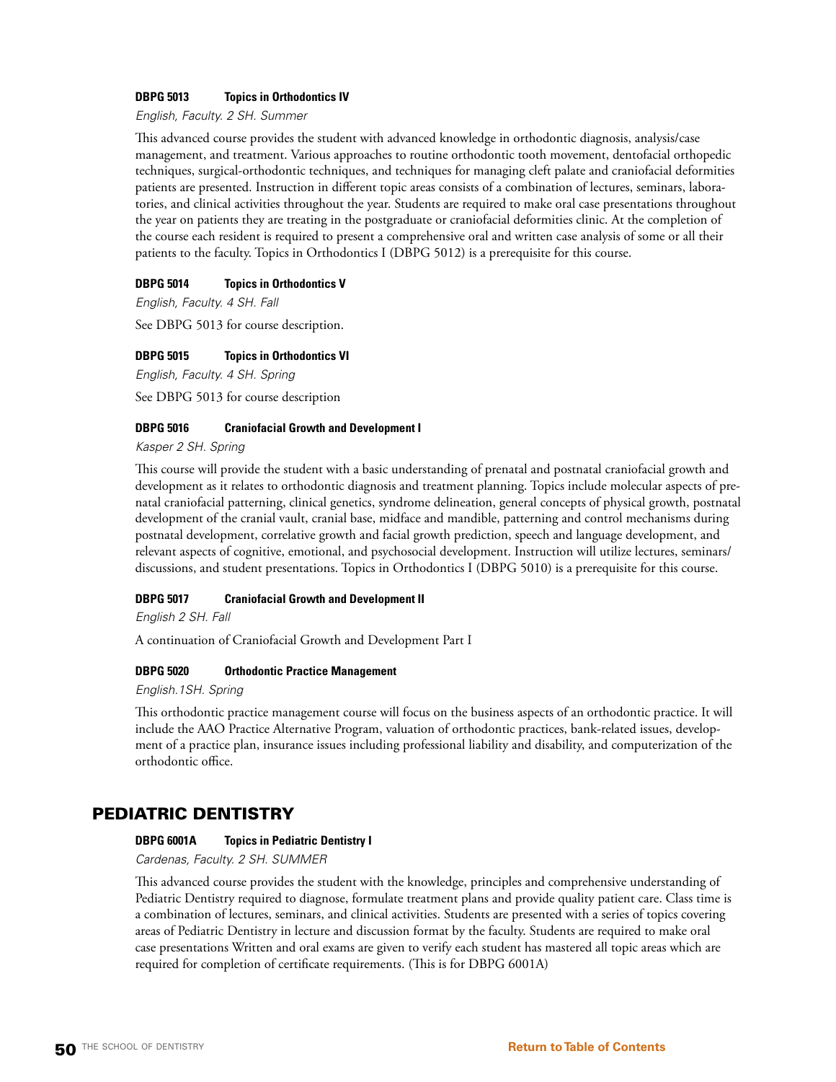# **DBPG 5013 Topics in Orthodontics IV**

*English, Faculty. 2 SH. Summer*

This advanced course provides the student with advanced knowledge in orthodontic diagnosis, analysis/case management, and treatment. Various approaches to routine orthodontic tooth movement, dentofacial orthopedic techniques, surgical-orthodontic techniques, and techniques for managing cleft palate and craniofacial deformities patients are presented. Instruction in different topic areas consists of a combination of lectures, seminars, laboratories, and clinical activities throughout the year. Students are required to make oral case presentations throughout the year on patients they are treating in the postgraduate or craniofacial deformities clinic. At the completion of the course each resident is required to present a comprehensive oral and written case analysis of some or all their patients to the faculty. Topics in Orthodontics I (DBPG 5012) is a prerequisite for this course.

# **DBPG 5014 Topics in Orthodontics V**

*English, Faculty. 4 SH. Fall*

See DBPG 5013 for course description.

# **DBPG 5015 Topics in Orthodontics VI**

*English, Faculty. 4 SH. Spring*

See DBPG 5013 for course description

# **DBPG 5016 Craniofacial Growth and Development I**

*Kasper 2 SH. Spring*

This course will provide the student with a basic understanding of prenatal and postnatal craniofacial growth and development as it relates to orthodontic diagnosis and treatment planning. Topics include molecular aspects of prenatal craniofacial patterning, clinical genetics, syndrome delineation, general concepts of physical growth, postnatal development of the cranial vault, cranial base, midface and mandible, patterning and control mechanisms during postnatal development, correlative growth and facial growth prediction, speech and language development, and relevant aspects of cognitive, emotional, and psychosocial development. Instruction will utilize lectures, seminars/ discussions, and student presentations. Topics in Orthodontics I (DBPG 5010) is a prerequisite for this course.

# **DBPG 5017 Craniofacial Growth and Development II**

*English 2 SH. Fall*

A continuation of Craniofacial Growth and Development Part I

# **DBPG 5020 Orthodontic Practice Management**

*English.1SH. Spring*

This orthodontic practice management course will focus on the business aspects of an orthodontic practice. It will include the AAO Practice Alternative Program, valuation of orthodontic practices, bank-related issues, development of a practice plan, insurance issues including professional liability and disability, and computerization of the orthodontic office.

# PEDIATRIC DENTISTRY

# **DBPG 6001A Topics in Pediatric Dentistry I**

*Cardenas, Faculty. 2 SH. SUMMER* 

This advanced course provides the student with the knowledge, principles and comprehensive understanding of Pediatric Dentistry required to diagnose, formulate treatment plans and provide quality patient care. Class time is a combination of lectures, seminars, and clinical activities. Students are presented with a series of topics covering areas of Pediatric Dentistry in lecture and discussion format by the faculty. Students are required to make oral case presentations Written and oral exams are given to verify each student has mastered all topic areas which are required for completion of certificate requirements. (This is for DBPG 6001A)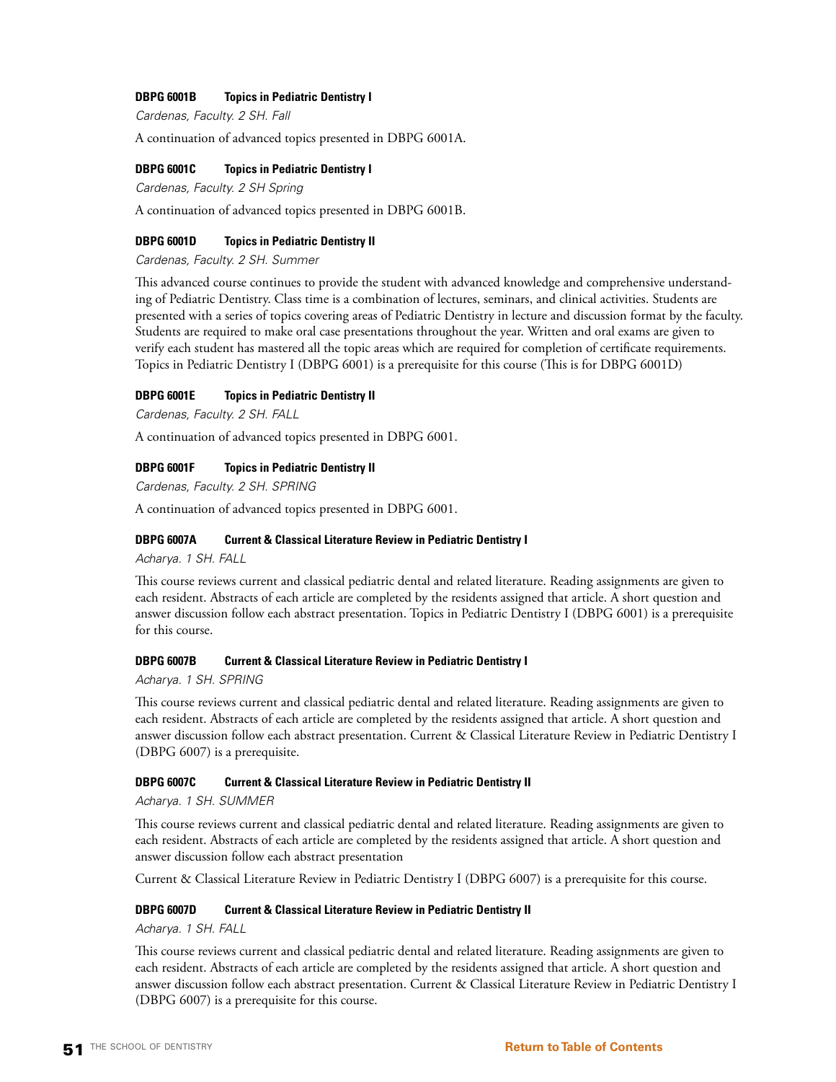# **DBPG 6001B Topics in Pediatric Dentistry I**

*Cardenas, Faculty. 2 SH. Fall*

A continuation of advanced topics presented in DBPG 6001A.

### **DBPG 6001C Topics in Pediatric Dentistry I**

*Cardenas, Faculty. 2 SH Spring*

A continuation of advanced topics presented in DBPG 6001B.

#### **DBPG 6001D Topics in Pediatric Dentistry II**

*Cardenas, Faculty. 2 SH. Summer*

This advanced course continues to provide the student with advanced knowledge and comprehensive understanding of Pediatric Dentistry. Class time is a combination of lectures, seminars, and clinical activities. Students are presented with a series of topics covering areas of Pediatric Dentistry in lecture and discussion format by the faculty. Students are required to make oral case presentations throughout the year. Written and oral exams are given to verify each student has mastered all the topic areas which are required for completion of certificate requirements. Topics in Pediatric Dentistry I (DBPG 6001) is a prerequisite for this course (This is for DBPG 6001D)

#### **DBPG 6001E Topics in Pediatric Dentistry II**

*Cardenas, Faculty. 2 SH. FALL*

A continuation of advanced topics presented in DBPG 6001.

#### **DBPG 6001F Topics in Pediatric Dentistry II**

*Cardenas, Faculty. 2 SH. SPRING*

A continuation of advanced topics presented in DBPG 6001.

### **DBPG 6007A Current & Classical Literature Review in Pediatric Dentistry I**

*Acharya. 1 SH. FALL*

This course reviews current and classical pediatric dental and related literature. Reading assignments are given to each resident. Abstracts of each article are completed by the residents assigned that article. A short question and answer discussion follow each abstract presentation. Topics in Pediatric Dentistry I (DBPG 6001) is a prerequisite for this course.

### **DBPG 6007B Current & Classical Literature Review in Pediatric Dentistry I**

*Acharya. 1 SH. SPRING*

This course reviews current and classical pediatric dental and related literature. Reading assignments are given to each resident. Abstracts of each article are completed by the residents assigned that article. A short question and answer discussion follow each abstract presentation. Current & Classical Literature Review in Pediatric Dentistry I (DBPG 6007) is a prerequisite.

#### **DBPG 6007C Current & Classical Literature Review in Pediatric Dentistry II**

*Acharya. 1 SH. SUMMER*

This course reviews current and classical pediatric dental and related literature. Reading assignments are given to each resident. Abstracts of each article are completed by the residents assigned that article. A short question and answer discussion follow each abstract presentation

Current & Classical Literature Review in Pediatric Dentistry I (DBPG 6007) is a prerequisite for this course.

# **DBPG 6007D Current & Classical Literature Review in Pediatric Dentistry II**

*Acharya. 1 SH. FALL*

This course reviews current and classical pediatric dental and related literature. Reading assignments are given to each resident. Abstracts of each article are completed by the residents assigned that article. A short question and answer discussion follow each abstract presentation. Current & Classical Literature Review in Pediatric Dentistry I (DBPG 6007) is a prerequisite for this course.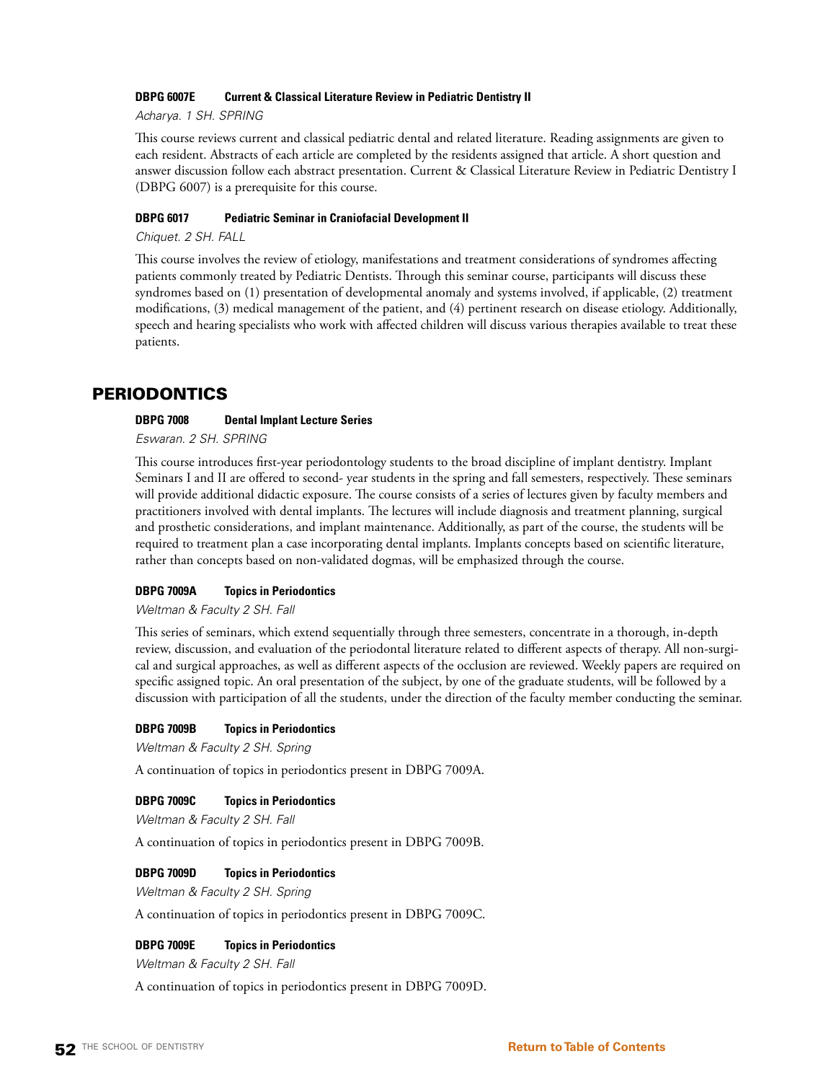# **DBPG 6007E Current & Classical Literature Review in Pediatric Dentistry II**

*Acharya. 1 SH. SPRING*

This course reviews current and classical pediatric dental and related literature. Reading assignments are given to each resident. Abstracts of each article are completed by the residents assigned that article. A short question and answer discussion follow each abstract presentation. Current & Classical Literature Review in Pediatric Dentistry I (DBPG 6007) is a prerequisite for this course.

# **DBPG 6017 Pediatric Seminar in Craniofacial Development II**

*Chiquet. 2 SH. FALL*

This course involves the review of etiology, manifestations and treatment considerations of syndromes affecting patients commonly treated by Pediatric Dentists. Through this seminar course, participants will discuss these syndromes based on (1) presentation of developmental anomaly and systems involved, if applicable, (2) treatment modifications, (3) medical management of the patient, and (4) pertinent research on disease etiology. Additionally, speech and hearing specialists who work with affected children will discuss various therapies available to treat these patients.

# PERIODONTICS

# **DBPG 7008 Dental Implant Lecture Series**

*Eswaran. 2 SH. SPRING*

This course introduces first-year periodontology students to the broad discipline of implant dentistry. Implant Seminars I and II are offered to second- year students in the spring and fall semesters, respectively. These seminars will provide additional didactic exposure. The course consists of a series of lectures given by faculty members and practitioners involved with dental implants. The lectures will include diagnosis and treatment planning, surgical and prosthetic considerations, and implant maintenance. Additionally, as part of the course, the students will be required to treatment plan a case incorporating dental implants. Implants concepts based on scientific literature, rather than concepts based on non-validated dogmas, will be emphasized through the course.

# **DBPG 7009A Topics in Periodontics**

# *Weltman & Faculty 2 SH. Fall*

This series of seminars, which extend sequentially through three semesters, concentrate in a thorough, in-depth review, discussion, and evaluation of the periodontal literature related to different aspects of therapy. All non-surgical and surgical approaches, as well as different aspects of the occlusion are reviewed. Weekly papers are required on specific assigned topic. An oral presentation of the subject, by one of the graduate students, will be followed by a discussion with participation of all the students, under the direction of the faculty member conducting the seminar.

# **DBPG 7009B Topics in Periodontics**

*Weltman & Faculty 2 SH. Spring*

A continuation of topics in periodontics present in DBPG 7009A.

# **DBPG 7009C Topics in Periodontics**

*Weltman & Faculty 2 SH. Fall*

A continuation of topics in periodontics present in DBPG 7009B.

# **DBPG 7009D Topics in Periodontics**

*Weltman & Faculty 2 SH. Spring*

A continuation of topics in periodontics present in DBPG 7009C.

# **DBPG 7009E Topics in Periodontics**

*Weltman & Faculty 2 SH. Fall*

A continuation of topics in periodontics present in DBPG 7009D.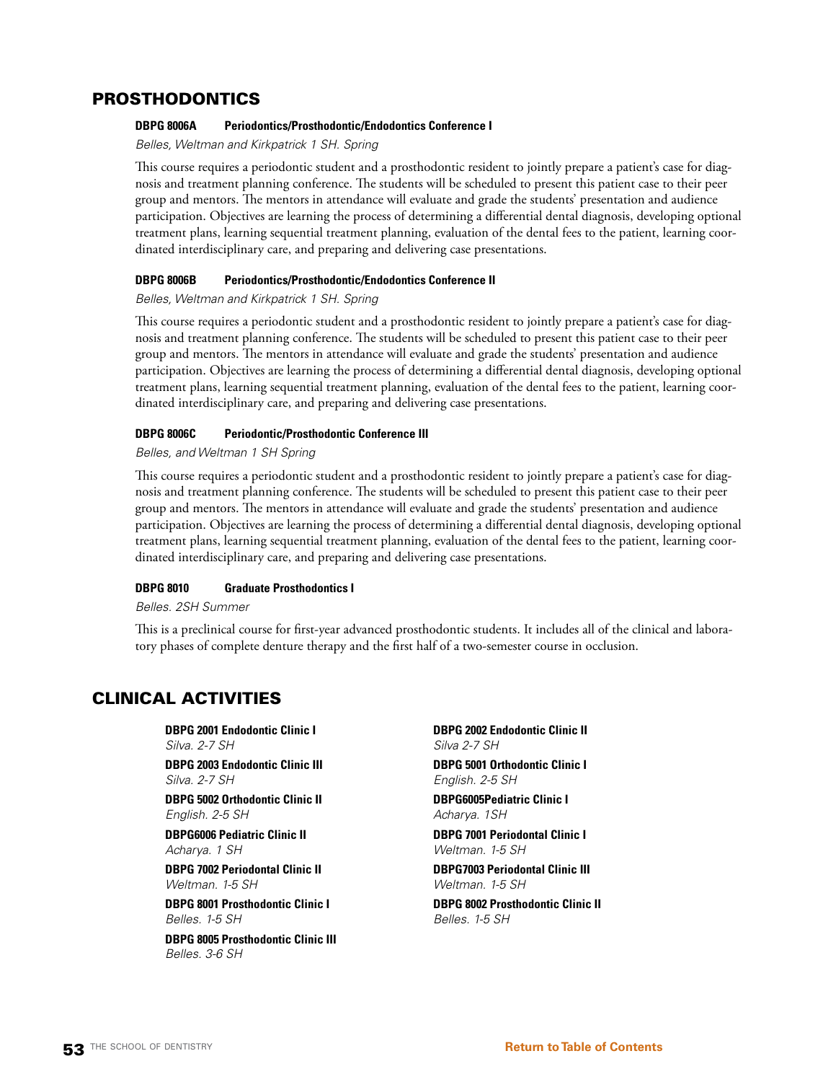# PROSTHODONTICS

# **DBPG 8006A Periodontics/Prosthodontic/Endodontics Conference I**

*Belles, Weltman and Kirkpatrick 1 SH. Spring*

This course requires a periodontic student and a prosthodontic resident to jointly prepare a patient's case for diagnosis and treatment planning conference. The students will be scheduled to present this patient case to their peer group and mentors. The mentors in attendance will evaluate and grade the students' presentation and audience participation. Objectives are learning the process of determining a differential dental diagnosis, developing optional treatment plans, learning sequential treatment planning, evaluation of the dental fees to the patient, learning coordinated interdisciplinary care, and preparing and delivering case presentations.

# **DBPG 8006B Periodontics/Prosthodontic/Endodontics Conference II**

*Belles, Weltman and Kirkpatrick 1 SH. Spring*

This course requires a periodontic student and a prosthodontic resident to jointly prepare a patient's case for diagnosis and treatment planning conference. The students will be scheduled to present this patient case to their peer group and mentors. The mentors in attendance will evaluate and grade the students' presentation and audience participation. Objectives are learning the process of determining a differential dental diagnosis, developing optional treatment plans, learning sequential treatment planning, evaluation of the dental fees to the patient, learning coordinated interdisciplinary care, and preparing and delivering case presentations.

# **DBPG 8006C Periodontic/Prosthodontic Conference III**

*Belles, and Weltman 1 SH Spring*

This course requires a periodontic student and a prosthodontic resident to jointly prepare a patient's case for diagnosis and treatment planning conference. The students will be scheduled to present this patient case to their peer group and mentors. The mentors in attendance will evaluate and grade the students' presentation and audience participation. Objectives are learning the process of determining a differential dental diagnosis, developing optional treatment plans, learning sequential treatment planning, evaluation of the dental fees to the patient, learning coordinated interdisciplinary care, and preparing and delivering case presentations.

# **DBPG 8010 Graduate Prosthodontics I**

*Belles. 2SH Summer*

This is a preclinical course for first-year advanced prosthodontic students. It includes all of the clinical and laboratory phases of complete denture therapy and the first half of a two-semester course in occlusion.

# CLINICAL ACTIVITIES

**DBPG 2001 Endodontic Clinic I** *Silva. 2-7 SH*

**DBPG 2003 Endodontic Clinic III** *Silva. 2-7 SH*

**DBPG 5002 Orthodontic Clinic II** *English. 2-5 SH*

**DBPG6006 Pediatric Clinic II** *Acharya. 1 SH*

**DBPG 7002 Periodontal Clinic II** *Weltman. 1-5 SH*

**DBPG 8001 Prosthodontic Clinic I** *Belles. 1-5 SH*

**DBPG 8005 Prosthodontic Clinic III** *Belles. 3-6 SH*

**DBPG 2002 Endodontic Clinic II** *Silva 2-7 SH*

**DBPG 5001 Orthodontic Clinic I** *English. 2-5 SH*

**DBPG6005Pediatric Clinic I** *Acharya. 1SH*

**DBPG 7001 Periodontal Clinic I** *Weltman. 1-5 SH*

**DBPG7003 Periodontal Clinic III** *Weltman. 1-5 SH*

**DBPG 8002 Prosthodontic Clinic II** *Belles. 1-5 SH*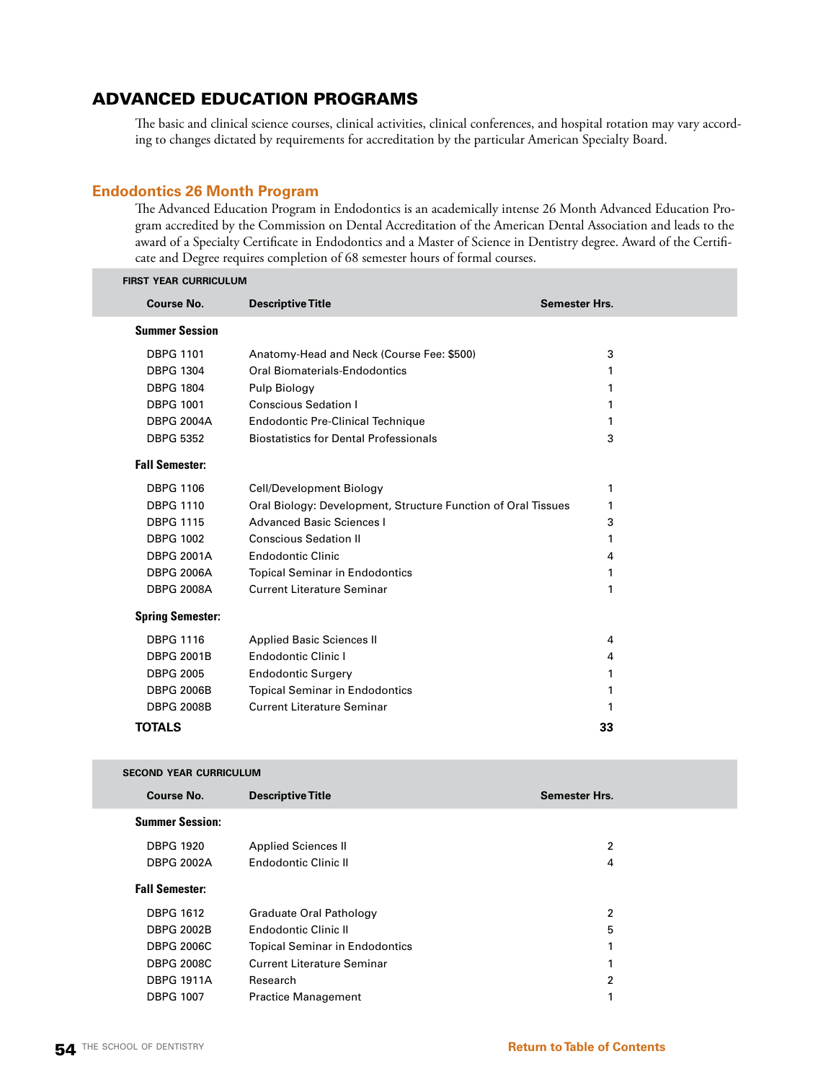# ADVANCED EDUCATION PROGRAMS

The basic and clinical science courses, clinical activities, clinical conferences, and hospital rotation may vary according to changes dictated by requirements for accreditation by the particular American Specialty Board.

# **Endodontics 26 Month Program**

The Advanced Education Program in Endodontics is an academically intense 26 Month Advanced Education Program accredited by the Commission on Dental Accreditation of the American Dental Association and leads to the award of a Specialty Certificate in Endodontics and a Master of Science in Dentistry degree. Award of the Certificate and Degree requires completion of 68 semester hours of formal courses.

| <b>FIRST YEAR CURRICULUM</b>  |                                                               |                      |
|-------------------------------|---------------------------------------------------------------|----------------------|
| <b>Course No.</b>             | <b>Descriptive Title</b>                                      | Semester Hrs.        |
| <b>Summer Session</b>         |                                                               |                      |
| <b>DBPG 1101</b>              | Anatomy-Head and Neck (Course Fee: \$500)                     | 3                    |
| <b>DBPG 1304</b>              | Oral Biomaterials-Endodontics                                 | 1                    |
| <b>DBPG 1804</b>              | Pulp Biology                                                  | 1                    |
| <b>DBPG 1001</b>              | <b>Conscious Sedation I</b>                                   | 1                    |
| <b>DBPG 2004A</b>             | <b>Endodontic Pre-Clinical Technique</b>                      | 1                    |
| <b>DBPG 5352</b>              | <b>Biostatistics for Dental Professionals</b>                 | 3                    |
| <b>Fall Semester:</b>         |                                                               |                      |
| <b>DBPG 1106</b>              | Cell/Development Biology                                      | 1                    |
| <b>DBPG 1110</b>              | Oral Biology: Development, Structure Function of Oral Tissues | 1                    |
| <b>DBPG 1115</b>              | <b>Advanced Basic Sciences I</b>                              | 3                    |
| <b>DBPG 1002</b>              | <b>Conscious Sedation II</b>                                  | 1                    |
| <b>DBPG 2001A</b>             | <b>Endodontic Clinic</b>                                      | 4                    |
| <b>DBPG 2006A</b>             | <b>Topical Seminar in Endodontics</b>                         | 1                    |
| <b>DBPG 2008A</b>             | <b>Current Literature Seminar</b>                             | $\mathbf{1}$         |
| <b>Spring Semester:</b>       |                                                               |                      |
| <b>DBPG 1116</b>              | <b>Applied Basic Sciences II</b>                              | 4                    |
| <b>DBPG 2001B</b>             | <b>Endodontic Clinic I</b>                                    | 4                    |
| <b>DBPG 2005</b>              | <b>Endodontic Surgery</b>                                     | 1                    |
| <b>DBPG 2006B</b>             | <b>Topical Seminar in Endodontics</b>                         | 1                    |
| <b>DBPG 2008B</b>             | <b>Current Literature Seminar</b>                             | 1                    |
| <b>TOTALS</b>                 |                                                               | 33                   |
|                               |                                                               |                      |
| <b>SECOND YEAR CURRICULUM</b> |                                                               |                      |
| <b>Course No.</b>             | <b>Descriptive Title</b>                                      | <b>Semester Hrs.</b> |
| <b>Summer Session:</b>        |                                                               |                      |
| <b>DBPG 1920</b>              | <b>Applied Sciences II</b>                                    | 2                    |
| <b>DBPG 2002A</b>             | Endodontic Clinic II                                          | 4                    |

#### **Fall Semester:**

| <b>DBPG 1612</b>  | Graduate Oral Pathology               | 2  |
|-------------------|---------------------------------------|----|
| <b>DBPG 2002B</b> | Endodontic Clinic II                  | 5  |
| <b>DBPG 2006C</b> | <b>Topical Seminar in Endodontics</b> | 1  |
| <b>DBPG 2008C</b> | <b>Current Literature Seminar</b>     | 1. |
| <b>DBPG 1911A</b> | Research                              | 2  |
| <b>DBPG 1007</b>  | <b>Practice Management</b>            |    |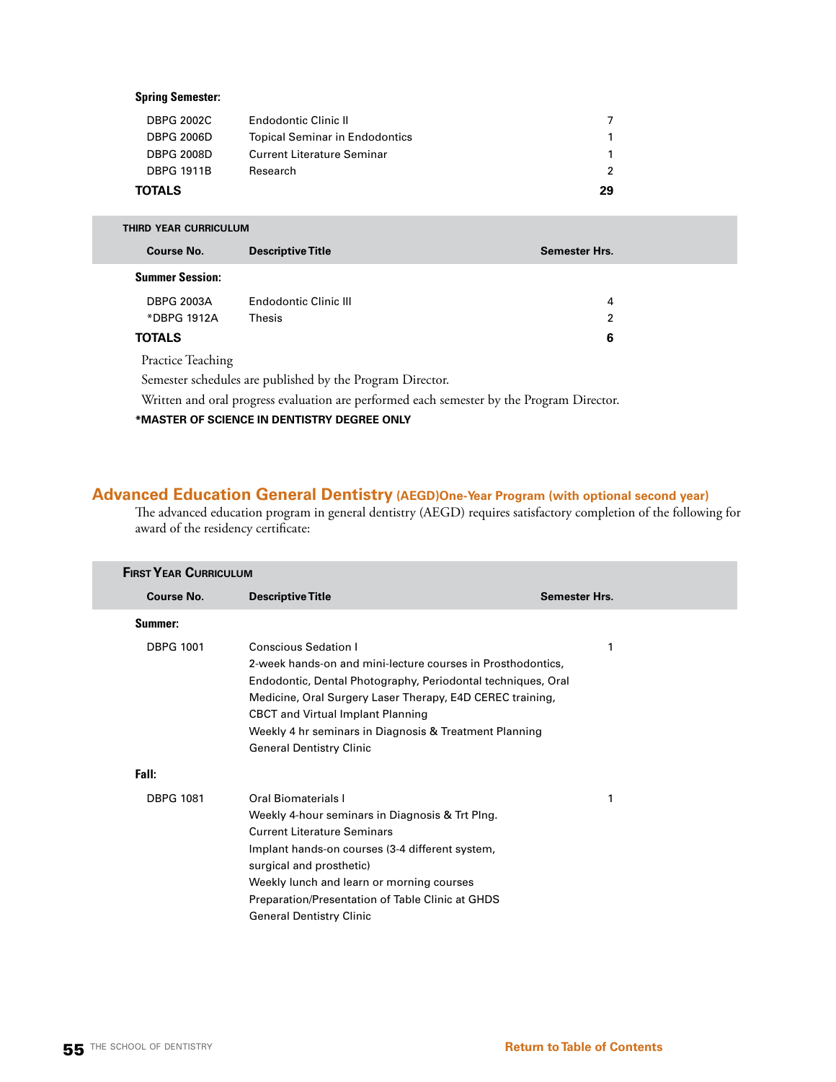# **Spring Semester:**

| TOTALS            |                                       | 29            |
|-------------------|---------------------------------------|---------------|
| <b>DBPG 1911B</b> | Research                              | $\mathcal{P}$ |
| <b>DBPG 2008D</b> | <b>Current Literature Seminar</b>     | 1.            |
| <b>DBPG 2006D</b> | <b>Topical Seminar in Endodontics</b> | 1             |
| <b>DBPG 2002C</b> | <b>Endodontic Clinic II</b>           |               |
|                   |                                       |               |

| THIRD YEAR CURRICULUM  |                          |                      |
|------------------------|--------------------------|----------------------|
| <b>Course No.</b>      | <b>Descriptive Title</b> | <b>Semester Hrs.</b> |
| <b>Summer Session:</b> |                          |                      |
| <b>DBPG 2003A</b>      | Endodontic Clinic III    | 4                    |
| *DBPG 1912A            | Thesis                   | 2                    |
| <b>TOTALS</b>          |                          | 6                    |
| Practice Teaching      |                          |                      |

Semester schedules are published by the Program Director.

Written and oral progress evaluation are performed each semester by the Program Director.

**\*MASTER OF SCIENCE IN DENTISTRY DEGREE ONLY**

# **Advanced Education General Dentistry (AEGD)One-Year Program (with optional second year)**

The advanced education program in general dentistry (AEGD) requires satisfactory completion of the following for award of the residency certificate:

| <b>FIRST YEAR CURRICULUM</b> |                                                                                                                                                                                                                                                                                                                                                                  |                      |
|------------------------------|------------------------------------------------------------------------------------------------------------------------------------------------------------------------------------------------------------------------------------------------------------------------------------------------------------------------------------------------------------------|----------------------|
| <b>Course No.</b>            | <b>Descriptive Title</b>                                                                                                                                                                                                                                                                                                                                         | <b>Semester Hrs.</b> |
| Summer:                      |                                                                                                                                                                                                                                                                                                                                                                  |                      |
| <b>DBPG 1001</b>             | <b>Conscious Sedation I</b><br>2-week hands-on and mini-lecture courses in Prosthodontics,<br>Endodontic, Dental Photography, Periodontal techniques, Oral<br>Medicine, Oral Surgery Laser Therapy, E4D CEREC training,<br><b>CBCT</b> and Virtual Implant Planning<br>Weekly 4 hr seminars in Diagnosis & Treatment Planning<br><b>General Dentistry Clinic</b> | 1                    |
| Fall:                        |                                                                                                                                                                                                                                                                                                                                                                  |                      |
| <b>DBPG 1081</b>             | Oral Biomaterials I<br>Weekly 4-hour seminars in Diagnosis & Trt Plng.<br><b>Current Literature Seminars</b><br>Implant hands-on courses (3-4 different system,<br>surgical and prosthetic)<br>Weekly lunch and learn or morning courses<br>Preparation/Presentation of Table Clinic at GHDS<br><b>General Dentistry Clinic</b>                                  | 1                    |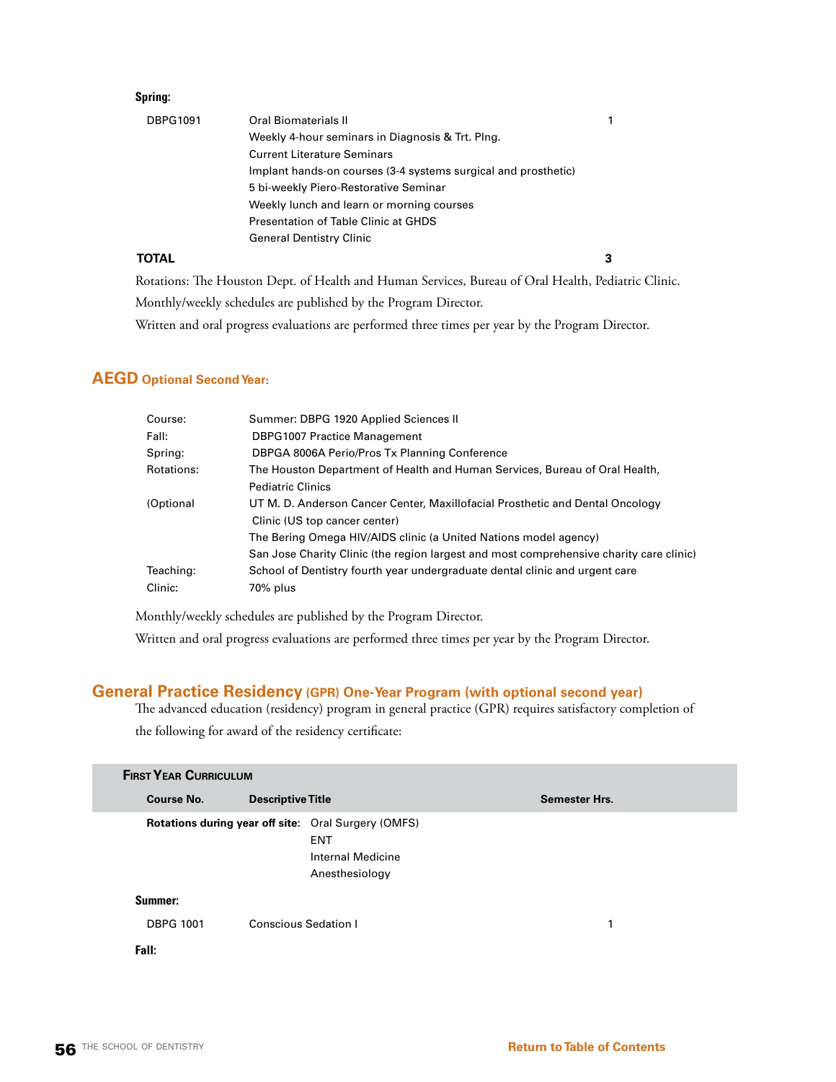# **Spring:**

| <b>DBPG1091</b> | Oral Biomaterials II                                           |  |
|-----------------|----------------------------------------------------------------|--|
|                 | Weekly 4-hour seminars in Diagnosis & Trt. Plng.               |  |
|                 | <b>Current Literature Seminars</b>                             |  |
|                 | Implant hands-on courses (3-4 systems surgical and prosthetic) |  |
|                 | 5 bi-weekly Piero-Restorative Seminar                          |  |
|                 | Weekly lunch and learn or morning courses                      |  |
|                 | Presentation of Table Clinic at GHDS                           |  |
|                 | <b>General Dentistry Clinic</b>                                |  |
| TOTAL           |                                                                |  |

Rotations: The Houston Dept. of Health and Human Services, Bureau of Oral Health, Pediatric Clinic. Monthly/weekly schedules are published by the Program Director. Written and oral progress evaluations are performed three times per year by the Program Director.

# **AEGD Optional Second Year**:

| Summer: DBPG 1920 Applied Sciences II                                                   |
|-----------------------------------------------------------------------------------------|
| <b>DBPG1007 Practice Management</b>                                                     |
| DBPGA 8006A Perio/Pros Tx Planning Conference                                           |
| The Houston Department of Health and Human Services, Bureau of Oral Health,             |
| <b>Pediatric Clinics</b>                                                                |
| UT M. D. Anderson Cancer Center, Maxillofacial Prosthetic and Dental Oncology           |
| Clinic (US top cancer center)                                                           |
| The Bering Omega HIV/AIDS clinic (a United Nations model agency)                        |
| San Jose Charity Clinic (the region largest and most comprehensive charity care clinic) |
| School of Dentistry fourth year undergraduate dental clinic and urgent care             |
| 70% plus                                                                                |
|                                                                                         |

Monthly/weekly schedules are published by the Program Director.

Written and oral progress evaluations are performed three times per year by the Program Director.

# **General Practice Residency (GPR) One-Year Program (with optional second year)**

The advanced education (residency) program in general practice (GPR) requires satisfactory completion of the following for award of the residency certificate:

| <b>FIRST YEAR CURRICULUM</b> |                             |                                                                                                          |                      |
|------------------------------|-----------------------------|----------------------------------------------------------------------------------------------------------|----------------------|
| <b>Course No.</b>            | <b>Descriptive Title</b>    |                                                                                                          | <b>Semester Hrs.</b> |
|                              |                             | Rotations during year off site: Oral Surgery (OMFS)<br><b>ENT</b><br>Internal Medicine<br>Anesthesiology |                      |
| Summer:                      |                             |                                                                                                          |                      |
| <b>DBPG 1001</b>             | <b>Conscious Sedation I</b> |                                                                                                          | 1                    |
| Fall:                        |                             |                                                                                                          |                      |
|                              |                             |                                                                                                          |                      |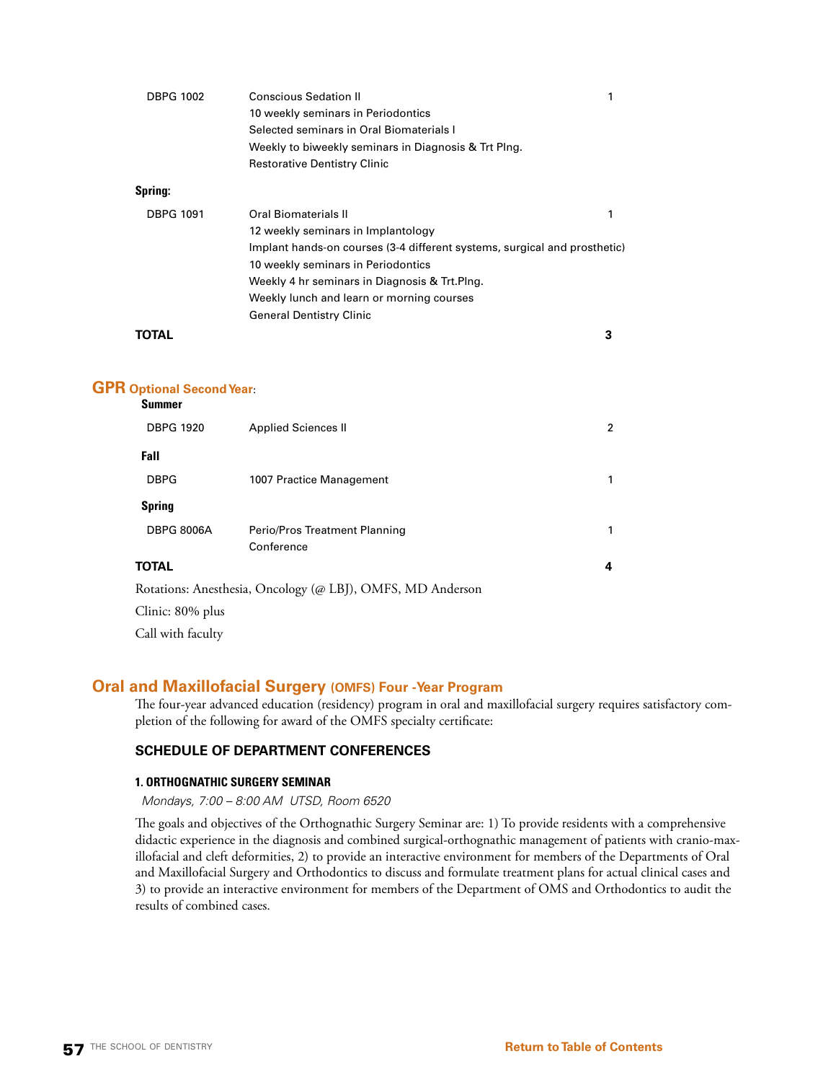| <b>DBPG 1002</b>                       | <b>Conscious Sedation II</b>                                              | 1 |
|----------------------------------------|---------------------------------------------------------------------------|---|
|                                        | 10 weekly seminars in Periodontics                                        |   |
|                                        | Selected seminars in Oral Biomaterials I                                  |   |
|                                        | Weekly to biweekly seminars in Diagnosis & Trt Plng.                      |   |
|                                        | <b>Restorative Dentistry Clinic</b>                                       |   |
| Spring:                                |                                                                           |   |
| <b>DBPG 1091</b>                       | <b>Oral Biomaterials II</b>                                               | 1 |
|                                        | 12 weekly seminars in Implantology                                        |   |
|                                        | Implant hands-on courses (3-4 different systems, surgical and prosthetic) |   |
|                                        | 10 weekly seminars in Periodontics                                        |   |
|                                        | Weekly 4 hr seminars in Diagnosis & Trt.Plng.                             |   |
|                                        | Weekly lunch and learn or morning courses                                 |   |
|                                        | <b>General Dentistry Clinic</b>                                           |   |
| <b>TOTAL</b>                           |                                                                           | 3 |
|                                        |                                                                           |   |
| <b>Optional Second Year:</b><br>Summer |                                                                           |   |
| DRPG 1920                              | Annlied Sciences II                                                       |   |

| <b>DBPG 1920</b>  | <b>Applied Sciences II</b>                                 | $\overline{2}$ |
|-------------------|------------------------------------------------------------|----------------|
| Fall              |                                                            |                |
| <b>DBPG</b>       | 1007 Practice Management                                   | 1              |
| <b>Spring</b>     |                                                            |                |
| <b>DBPG 8006A</b> | Perio/Pros Treatment Planning                              | 1              |
|                   | Conference                                                 |                |
| <b>TOTAL</b>      |                                                            | 4              |
|                   | Rotations: Anesthesia, Oncology (@ LBJ), OMFS, MD Anderson |                |
| Clinic: 80% plus  |                                                            |                |
| Call with faculty |                                                            |                |

# **Oral and Maxillofacial Surgery (OMFS) Four -Year Program**

The four-year advanced education (residency) program in oral and maxillofacial surgery requires satisfactory completion of the following for award of the OMFS specialty certificate:

# **SCHEDULE OF DEPARTMENT CONFERENCES**

# **1. ORTHOGNATHIC SURGERY SEMINAR**

# *Mondays, 7:00 – 8:00 AM UTSD, Room 6520*

The goals and objectives of the Orthognathic Surgery Seminar are: 1) To provide residents with a comprehensive didactic experience in the diagnosis and combined surgical-orthognathic management of patients with cranio-maxillofacial and cleft deformities, 2) to provide an interactive environment for members of the Departments of Oral and Maxillofacial Surgery and Orthodontics to discuss and formulate treatment plans for actual clinical cases and 3) to provide an interactive environment for members of the Department of OMS and Orthodontics to audit the results of combined cases.

**GPR Optional Second Year**: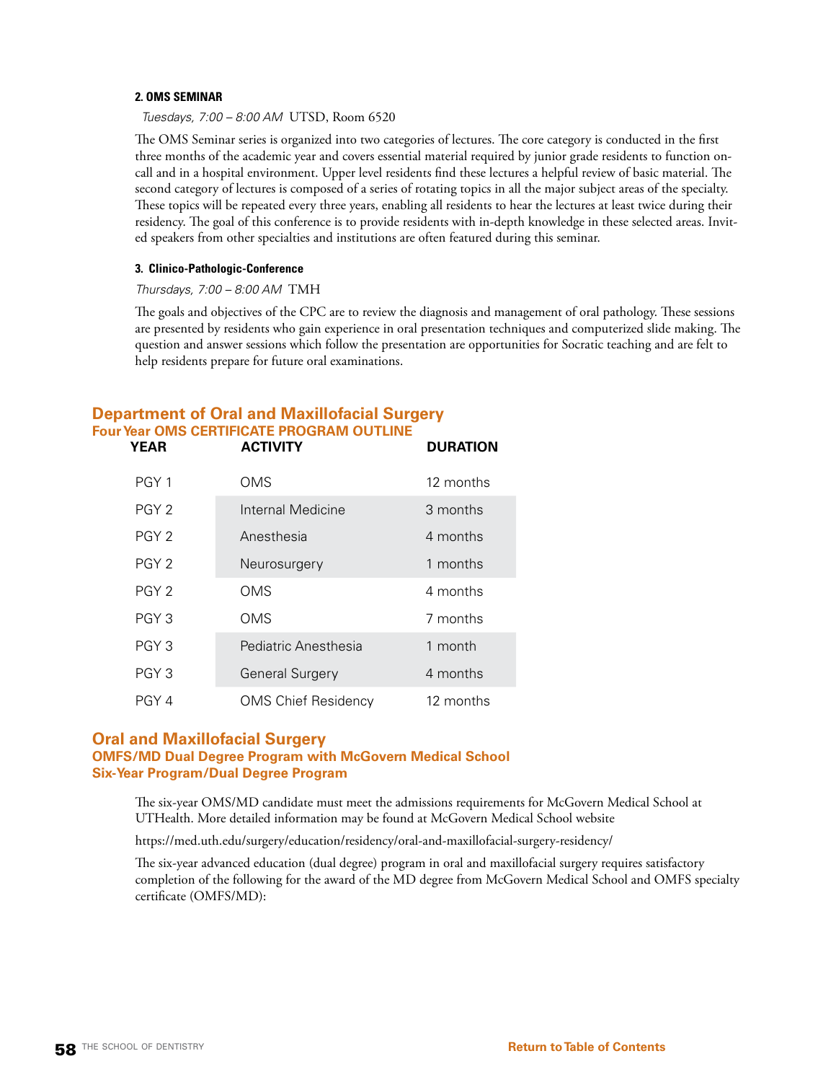#### **2. OMS SEMINAR**

*Tuesdays, 7:00 – 8:00 AM* UTSD, Room 6520

The OMS Seminar series is organized into two categories of lectures. The core category is conducted in the first three months of the academic year and covers essential material required by junior grade residents to function oncall and in a hospital environment. Upper level residents find these lectures a helpful review of basic material. The second category of lectures is composed of a series of rotating topics in all the major subject areas of the specialty. These topics will be repeated every three years, enabling all residents to hear the lectures at least twice during their residency. The goal of this conference is to provide residents with in-depth knowledge in these selected areas. Invited speakers from other specialties and institutions are often featured during this seminar.

#### **3. Clinico-Pathologic-Conference**

#### *Thursdays, 7:00 – 8:00 AM* TMH

The goals and objectives of the CPC are to review the diagnosis and management of oral pathology. These sessions are presented by residents who gain experience in oral presentation techniques and computerized slide making. The question and answer sessions which follow the presentation are opportunities for Socratic teaching and are felt to help residents prepare for future oral examinations.

# **Department of Oral and Maxillofacial Surgery Four Year OMS CERTIFICATE PROGRAM OUTLINE**

| YEAR             | <b>ACTIVITY</b>            | <b>DURATION</b> |
|------------------|----------------------------|-----------------|
| PGY <sub>1</sub> | OMS                        | 12 months       |
| PGY <sub>2</sub> | Internal Medicine          | 3 months        |
| PGY <sub>2</sub> | Anesthesia                 | 4 months        |
| PGY <sub>2</sub> | Neurosurgery               | 1 months        |
| PGY <sub>2</sub> | <b>OMS</b>                 | 4 months        |
| PGY 3            | OMS                        | 7 months        |
| PGY <sub>3</sub> | Pediatric Anesthesia       | 1 month         |
| PGY <sub>3</sub> | <b>General Surgery</b>     | 4 months        |
| PGY 4            | <b>OMS Chief Residency</b> | 12 months       |

# **Oral and Maxillofacial Surgery**

# **OMFS/MD Dual Degree Program with McGovern Medical School Six-Year Program/Dual Degree Program**

The six-year OMS/MD candidate must meet the admissions requirements for McGovern Medical School at UTHealth. More detailed information may be found at McGovern Medical School website

https://med.uth.edu/surgery/education/residency/oral-and-maxillofacial-surgery-residency/

The six-year advanced education (dual degree) program in oral and maxillofacial surgery requires satisfactory completion of the following for the award of the MD degree from McGovern Medical School and OMFS specialty certificate (OMFS/MD):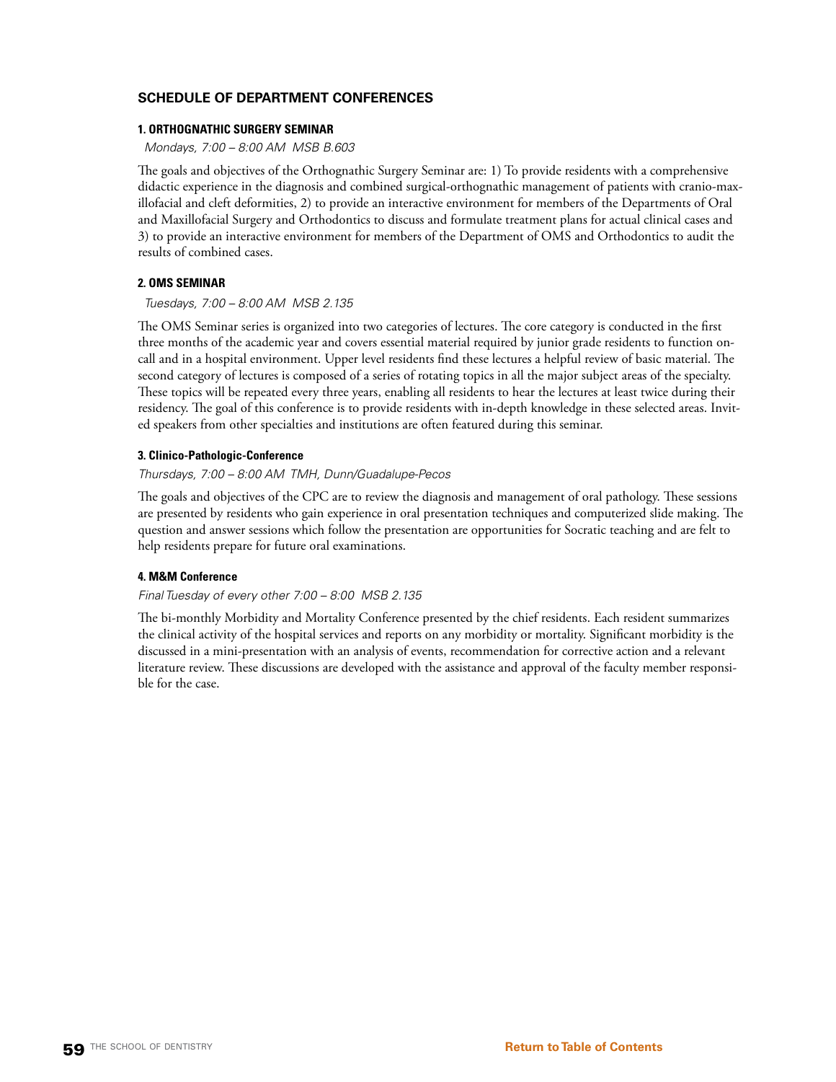# **SCHEDULE OF DEPARTMENT CONFERENCES**

# **1. ORTHOGNATHIC SURGERY SEMINAR**

*Mondays, 7:00 – 8:00 AM MSB B.603*

The goals and objectives of the Orthognathic Surgery Seminar are: 1) To provide residents with a comprehensive didactic experience in the diagnosis and combined surgical-orthognathic management of patients with cranio-maxillofacial and cleft deformities, 2) to provide an interactive environment for members of the Departments of Oral and Maxillofacial Surgery and Orthodontics to discuss and formulate treatment plans for actual clinical cases and 3) to provide an interactive environment for members of the Department of OMS and Orthodontics to audit the results of combined cases.

# **2. OMS SEMINAR**

# *Tuesdays, 7:00 – 8:00 AM MSB 2.135*

The OMS Seminar series is organized into two categories of lectures. The core category is conducted in the first three months of the academic year and covers essential material required by junior grade residents to function oncall and in a hospital environment. Upper level residents find these lectures a helpful review of basic material. The second category of lectures is composed of a series of rotating topics in all the major subject areas of the specialty. These topics will be repeated every three years, enabling all residents to hear the lectures at least twice during their residency. The goal of this conference is to provide residents with in-depth knowledge in these selected areas. Invited speakers from other specialties and institutions are often featured during this seminar.

# **3. Clinico-Pathologic-Conference**

# *Thursdays, 7:00 – 8:00 AM TMH, Dunn/Guadalupe-Pecos*

The goals and objectives of the CPC are to review the diagnosis and management of oral pathology. These sessions are presented by residents who gain experience in oral presentation techniques and computerized slide making. The question and answer sessions which follow the presentation are opportunities for Socratic teaching and are felt to help residents prepare for future oral examinations.

# **4. M&M Conference**

# *Final Tuesday of every other 7:00 – 8:00 MSB 2.135*

The bi-monthly Morbidity and Mortality Conference presented by the chief residents. Each resident summarizes the clinical activity of the hospital services and reports on any morbidity or mortality. Significant morbidity is the discussed in a mini-presentation with an analysis of events, recommendation for corrective action and a relevant literature review. These discussions are developed with the assistance and approval of the faculty member responsible for the case.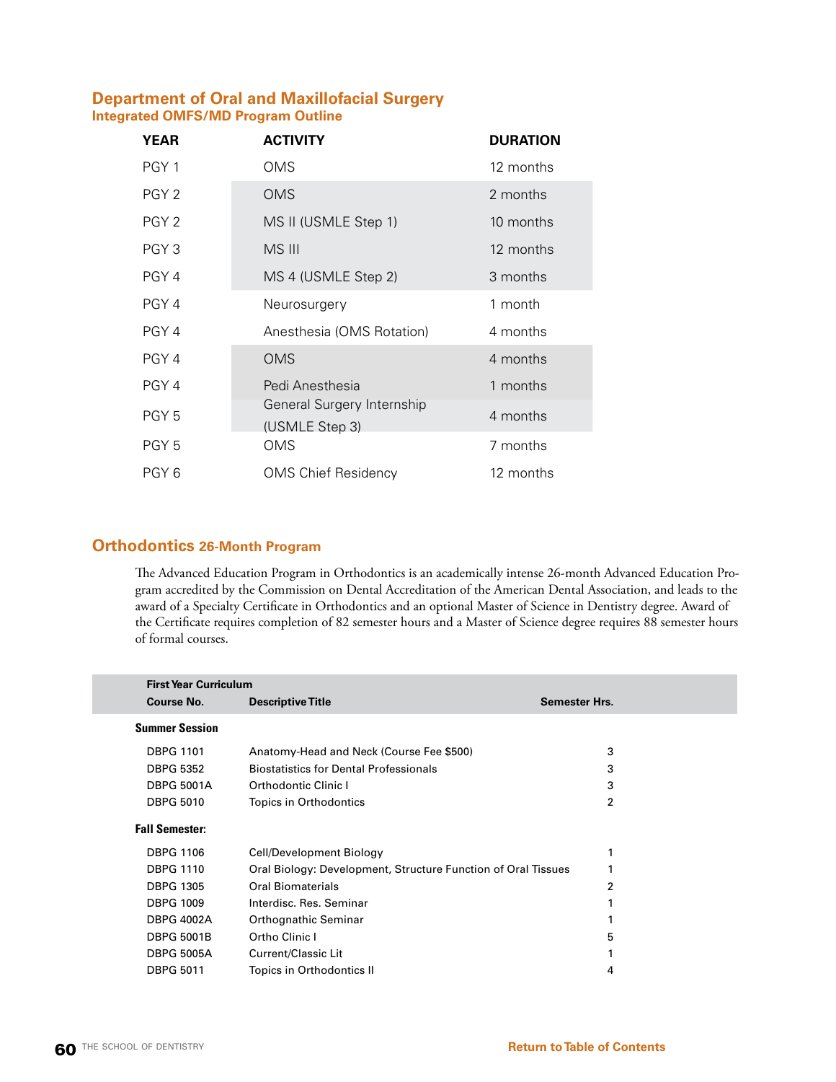# **Department of Oral and Maxillofacial Surgery Integrated OMFS/MD Program Outline**

| YEAR             | <b>ACTIVITY</b>                              | <b>DURATION</b> |
|------------------|----------------------------------------------|-----------------|
| PGY 1            | <b>OMS</b>                                   | 12 months       |
| PGY <sub>2</sub> | <b>OMS</b>                                   | 2 months        |
| PGY <sub>2</sub> | MS II (USMLE Step 1)                         | 10 months       |
| PGY <sub>3</sub> | MS III                                       | 12 months       |
| PGY 4            | MS 4 (USMLE Step 2)                          | 3 months        |
| PGY 4            | Neurosurgery                                 | 1 month         |
| PGY 4            | Anesthesia (OMS Rotation)                    | 4 months        |
| PGY 4            | <b>OMS</b>                                   | 4 months        |
| PGY 4            | Pedi Anesthesia                              | 1 months        |
| PGY <sub>5</sub> | General Surgery Internship<br>(USMLE Step 3) | 4 months        |
| PGY 5            | OMS                                          | 7 months        |
| PGY 6            | <b>OMS Chief Residency</b>                   | 12 months       |

# **Orthodontics 26-Month Program**

The Advanced Education Program in Orthodontics is an academically intense 26-month Advanced Education Program accredited by the Commission on Dental Accreditation of the American Dental Association, and leads to the award of a Specialty Certificate in Orthodontics and an optional Master of Science in Dentistry degree. Award of the Certificate requires completion of 82 semester hours and a Master of Science degree requires 88 semester hours of formal courses.

| <b>First Year Curriculum</b> |                                                               |                      |
|------------------------------|---------------------------------------------------------------|----------------------|
| Course No.                   | <b>Descriptive Title</b>                                      | <b>Semester Hrs.</b> |
| <b>Summer Session</b>        |                                                               |                      |
| <b>DBPG 1101</b>             | Anatomy-Head and Neck (Course Fee \$500)                      | 3                    |
| <b>DBPG 5352</b>             | <b>Biostatistics for Dental Professionals</b>                 | 3                    |
| <b>DBPG 5001A</b>            | Orthodontic Clinic I                                          | 3                    |
| <b>DBPG 5010</b>             | Topics in Orthodontics                                        | $\overline{2}$       |
| <b>Fall Semester:</b>        |                                                               |                      |
| <b>DBPG 1106</b>             | Cell/Development Biology                                      | 1                    |
| <b>DBPG 1110</b>             | Oral Biology: Development, Structure Function of Oral Tissues |                      |
| <b>DBPG 1305</b>             | Oral Biomaterials                                             | 2                    |
| <b>DBPG 1009</b>             | Interdisc. Res. Seminar                                       |                      |
| <b>DBPG 4002A</b>            | Orthognathic Seminar                                          |                      |
| <b>DBPG 5001B</b>            | Ortho Clinic I                                                | 5                    |
| <b>DBPG 5005A</b>            | <b>Current/Classic Lit</b>                                    |                      |
| <b>DBPG 5011</b>             | Topics in Orthodontics II                                     | 4                    |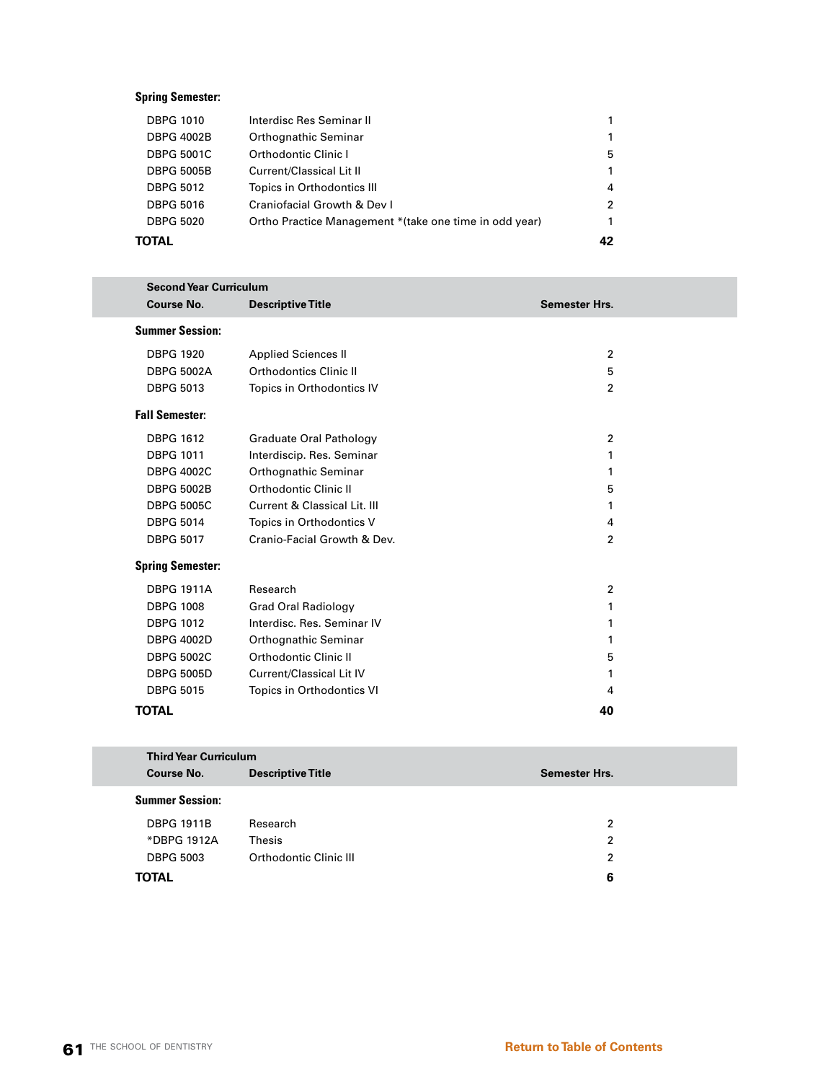# **Spring Semester:**

| TOTAL             |                                                         | 42 |
|-------------------|---------------------------------------------------------|----|
| <b>DBPG 5020</b>  | Ortho Practice Management * (take one time in odd year) | 1  |
| <b>DBPG 5016</b>  | Craniofacial Growth & Dev I                             | 2  |
| <b>DBPG 5012</b>  | Topics in Orthodontics III                              | 4  |
| <b>DBPG 5005B</b> | Current/Classical Lit II                                | 1  |
| <b>DBPG 5001C</b> | Orthodontic Clinic I                                    | 5  |
| <b>DBPG 4002B</b> | Orthognathic Seminar                                    |    |
| <b>DBPG 1010</b>  | Interdisc Res Seminar II                                |    |
|                   |                                                         |    |

| <b>Second Year Curriculum</b> |                                |                      |
|-------------------------------|--------------------------------|----------------------|
| <b>Course No.</b>             | <b>Descriptive Title</b>       | <b>Semester Hrs.</b> |
| <b>Summer Session:</b>        |                                |                      |
| <b>DBPG 1920</b>              | <b>Applied Sciences II</b>     | $\overline{2}$       |
| <b>DBPG 5002A</b>             | Orthodontics Clinic II         | 5                    |
| <b>DBPG 5013</b>              | Topics in Orthodontics IV      | $\overline{2}$       |
| <b>Fall Semester:</b>         |                                |                      |
| <b>DBPG 1612</b>              | <b>Graduate Oral Pathology</b> | $\overline{2}$       |
| <b>DBPG 1011</b>              | Interdiscip. Res. Seminar      | 1                    |
| <b>DBPG 4002C</b>             | Orthognathic Seminar           | 1                    |
| <b>DBPG 5002B</b>             | Orthodontic Clinic II          | 5                    |
| <b>DBPG 5005C</b>             | Current & Classical Lit. III   | 1                    |
| <b>DBPG 5014</b>              | Topics in Orthodontics V       | 4                    |
| <b>DBPG 5017</b>              | Cranio-Facial Growth & Dev.    | $\overline{2}$       |
| <b>Spring Semester:</b>       |                                |                      |
| <b>DBPG 1911A</b>             | Research                       | $\overline{2}$       |
| <b>DBPG 1008</b>              | <b>Grad Oral Radiology</b>     | 1                    |
| <b>DBPG 1012</b>              | Interdisc. Res. Seminar IV     | 1                    |
| <b>DBPG 4002D</b>             | Orthognathic Seminar           | 1                    |
| <b>DBPG 5002C</b>             | Orthodontic Clinic II          | 5                    |
| <b>DBPG 5005D</b>             | Current/Classical Lit IV       | 1                    |
| <b>DBPG 5015</b>              | Topics in Orthodontics VI      | 4                    |
| <b>TOTAL</b>                  |                                | 40                   |

| <b>Third Year Curriculum</b> |                          |                      |
|------------------------------|--------------------------|----------------------|
| Course No.                   | <b>Descriptive Title</b> | <b>Semester Hrs.</b> |
| <b>Summer Session:</b>       |                          |                      |
| <b>DBPG 1911B</b>            | Research                 | 2                    |
| *DBPG 1912A                  | Thesis                   | 2                    |
| <b>DBPG 5003</b>             | Orthodontic Clinic III   | 2                    |
| <b>TOTAL</b>                 |                          | 6                    |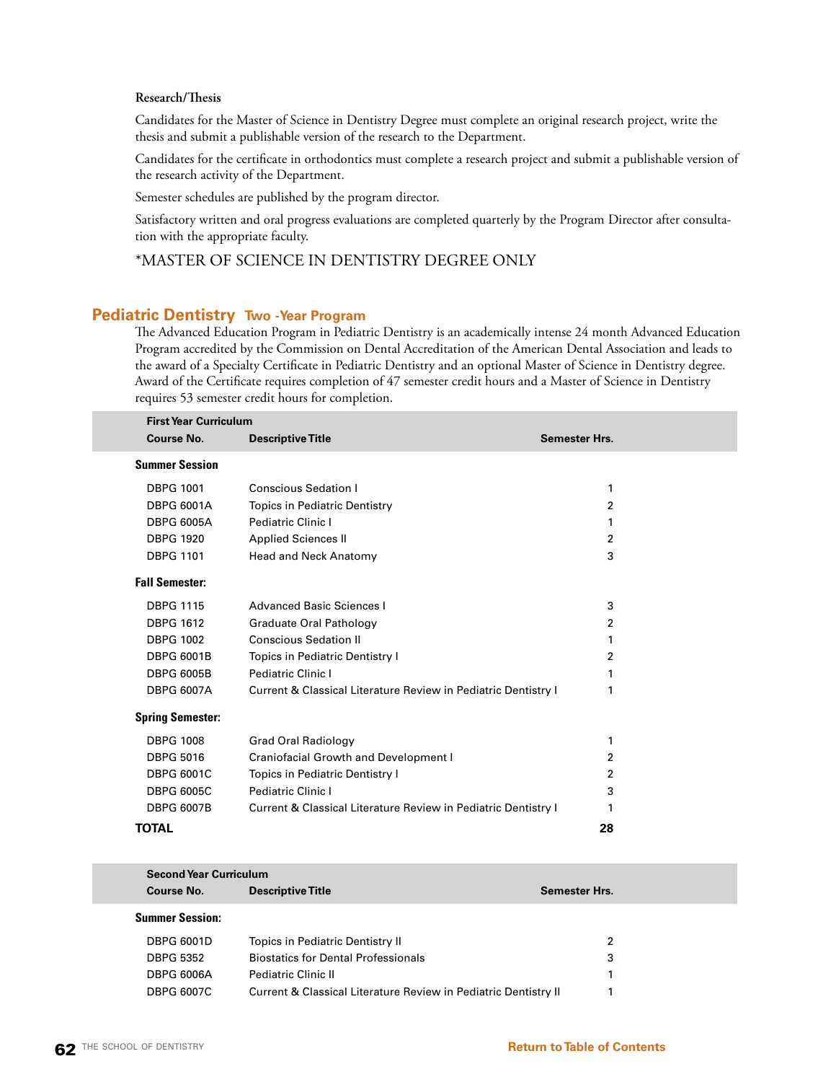# **Research/Thesis**

Candidates for the Master of Science in Dentistry Degree must complete an original research project, write the thesis and submit a publishable version of the research to the Department.

Candidates for the certificate in orthodontics must complete a research project and submit a publishable version of the research activity of the Department.

Semester schedules are published by the program director.

Satisfactory written and oral progress evaluations are completed quarterly by the Program Director after consultation with the appropriate faculty.

# \*MASTER OF SCIENCE IN DENTISTRY DEGREE ONLY

# **Pediatric Dentistry Two -Year Program**

The Advanced Education Program in Pediatric Dentistry is an academically intense 24 month Advanced Education Program accredited by the Commission on Dental Accreditation of the American Dental Association and leads to the award of a Specialty Certificate in Pediatric Dentistry and an optional Master of Science in Dentistry degree. Award of the Certificate requires completion of 47 semester credit hours and a Master of Science in Dentistry requires 53 semester credit hours for completion.

| <b>Descriptive Title</b><br><b>Conscious Sedation I</b><br><b>Topics in Pediatric Dentistry</b><br>Pediatric Clinic I<br><b>Applied Sciences II</b><br>Head and Neck Anatomy | <b>Semester Hrs.</b><br>1<br>2<br>1<br>2<br>3 |                                                                                                                                  |
|------------------------------------------------------------------------------------------------------------------------------------------------------------------------------|-----------------------------------------------|----------------------------------------------------------------------------------------------------------------------------------|
|                                                                                                                                                                              |                                               |                                                                                                                                  |
|                                                                                                                                                                              |                                               |                                                                                                                                  |
|                                                                                                                                                                              |                                               |                                                                                                                                  |
|                                                                                                                                                                              |                                               |                                                                                                                                  |
|                                                                                                                                                                              |                                               |                                                                                                                                  |
|                                                                                                                                                                              |                                               |                                                                                                                                  |
|                                                                                                                                                                              |                                               |                                                                                                                                  |
|                                                                                                                                                                              |                                               |                                                                                                                                  |
| Advanced Basic Sciences I                                                                                                                                                    | 3                                             |                                                                                                                                  |
| Graduate Oral Pathology                                                                                                                                                      | 2                                             |                                                                                                                                  |
| <b>Conscious Sedation II</b>                                                                                                                                                 | 1                                             |                                                                                                                                  |
| Topics in Pediatric Dentistry I                                                                                                                                              | 2                                             |                                                                                                                                  |
| <b>Pediatric Clinic I</b>                                                                                                                                                    |                                               |                                                                                                                                  |
|                                                                                                                                                                              | 1                                             |                                                                                                                                  |
|                                                                                                                                                                              |                                               |                                                                                                                                  |
| <b>Grad Oral Radiology</b>                                                                                                                                                   | 1                                             |                                                                                                                                  |
| <b>Craniofacial Growth and Development I</b>                                                                                                                                 | 2                                             |                                                                                                                                  |
| Topics in Pediatric Dentistry I                                                                                                                                              | 2                                             |                                                                                                                                  |
| Pediatric Clinic I                                                                                                                                                           | 3                                             |                                                                                                                                  |
|                                                                                                                                                                              | 1                                             |                                                                                                                                  |
|                                                                                                                                                                              | 28                                            |                                                                                                                                  |
|                                                                                                                                                                              |                                               | Current & Classical Literature Review in Pediatric Dentistry I<br>Current & Classical Literature Review in Pediatric Dentistry I |

| <b>Second Year Curriculum</b> |                                                                 |               |
|-------------------------------|-----------------------------------------------------------------|---------------|
| <b>Course No.</b>             | <b>Descriptive Title</b>                                        | Semester Hrs. |
| <b>Summer Session:</b>        |                                                                 |               |
| <b>DBPG 6001D</b>             | Topics in Pediatric Dentistry II                                | 2             |
| <b>DBPG 5352</b>              | <b>Biostatics for Dental Professionals</b>                      | 3             |
| <b>DBPG 6006A</b>             | <b>Pediatric Clinic II</b>                                      |               |
| <b>DBPG 6007C</b>             | Current & Classical Literature Review in Pediatric Dentistry II |               |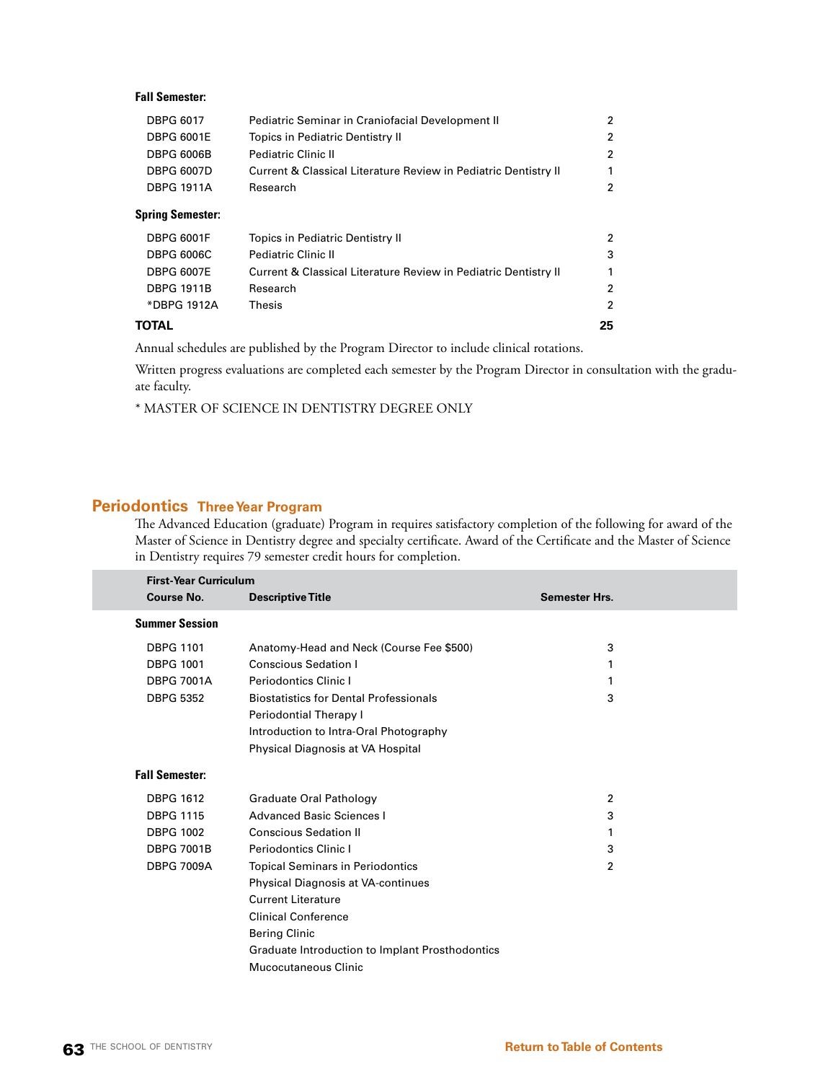# **Fall Semester:**

| <b>DBPG 6017</b>        | Pediatric Seminar in Craniofacial Development II                |   |
|-------------------------|-----------------------------------------------------------------|---|
| <b>DBPG 6001E</b>       | Topics in Pediatric Dentistry II                                | 2 |
| <b>DBPG 6006B</b>       | <b>Pediatric Clinic II</b>                                      | 2 |
| <b>DBPG 6007D</b>       | Current & Classical Literature Review in Pediatric Dentistry II |   |
| <b>DBPG 1911A</b>       | Research                                                        |   |
| <b>Spring Semester:</b> |                                                                 |   |
| <b>DBPG 6001F</b>       | Topics in Pediatric Dentistry II                                | 2 |
| <b>DBPG 6006C</b>       | <b>Pediatric Clinic II</b>                                      | з |
| <b>DBPG 6007E</b>       | Current & Classical Literature Review in Pediatric Dentistry II |   |
| <b>DBPG 1911B</b>       | Research                                                        | 2 |
| *DBPG 1912A             | Thesis                                                          | 2 |
|                         |                                                                 |   |

#### **TOTAL 25**

Annual schedules are published by the Program Director to include clinical rotations.

Written progress evaluations are completed each semester by the Program Director in consultation with the graduate faculty.

\* MASTER OF SCIENCE IN DENTISTRY DEGREE ONLY

# **Periodontics Three Year Program**

The Advanced Education (graduate) Program in requires satisfactory completion of the following for award of the Master of Science in Dentistry degree and specialty certificate. Award of the Certificate and the Master of Science in Dentistry requires 79 semester credit hours for completion.

| <b>First-Year Curriculum</b> |                                                 |                      |
|------------------------------|-------------------------------------------------|----------------------|
| <b>Course No.</b>            | <b>Descriptive Title</b>                        | <b>Semester Hrs.</b> |
| <b>Summer Session</b>        |                                                 |                      |
| <b>DBPG 1101</b>             | Anatomy-Head and Neck (Course Fee \$500)        | 3                    |
| <b>DBPG 1001</b>             | <b>Conscious Sedation I</b>                     | 1                    |
| <b>DBPG 7001A</b>            | <b>Periodontics Clinic I</b>                    |                      |
| <b>DBPG 5352</b>             | <b>Biostatistics for Dental Professionals</b>   | 3                    |
|                              | Periodontial Therapy I                          |                      |
|                              | Introduction to Intra-Oral Photography          |                      |
|                              | Physical Diagnosis at VA Hospital               |                      |
| <b>Fall Semester:</b>        |                                                 |                      |
| <b>DBPG 1612</b>             | Graduate Oral Pathology                         | $\overline{2}$       |
| <b>DBPG 1115</b>             | <b>Advanced Basic Sciences I</b>                | 3                    |
| <b>DBPG 1002</b>             | <b>Conscious Sedation II</b>                    |                      |
| <b>DBPG 7001B</b>            | <b>Periodontics Clinic I</b>                    | 3                    |
| <b>DBPG 7009A</b>            | <b>Topical Seminars in Periodontics</b>         | 2                    |
|                              | <b>Physical Diagnosis at VA-continues</b>       |                      |
|                              | <b>Current Literature</b>                       |                      |
|                              | <b>Clinical Conference</b>                      |                      |
|                              | <b>Bering Clinic</b>                            |                      |
|                              | Graduate Introduction to Implant Prosthodontics |                      |
|                              | Mucocutaneous Clinic                            |                      |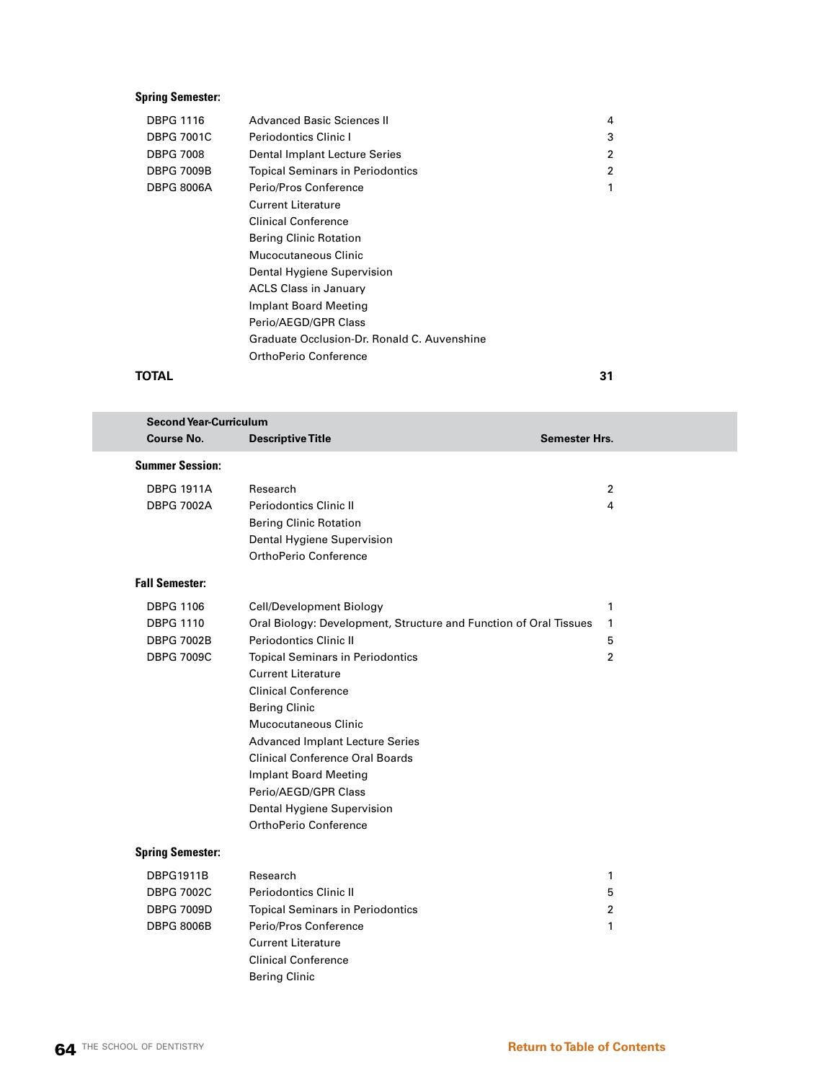# **Spring Semester:**

| <b>Advanced Basic Sciences II</b>           | 4 |
|---------------------------------------------|---|
| Periodontics Clinic I                       | 3 |
| Dental Implant Lecture Series               | 2 |
| <b>Topical Seminars in Periodontics</b>     | 2 |
| Perio/Pros Conference                       |   |
| <b>Current Literature</b>                   |   |
| Clinical Conference                         |   |
| <b>Bering Clinic Rotation</b>               |   |
| Mucocutaneous Clinic                        |   |
| Dental Hygiene Supervision                  |   |
| <b>ACLS Class in January</b>                |   |
| Implant Board Meeting                       |   |
| Perio/AEGD/GPR Class                        |   |
| Graduate Occlusion-Dr. Ronald C. Auvenshine |   |
| OrthoPerio Conference                       |   |
|                                             |   |

#### **TOTAL 31**

| <b>Second Year-Curriculum</b> |                                                                   |                      |  |
|-------------------------------|-------------------------------------------------------------------|----------------------|--|
| <b>Course No.</b>             | <b>Descriptive Title</b>                                          | <b>Semester Hrs.</b> |  |
| <b>Summer Session:</b>        |                                                                   |                      |  |
| <b>DBPG 1911A</b>             | Research                                                          | 2                    |  |
| <b>DBPG 7002A</b>             | Periodontics Clinic II                                            | 4                    |  |
|                               | <b>Bering Clinic Rotation</b>                                     |                      |  |
|                               | Dental Hygiene Supervision                                        |                      |  |
|                               | OrthoPerio Conference                                             |                      |  |
| <b>Fall Semester:</b>         |                                                                   |                      |  |
| <b>DBPG 1106</b>              | Cell/Development Biology                                          | 1                    |  |
| <b>DBPG 1110</b>              | Oral Biology: Development, Structure and Function of Oral Tissues | $\mathbf{1}$         |  |
| <b>DBPG 7002B</b>             | Periodontics Clinic II                                            | 5                    |  |
| <b>DBPG 7009C</b>             | <b>Topical Seminars in Periodontics</b>                           | $\overline{2}$       |  |
|                               | <b>Current Literature</b>                                         |                      |  |
|                               | <b>Clinical Conference</b>                                        |                      |  |
|                               | <b>Bering Clinic</b>                                              |                      |  |
|                               | <b>Mucocutaneous Clinic</b>                                       |                      |  |
|                               | <b>Advanced Implant Lecture Series</b>                            |                      |  |
|                               | <b>Clinical Conference Oral Boards</b>                            |                      |  |
|                               | <b>Implant Board Meeting</b>                                      |                      |  |
|                               | Perio/AEGD/GPR Class                                              |                      |  |
|                               | Dental Hygiene Supervision                                        |                      |  |
|                               | OrthoPerio Conference                                             |                      |  |
| <b>Spring Semester:</b>       |                                                                   |                      |  |
| <b>DBPG1911B</b>              | Research                                                          | 1                    |  |
| <b>DBPG 7002C</b>             | <b>Periodontics Clinic II</b>                                     | 5                    |  |
| <b>DBPG 7009D</b>             | <b>Topical Seminars in Periodontics</b>                           | $\overline{2}$       |  |
| <b>DBPG 8006B</b>             | Perio/Pros Conference                                             | 1                    |  |
|                               | <b>Current Literature</b>                                         |                      |  |

Clinical Conference Bering Clinic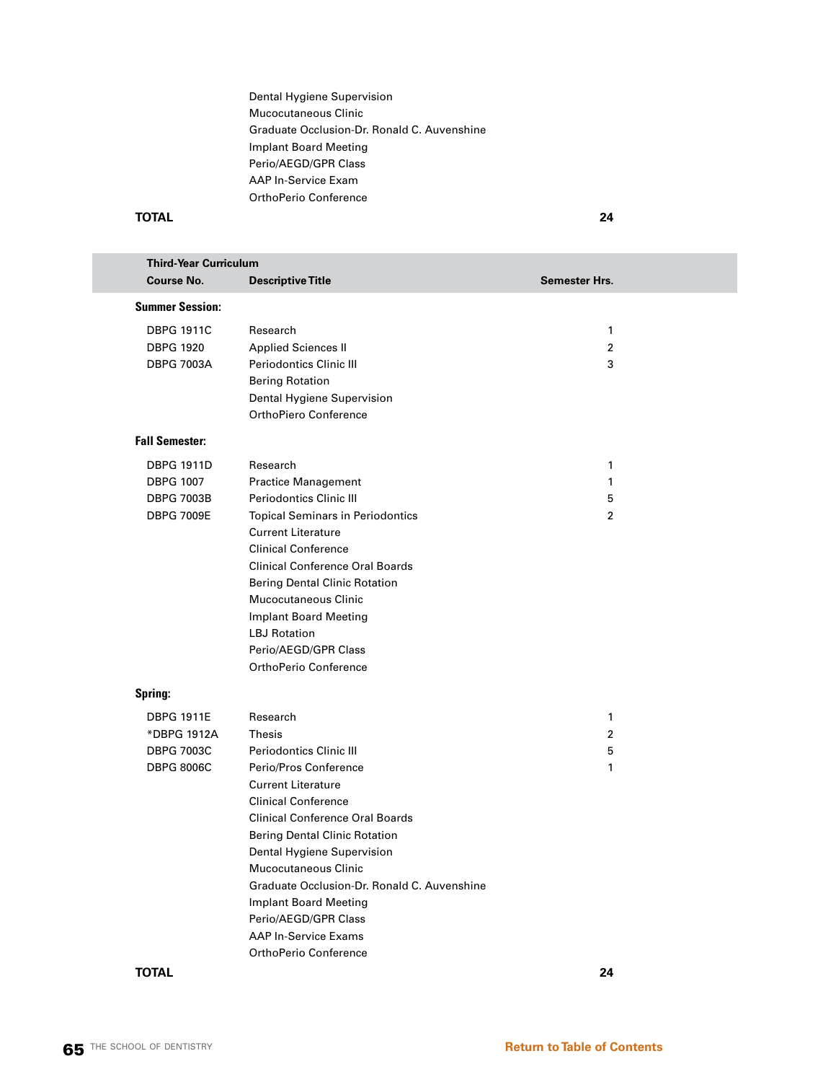Dental Hygiene Supervision Mucocutaneous Clinic Graduate Occlusion-Dr. Ronald C. Auvenshine Implant Board Meeting Perio/AEGD/GPR Class AAP In-Service Exam OrthoPerio Conference

#### **TOTAL 24**

| <b>Third-Year Curriculum</b> |                                                      |                      |  |
|------------------------------|------------------------------------------------------|----------------------|--|
| <b>Course No.</b>            | <b>Descriptive Title</b>                             | <b>Semester Hrs.</b> |  |
| <b>Summer Session:</b>       |                                                      |                      |  |
| <b>DBPG 1911C</b>            | Research                                             | 1                    |  |
| <b>DBPG 1920</b>             | <b>Applied Sciences II</b>                           | $\overline{2}$       |  |
| <b>DBPG 7003A</b>            | <b>Periodontics Clinic III</b>                       | 3                    |  |
|                              | <b>Bering Rotation</b>                               |                      |  |
|                              | Dental Hygiene Supervision                           |                      |  |
|                              | OrthoPiero Conference                                |                      |  |
| <b>Fall Semester:</b>        |                                                      |                      |  |
| <b>DBPG 1911D</b>            | Research                                             | 1                    |  |
| <b>DBPG 1007</b>             | <b>Practice Management</b>                           | $\mathbf{1}$         |  |
| <b>DBPG 7003B</b>            | <b>Periodontics Clinic III</b>                       | 5                    |  |
| <b>DBPG 7009E</b>            | <b>Topical Seminars in Periodontics</b>              | $\overline{2}$       |  |
|                              | <b>Current Literature</b>                            |                      |  |
|                              | <b>Clinical Conference</b>                           |                      |  |
|                              | <b>Clinical Conference Oral Boards</b>               |                      |  |
|                              | <b>Bering Dental Clinic Rotation</b>                 |                      |  |
|                              | <b>Mucocutaneous Clinic</b>                          |                      |  |
|                              | <b>Implant Board Meeting</b>                         |                      |  |
|                              | <b>LBJ</b> Rotation                                  |                      |  |
|                              | Perio/AEGD/GPR Class                                 |                      |  |
|                              | OrthoPerio Conference                                |                      |  |
| Spring:                      |                                                      |                      |  |
| <b>DBPG 1911E</b>            | Research                                             | 1                    |  |
| *DBPG 1912A                  | Thesis                                               | 2                    |  |
| <b>DBPG 7003C</b>            | <b>Periodontics Clinic III</b>                       | 5                    |  |
| <b>DBPG 8006C</b>            | Perio/Pros Conference                                | $\mathbf{1}$         |  |
|                              | <b>Current Literature</b>                            |                      |  |
|                              | <b>Clinical Conference</b>                           |                      |  |
|                              | <b>Clinical Conference Oral Boards</b>               |                      |  |
|                              | <b>Bering Dental Clinic Rotation</b>                 |                      |  |
|                              | Dental Hygiene Supervision                           |                      |  |
|                              | <b>Mucocutaneous Clinic</b>                          |                      |  |
|                              | Graduate Occlusion-Dr. Ronald C. Auvenshine          |                      |  |
|                              | Implant Board Meeting                                |                      |  |
|                              | Perio/AEGD/GPR Class                                 |                      |  |
|                              | <b>AAP In-Service Exams</b><br>OrthoPerio Conference |                      |  |
|                              |                                                      |                      |  |

**TOTAL 24**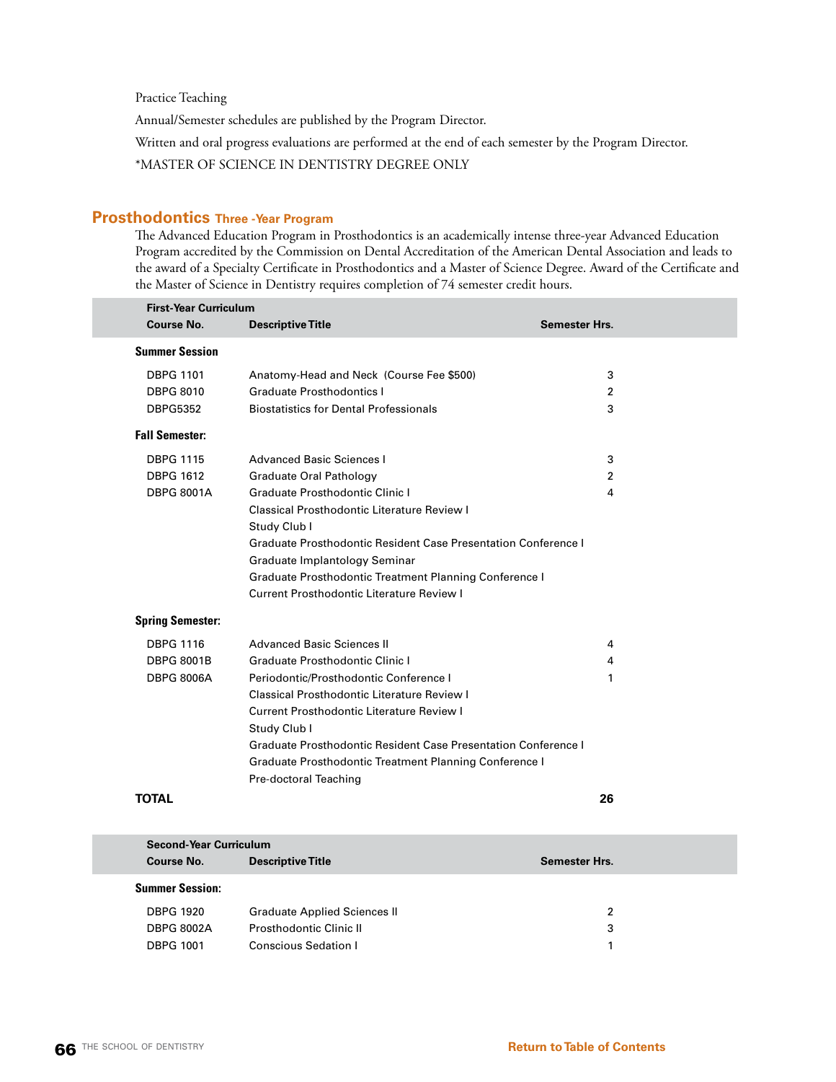Practice Teaching

Annual/Semester schedules are published by the Program Director.

Written and oral progress evaluations are performed at the end of each semester by the Program Director.

\*MASTER OF SCIENCE IN DENTISTRY DEGREE ONLY

# **Prosthodontics Three -Year Program**

The Advanced Education Program in Prosthodontics is an academically intense three-year Advanced Education Program accredited by the Commission on Dental Accreditation of the American Dental Association and leads to the award of a Specialty Certificate in Prosthodontics and a Master of Science Degree. Award of the Certificate and the Master of Science in Dentistry requires completion of 74 semester credit hours.

| <b>First-Year Curriculum</b> |                                                                |                      |  |
|------------------------------|----------------------------------------------------------------|----------------------|--|
| Course No.                   | <b>Descriptive Title</b>                                       | <b>Semester Hrs.</b> |  |
| <b>Summer Session</b>        |                                                                |                      |  |
| <b>DBPG 1101</b>             | Anatomy-Head and Neck (Course Fee \$500)                       | 3                    |  |
| <b>DBPG 8010</b>             | <b>Graduate Prosthodontics I</b>                               | $\overline{2}$       |  |
| <b>DBPG5352</b>              | <b>Biostatistics for Dental Professionals</b>                  | 3                    |  |
| <b>Fall Semester:</b>        |                                                                |                      |  |
| <b>DBPG 1115</b>             | Advanced Basic Sciences I                                      | 3                    |  |
| <b>DBPG 1612</b>             | <b>Graduate Oral Pathology</b>                                 | 2                    |  |
| <b>DBPG 8001A</b>            | Graduate Prosthodontic Clinic I                                | 4                    |  |
|                              | Classical Prosthodontic Literature Review I                    |                      |  |
|                              | Study Club I                                                   |                      |  |
|                              | Graduate Prosthodontic Resident Case Presentation Conference I |                      |  |
|                              | Graduate Implantology Seminar                                  |                      |  |
|                              | <b>Graduate Prosthodontic Treatment Planning Conference I</b>  |                      |  |
|                              | Current Prosthodontic Literature Review I                      |                      |  |
| <b>Spring Semester:</b>      |                                                                |                      |  |
| <b>DBPG 1116</b>             | <b>Advanced Basic Sciences II</b>                              | 4                    |  |
| <b>DBPG 8001B</b>            | Graduate Prosthodontic Clinic I                                | 4                    |  |
| <b>DBPG 8006A</b>            | Periodontic/Prosthodontic Conference I                         | $\mathbf{1}$         |  |
|                              | Classical Prosthodontic Literature Review I                    |                      |  |
|                              | <b>Current Prosthodontic Literature Review I</b>               |                      |  |
|                              | Study Club I                                                   |                      |  |
|                              | Graduate Prosthodontic Resident Case Presentation Conference L |                      |  |
|                              | Graduate Prosthodontic Treatment Planning Conference I         |                      |  |
|                              | Pre-doctoral Teaching                                          |                      |  |
| TOTAL                        |                                                                | 26                   |  |

| <b>Second-Year Curriculum</b><br>Course No. | <b>Descriptive Title</b>            | Semester Hrs. |
|---------------------------------------------|-------------------------------------|---------------|
| <b>Summer Session:</b>                      |                                     |               |
| <b>DBPG 1920</b>                            | <b>Graduate Applied Sciences II</b> | 2             |
| <b>DBPG 8002A</b>                           | <b>Prosthodontic Clinic II</b>      | 3             |
| <b>DBPG 1001</b>                            | <b>Conscious Sedation I</b>         |               |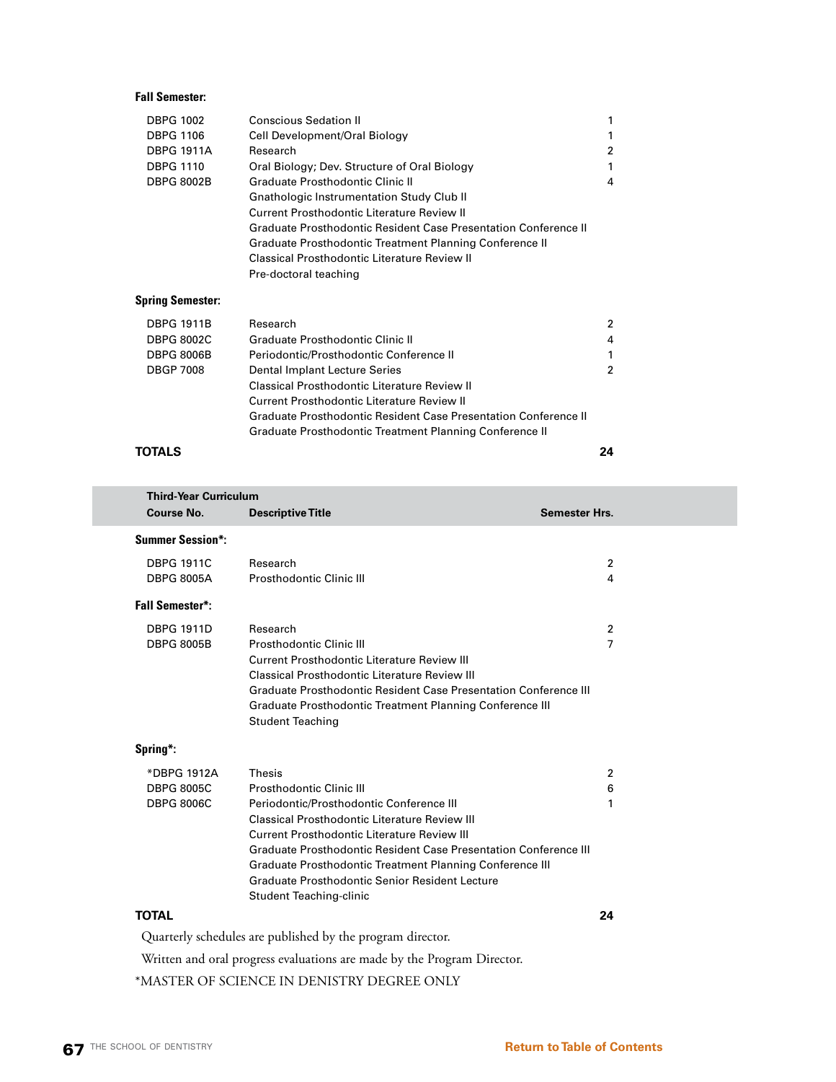# **Fall Semester:**

| <b>DBPG 1002</b>        | <b>Conscious Sedation II</b>                                    |   |
|-------------------------|-----------------------------------------------------------------|---|
| <b>DBPG 1106</b>        | Cell Development/Oral Biology                                   |   |
| <b>DBPG 1911A</b>       | Research                                                        | 2 |
| <b>DBPG 1110</b>        | Oral Biology; Dev. Structure of Oral Biology                    |   |
| <b>DBPG 8002B</b>       | Graduate Prosthodontic Clinic II                                | 4 |
|                         | <b>Gnathologic Instrumentation Study Club II</b>                |   |
|                         | Current Prosthodontic Literature Review II                      |   |
|                         | Graduate Prosthodontic Resident Case Presentation Conference II |   |
|                         | Graduate Prosthodontic Treatment Planning Conference II         |   |
|                         | Classical Prosthodontic Literature Review II                    |   |
|                         | Pre-doctoral teaching                                           |   |
| <b>Spring Semester:</b> |                                                                 |   |
| DBPG 1911B              | Research                                                        | 2 |

| DBPG 1911B | Research                                                        | 2              |
|------------|-----------------------------------------------------------------|----------------|
| DBPG 8002C | <b>Graduate Prosthodontic Clinic II</b>                         | $\overline{4}$ |
| DBPG 8006B | Periodontic/Prosthodontic Conference II                         | 1              |
| DBGP 7008  | Dental Implant Lecture Series                                   | 2              |
|            | <b>Classical Prosthodontic Literature Review II</b>             |                |
|            | Current Prosthodontic Literature Review II                      |                |
|            | Graduate Prosthodontic Resident Case Presentation Conference II |                |
|            | Graduate Prosthodontic Treatment Planning Conference II         |                |
|            |                                                                 |                |

#### **TOTALS 24**

| <b>Third-Year Curriculum</b> |                                                                  |                      |
|------------------------------|------------------------------------------------------------------|----------------------|
| Course No.                   | <b>Descriptive Title</b>                                         | <b>Semester Hrs.</b> |
| <b>Summer Session*:</b>      |                                                                  |                      |
| <b>DBPG 1911C</b>            | Research                                                         | $\overline{2}$       |
| <b>DBPG 8005A</b>            | Prosthodontic Clinic III                                         | 4                    |
| <b>Fall Semester*:</b>       |                                                                  |                      |
| <b>DBPG 1911D</b>            | Research                                                         | $\overline{2}$       |
| <b>DBPG 8005B</b>            | Prosthodontic Clinic III                                         | 7                    |
|                              | <b>Current Prosthodontic Literature Review III</b>               |                      |
|                              | Classical Prosthodontic Literature Review III                    |                      |
|                              | Graduate Prosthodontic Resident Case Presentation Conference III |                      |
|                              | Graduate Prosthodontic Treatment Planning Conference III         |                      |
|                              | <b>Student Teaching</b>                                          |                      |
| Spring*:                     |                                                                  |                      |
| *DBPG 1912A                  | <b>Thesis</b>                                                    | 2                    |
| <b>DBPG 8005C</b>            | Prosthodontic Clinic III                                         | 6                    |
| <b>DBPG 8006C</b>            | Periodontic/Prosthodontic Conference III                         | 1                    |
|                              | Classical Prosthodontic Literature Review III                    |                      |
|                              | Current Prosthodontic Literature Review III                      |                      |
|                              | Graduate Prosthodontic Resident Case Presentation Conference III |                      |
|                              | Graduate Prosthodontic Treatment Planning Conference III         |                      |
|                              | Graduate Prosthodontic Senior Resident Lecture                   |                      |
|                              | Student Teaching-clinic                                          |                      |
| <b>TOTAL</b>                 |                                                                  | 24                   |
|                              | Quarterly schedules are published by the program director.       |                      |

Written and oral progress evaluations are made by the Program Director.

\*MASTER OF SCIENCE IN DENISTRY DEGREE ONLY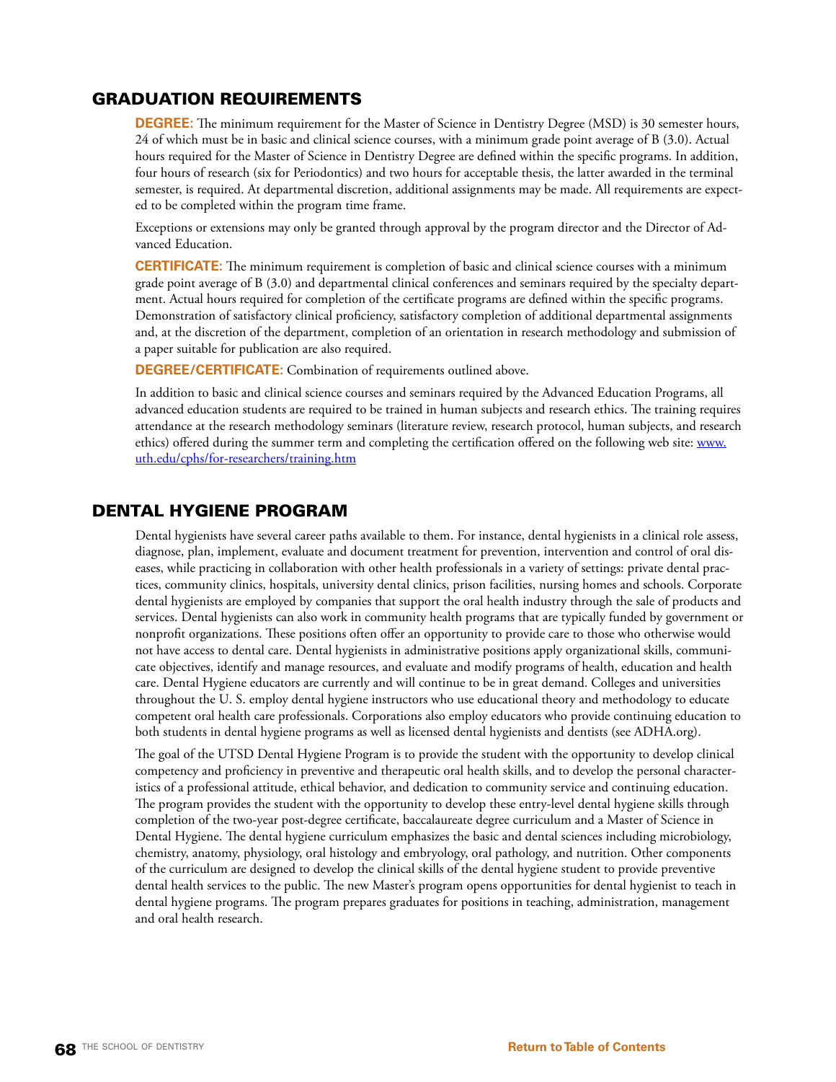# GRADUATION REQUIREMENTS

**DEGREE:** The minimum requirement for the Master of Science in Dentistry Degree (MSD) is 30 semester hours, 24 of which must be in basic and clinical science courses, with a minimum grade point average of B (3.0). Actual hours required for the Master of Science in Dentistry Degree are defined within the specific programs. In addition, four hours of research (six for Periodontics) and two hours for acceptable thesis, the latter awarded in the terminal semester, is required. At departmental discretion, additional assignments may be made. All requirements are expected to be completed within the program time frame.

Exceptions or extensions may only be granted through approval by the program director and the Director of Advanced Education.

**CERTIFICATE:** The minimum requirement is completion of basic and clinical science courses with a minimum grade point average of B (3.0) and departmental clinical conferences and seminars required by the specialty department. Actual hours required for completion of the certificate programs are defined within the specific programs. Demonstration of satisfactory clinical proficiency, satisfactory completion of additional departmental assignments and, at the discretion of the department, completion of an orientation in research methodology and submission of a paper suitable for publication are also required.

**DEGREE/CERTIFICATE:** Combination of requirements outlined above.

In addition to basic and clinical science courses and seminars required by the Advanced Education Programs, all advanced education students are required to be trained in human subjects and research ethics. The training requires attendance at the research methodology seminars (literature review, research protocol, human subjects, and research ethics) offered during the summer term and completing the certification offered on the following web site: [www.](http://www.uth.edu/cphs/for-researchers/training.htm) [uth.edu/cphs/for-researchers/training.htm](http://www.uth.edu/cphs/for-researchers/training.htm)

# DENTAL HYGIENE PROGRAM

Dental hygienists have several career paths available to them. For instance, dental hygienists in a clinical role assess, diagnose, plan, implement, evaluate and document treatment for prevention, intervention and control of oral diseases, while practicing in collaboration with other health professionals in a variety of settings: private dental practices, community clinics, hospitals, university dental clinics, prison facilities, nursing homes and schools. Corporate dental hygienists are employed by companies that support the oral health industry through the sale of products and services. Dental hygienists can also work in community health programs that are typically funded by government or nonprofit organizations. These positions often offer an opportunity to provide care to those who otherwise would not have access to dental care. Dental hygienists in administrative positions apply organizational skills, communicate objectives, identify and manage resources, and evaluate and modify programs of health, education and health care. Dental Hygiene educators are currently and will continue to be in great demand. Colleges and universities throughout the U. S. employ dental hygiene instructors who use educational theory and methodology to educate competent oral health care professionals. Corporations also employ educators who provide continuing education to both students in dental hygiene programs as well as licensed dental hygienists and dentists (see ADHA.org).

The goal of the UTSD Dental Hygiene Program is to provide the student with the opportunity to develop clinical competency and proficiency in preventive and therapeutic oral health skills, and to develop the personal characteristics of a professional attitude, ethical behavior, and dedication to community service and continuing education. The program provides the student with the opportunity to develop these entry-level dental hygiene skills through completion of the two-year post-degree certificate, baccalaureate degree curriculum and a Master of Science in Dental Hygiene. The dental hygiene curriculum emphasizes the basic and dental sciences including microbiology, chemistry, anatomy, physiology, oral histology and embryology, oral pathology, and nutrition. Other components of the curriculum are designed to develop the clinical skills of the dental hygiene student to provide preventive dental health services to the public. The new Master's program opens opportunities for dental hygienist to teach in dental hygiene programs. The program prepares graduates for positions in teaching, administration, management and oral health research.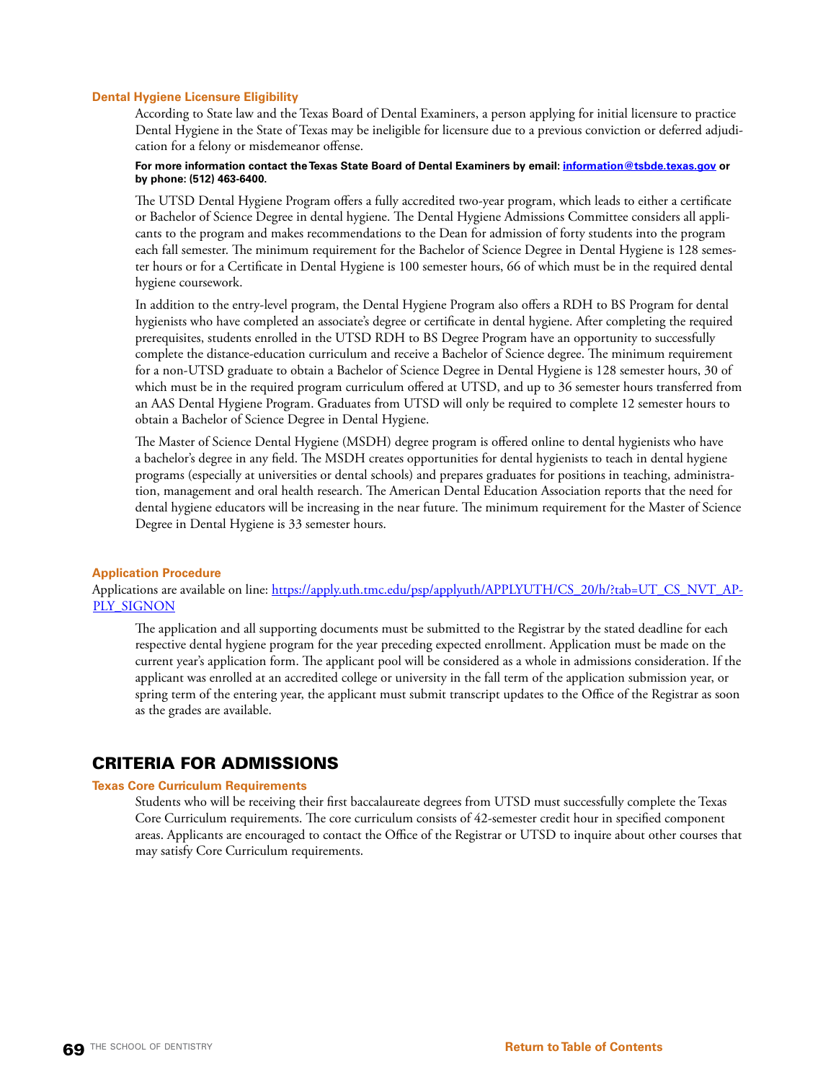#### **Dental Hygiene Licensure Eligibility**

According to State law and the Texas Board of Dental Examiners, a person applying for initial licensure to practice Dental Hygiene in the State of Texas may be ineligible for licensure due to a previous conviction or deferred adjudication for a felony or misdemeanor offense.

# **For more information contact the Texas State Board of Dental Examiners by email: [information@tsbde.texas.gov](mailto:information@tsbde.texas.gov) or by phone: (512) 463-6400.**

The UTSD Dental Hygiene Program offers a fully accredited two-year program, which leads to either a certificate or Bachelor of Science Degree in dental hygiene. The Dental Hygiene Admissions Committee considers all applicants to the program and makes recommendations to the Dean for admission of forty students into the program each fall semester. The minimum requirement for the Bachelor of Science Degree in Dental Hygiene is 128 semester hours or for a Certificate in Dental Hygiene is 100 semester hours, 66 of which must be in the required dental hygiene coursework.

In addition to the entry-level program, the Dental Hygiene Program also offers a RDH to BS Program for dental hygienists who have completed an associate's degree or certificate in dental hygiene. After completing the required prerequisites, students enrolled in the UTSD RDH to BS Degree Program have an opportunity to successfully complete the distance-education curriculum and receive a Bachelor of Science degree. The minimum requirement for a non-UTSD graduate to obtain a Bachelor of Science Degree in Dental Hygiene is 128 semester hours, 30 of which must be in the required program curriculum offered at UTSD, and up to 36 semester hours transferred from an AAS Dental Hygiene Program. Graduates from UTSD will only be required to complete 12 semester hours to obtain a Bachelor of Science Degree in Dental Hygiene.

The Master of Science Dental Hygiene (MSDH) degree program is offered online to dental hygienists who have a bachelor's degree in any field. The MSDH creates opportunities for dental hygienists to teach in dental hygiene programs (especially at universities or dental schools) and prepares graduates for positions in teaching, administration, management and oral health research. The American Dental Education Association reports that the need for dental hygiene educators will be increasing in the near future. The minimum requirement for the Master of Science Degree in Dental Hygiene is 33 semester hours.

#### **Application Procedure**

Applications are available on line: [https://apply.uth.tmc.edu/psp/applyuth/APPLYUTH/CS\\_20/h/?tab=UT\\_CS\\_NVT\\_AP-](https://apply.uth.tmc.edu/psp/applyuth/APPLYUTH/CS_20/h/?tab=UT_CS_NVT_APPLY_SIGNON)[PLY\\_SIGNON](https://apply.uth.tmc.edu/psp/applyuth/APPLYUTH/CS_20/h/?tab=UT_CS_NVT_APPLY_SIGNON)

The application and all supporting documents must be submitted to the Registrar by the stated deadline for each respective dental hygiene program for the year preceding expected enrollment. Application must be made on the current year's application form. The applicant pool will be considered as a whole in admissions consideration. If the applicant was enrolled at an accredited college or university in the fall term of the application submission year, or spring term of the entering year, the applicant must submit transcript updates to the Office of the Registrar as soon as the grades are available.

# CRITERIA FOR ADMISSIONS

#### **Texas Core Curriculum Requirements**

Students who will be receiving their first baccalaureate degrees from UTSD must successfully complete the Texas Core Curriculum requirements. The core curriculum consists of 42-semester credit hour in specified component areas. Applicants are encouraged to contact the Office of the Registrar or UTSD to inquire about other courses that may satisfy Core Curriculum requirements.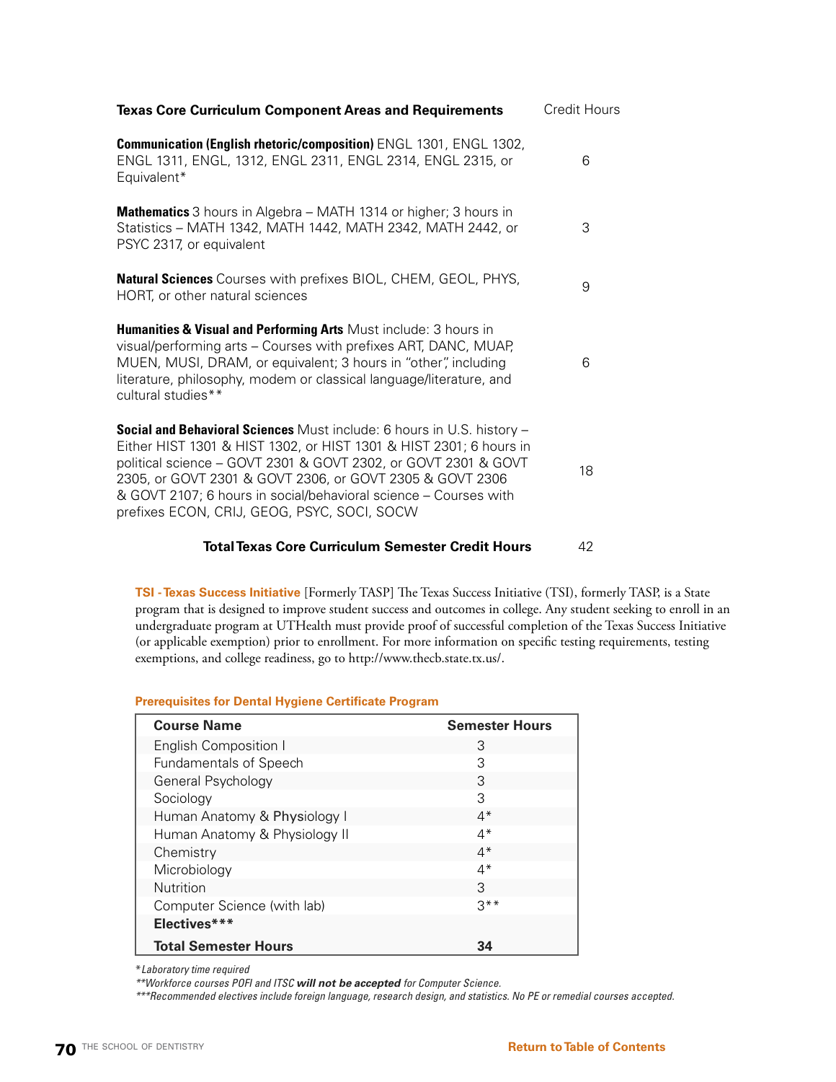| <b>Texas Core Curriculum Component Areas and Requirements</b>                                                                                                                                                                                                                                                                                                                                        | Credit Hours |
|------------------------------------------------------------------------------------------------------------------------------------------------------------------------------------------------------------------------------------------------------------------------------------------------------------------------------------------------------------------------------------------------------|--------------|
| Communication (English rhetoric/composition) ENGL 1301, ENGL 1302,<br>ENGL 1311, ENGL, 1312, ENGL 2311, ENGL 2314, ENGL 2315, or<br>Equivalent*                                                                                                                                                                                                                                                      | 6            |
| <b>Mathematics</b> 3 hours in Algebra – MATH 1314 or higher; 3 hours in<br>Statistics - MATH 1342, MATH 1442, MATH 2342, MATH 2442, or<br>PSYC 2317, or equivalent                                                                                                                                                                                                                                   | 3            |
| <b>Natural Sciences</b> Courses with prefixes BIOL, CHEM, GEOL, PHYS,<br>HORT, or other natural sciences                                                                                                                                                                                                                                                                                             | 9            |
| Humanities & Visual and Performing Arts Must include: 3 hours in<br>visual/performing arts - Courses with prefixes ART, DANC, MUAP,<br>MUEN, MUSI, DRAM, or equivalent; 3 hours in "other", including<br>literature, philosophy, modem or classical language/literature, and<br>cultural studies**                                                                                                   | 6            |
| <b>Social and Behavioral Sciences</b> Must include: 6 hours in U.S. history -<br>Either HIST 1301 & HIST 1302, or HIST 1301 & HIST 2301; 6 hours in<br>political science - GOVT 2301 & GOVT 2302, or GOVT 2301 & GOVT<br>2305, or GOVT 2301 & GOVT 2306, or GOVT 2305 & GOVT 2306<br>& GOVT 2107; 6 hours in social/behavioral science – Courses with<br>prefixes ECON, CRIJ, GEOG, PSYC, SOCI, SOCW | 18           |
| <b>Total Texas Core Curriculum Semester Credit Hours</b>                                                                                                                                                                                                                                                                                                                                             | 42           |

**TSI - Texas Success Initiative** [Formerly TASP] The Texas Success Initiative (TSI), formerly TASP, is a State program that is designed to improve student success and outcomes in college. Any student seeking to enroll in an undergraduate program at UTHealth must provide proof of successful completion of the Texas Success Initiative (or applicable exemption) prior to enrollment. For more information on specific testing requirements, testing exemptions, and college readiness, go to<http://www.thecb.state.tx.us/>.

| <b>Course Name</b>            | <b>Semester Hours</b> |
|-------------------------------|-----------------------|
| <b>English Composition I</b>  | 3                     |
| <b>Fundamentals of Speech</b> | 3                     |
| General Psychology            | 3                     |
| Sociology                     | З                     |
| Human Anatomy & Physiology I  | $4^*$                 |
| Human Anatomy & Physiology II | $4*$                  |
| Chemistry                     | $4*$                  |
| Microbiology                  | $4^*$                 |
| <b>Nutrition</b>              | 3                     |
| Computer Science (with lab)   | $3**$                 |
| Electives***                  |                       |
| <b>Total Semester Hours</b>   | 34                    |
|                               |                       |

\**Laboratory time required* 

*\*\*Workforce courses POFI and ITSC will not be accepted for Computer Science.*

*\*\*\*Recommended electives include foreign language, research design, and statistics. No PE or remedial courses accepted.*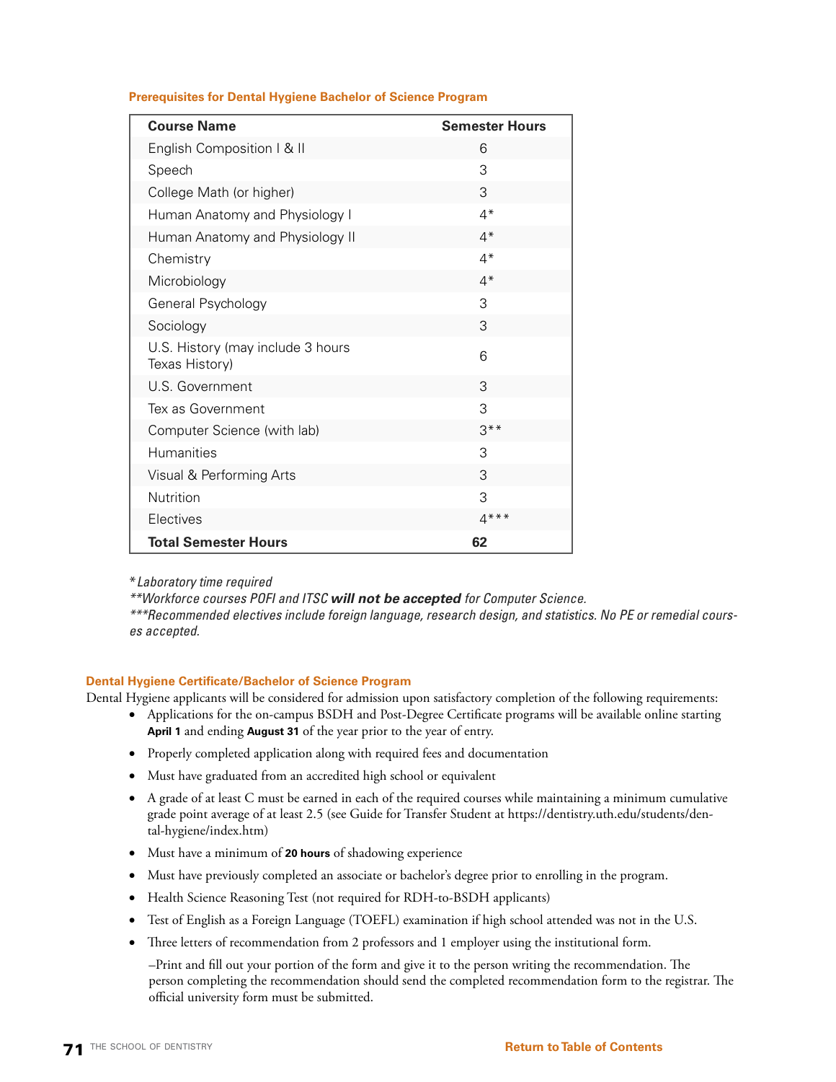**Prerequisites for Dental Hygiene Bachelor of Science Program**

| <b>Course Name</b>                                  | <b>Semester Hours</b> |
|-----------------------------------------------------|-----------------------|
| English Composition   & II                          | 6                     |
| Speech                                              | 3                     |
| College Math (or higher)                            | 3                     |
| Human Anatomy and Physiology I                      | $4*$                  |
| Human Anatomy and Physiology II                     | $4*$                  |
| Chemistry                                           | $4*$                  |
| Microbiology                                        | $4*$                  |
| General Psychology                                  | 3                     |
| Sociology                                           | 3                     |
| U.S. History (may include 3 hours<br>Texas History) | 6                     |
| U.S. Government                                     | 3                     |
| Tex as Government                                   | 3                     |
| Computer Science (with lab)                         | $3***$                |
| <b>Humanities</b>                                   | 3                     |
| Visual & Performing Arts                            | 3                     |
| Nutrition                                           | 3                     |
| Electives                                           | $4***$                |
| <b>Total Semester Hours</b>                         | 62                    |

\**Laboratory time required* 

*\*\*Workforce courses POFI and ITSC will not be accepted for Computer Science.*

*\*\*\*Recommended electives include foreign language, research design, and statistics. No PE or remedial courses accepted.*

# **Dental Hygiene Certificate/Bachelor of Science Program**

Dental Hygiene applicants will be considered for admission upon satisfactory completion of the following requirements:

- • Applications for the on-campus BSDH and Post-Degree Certificate programs will be available online starting **April 1** and ending **August 31** of the year prior to the year of entry.
- Properly completed application along with required fees and documentation
- Must have graduated from an accredited high school or equivalent
- • A grade of at least C must be earned in each of the required courses while maintaining a minimum cumulative grade point average of at least 2.5 (see Guide for Transfer Student at https://dentistry.uth.edu/students/dental-hygiene/index.htm)
- • Must have a minimum of **20 hours** of shadowing experience
- • Must have previously completed an associate or bachelor's degree prior to enrolling in the program.
- Health Science Reasoning Test (not required for RDH-to-BSDH applicants)
- Test of English as a Foreign Language (TOEFL) examination if high school attended was not in the U.S.
- Three letters of recommendation from 2 professors and 1 employer using the institutional form.

–Print and fill out your portion of the form and give it to the person writing the recommendation. The person completing the recommendation should send the completed recommendation form to the registrar. The official university form must be submitted.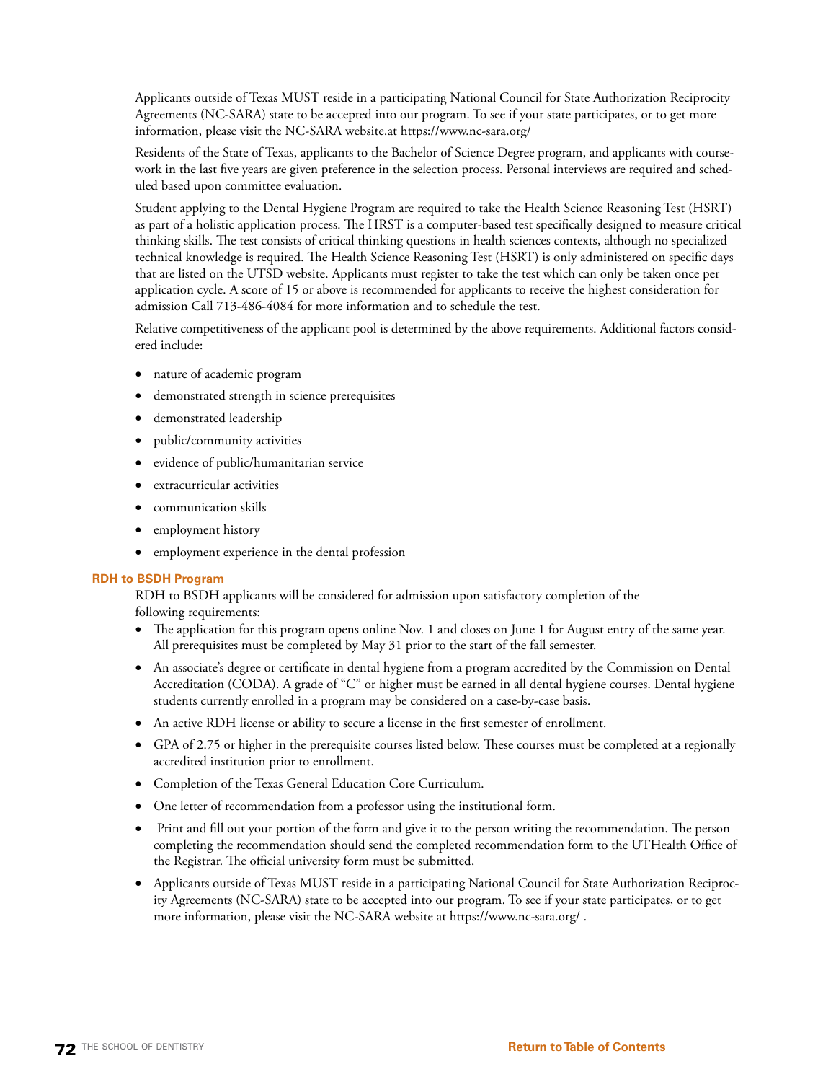Applicants outside of Texas MUST reside in a participating National Council for State Authorization Reciprocity Agreements (NC-SARA) state to be accepted into our program. To see if your state participates, or to get more information, please visit the [NC-SARA](http://nc-sara.org/) website.at<https://www.nc-sara.org/>

Residents of the State of Texas, applicants to the Bachelor of Science Degree program, and applicants with coursework in the last five years are given preference in the selection process. Personal interviews are required and scheduled based upon committee evaluation.

Student applying to the Dental Hygiene Program are required to take the Health Science Reasoning Test (HSRT) as part of a holistic application process. The HRST is a computer-based test specifically designed to measure critical thinking skills. The test consists of critical thinking questions in health sciences contexts, although no specialized technical knowledge is required. The Health Science Reasoning Test (HSRT) is only administered on specific days that are listed on the UTSD website. Applicants must register to take the test which can only be taken once per application cycle. A score of 15 or above is recommended for applicants to receive the highest consideration for admission Call 713-486-4084 for more information and to schedule the test.

Relative competitiveness of the applicant pool is determined by the above requirements. Additional factors considered include:

- nature of academic program
- demonstrated strength in science prerequisites
- demonstrated leadership
- public/community activities
- • evidence of public/humanitarian service
- extracurricular activities
- communication skills
- employment history
- • employment experience in the dental profession

# **RDH to BSDH Program**

RDH to BSDH applicants will be considered for admission upon satisfactory completion of the following requirements:

- The application for this program opens online Nov. 1 and closes on June 1 for August entry of the same year. All prerequisites must be completed by May 31 prior to the start of the fall semester.
- • An associate's degree or certificate in dental hygiene from a program accredited by the Commission on Dental Accreditation (CODA). A grade of "C" or higher must be earned in all dental hygiene courses. Dental hygiene students currently enrolled in a program may be considered on a case-by-case basis.
- An active RDH license or ability to secure a license in the first semester of enrollment.
- GPA of 2.75 or higher in the prerequisite courses listed below. These courses must be completed at a regionally accredited institution prior to enrollment.
- • Completion of the Texas General Education [Core Curriculum](http://www.thecb.state.tx.us/apps/tcc/).
- One letter of recommendation from a professor using the [institutional form.](https://www.uth.edu/registrar/docs/dhyg_ref_2018_name_edited.pdf)
- Print and fill out your portion of the form and give it to the person writing the recommendation. The person completing the recommendation should send the completed recommendation form to the UTHealth Office of the Registrar. The official university form must be submitted.
- • Applicants outside of Texas MUST reside in a participating National Council for State Authorization Reciprocity Agreements (NC-SARA) state to be accepted into our program. To see if your state participates, or to get more information, please visit the [NC-SARA](http://nc-sara.org/) website at<https://www.nc-sara.org/> .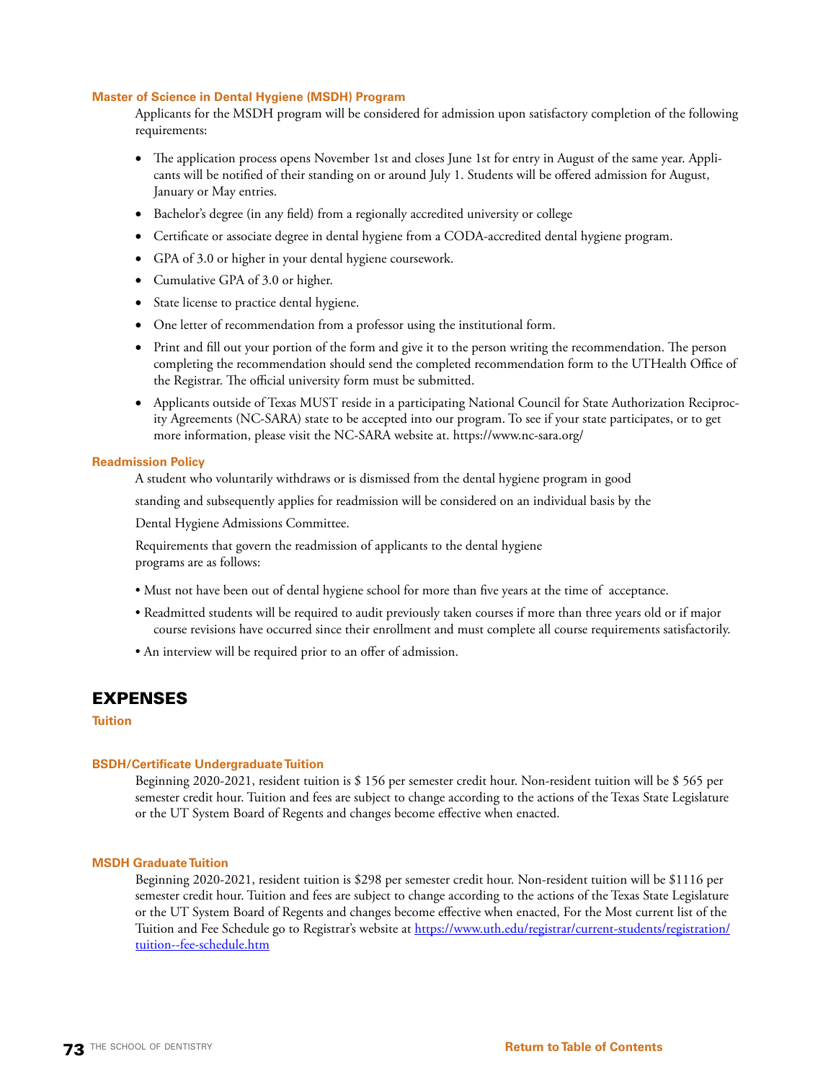### **Master of Science in Dental Hygiene (MSDH) Program**

Applicants for the MSDH program will be considered for admission upon satisfactory completion of the following requirements:

- The application process opens November 1st and closes June 1st for entry in August of the same year. Applicants will be notified of their standing on or around July 1. Students will be offered admission for August, January or May entries.
- Bachelor's degree (in any field) from a regionally accredited university or college
- • Certificate or associate degree in dental hygiene from a [CODA](https://www.ada.org/en/coda)-accredited dental hygiene program.
- GPA of 3.0 or higher in your dental hygiene coursework.
- Cumulative GPA of 3.0 or higher.
- State license to practice dental hygiene.
- One letter of recommendation from a professor using the [institutional form.](https://www.uth.edu/registrar/docs/dhyg_ref_2018_name_edited.pdf)
- Print and fill out your portion of the form and give it to the person writing the recommendation. The person completing the recommendation should send the completed recommendation form to the UTHealth Office of the Registrar. The official university form must be submitted.
- • Applicants outside of Texas MUST reside in a participating National Council for State Authorization Reciprocity Agreements (NC-SARA) state to be accepted into our program. To see if your state participates, or to get more information, please visit the [NC-SARA](http://nc-sara.org/) website at. <https://www.nc-sara.org/>

### **Readmission Policy**

A student who voluntarily withdraws or is dismissed from the dental hygiene program in good

standing and subsequently applies for readmission will be considered on an individual basis by the

Dental Hygiene Admissions Committee.

Requirements that govern the readmission of applicants to the dental hygiene programs are as follows:

- Must not have been out of dental hygiene school for more than five years at the time of acceptance.
- Readmitted students will be required to audit previously taken courses if more than three years old or if major course revisions have occurred since their enrollment and must complete all course requirements satisfactorily.
- An interview will be required prior to an offer of admission.

## EXPENSES

### **Tuition**

### **BSDH/Certificate Undergraduate Tuition**

Beginning 2020-2021, resident tuition is \$ 156 per semester credit hour. Non-resident tuition will be \$ 565 per semester credit hour. Tuition and fees are subject to change according to the actions of the Texas State Legislature or the UT System Board of Regents and changes become effective when enacted.

### **MSDH Graduate Tuition**

Beginning 2020-2021, resident tuition is \$298 per semester credit hour. Non-resident tuition will be \$1116 per semester credit hour. Tuition and fees are subject to change according to the actions of the Texas State Legislature or the UT System Board of Regents and changes become effective when enacted, For the Most current list of the Tuition and Fee Schedule go to Registrar's website at [https://www.uth.edu/registrar/current-students/registration/](https://www.uth.edu/registrar/current-students/registration/tuition--fee-schedule.htm) [tuition--fee-schedule.htm](https://www.uth.edu/registrar/current-students/registration/tuition--fee-schedule.htm)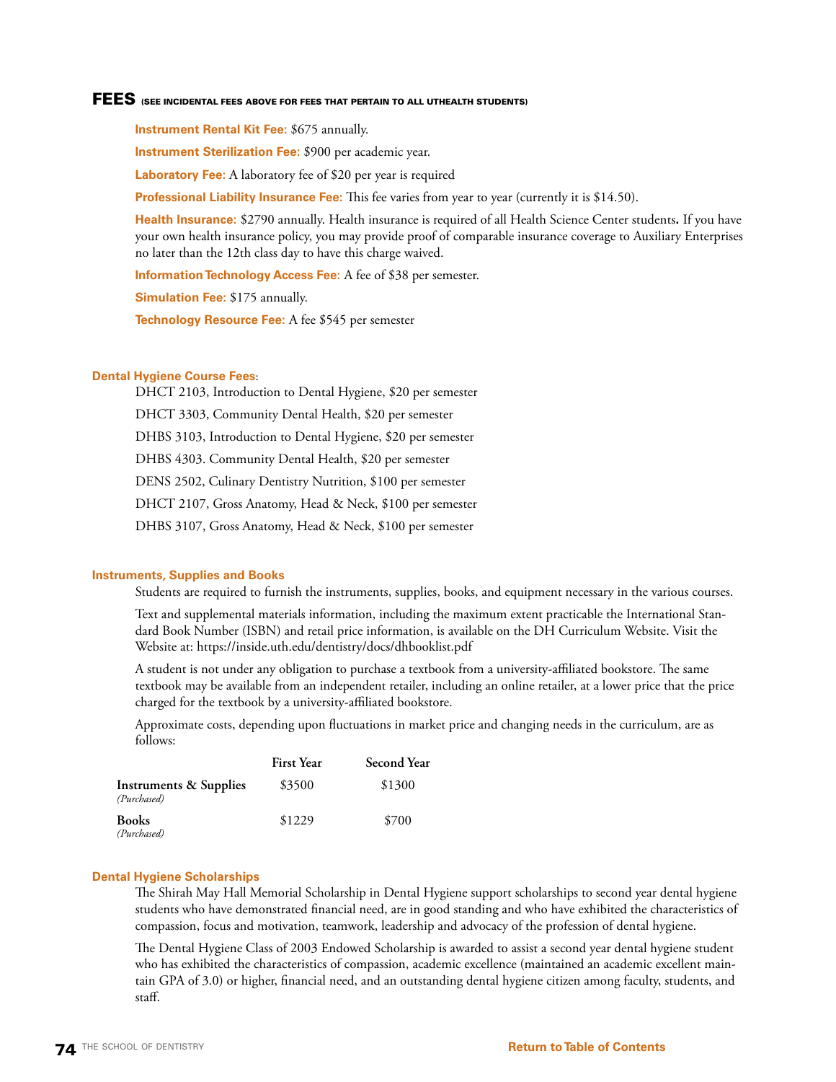### FEES (SEE INCIDENTAL FEES ABOVE FOR FEES THAT PERTAIN TO ALL UTHEALTH STUDENTS)

**Instrument Rental Kit Fee:** \$675 annually.

**Instrument Sterilization Fee:** \$900 per academic year.

**Laboratory Fee:** A laboratory fee of \$20 per year is required

**Professional Liability Insurance Fee:** This fee varies from year to year (currently it is \$14.50).

**Health Insurance:** \$2790 annually. Health insurance is required of all Health Science Center students**.** If you have your own health insurance policy, you may provide proof of comparable insurance coverage to Auxiliary Enterprises no later than the 12th class day to have this charge waived.

**Information Technology Access Fee:** A fee of \$38 per semester.

**Simulation Fee:** \$175 annually.

**Technology Resource Fee:** A fee \$545 per semester

### **Dental Hygiene Course Fees**:

DHCT 2103, Introduction to Dental Hygiene, \$20 per semester DHCT 3303, Community Dental Health, \$20 per semester DHBS 3103, Introduction to Dental Hygiene, \$20 per semester DHBS 4303. Community Dental Health, \$20 per semester DENS 2502, Culinary Dentistry Nutrition, \$100 per semester DHCT 2107, Gross Anatomy, Head & Neck, \$100 per semester DHBS 3107, Gross Anatomy, Head & Neck, \$100 per semester

### **Instruments, Supplies and Books**

Students are required to furnish the instruments, supplies, books, and equipment necessary in the various courses.

Text and supplemental materials information, including the maximum extent practicable the International Standard Book Number (ISBN) and retail price information, is available on the DH Curriculum Website. Visit the Website at: https://inside.uth.edu/dentistry/docs/dhbooklist.pdf

A student is not under any obligation to purchase a textbook from a university-affiliated bookstore. The same textbook may be available from an independent retailer, including an online retailer, at a lower price that the price charged for the textbook by a university-affiliated bookstore.

Approximate costs, depending upon fluctuations in market price and changing needs in the curriculum, are as follows:

|                                                  | <b>First Year</b> | <b>Second Year</b> |
|--------------------------------------------------|-------------------|--------------------|
| <b>Instruments &amp; Supplies</b><br>(Purchased) | \$3500            | \$1300             |
| <b>Books</b><br>(Purchased)                      | \$1229            | \$700              |

### **Dental Hygiene Scholarships**

The Shirah May Hall Memorial Scholarship in Dental Hygiene support scholarships to second year dental hygiene students who have demonstrated financial need, are in good standing and who have exhibited the characteristics of compassion, focus and motivation, teamwork, leadership and advocacy of the profession of dental hygiene.

The Dental Hygiene Class of 2003 Endowed Scholarship is awarded to assist a second year dental hygiene student who has exhibited the characteristics of compassion, academic excellence (maintained an academic excellent maintain GPA of 3.0) or higher, financial need, and an outstanding dental hygiene citizen among faculty, students, and staff.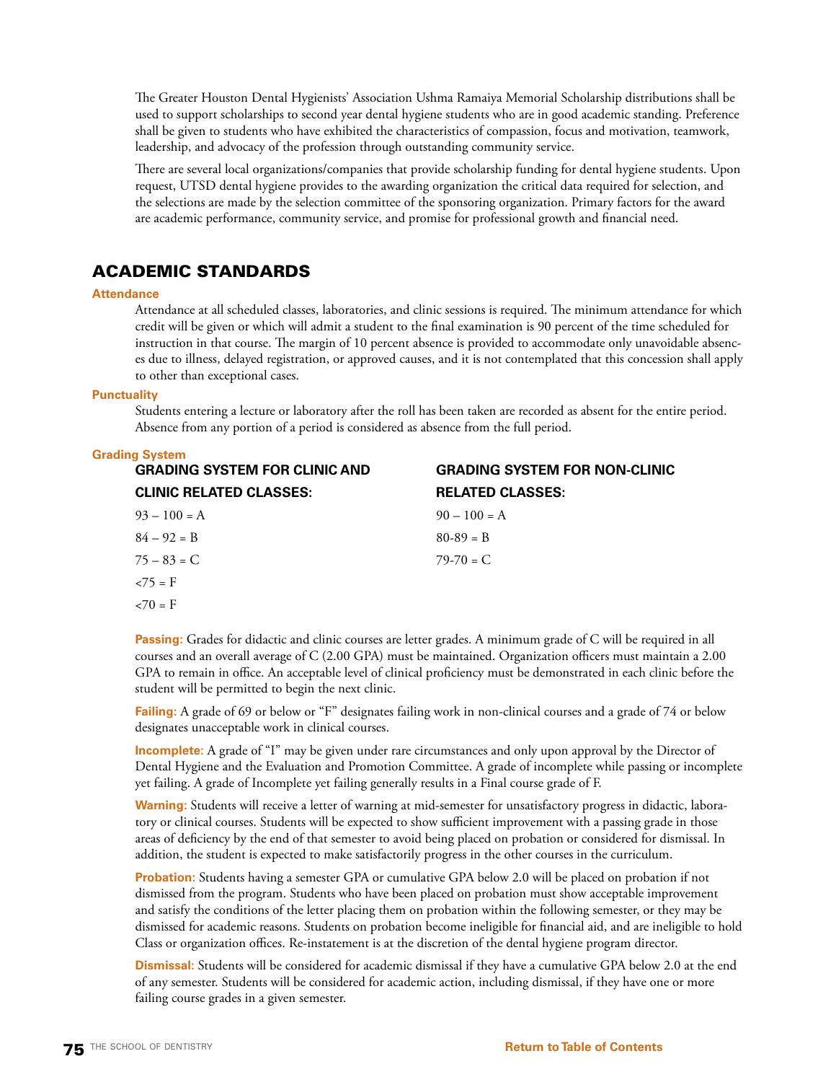The Greater Houston Dental Hygienists' Association Ushma Ramaiya Memorial Scholarship distributions shall be used to support scholarships to second year dental hygiene students who are in good academic standing. Preference shall be given to students who have exhibited the characteristics of compassion, focus and motivation, teamwork, leadership, and advocacy of the profession through outstanding community service.

There are several local organizations/companies that provide scholarship funding for dental hygiene students. Upon request, UTSD dental hygiene provides to the awarding organization the critical data required for selection, and the selections are made by the selection committee of the sponsoring organization. Primary factors for the award are academic performance, community service, and promise for professional growth and financial need.

## ACADEMIC STANDARDS

### **Attendance**

Attendance at all scheduled classes, laboratories, and clinic sessions is required. The minimum attendance for which credit will be given or which will admit a student to the final examination is 90 percent of the time scheduled for instruction in that course. The margin of 10 percent absence is provided to accommodate only unavoidable absences due to illness, delayed registration, or approved causes, and it is not contemplated that this concession shall apply to other than exceptional cases.

### **Punctuality**

Students entering a lecture or laboratory after the roll has been taken are recorded as absent for the entire period. Absence from any portion of a period is considered as absence from the full period.

### **Grading System**

| <b>GRADING SYSTEM FOR CLINIC AND</b> | <b>GRADING SYSTEM FOR NON-CLINIC</b> |
|--------------------------------------|--------------------------------------|
| <b>CLINIC RELATED CLASSES:</b>       | <b>RELATED CLASSES:</b>              |
| $93 - 100 = A$                       | $90 - 100 = A$                       |
| $84 - 92 = B$                        | $80-89 = B$                          |
| $75 - 83 = C$                        | $79-70 = C$                          |
| $\langle 75 = F \rangle$             |                                      |
| $\epsilon$ 70 = F                    |                                      |

**Passing:** Grades for didactic and clinic courses are letter grades. A minimum grade of C will be required in all courses and an overall average of C (2.00 GPA) must be maintained. Organization officers must maintain a 2.00 GPA to remain in office. An acceptable level of clinical proficiency must be demonstrated in each clinic before the student will be permitted to begin the next clinic.

**Failing:** A grade of 69 or below or "F" designates failing work in non-clinical courses and a grade of 74 or below designates unacceptable work in clinical courses.

**Incomplete:** A grade of "I" may be given under rare circumstances and only upon approval by the Director of Dental Hygiene and the Evaluation and Promotion Committee. A grade of incomplete while passing or incomplete yet failing. A grade of Incomplete yet failing generally results in a Final course grade of F.

**Warning:** Students will receive a letter of warning at mid-semester for unsatisfactory progress in didactic, laboratory or clinical courses. Students will be expected to show sufficient improvement with a passing grade in those areas of deficiency by the end of that semester to avoid being placed on probation or considered for dismissal. In addition, the student is expected to make satisfactorily progress in the other courses in the curriculum.

**Probation:** Students having a semester GPA or cumulative GPA below 2.0 will be placed on probation if not dismissed from the program. Students who have been placed on probation must show acceptable improvement and satisfy the conditions of the letter placing them on probation within the following semester, or they may be dismissed for academic reasons. Students on probation become ineligible for financial aid, and are ineligible to hold Class or organization offices. Re-instatement is at the discretion of the dental hygiene program director.

**Dismissal:** Students will be considered for academic dismissal if they have a cumulative GPA below 2.0 at the end of any semester. Students will be considered for academic action, including dismissal, if they have one or more failing course grades in a given semester.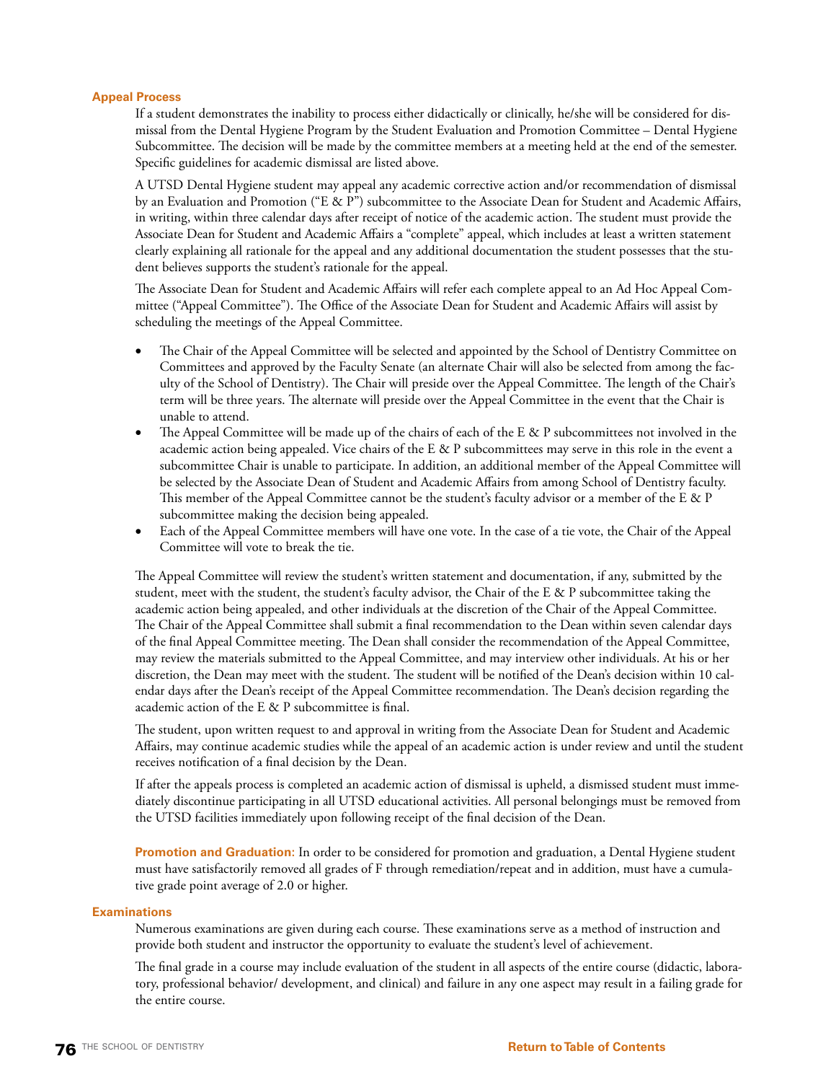### **Appeal Process**

If a student demonstrates the inability to process either didactically or clinically, he/she will be considered for dismissal from the Dental Hygiene Program by the Student Evaluation and Promotion Committee – Dental Hygiene Subcommittee. The decision will be made by the committee members at a meeting held at the end of the semester. Specific guidelines for academic dismissal are listed above.

A UTSD Dental Hygiene student may appeal any academic corrective action and/or recommendation of dismissal by an Evaluation and Promotion ("E & P") subcommittee to the Associate Dean for Student and Academic Affairs, in writing, within three calendar days after receipt of notice of the academic action. The student must provide the Associate Dean for Student and Academic Affairs a "complete" appeal, which includes at least a written statement clearly explaining all rationale for the appeal and any additional documentation the student possesses that the student believes supports the student's rationale for the appeal.

The Associate Dean for Student and Academic Affairs will refer each complete appeal to an Ad Hoc Appeal Committee ("Appeal Committee"). The Office of the Associate Dean for Student and Academic Affairs will assist by scheduling the meetings of the Appeal Committee.

- The Chair of the Appeal Committee will be selected and appointed by the School of Dentistry Committee on Committees and approved by the Faculty Senate (an alternate Chair will also be selected from among the faculty of the School of Dentistry). The Chair will preside over the Appeal Committee. The length of the Chair's term will be three years. The alternate will preside over the Appeal Committee in the event that the Chair is unable to attend.
- The Appeal Committee will be made up of the chairs of each of the E & P subcommittees not involved in the academic action being appealed. Vice chairs of the E & P subcommittees may serve in this role in the event a subcommittee Chair is unable to participate. In addition, an additional member of the Appeal Committee will be selected by the Associate Dean of Student and Academic Affairs from among School of Dentistry faculty. This member of the Appeal Committee cannot be the student's faculty advisor or a member of the E & P subcommittee making the decision being appealed.
- Each of the Appeal Committee members will have one vote. In the case of a tie vote, the Chair of the Appeal Committee will vote to break the tie.

The Appeal Committee will review the student's written statement and documentation, if any, submitted by the student, meet with the student, the student's faculty advisor, the Chair of the E & P subcommittee taking the academic action being appealed, and other individuals at the discretion of the Chair of the Appeal Committee. The Chair of the Appeal Committee shall submit a final recommendation to the Dean within seven calendar days of the final Appeal Committee meeting. The Dean shall consider the recommendation of the Appeal Committee, may review the materials submitted to the Appeal Committee, and may interview other individuals. At his or her discretion, the Dean may meet with the student. The student will be notified of the Dean's decision within 10 calendar days after the Dean's receipt of the Appeal Committee recommendation. The Dean's decision regarding the academic action of the E & P subcommittee is final.

The student, upon written request to and approval in writing from the Associate Dean for Student and Academic Affairs, may continue academic studies while the appeal of an academic action is under review and until the student receives notification of a final decision by the Dean.

If after the appeals process is completed an academic action of dismissal is upheld, a dismissed student must immediately discontinue participating in all UTSD educational activities. All personal belongings must be removed from the UTSD facilities immediately upon following receipt of the final decision of the Dean.

**Promotion and Graduation:** In order to be considered for promotion and graduation, a Dental Hygiene student must have satisfactorily removed all grades of F through remediation/repeat and in addition, must have a cumulative grade point average of 2.0 or higher.

### **Examinations**

Numerous examinations are given during each course. These examinations serve as a method of instruction and provide both student and instructor the opportunity to evaluate the student's level of achievement.

The final grade in a course may include evaluation of the student in all aspects of the entire course (didactic, laboratory, professional behavior/ development, and clinical) and failure in any one aspect may result in a failing grade for the entire course.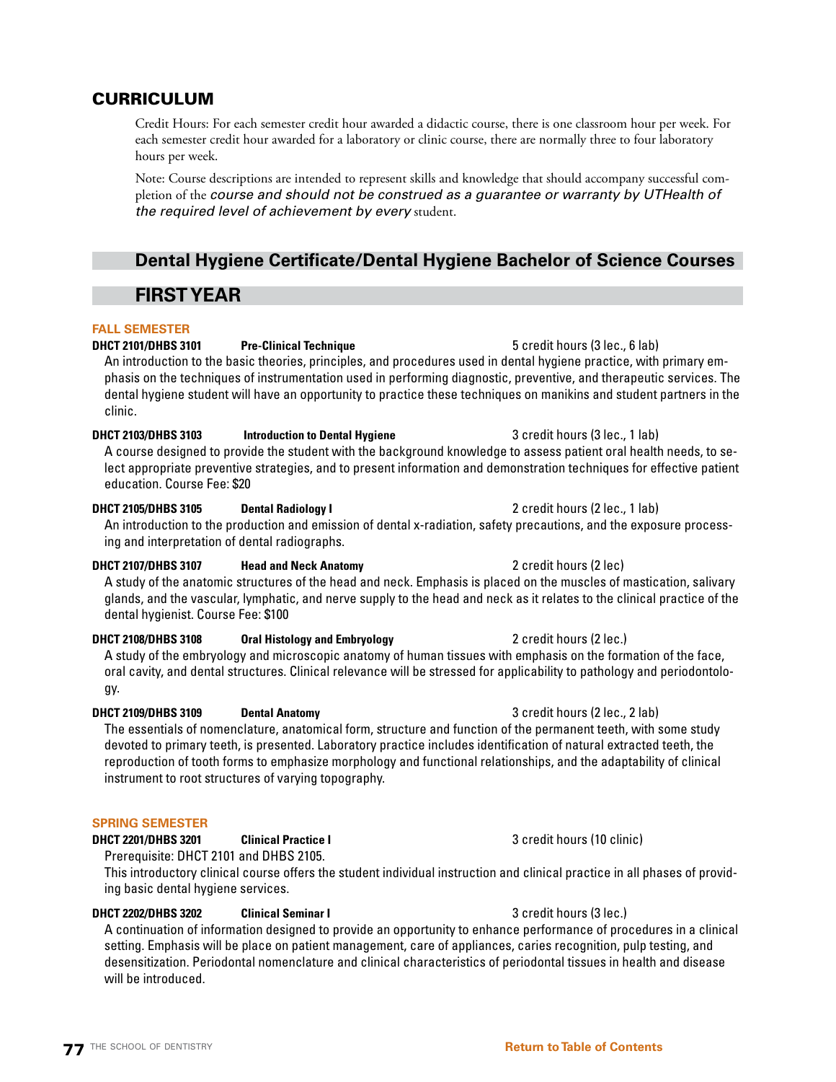## CURRICULUM

Credit Hours: For each semester credit hour awarded a didactic course, there is one classroom hour per week. For each semester credit hour awarded for a laboratory or clinic course, there are normally three to four laboratory hours per week.

Note: Course descriptions are intended to represent skills and knowledge that should accompany successful completion of the *course and should not be construed as a guarantee or warranty by UTHealth of the required level of achievement by every* student.

## **Dental Hygiene Certificate/Dental Hygiene Bachelor of Science Courses**

## **FIRST YEAR**

### **FALL SEMESTER**

## **DHCT 2101/DHBS 3101 Pre-Clinical Technique** 5 credit hours (3 lec., 6 lab)

An introduction to the basic theories, principles, and procedures used in dental hygiene practice, with primary emphasis on the techniques of instrumentation used in performing diagnostic, preventive, and therapeutic services. The dental hygiene student will have an opportunity to practice these techniques on manikins and student partners in the clinic.

## **DHCT 2103/DHBS 3103** Introduction to Dental Hygiene 3 credit hours (3 lec., 1 lab)

A course designed to provide the student with the background knowledge to assess patient oral health needs, to select appropriate preventive strategies, and to present information and demonstration techniques for effective patient education. Course Fee: \$20

### **DHCT 2105/DHBS 3105 Dental Radiology I Dental Radiology I 2 credit hours (2 lec., 1 lab)**

An introduction to the production and emission of dental x-radiation, safety precautions, and the exposure processing and interpretation of dental radiographs.

### **DHCT 2107/DHBS 3107 Head and Neck Anatomy** 2 credit hours (2 lec)

A study of the anatomic structures of the head and neck. Emphasis is placed on the muscles of mastication, salivary glands, and the vascular, lymphatic, and nerve supply to the head and neck as it relates to the clinical practice of the dental hygienist. Course Fee: \$100

### **DHCT 2108/DHBS 3108 Oral Histology and Embryology <b>2** credit hours (2 lec.)

A study of the embryology and microscopic anatomy of human tissues with emphasis on the formation of the face, oral cavity, and dental structures. Clinical relevance will be stressed for applicability to pathology and periodontology.

### **DHCT 2109/DHBS 3109 Dental Anatomy** 3 credit hours (2 lec., 2 lab)

The essentials of nomenclature, anatomical form, structure and function of the permanent teeth, with some study devoted to primary teeth, is presented. Laboratory practice includes identification of natural extracted teeth, the reproduction of tooth forms to emphasize morphology and functional relationships, and the adaptability of clinical instrument to root structures of varying topography.

### **SPRING SEMESTER**

### **DHCT 2201/DHBS 3201 Clinical Practice I 3 credit hours (10 clinic)**

Prerequisite: DHCT 2101 and DHBS 2105.

This introductory clinical course offers the student individual instruction and clinical practice in all phases of providing basic dental hygiene services.

### **DHCT 2202/DHBS 3202 Clinical Seminar I** 3 credit hours (3 lec.)

A continuation of information designed to provide an opportunity to enhance performance of procedures in a clinical setting. Emphasis will be place on patient management, care of appliances, caries recognition, pulp testing, and desensitization. Periodontal nomenclature and clinical characteristics of periodontal tissues in health and disease will be introduced.

**77** THE SCHOOL OF DENTISTRY **[Return to Table of Contents](#page-2-0)**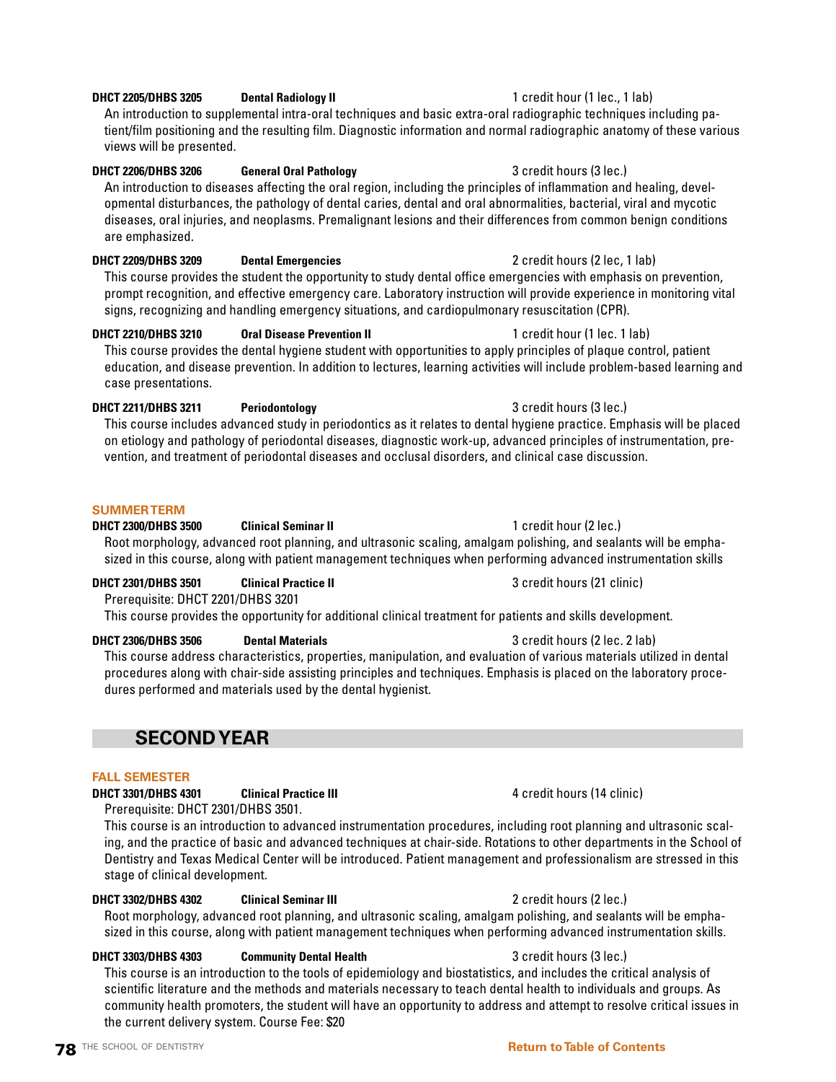# **78** THE SCHOOL OF DENTISTRY **[Return to Table of Contents](#page-2-0)**

## **DHCT 2205/DHBS 3205 Dental Radiology II** 1 credit hour (1 lec., 1 lab)

An introduction to supplemental intra-oral techniques and basic extra-oral radiographic techniques including patient/film positioning and the resulting film. Diagnostic information and normal radiographic anatomy of these various views will be presented.

### **DHCT 2206/DHBS 3206 General Oral Pathology <b>3** credit hours (3 lec.)

An introduction to diseases affecting the oral region, including the principles of inflammation and healing, developmental disturbances, the pathology of dental caries, dental and oral abnormalities, bacterial, viral and mycotic diseases, oral injuries, and neoplasms. Premalignant lesions and their differences from common benign conditions are emphasized.

### **DHCT 2209/DHBS 3209 Dental Emergencies** 2 credit hours (2 lec, 1 lab)

This course provides the student the opportunity to study dental office emergencies with emphasis on prevention, prompt recognition, and effective emergency care. Laboratory instruction will provide experience in monitoring vital signs, recognizing and handling emergency situations, and cardiopulmonary resuscitation (CPR).

### **DHCT 2210/DHBS 3210 Oral Disease Prevention II** 1 credit hour (1 lec. 1 lab)

This course provides the dental hygiene student with opportunities to apply principles of plaque control, patient education, and disease prevention. In addition to lectures, learning activities will include problem-based learning and case presentations.

### **DHCT 2211/DHBS 3211 Periodontology** 3 credit hours (3 lec.)

This course includes advanced study in periodontics as it relates to dental hygiene practice. Emphasis will be placed on etiology and pathology of periodontal diseases, diagnostic work-up, advanced principles of instrumentation, prevention, and treatment of periodontal diseases and occlusal disorders, and clinical case discussion.

### **SUMMER TERM**

### **DHCT 2300/DHBS 3500 Clinical Seminar II** 1 credit hour (2 lec.)

Root morphology, advanced root planning, and ultrasonic scaling, amalgam polishing, and sealants will be emphasized in this course, along with patient management techniques when performing advanced instrumentation skills

## **DHCT 2301/DHBS 3501 Clinical Practice II 3 credit hours (21 clinic)**

Prerequisite: DHCT 2201/DHBS 3201 This course provides the opportunity for additional clinical treatment for patients and skills development.

## **DHCT 2306/DHBS 3506 Dental Materials** 3 **CONSERVING 3 CREDIT 2306/DHBS 3506** Dental Materials

This course address characteristics, properties, manipulation, and evaluation of various materials utilized in dental procedures along with chair-side assisting principles and techniques. Emphasis is placed on the laboratory procedures performed and materials used by the dental hygienist.

## **SECOND YEAR**

### **FALL SEMESTER**

## **DHCT 3301/DHBS 4301 Clinical Practice III 100 CLINIC 2006** 4 credit hours (14 clinic)

Prerequisite: DHCT 2301/DHBS 3501.

This course is an introduction to advanced instrumentation procedures, including root planning and ultrasonic scaling, and the practice of basic and advanced techniques at chair-side. Rotations to other departments in the School of Dentistry and Texas Medical Center will be introduced. Patient management and professionalism are stressed in this stage of clinical development.

### **DHCT 3302/DHBS 4302 Clinical Seminar III** 2 credit hours (2 lec.)

Root morphology, advanced root planning, and ultrasonic scaling, amalgam polishing, and sealants will be emphasized in this course, along with patient management techniques when performing advanced instrumentation skills.

### **DHCT 3303/DHBS 4303 Community Dental Health 3** credit hours (3 lec.)

This course is an introduction to the tools of epidemiology and biostatistics, and includes the critical analysis of scientific literature and the methods and materials necessary to teach dental health to individuals and groups. As community health promoters, the student will have an opportunity to address and attempt to resolve critical issues in the current delivery system. Course Fee: \$20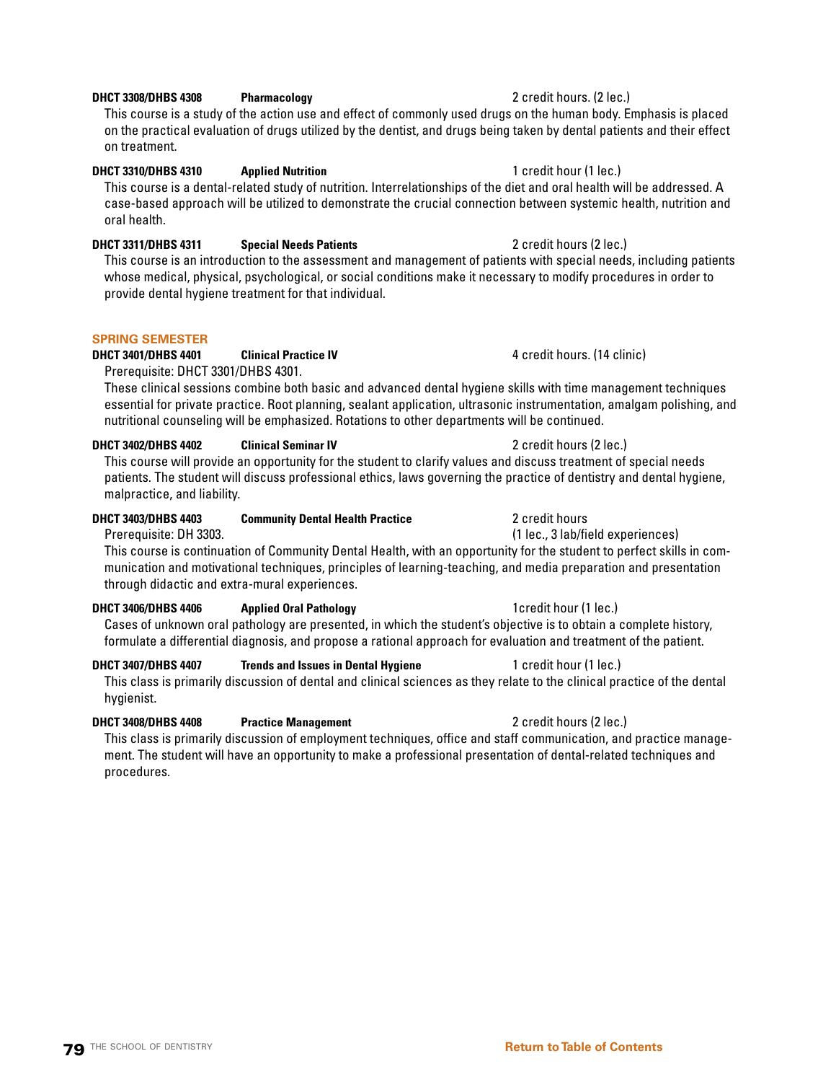### **79** THE SCHOOL OF DENTISTRY **[Return to Table of Contents](#page-2-0)**

## **DHCT 3308/DHBS 4308 Pharmacology 2 credit hours. (2 lec.)**

This course is a study of the action use and effect of commonly used drugs on the human body. Emphasis is placed on the practical evaluation of drugs utilized by the dentist, and drugs being taken by dental patients and their effect on treatment.

### **DHCT 3310/DHBS 4310 Applied Nutrition** 1 credit hour (1 lec.)

This course is a dental-related study of nutrition. Interrelationships of the diet and oral health will be addressed. A case-based approach will be utilized to demonstrate the crucial connection between systemic health, nutrition and oral health.

## **DHCT 3311/DHBS 4311 Special Needs Patients** 2 credit hours (2 lec.)

This course is an introduction to the assessment and management of patients with special needs, including patients whose medical, physical, psychological, or social conditions make it necessary to modify procedures in order to provide dental hygiene treatment for that individual.

### **SPRING SEMESTER**

## **DHCT 3401/DHBS 4401 Clinical Practice IV 4 credit hours. (14 clinic)**

Prerequisite: DHCT 3301/DHBS 4301.

These clinical sessions combine both basic and advanced dental hygiene skills with time management techniques essential for private practice. Root planning, sealant application, ultrasonic instrumentation, amalgam polishing, and nutritional counseling will be emphasized. Rotations to other departments will be continued.

### **DHCT 3402/DHBS 4402 Clinical Seminar IV 2 credit hours (2 lec.)**

This course will provide an opportunity for the student to clarify values and discuss treatment of special needs patients. The student will discuss professional ethics, laws governing the practice of dentistry and dental hygiene, malpractice, and liability.

### **DHCT 3403/DHBS 4403 Community Dental Health Practice** 2 credit hours

Prerequisite: DH 3303. (1 lec., 3 lab/field experiences)

This course is continuation of Community Dental Health, with an opportunity for the student to perfect skills in communication and motivational techniques, principles of learning-teaching, and media preparation and presentation through didactic and extra-mural experiences.

### **DHCT 3406/DHBS 4406 Applied Oral Pathology 1 And 1 Applied Oral Pathology 1 Applied 0ral Pathology 1 Applied 0ral Pathology 1 Applied 0ral Pathology 1 Applied 0ral Pathology 1 Applied 0ral Path**

Cases of unknown oral pathology are presented, in which the student's objective is to obtain a complete history, formulate a differential diagnosis, and propose a rational approach for evaluation and treatment of the patient.

### **DHCT 3407/DHBS 4407** Trends and Issues in Dental Hygiene 1 credit hour (1 lec.)

This class is primarily discussion of dental and clinical sciences as they relate to the clinical practice of the dental hygienist.

### **DHCT 3408/DHBS 4408 Practice Management** 2 credit hours (2 lec.)

This class is primarily discussion of employment techniques, office and staff communication, and practice management. The student will have an opportunity to make a professional presentation of dental-related techniques and procedures.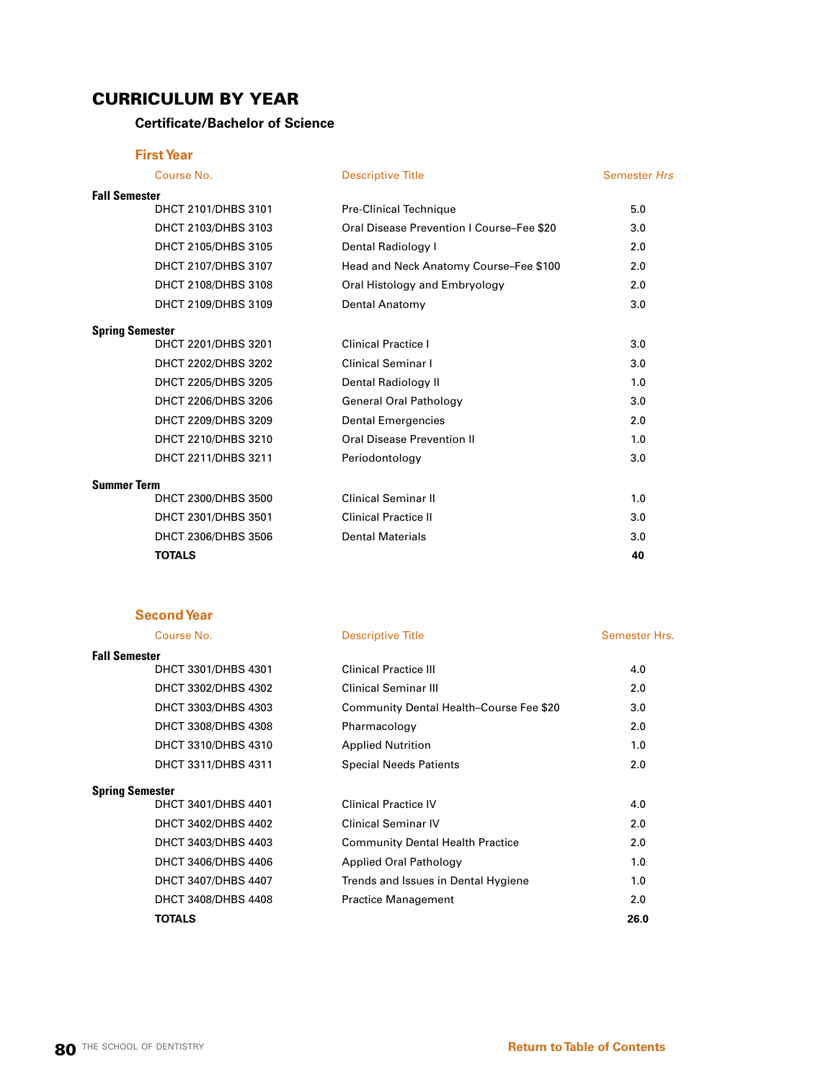## CURRICULUM BY YEAR

## **Certificate/Bachelor of Science**

### **First Year**

|                      | Course No.             | <b>Descriptive Title</b>                  | <b>Semester Hrs</b> |
|----------------------|------------------------|-------------------------------------------|---------------------|
| <b>Fall Semester</b> |                        |                                           |                     |
|                      | DHCT 2101/DHBS 3101    | Pre-Clinical Technique                    | 5.0                 |
|                      | DHCT 2103/DHBS 3103    | Oral Disease Prevention I Course-Fee \$20 | 3.0                 |
|                      | DHCT 2105/DHBS 3105    | Dental Radiology I                        | 2.0                 |
|                      | DHCT 2107/DHBS 3107    | Head and Neck Anatomy Course-Fee \$100    | 2.0                 |
|                      | DHCT 2108/DHBS 3108    | Oral Histology and Embryology             | 2.0                 |
|                      | DHCT 2109/DHBS 3109    | Dental Anatomy                            | 3.0                 |
|                      | <b>Spring Semester</b> |                                           |                     |
|                      | DHCT 2201/DHBS 3201    | <b>Clinical Practice I</b>                | 3.0                 |
|                      | DHCT 2202/DHBS 3202    | <b>Clinical Seminar I</b>                 | 3.0                 |
|                      | DHCT 2205/DHBS 3205    | Dental Radiology II                       | 1.0                 |
|                      | DHCT 2206/DHBS 3206    | <b>General Oral Pathology</b>             | 3.0                 |
|                      | DHCT 2209/DHBS 3209    | <b>Dental Emergencies</b>                 | 2.0                 |
|                      | DHCT 2210/DHBS 3210    | <b>Oral Disease Prevention II</b>         | 1.0                 |
|                      | DHCT 2211/DHBS 3211    | Periodontology                            | 3.0                 |
| <b>Summer Term</b>   |                        |                                           |                     |
|                      | DHCT 2300/DHBS 3500    | <b>Clinical Seminar II</b>                | 1.0                 |
|                      | DHCT 2301/DHBS 3501    | <b>Clinical Practice II</b>               | 3.0                 |
|                      | DHCT 2306/DHBS 3506    | <b>Dental Materials</b>                   | 3.0                 |
|                      | <b>TOTALS</b>          |                                           | 40                  |

### **Second Year**

## **Fall Semester**

### Course No. 2008 Descriptive Title Course No. 2008 Semester Hrs.

| Fall Semester          |                     |                                                |                  |
|------------------------|---------------------|------------------------------------------------|------------------|
|                        | DHCT 3301/DHBS 4301 | <b>Clinical Practice III</b>                   | 4.0              |
|                        | DHCT 3302/DHBS 4302 | <b>Clinical Seminar III</b>                    | 2.0              |
|                        | DHCT 3303/DHBS 4303 | <b>Community Dental Health-Course Fee \$20</b> | 3.0 <sub>2</sub> |
|                        | DHCT 3308/DHBS 4308 | Pharmacology                                   | 2.0              |
|                        | DHCT 3310/DHBS 4310 | <b>Applied Nutrition</b>                       | 1.0              |
|                        | DHCT 3311/DHBS 4311 | <b>Special Needs Patients</b>                  | 2.0              |
| <b>Spring Semester</b> |                     |                                                |                  |
|                        | DHCT 3401/DHBS 4401 | <b>Clinical Practice IV</b>                    | 4.0              |
|                        | DHCT 3402/DHBS 4402 | <b>Clinical Seminar IV</b>                     | 2.0              |
|                        | DHCT 3403/DHBS 4403 | <b>Community Dental Health Practice</b>        | 2.0              |
|                        | DHCT 3406/DHBS 4406 | <b>Applied Oral Pathology</b>                  | 1.0              |
|                        | DHCT 3407/DHBS 4407 | Trends and Issues in Dental Hygiene            | 1.0              |
|                        | DHCT 3408/DHBS 4408 | <b>Practice Management</b>                     | 2.0              |
|                        | <b>TOTALS</b>       |                                                | 26.0             |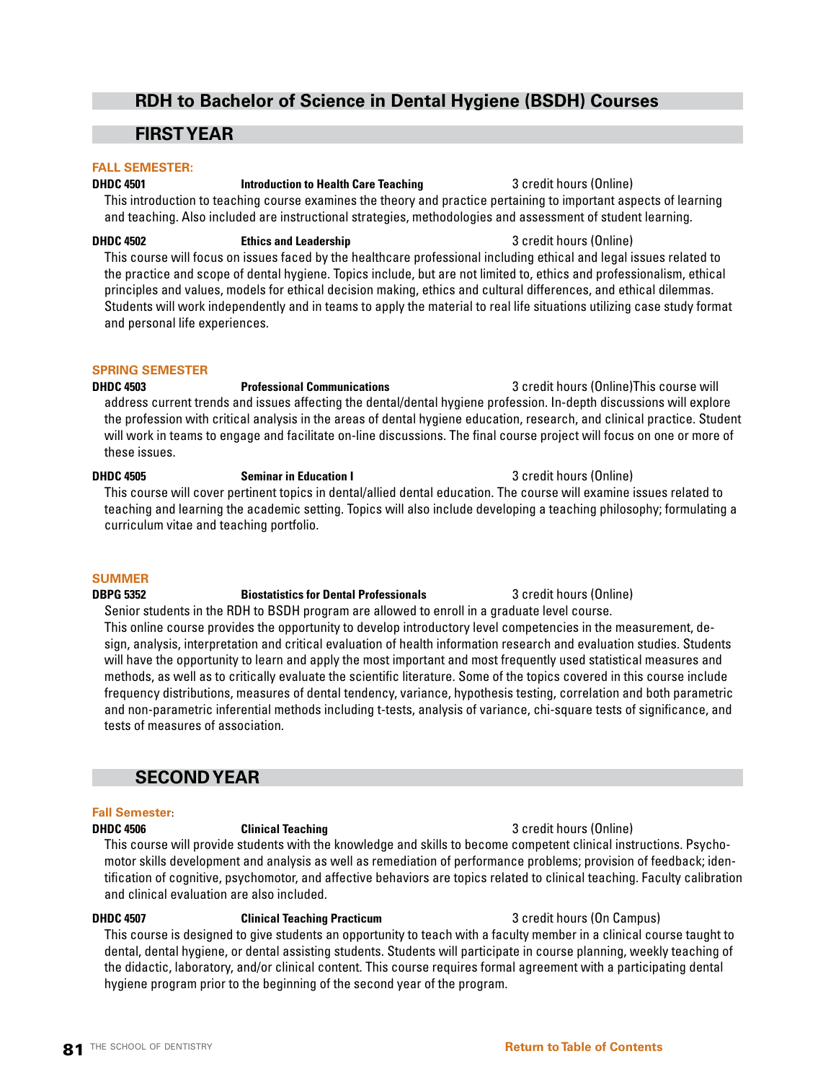## **RDH to Bachelor of Science in Dental Hygiene (BSDH) Courses**

## **FIRST YEAR**

### **FALL SEMESTER:**

**DHDC 4501 Introduction to Health Care Teaching** 3 credit hours (Online) This introduction to teaching course examines the theory and practice pertaining to important aspects of learning and teaching. Also included are instructional strategies, methodologies and assessment of student learning.

This course will focus on issues faced by the healthcare professional including ethical and legal issues related to the practice and scope of dental hygiene. Topics include, but are not limited to, ethics and professionalism, ethical principles and values, models for ethical decision making, ethics and cultural differences, and ethical dilemmas. Students will work independently and in teams to apply the material to real life situations utilizing case study format and personal life experiences.

### **SPRING SEMESTER**

**DHDC 4503 Professional Communications** 3 credit hours (Online)This course will address current trends and issues affecting the dental/dental hygiene profession. In-depth discussions will explore the profession with critical analysis in the areas of dental hygiene education, research, and clinical practice. Student will work in teams to engage and facilitate on-line discussions. The final course project will focus on one or more of these issues.

### **DHDC 4505 Seminar in Education I** 3 credit hours (Online) This course will cover pertinent topics in dental/allied dental education. The course will examine issues related to teaching and learning the academic setting. Topics will also include developing a teaching philosophy; formulating a curriculum vitae and teaching portfolio.

### **SUMMER**

## **DBPG 5352 Biostatistics for Dental Professionals** 3 credit hours (Online)

Senior students in the RDH to BSDH program are allowed to enroll in a graduate level course. This online course provides the opportunity to develop introductory level competencies in the measurement, design, analysis, interpretation and critical evaluation of health information research and evaluation studies. Students will have the opportunity to learn and apply the most important and most frequently used statistical measures and methods, as well as to critically evaluate the scientific literature. Some of the topics covered in this course include frequency distributions, measures of dental tendency, variance, hypothesis testing, correlation and both parametric and non-parametric inferential methods including t-tests, analysis of variance, chi-square tests of significance, and tests of measures of association.

## **SECOND YEAR**

### **Fall Semester**:

**DHDC 4506 Clinical Teaching Community 3 credit hours (Online)** This course will provide students with the knowledge and skills to become competent clinical instructions. Psychomotor skills development and analysis as well as remediation of performance problems; provision of feedback; identification of cognitive, psychomotor, and affective behaviors are topics related to clinical teaching. Faculty calibration and clinical evaluation are also included.

## **DHDC 4507 Clinical Teaching Practicum 3** credit hours (On Campus)

This course is designed to give students an opportunity to teach with a faculty member in a clinical course taught to dental, dental hygiene, or dental assisting students. Students will participate in course planning, weekly teaching of the didactic, laboratory, and/or clinical content. This course requires formal agreement with a participating dental hygiene program prior to the beginning of the second year of the program.

## **DHDC 4502 Ethics and Leadership Example 2 credit hours (Online) B** 3 credit hours (Online)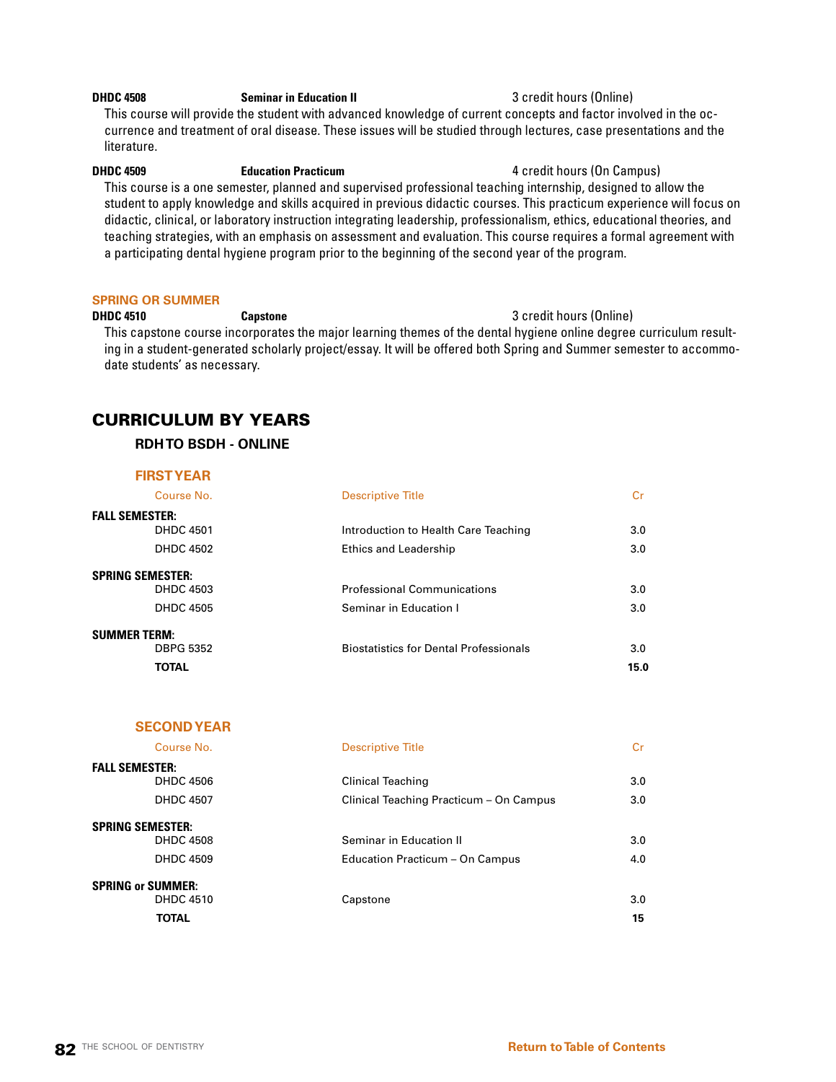### **DHDC 4508 Seminar in Education II Seminar in Education II** 3 credit hours (Online)

This course will provide the student with advanced knowledge of current concepts and factor involved in the occurrence and treatment of oral disease. These issues will be studied through lectures, case presentations and the literature.

### **DHDC 4509 Education Practicum Example 20 and 4 credit hours (On Campus)**

This course is a one semester, planned and supervised professional teaching internship, designed to allow the student to apply knowledge and skills acquired in previous didactic courses. This practicum experience will focus on didactic, clinical, or laboratory instruction integrating leadership, professionalism, ethics, educational theories, and teaching strategies, with an emphasis on assessment and evaluation. This course requires a formal agreement with a participating dental hygiene program prior to the beginning of the second year of the program.

### **SPRING OR SUMMER**

### **DHDC 4510 Capstone Capstone Capstone Capstone 3** credit hours (Online)

This capstone course incorporates the major learning themes of the dental hygiene online degree curriculum resulting in a student-generated scholarly project/essay. It will be offered both Spring and Summer semester to accommodate students' as necessary.

## CURRICULUM BY YEARS

### **RDH TO BSDH - ONLINE**

### **FIRST YEAR**

**SECOND YEAR**

| Course No.              | <b>Descriptive Title</b>                      | Cr   |
|-------------------------|-----------------------------------------------|------|
| <b>FALL SEMESTER:</b>   |                                               |      |
| <b>DHDC 4501</b>        | Introduction to Health Care Teaching          | 3.0  |
| <b>DHDC 4502</b>        | <b>Ethics and Leadership</b>                  | 3.0  |
| <b>SPRING SEMESTER:</b> |                                               |      |
| <b>DHDC 4503</b>        | <b>Professional Communications</b>            | 3.0  |
| <b>DHDC 4505</b>        | Seminar in Education I                        | 3.0  |
| <b>SUMMER TERM:</b>     |                                               |      |
| <b>DBPG 5352</b>        | <b>Biostatistics for Dental Professionals</b> | 3.0  |
| <b>TOTAL</b>            |                                               | 15.0 |

| Course No.                                                    | <b>Descriptive Title</b>                                     | Cr         |
|---------------------------------------------------------------|--------------------------------------------------------------|------------|
| <b>FALL SEMESTER:</b><br><b>DHDC 4506</b><br><b>DHDC 4507</b> | Clinical Teaching<br>Clinical Teaching Practicum - On Campus | 3.0<br>3.0 |
| <b>SPRING SEMESTER:</b><br><b>DHDC 4508</b>                   | Seminar in Education II                                      | 3.0        |
| <b>DHDC 4509</b>                                              | Education Practicum - On Campus                              | 4.0        |
| <b>SPRING or SUMMER:</b><br><b>DHDC 4510</b>                  | Capstone                                                     | 3.0        |
| <b>TOTAL</b>                                                  |                                                              | 15         |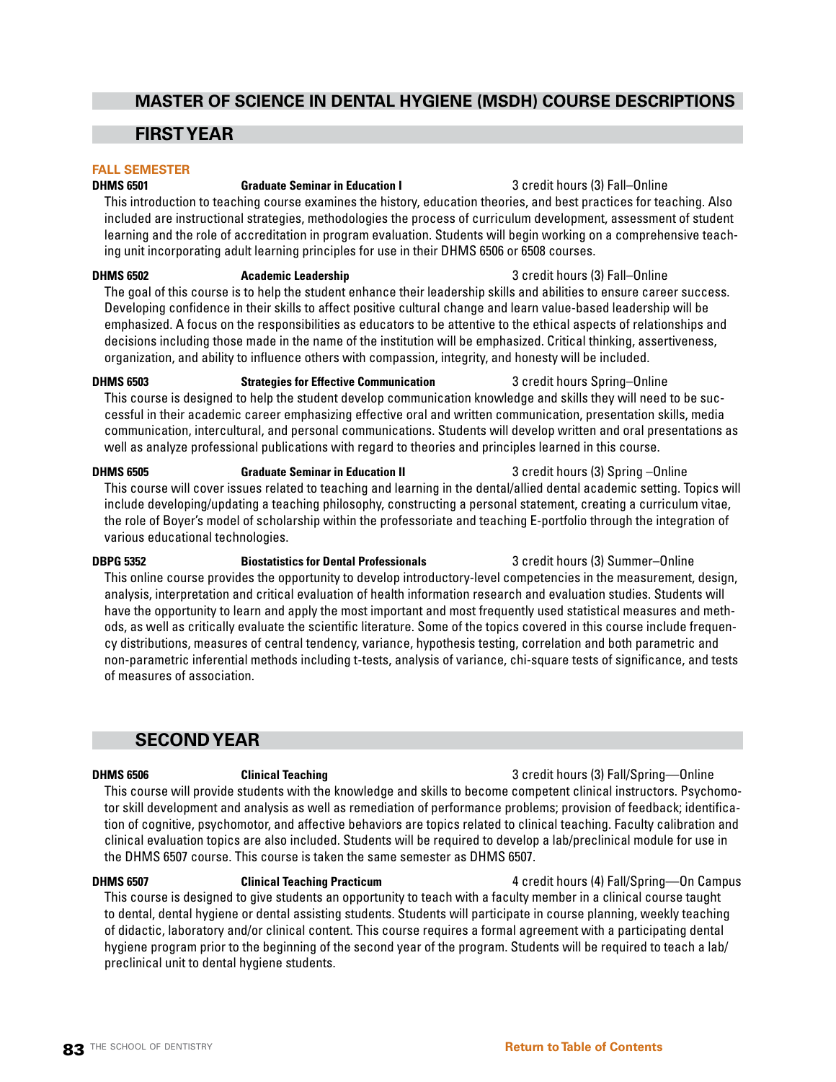## **MASTER OF SCIENCE IN DENTAL HYGIENE (MSDH) COURSE DESCRIPTIONS**

## **FIRST YEAR**

### **FALL SEMESTER**

### **DHMS 6501 Graduate Seminar in Education I** 3 credit hours (3) Fall–Online

This introduction to teaching course examines the history, education theories, and best practices for teaching. Also included are instructional strategies, methodologies the process of curriculum development, assessment of student learning and the role of accreditation in program evaluation. Students will begin working on a comprehensive teaching unit incorporating adult learning principles for use in their DHMS 6506 or 6508 courses.

**DHMS 6502 Academic Leadership** 3 credit hours (3) Fall–Online The goal of this course is to help the student enhance their leadership skills and abilities to ensure career success. Developing confidence in their skills to affect positive cultural change and learn value-based leadership will be emphasized. A focus on the responsibilities as educators to be attentive to the ethical aspects of relationships and decisions including those made in the name of the institution will be emphasized. Critical thinking, assertiveness, organization, and ability to influence others with compassion, integrity, and honesty will be included.

**DHMS 6503 Strategies for Effective Communication** 3 credit hours Spring–Online This course is designed to help the student develop communication knowledge and skills they will need to be successful in their academic career emphasizing effective oral and written communication, presentation skills, media communication, intercultural, and personal communications. Students will develop written and oral presentations as well as analyze professional publications with regard to theories and principles learned in this course.

**DHMS 6505 Graduate Seminar in Education II** 3 credit hours (3) Spring –Online This course will cover issues related to teaching and learning in the dental/allied dental academic setting. Topics will include developing/updating a teaching philosophy, constructing a personal statement, creating a curriculum vitae, the role of Boyer's model of scholarship within the professoriate and teaching E-portfolio through the integration of various educational technologies.

**DBPG 5352 Biostatistics for Dental Professionals** 3 credit hours (3) Summer–Online This online course provides the opportunity to develop introductory-level competencies in the measurement, design, analysis, interpretation and critical evaluation of health information research and evaluation studies. Students will have the opportunity to learn and apply the most important and most frequently used statistical measures and methods, as well as critically evaluate the scientific literature. Some of the topics covered in this course include frequency distributions, measures of central tendency, variance, hypothesis testing, correlation and both parametric and non-parametric inferential methods including t-tests, analysis of variance, chi-square tests of significance, and tests of measures of association.

## **SECOND YEAR**

**DHMS 6506 Clinical Teaching** 3 credit hours (3) Fall/Spring—Online

This course will provide students with the knowledge and skills to become competent clinical instructors. Psychomotor skill development and analysis as well as remediation of performance problems; provision of feedback; identification of cognitive, psychomotor, and affective behaviors are topics related to clinical teaching. Faculty calibration and clinical evaluation topics are also included. Students will be required to develop a lab/preclinical module for use in the DHMS 6507 course. This course is taken the same semester as DHMS 6507.

**DHMS 6507 Clinical Teaching Practicum** 4 credit hours (4) Fall/Spring—On Campus This course is designed to give students an opportunity to teach with a faculty member in a clinical course taught to dental, dental hygiene or dental assisting students. Students will participate in course planning, weekly teaching of didactic, laboratory and/or clinical content. This course requires a formal agreement with a participating dental hygiene program prior to the beginning of the second year of the program. Students will be required to teach a lab/ preclinical unit to dental hygiene students.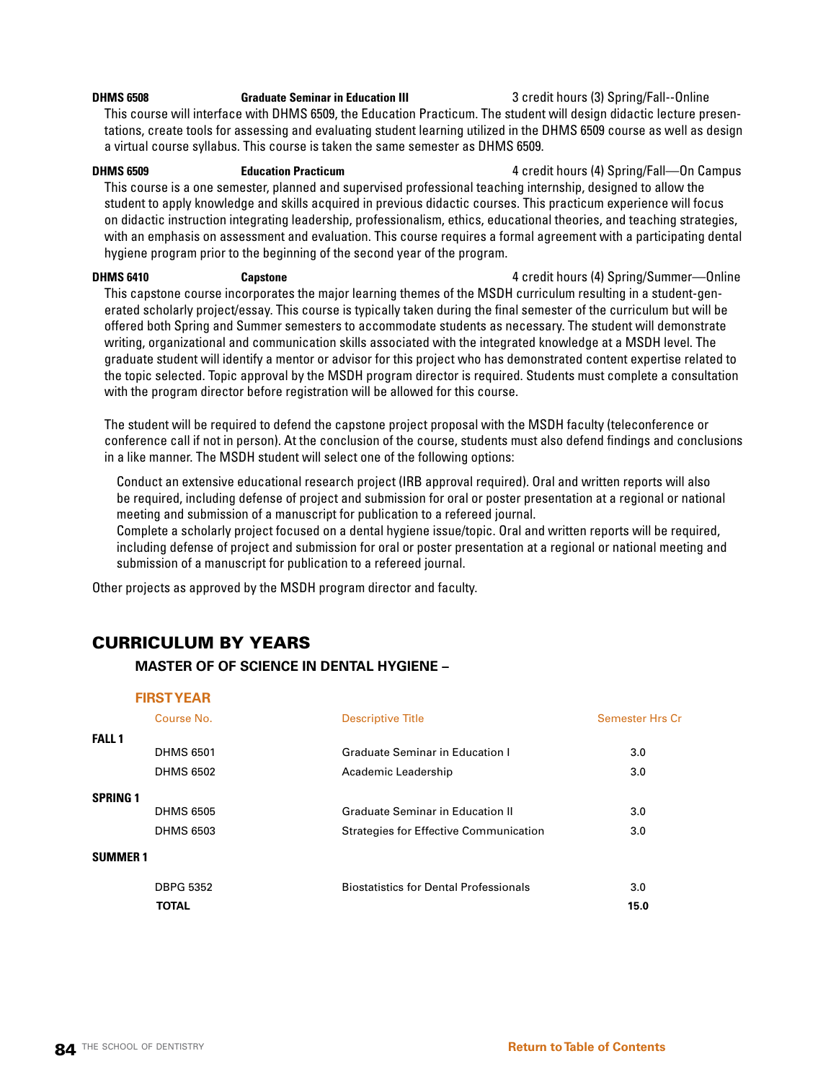### **DHMS 6508 Graduate Seminar in Education III** 3 credit hours (3) Spring/Fall--Online This course will interface with DHMS 6509, the Education Practicum. The student will design didactic lecture presentations, create tools for assessing and evaluating student learning utilized in the DHMS 6509 course as well as design a virtual course syllabus. This course is taken the same semester as DHMS 6509.

**DHMS 6509 Education Practicum** 4 credit hours (4) Spring/Fall—On Campus This course is a one semester, planned and supervised professional teaching internship, designed to allow the student to apply knowledge and skills acquired in previous didactic courses. This practicum experience will focus on didactic instruction integrating leadership, professionalism, ethics, educational theories, and teaching strategies, with an emphasis on assessment and evaluation. This course requires a formal agreement with a participating dental hygiene program prior to the beginning of the second year of the program.

**DHMS 6410 Capstone Capstone Capstone Capstone Capstone Capsus Capstone Capsus Capsus Capsus Capsus Capsus Capsus Capsus Capsus Capsus Capsus Capsus Capsus Capsus Capsus Capsus** This capstone course incorporates the major learning themes of the MSDH curriculum resulting in a student-generated scholarly project/essay. This course is typically taken during the final semester of the curriculum but will be offered both Spring and Summer semesters to accommodate students as necessary. The student will demonstrate writing, organizational and communication skills associated with the integrated knowledge at a MSDH level. The graduate student will identify a mentor or advisor for this project who has demonstrated content expertise related to the topic selected. Topic approval by the MSDH program director is required. Students must complete a consultation with the program director before registration will be allowed for this course.

The student will be required to defend the capstone project proposal with the MSDH faculty (teleconference or conference call if not in person). At the conclusion of the course, students must also defend findings and conclusions in a like manner. The MSDH student will select one of the following options:

Conduct an extensive educational research project (IRB approval required). Oral and written reports will also be required, including defense of project and submission for oral or poster presentation at a regional or national meeting and submission of a manuscript for publication to a refereed journal.

Complete a scholarly project focused on a dental hygiene issue/topic. Oral and written reports will be required, including defense of project and submission for oral or poster presentation at a regional or national meeting and submission of a manuscript for publication to a refereed journal.

Other projects as approved by the MSDH program director and faculty.

## CURRICULUM BY YEARS

### **MASTER OF OF SCIENCE IN DENTAL HYGIENE –**

### **FIRST YEAR**

|                 | Course No.       | <b>Descriptive Title</b>                      | <b>Semester Hrs Cr</b> |
|-----------------|------------------|-----------------------------------------------|------------------------|
| <b>FALL 1</b>   |                  |                                               |                        |
|                 | <b>DHMS 6501</b> | <b>Graduate Seminar in Education I</b>        | 3.0                    |
|                 | <b>DHMS 6502</b> | Academic Leadership                           | 3.0                    |
| <b>SPRING 1</b> |                  |                                               |                        |
|                 | <b>DHMS 6505</b> | <b>Graduate Seminar in Education II</b>       | 3.0                    |
|                 | <b>DHMS 6503</b> | <b>Strategies for Effective Communication</b> | 3.0                    |
| <b>SUMMER1</b>  |                  |                                               |                        |
|                 | <b>DBPG 5352</b> | <b>Biostatistics for Dental Professionals</b> | 3.0                    |
|                 | <b>TOTAL</b>     |                                               | 15.0                   |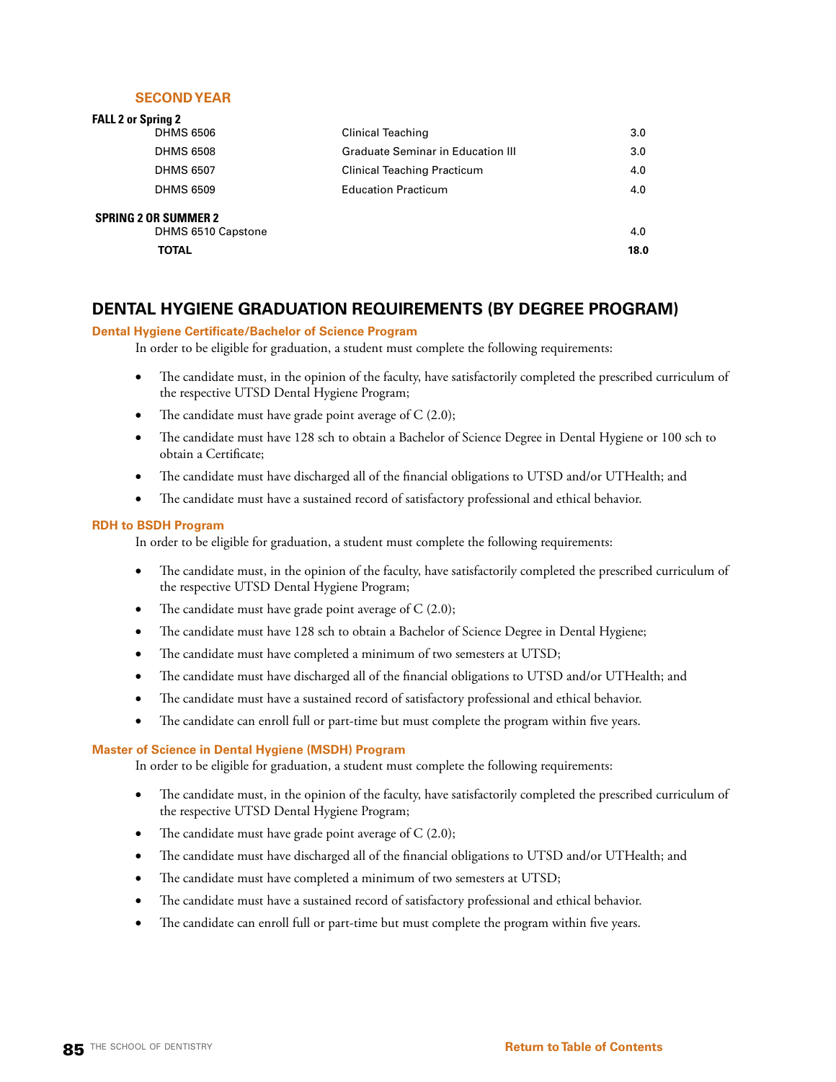### **SECOND YEAR**

| <b>FALL 2 or Spring 2</b>                         |                                          |      |
|---------------------------------------------------|------------------------------------------|------|
| <b>DHMS 6506</b>                                  | <b>Clinical Teaching</b>                 | 3.0  |
| <b>DHMS 6508</b>                                  | <b>Graduate Seminar in Education III</b> | 3.0  |
| <b>DHMS 6507</b>                                  | <b>Clinical Teaching Practicum</b>       | 4.0  |
| <b>DHMS 6509</b>                                  | <b>Education Practicum</b>               | 4.0  |
| <b>SPRING 2 OR SUMMER 2</b><br>DHMS 6510 Capstone |                                          | 4.0  |
| <b>TOTAL</b>                                      |                                          | 18.0 |
|                                                   |                                          |      |

## **DENTAL HYGIENE GRADUATION REQUIREMENTS (BY DEGREE PROGRAM)**

### **Dental Hygiene Certificate/Bachelor of Science Program**

In order to be eligible for graduation, a student must complete the following requirements:

- The candidate must, in the opinion of the faculty, have satisfactorily completed the prescribed curriculum of the respective UTSD Dental Hygiene Program;
- The candidate must have grade point average of  $C$  (2.0);
- The candidate must have 128 sch to obtain a Bachelor of Science Degree in Dental Hygiene or 100 sch to obtain a Certificate;
- The candidate must have discharged all of the financial obligations to UTSD and/or UTHealth; and
- The candidate must have a sustained record of satisfactory professional and ethical behavior.

### **RDH to BSDH Program**

In order to be eligible for graduation, a student must complete the following requirements:

- The candidate must, in the opinion of the faculty, have satisfactorily completed the prescribed curriculum of the respective UTSD Dental Hygiene Program;
- The candidate must have grade point average of  $C(2.0)$ ;
- The candidate must have 128 sch to obtain a Bachelor of Science Degree in Dental Hygiene;
- The candidate must have completed a minimum of two semesters at UTSD;
- The candidate must have discharged all of the financial obligations to UTSD and/or UTHealth; and
- The candidate must have a sustained record of satisfactory professional and ethical behavior.
- The candidate can enroll full or part-time but must complete the program within five years.

### **Master of Science in Dental Hygiene (MSDH) Program**

In order to be eligible for graduation, a student must complete the following requirements:

- The candidate must, in the opinion of the faculty, have satisfactorily completed the prescribed curriculum of the respective UTSD Dental Hygiene Program;
- The candidate must have grade point average of  $C$  (2.0);
- The candidate must have discharged all of the financial obligations to UTSD and/or UTHealth; and
- The candidate must have completed a minimum of two semesters at UTSD;
- The candidate must have a sustained record of satisfactory professional and ethical behavior.
- The candidate can enroll full or part-time but must complete the program within five years.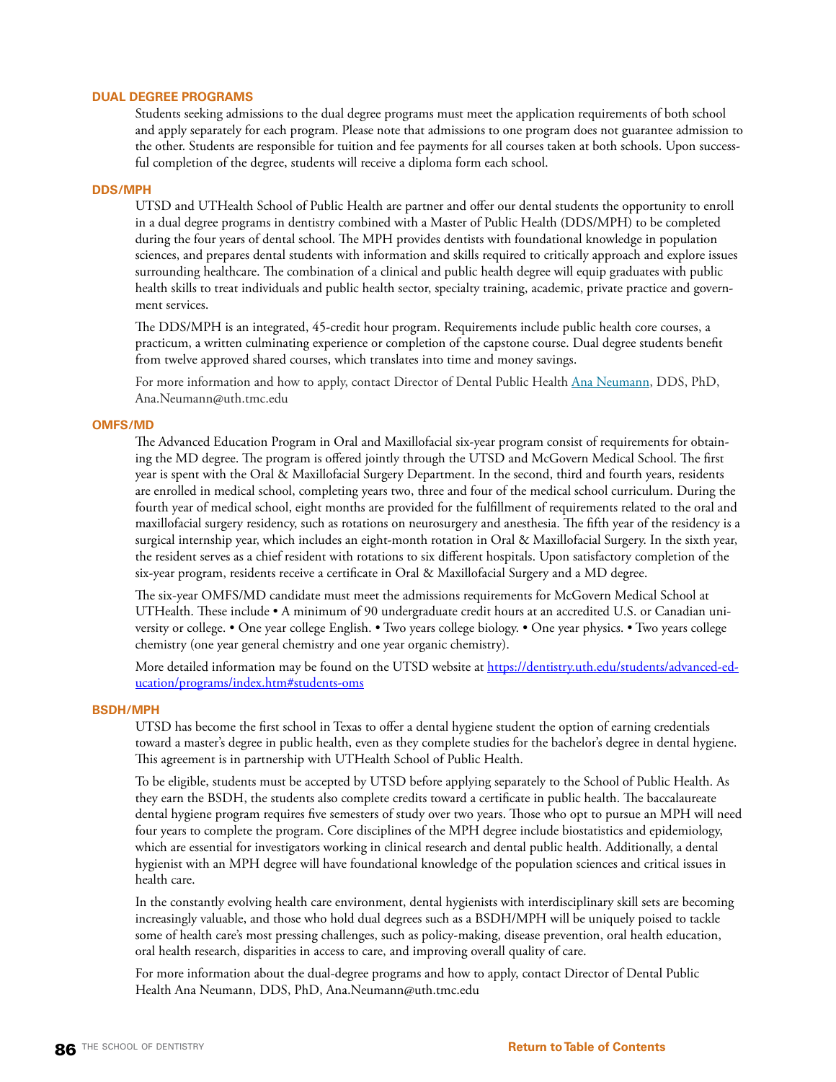### **DUAL DEGREE PROGRAMS**

Students seeking admissions to the dual degree programs must meet the application requirements of both school and apply separately for each program. Please note that admissions to one program does not guarantee admission to the other. Students are responsible for tuition and fee payments for all courses taken at both schools. Upon successful completion of the degree, students will receive a diploma form each school.

### **DDS/MPH**

UTSD and UTHealth School of Public Health are partner and offer our dental students the opportunity to enroll in a dual degree programs in dentistry combined with a Master of Public Health (DDS/MPH) to be completed during the four years of dental school. The MPH provides dentists with foundational knowledge in population sciences, and prepares dental students with information and skills required to critically approach and explore issues surrounding healthcare. The combination of a clinical and public health degree will equip graduates with public health skills to treat individuals and public health sector, specialty training, academic, private practice and government services.

The DDS/MPH is an integrated, 45-credit hour program. Requirements include public health core courses, a practicum, a written culminating experience or completion of the capstone course. Dual degree students benefit from twelve approved shared courses, which translates into time and money savings.

For more information and how to apply, contact Director of Dental Public Health [Ana Neumann,](mailto:Ana.Neumann@uth.tmc.edu) DDS, PhD, Ana.Neumann@uth.tmc.edu

### **OMFS/MD**

The Advanced Education Program in Oral and Maxillofacial six-year program consist of requirements for obtaining the MD degree. The program is offered jointly through the UTSD and McGovern Medical School. The first year is spent with the Oral & Maxillofacial Surgery Department. In the second, third and fourth years, residents are enrolled in medical school, completing years two, three and four of the medical school curriculum. During the fourth year of medical school, eight months are provided for the fulfillment of requirements related to the oral and maxillofacial surgery residency, such as rotations on neurosurgery and anesthesia. The fifth year of the residency is a surgical internship year, which includes an eight-month rotation in Oral & Maxillofacial Surgery. In the sixth year, the resident serves as a chief resident with rotations to six different hospitals. Upon satisfactory completion of the six-year program, residents receive a certificate in Oral & Maxillofacial Surgery and a MD degree.

The six-year OMFS/MD candidate must meet the admissions requirements for McGovern Medical School at UTHealth. These include • A minimum of 90 undergraduate credit hours at an accredited U.S. or Canadian university or college. • One year college English. • Two years college biology. • One year physics. • Two years college chemistry (one year general chemistry and one year organic chemistry).

More detailed information may be found on the UTSD website at [https://dentistry.uth.edu/students/advanced-ed](https://dentistry.uth.edu/students/advanced-education/programs/index.htm#students-oms)[ucation/programs/index.htm#students-oms](https://dentistry.uth.edu/students/advanced-education/programs/index.htm#students-oms)

### **BSDH/MPH**

UTSD has become the first school in Texas to offer a dental hygiene student the option of earning credentials toward a master's degree in public health, even as they complete studies for the bachelor's degree in dental hygiene. This agreement is in partnership with UTHealth School of Public Health.

To be eligible, students must be accepted by UTSD before applying separately to the School of Public Health. As they earn the BSDH, the students also complete credits toward a certificate in public health. The baccalaureate dental hygiene program requires five semesters of study over two years. Those who opt to pursue an MPH will need four years to complete the program. Core disciplines of the MPH degree include biostatistics and epidemiology, which are essential for investigators working in clinical research and dental public health. Additionally, a dental hygienist with an MPH degree will have foundational knowledge of the population sciences and critical issues in health care.

In the constantly evolving health care environment, dental hygienists with interdisciplinary skill sets are becoming increasingly valuable, and those who hold dual degrees such as a BSDH/MPH will be uniquely poised to tackle some of health care's most pressing challenges, such as policy-making, disease prevention, oral health education, oral health research, disparities in access to care, and improving overall quality of care.

For more information about the dual-degree programs and how to apply, contact Director of Dental Public Health [Ana Neumann](mailto:Ana.Neumann@uth.tmc.edu), DDS, PhD, Ana.Neumann@uth.tmc.edu